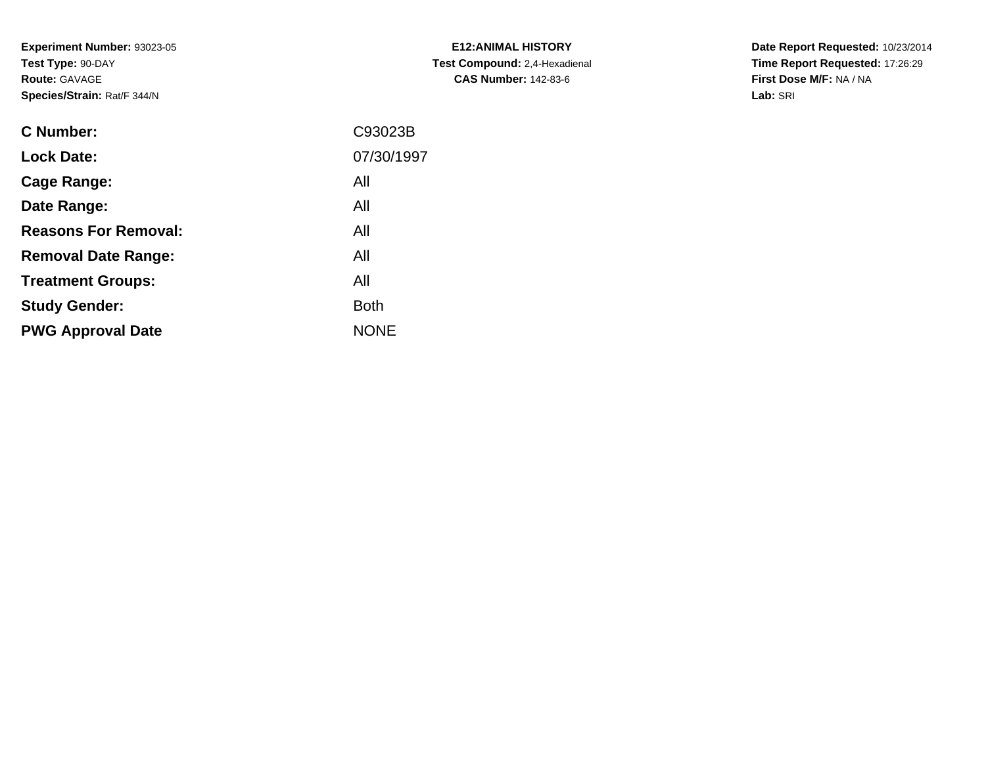**Experiment Number:** 93023-05**Test Type:** 90-DAY**Route:** GAVAGE**Species/Strain:** Rat/F 344/N

| <b>E12:ANIMAL HISTORY</b>     |
|-------------------------------|
| Test Compound: 2,4-Hexadienal |
| <b>CAS Number: 142-83-6</b>   |

**Date Report Requested:** 10/23/2014 **Time Report Requested:** 17:26:29**First Dose M/F:** NA / NA**Lab:** SRI

| C93023B     |
|-------------|
| 07/30/1997  |
| All         |
| All         |
| All         |
| All         |
| All         |
| <b>Both</b> |
| <b>NONE</b> |
|             |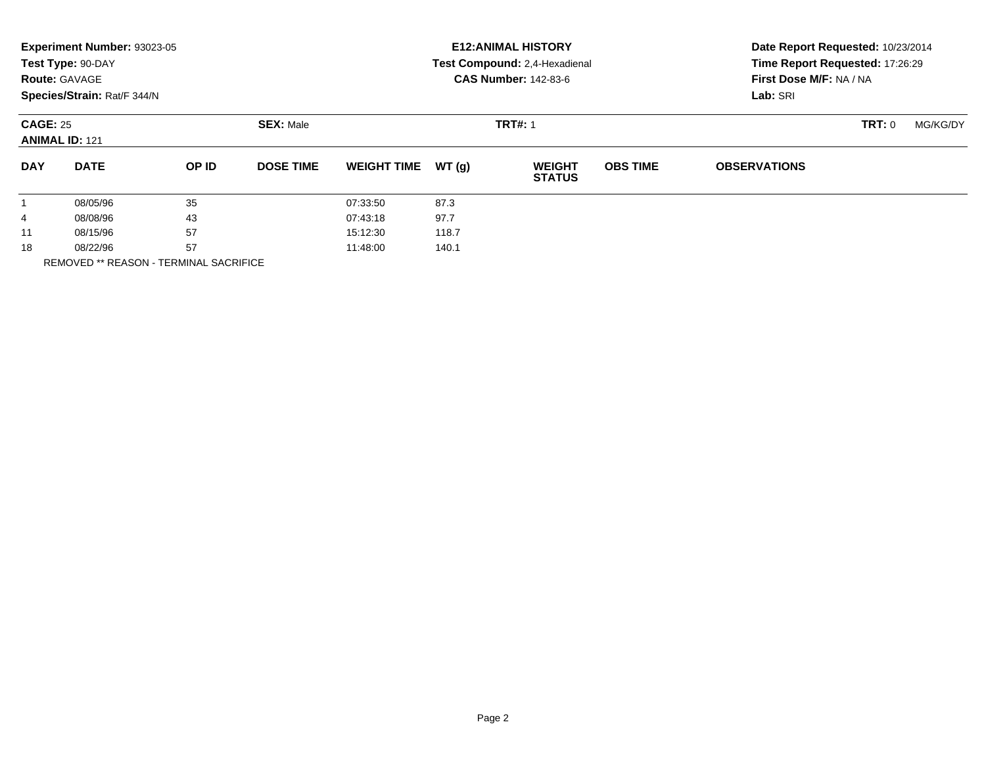|                                          | Experiment Number: 93023-05<br>Test Type: 90-DAY<br><b>Route: GAVAGE</b><br>Species/Strain: Rat/F 344/N |                                    |                  |                    |       | <b>E12: ANIMAL HISTORY</b><br>Test Compound: 2,4-Hexadienal<br><b>CAS Number: 142-83-6</b> | Date Report Requested: 10/23/2014<br>Time Report Requested: 17:26:29<br>First Dose M/F: NA / NA<br>Lab: SRI |                     |          |  |
|------------------------------------------|---------------------------------------------------------------------------------------------------------|------------------------------------|------------------|--------------------|-------|--------------------------------------------------------------------------------------------|-------------------------------------------------------------------------------------------------------------|---------------------|----------|--|
| <b>CAGE: 25</b><br><b>ANIMAL ID: 121</b> |                                                                                                         | <b>SEX: Male</b><br><b>TRT#: 1</b> |                  |                    |       |                                                                                            |                                                                                                             | TRT: 0              | MG/KG/DY |  |
| <b>DAY</b>                               | <b>DATE</b>                                                                                             | OP ID                              | <b>DOSE TIME</b> | <b>WEIGHT TIME</b> | WT(g) | <b>WEIGHT</b><br><b>STATUS</b>                                                             | <b>OBS TIME</b>                                                                                             | <b>OBSERVATIONS</b> |          |  |
|                                          | 08/05/96                                                                                                | 35                                 |                  | 07:33:50           | 87.3  |                                                                                            |                                                                                                             |                     |          |  |
| 4                                        | 08/08/96                                                                                                | 43                                 |                  | 07:43:18           | 97.7  |                                                                                            |                                                                                                             |                     |          |  |
| 11                                       | 08/15/96                                                                                                | 57                                 |                  | 15:12:30           | 118.7 |                                                                                            |                                                                                                             |                     |          |  |
| 18                                       | 08/22/96                                                                                                | 57                                 |                  | 11:48:00           | 140.1 |                                                                                            |                                                                                                             |                     |          |  |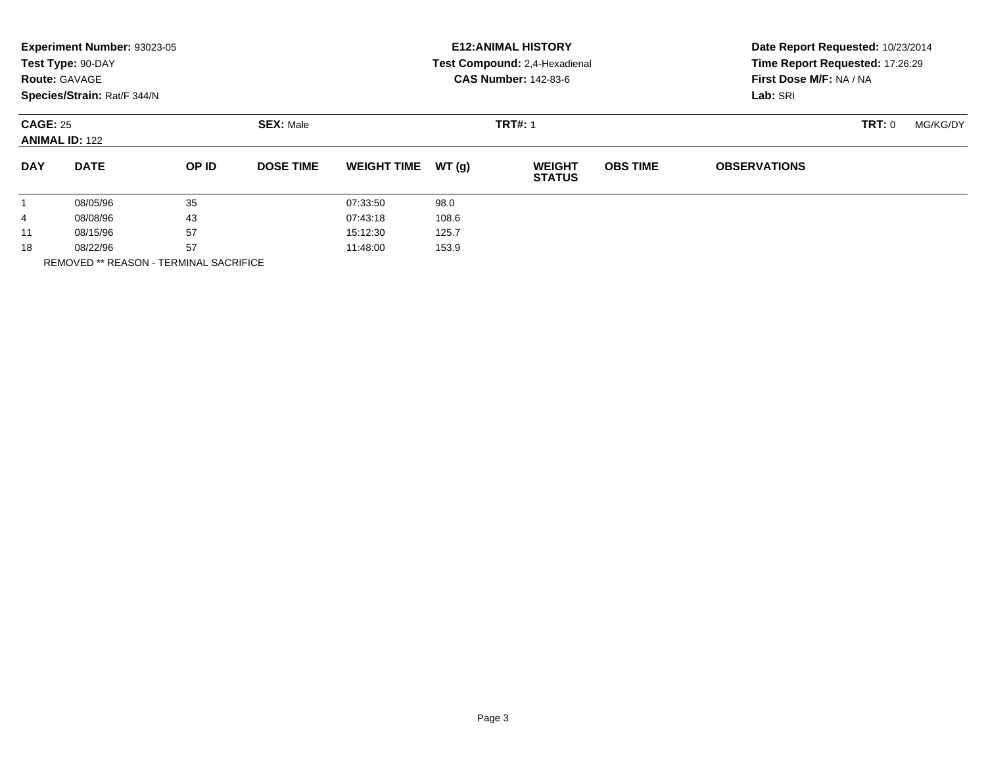|                                          | Experiment Number: 93023-05<br>Test Type: 90-DAY<br><b>Route: GAVAGE</b><br>Species/Strain: Rat/F 344/N |                                    |                  |                    |       | <b>E12: ANIMAL HISTORY</b><br>Test Compound: 2,4-Hexadienal<br><b>CAS Number: 142-83-6</b> | Date Report Requested: 10/23/2014<br>Time Report Requested: 17:26:29<br>First Dose M/F: NA / NA<br>Lab: SRI |                     |  |  |
|------------------------------------------|---------------------------------------------------------------------------------------------------------|------------------------------------|------------------|--------------------|-------|--------------------------------------------------------------------------------------------|-------------------------------------------------------------------------------------------------------------|---------------------|--|--|
| <b>CAGE: 25</b><br><b>ANIMAL ID: 122</b> |                                                                                                         | <b>SEX: Male</b><br><b>TRT#: 1</b> |                  |                    |       |                                                                                            | TRT: 0                                                                                                      | MG/KG/DY            |  |  |
| <b>DAY</b>                               | <b>DATE</b>                                                                                             | OP ID                              | <b>DOSE TIME</b> | <b>WEIGHT TIME</b> | WT(q) | <b>WEIGHT</b><br><b>STATUS</b>                                                             | <b>OBS TIME</b>                                                                                             | <b>OBSERVATIONS</b> |  |  |
|                                          | 08/05/96                                                                                                | 35                                 |                  | 07:33:50           | 98.0  |                                                                                            |                                                                                                             |                     |  |  |
| 4                                        | 08/08/96                                                                                                | 43                                 |                  | 07:43:18           | 108.6 |                                                                                            |                                                                                                             |                     |  |  |
| 11                                       | 08/15/96                                                                                                | 57                                 |                  | 15:12:30           | 125.7 |                                                                                            |                                                                                                             |                     |  |  |
| 18                                       | 08/22/96                                                                                                | 57                                 |                  | 11:48:00           | 153.9 |                                                                                            |                                                                                                             |                     |  |  |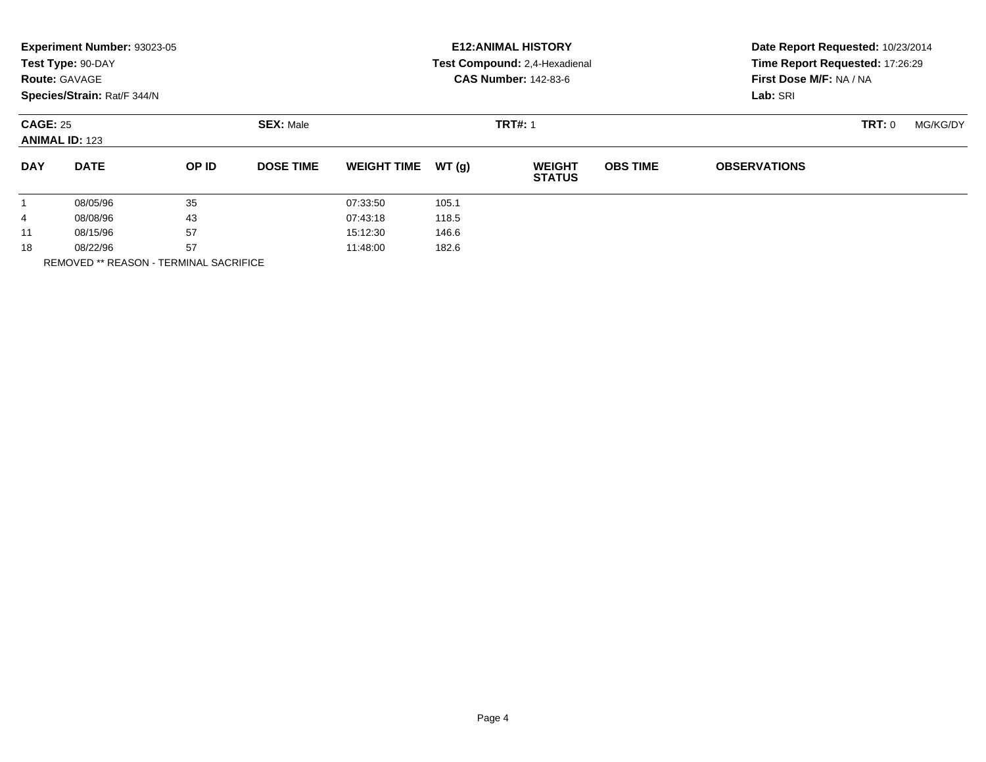|                                          | Experiment Number: 93023-05<br>Test Type: 90-DAY<br><b>Route: GAVAGE</b><br>Species/Strain: Rat/F 344/N |                                    |                  |                    |       | <b>E12: ANIMAL HISTORY</b><br>Test Compound: 2,4-Hexadienal<br><b>CAS Number: 142-83-6</b> | Date Report Requested: 10/23/2014<br>Time Report Requested: 17:26:29<br>First Dose M/F: NA / NA<br>Lab: SRI |                     |  |  |
|------------------------------------------|---------------------------------------------------------------------------------------------------------|------------------------------------|------------------|--------------------|-------|--------------------------------------------------------------------------------------------|-------------------------------------------------------------------------------------------------------------|---------------------|--|--|
| <b>CAGE: 25</b><br><b>ANIMAL ID: 123</b> |                                                                                                         | <b>SEX: Male</b><br><b>TRT#: 1</b> |                  |                    |       |                                                                                            | TRT: 0                                                                                                      | MG/KG/DY            |  |  |
| <b>DAY</b>                               | <b>DATE</b>                                                                                             | OP ID                              | <b>DOSE TIME</b> | <b>WEIGHT TIME</b> | WT(q) | <b>WEIGHT</b><br><b>STATUS</b>                                                             | <b>OBS TIME</b>                                                                                             | <b>OBSERVATIONS</b> |  |  |
|                                          | 08/05/96                                                                                                | 35                                 |                  | 07:33:50           | 105.1 |                                                                                            |                                                                                                             |                     |  |  |
| 4                                        | 08/08/96                                                                                                | 43                                 |                  | 07:43:18           | 118.5 |                                                                                            |                                                                                                             |                     |  |  |
| 11                                       | 08/15/96                                                                                                | 57                                 |                  | 15:12:30           | 146.6 |                                                                                            |                                                                                                             |                     |  |  |
| 18                                       | 08/22/96                                                                                                | 57                                 |                  | 11:48:00           | 182.6 |                                                                                            |                                                                                                             |                     |  |  |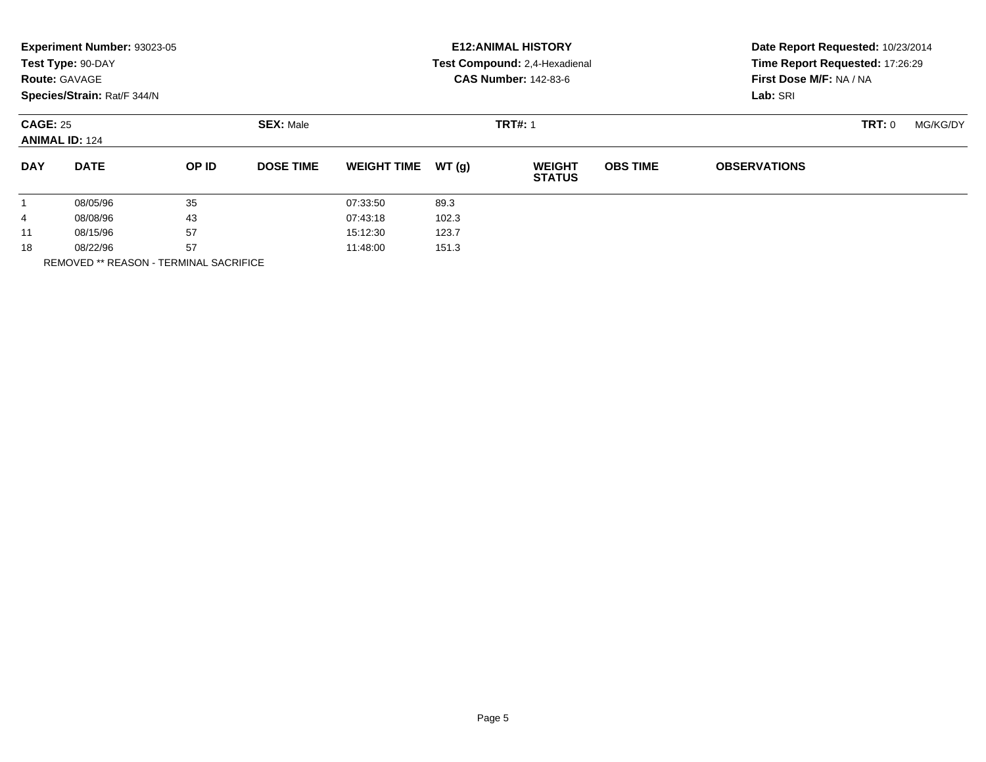|                                          | Experiment Number: 93023-05<br>Test Type: 90-DAY<br><b>Route: GAVAGE</b><br>Species/Strain: Rat/F 344/N |                                    |                  |                    |       | <b>E12: ANIMAL HISTORY</b><br>Test Compound: 2,4-Hexadienal<br><b>CAS Number: 142-83-6</b> | Date Report Requested: 10/23/2014<br>Time Report Requested: 17:26:29<br>First Dose M/F: NA / NA<br>Lab: SRI |                     |          |  |
|------------------------------------------|---------------------------------------------------------------------------------------------------------|------------------------------------|------------------|--------------------|-------|--------------------------------------------------------------------------------------------|-------------------------------------------------------------------------------------------------------------|---------------------|----------|--|
| <b>CAGE: 25</b><br><b>ANIMAL ID: 124</b> |                                                                                                         | <b>SEX: Male</b><br><b>TRT#: 1</b> |                  |                    |       |                                                                                            |                                                                                                             | TRT: 0              | MG/KG/DY |  |
| <b>DAY</b>                               | <b>DATE</b>                                                                                             | OP ID                              | <b>DOSE TIME</b> | <b>WEIGHT TIME</b> | WT(g) | <b>WEIGHT</b><br><b>STATUS</b>                                                             | <b>OBS TIME</b>                                                                                             | <b>OBSERVATIONS</b> |          |  |
|                                          | 08/05/96                                                                                                | 35                                 |                  | 07:33:50           | 89.3  |                                                                                            |                                                                                                             |                     |          |  |
| 4                                        | 08/08/96                                                                                                | 43                                 |                  | 07:43:18           | 102.3 |                                                                                            |                                                                                                             |                     |          |  |
| 11                                       | 08/15/96                                                                                                | 57                                 |                  | 15:12:30           | 123.7 |                                                                                            |                                                                                                             |                     |          |  |
| 18                                       | 08/22/96                                                                                                | 57<br>. _ _  _ _ _ _ _ _ _ _       |                  | 11:48:00           | 151.3 |                                                                                            |                                                                                                             |                     |          |  |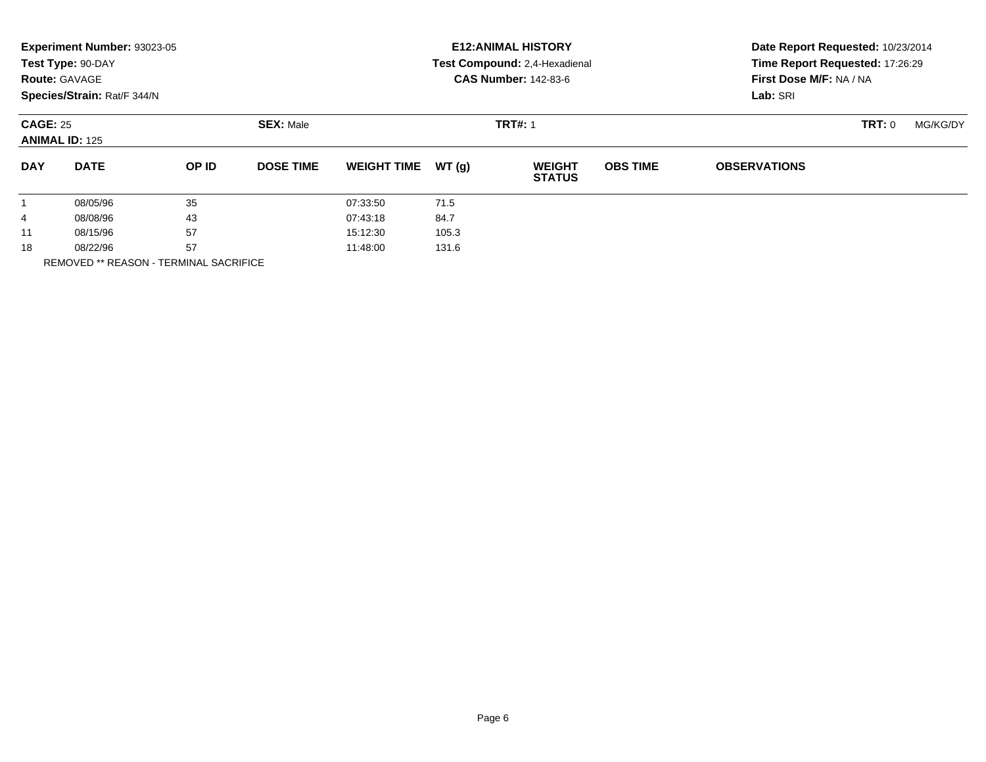|                                          | Experiment Number: 93023-05<br>Test Type: 90-DAY<br><b>Route: GAVAGE</b><br>Species/Strain: Rat/F 344/N |                                    |                  |                    |       | <b>E12: ANIMAL HISTORY</b><br>Test Compound: 2,4-Hexadienal<br><b>CAS Number: 142-83-6</b> | Date Report Requested: 10/23/2014<br>Time Report Requested: 17:26:29<br>First Dose M/F: NA / NA<br>Lab: SRI |                     |  |  |
|------------------------------------------|---------------------------------------------------------------------------------------------------------|------------------------------------|------------------|--------------------|-------|--------------------------------------------------------------------------------------------|-------------------------------------------------------------------------------------------------------------|---------------------|--|--|
| <b>CAGE: 25</b><br><b>ANIMAL ID: 125</b> |                                                                                                         | <b>SEX: Male</b><br><b>TRT#: 1</b> |                  |                    |       |                                                                                            | TRT: 0                                                                                                      | MG/KG/DY            |  |  |
| <b>DAY</b>                               | <b>DATE</b>                                                                                             | OP ID                              | <b>DOSE TIME</b> | <b>WEIGHT TIME</b> | WT(g) | <b>WEIGHT</b><br><b>STATUS</b>                                                             | <b>OBS TIME</b>                                                                                             | <b>OBSERVATIONS</b> |  |  |
|                                          | 08/05/96                                                                                                | 35                                 |                  | 07:33:50           | 71.5  |                                                                                            |                                                                                                             |                     |  |  |
| 4                                        | 08/08/96                                                                                                | 43                                 |                  | 07:43:18           | 84.7  |                                                                                            |                                                                                                             |                     |  |  |
| 11                                       | 08/15/96                                                                                                | 57                                 |                  | 15:12:30           | 105.3 |                                                                                            |                                                                                                             |                     |  |  |
| 18                                       | 08/22/96                                                                                                | 57<br>. _ _  _ _ _ _ _ _ _ _       |                  | 11:48:00           | 131.6 |                                                                                            |                                                                                                             |                     |  |  |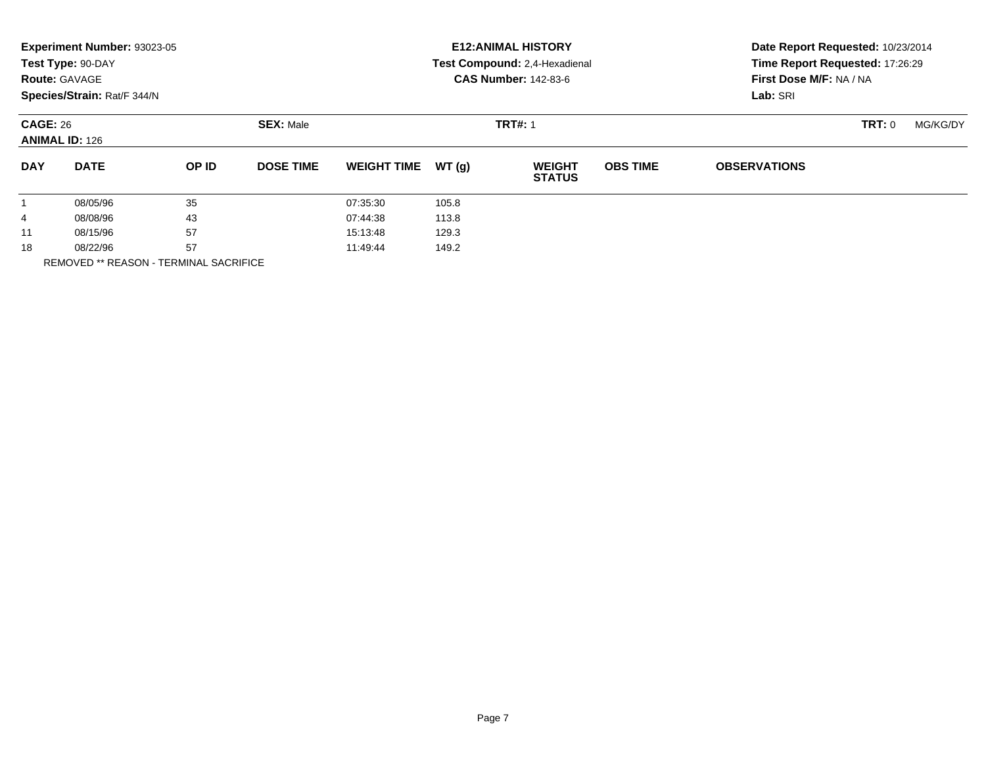|                                          | Experiment Number: 93023-05<br>Test Type: 90-DAY<br><b>Route: GAVAGE</b><br>Species/Strain: Rat/F 344/N |                                    |                  |                    |       | <b>E12: ANIMAL HISTORY</b><br>Test Compound: 2,4-Hexadienal<br><b>CAS Number: 142-83-6</b> | Date Report Requested: 10/23/2014<br>Time Report Requested: 17:26:29<br>First Dose M/F: NA / NA<br>Lab: SRI |                     |          |  |
|------------------------------------------|---------------------------------------------------------------------------------------------------------|------------------------------------|------------------|--------------------|-------|--------------------------------------------------------------------------------------------|-------------------------------------------------------------------------------------------------------------|---------------------|----------|--|
| <b>CAGE: 26</b><br><b>ANIMAL ID: 126</b> |                                                                                                         | <b>SEX: Male</b><br><b>TRT#: 1</b> |                  |                    |       |                                                                                            |                                                                                                             | TRT: 0              | MG/KG/DY |  |
| <b>DAY</b>                               | <b>DATE</b>                                                                                             | OP ID                              | <b>DOSE TIME</b> | <b>WEIGHT TIME</b> | WT(g) | <b>WEIGHT</b><br><b>STATUS</b>                                                             | <b>OBS TIME</b>                                                                                             | <b>OBSERVATIONS</b> |          |  |
|                                          | 08/05/96                                                                                                | 35                                 |                  | 07:35:30           | 105.8 |                                                                                            |                                                                                                             |                     |          |  |
| 4                                        | 08/08/96                                                                                                | 43                                 |                  | 07:44:38           | 113.8 |                                                                                            |                                                                                                             |                     |          |  |
| 11                                       | 08/15/96                                                                                                | 57                                 |                  | 15:13:48           | 129.3 |                                                                                            |                                                                                                             |                     |          |  |
| 18                                       | 08/22/96                                                                                                | 57                                 |                  | 11:49:44           | 149.2 |                                                                                            |                                                                                                             |                     |          |  |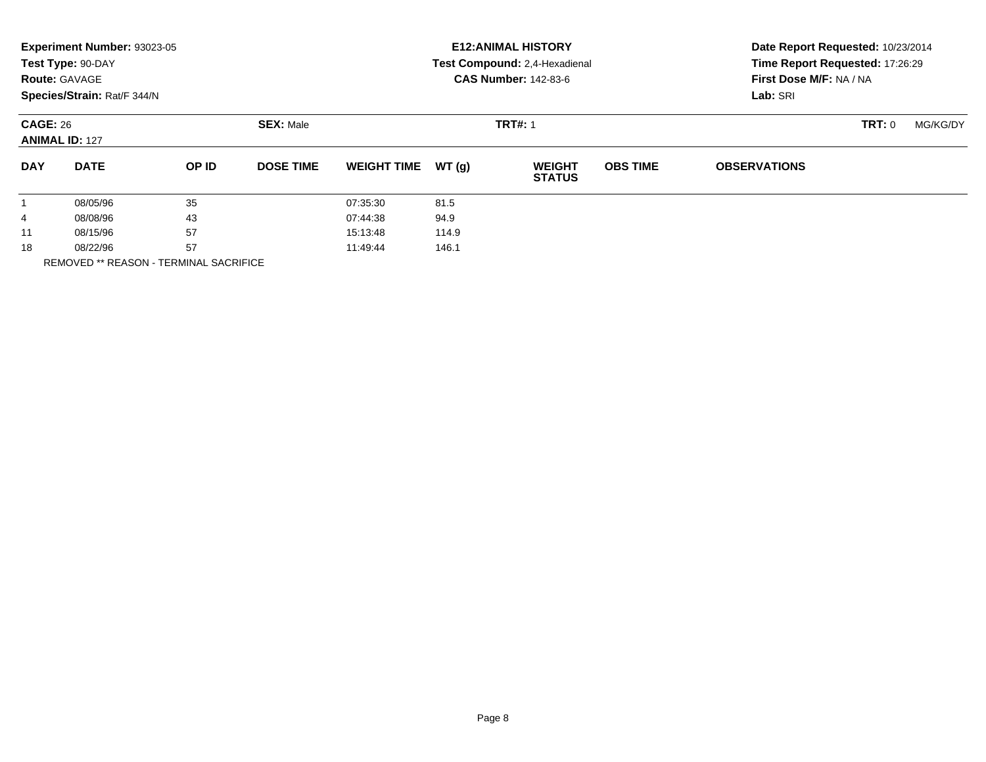|                                          | Experiment Number: 93023-05<br>Test Type: 90-DAY<br><b>Route: GAVAGE</b><br>Species/Strain: Rat/F 344/N |                                    |                  |                    |       | <b>E12: ANIMAL HISTORY</b><br>Test Compound: 2,4-Hexadienal<br><b>CAS Number: 142-83-6</b> | Date Report Requested: 10/23/2014<br>Time Report Requested: 17:26:29<br>First Dose M/F: NA / NA<br>Lab: SRI |                     |          |  |
|------------------------------------------|---------------------------------------------------------------------------------------------------------|------------------------------------|------------------|--------------------|-------|--------------------------------------------------------------------------------------------|-------------------------------------------------------------------------------------------------------------|---------------------|----------|--|
| <b>CAGE: 26</b><br><b>ANIMAL ID: 127</b> |                                                                                                         | <b>SEX: Male</b><br><b>TRT#: 1</b> |                  |                    |       |                                                                                            |                                                                                                             | TRT: 0              | MG/KG/DY |  |
| <b>DAY</b>                               | <b>DATE</b>                                                                                             | OP ID                              | <b>DOSE TIME</b> | <b>WEIGHT TIME</b> | WT(g) | <b>WEIGHT</b><br><b>STATUS</b>                                                             | <b>OBS TIME</b>                                                                                             | <b>OBSERVATIONS</b> |          |  |
|                                          | 08/05/96                                                                                                | 35                                 |                  | 07:35:30           | 81.5  |                                                                                            |                                                                                                             |                     |          |  |
| 4                                        | 08/08/96                                                                                                | 43                                 |                  | 07:44:38           | 94.9  |                                                                                            |                                                                                                             |                     |          |  |
| 11                                       | 08/15/96                                                                                                | 57                                 |                  | 15:13:48           | 114.9 |                                                                                            |                                                                                                             |                     |          |  |
| 18                                       | 57<br>08/22/96<br>. _ _  _ _ _ _ _ _ _ _ _                                                              |                                    | 11:49:44         | 146.1              |       |                                                                                            |                                                                                                             |                     |          |  |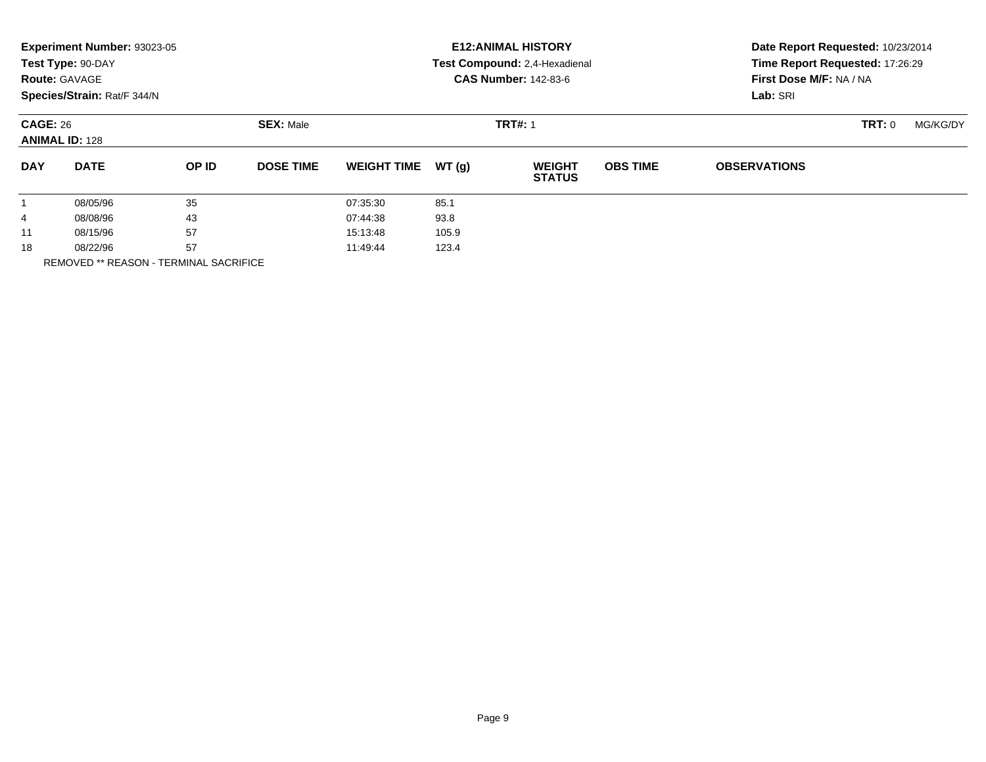|                                          | Experiment Number: 93023-05<br>Test Type: 90-DAY<br><b>Route: GAVAGE</b><br>Species/Strain: Rat/F 344/N |                                    |                  |                    |       | <b>E12: ANIMAL HISTORY</b><br>Test Compound: 2,4-Hexadienal<br><b>CAS Number: 142-83-6</b> | Date Report Requested: 10/23/2014<br>Time Report Requested: 17:26:29<br>First Dose M/F: NA / NA<br>Lab: SRI |                     |          |  |
|------------------------------------------|---------------------------------------------------------------------------------------------------------|------------------------------------|------------------|--------------------|-------|--------------------------------------------------------------------------------------------|-------------------------------------------------------------------------------------------------------------|---------------------|----------|--|
| <b>CAGE: 26</b><br><b>ANIMAL ID: 128</b> |                                                                                                         | <b>SEX: Male</b><br><b>TRT#: 1</b> |                  |                    |       |                                                                                            |                                                                                                             | TRT: 0              | MG/KG/DY |  |
| <b>DAY</b>                               | <b>DATE</b>                                                                                             | OP ID                              | <b>DOSE TIME</b> | <b>WEIGHT TIME</b> | WT(g) | <b>WEIGHT</b><br><b>STATUS</b>                                                             | <b>OBS TIME</b>                                                                                             | <b>OBSERVATIONS</b> |          |  |
|                                          | 08/05/96                                                                                                | 35                                 |                  | 07:35:30           | 85.1  |                                                                                            |                                                                                                             |                     |          |  |
| 4                                        | 08/08/96                                                                                                | 43                                 |                  | 07:44:38           | 93.8  |                                                                                            |                                                                                                             |                     |          |  |
| 11                                       | 08/15/96                                                                                                | 57                                 |                  | 15:13:48           | 105.9 |                                                                                            |                                                                                                             |                     |          |  |
| 18                                       | 08/22/96                                                                                                | 57                                 |                  | 11:49:44           | 123.4 |                                                                                            |                                                                                                             |                     |          |  |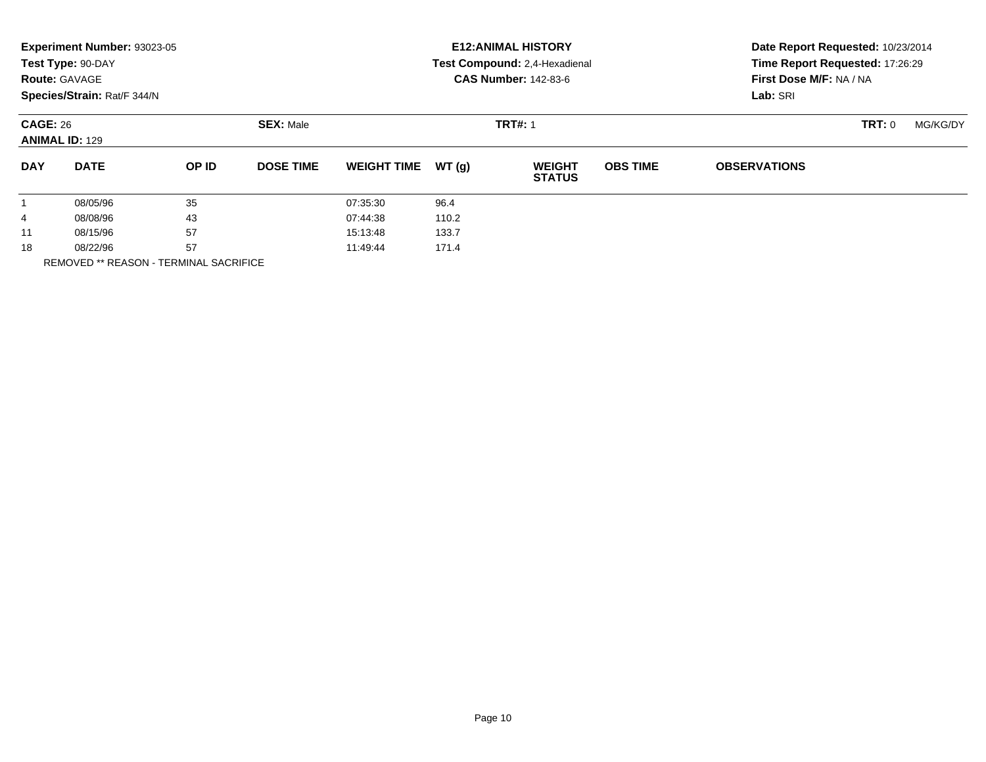|                                          | Experiment Number: 93023-05<br>Test Type: 90-DAY<br><b>Route: GAVAGE</b><br>Species/Strain: Rat/F 344/N |                                    |                  |                    |       | <b>E12: ANIMAL HISTORY</b><br>Test Compound: 2,4-Hexadienal<br><b>CAS Number: 142-83-6</b> | Date Report Requested: 10/23/2014<br>Time Report Requested: 17:26:29<br>First Dose M/F: NA / NA<br>Lab: SRI |                     |  |  |
|------------------------------------------|---------------------------------------------------------------------------------------------------------|------------------------------------|------------------|--------------------|-------|--------------------------------------------------------------------------------------------|-------------------------------------------------------------------------------------------------------------|---------------------|--|--|
| <b>CAGE: 26</b><br><b>ANIMAL ID: 129</b> |                                                                                                         | <b>SEX: Male</b><br><b>TRT#: 1</b> |                  |                    |       |                                                                                            | TRT: 0                                                                                                      | MG/KG/DY            |  |  |
| <b>DAY</b>                               | <b>DATE</b>                                                                                             | OP ID                              | <b>DOSE TIME</b> | <b>WEIGHT TIME</b> | WT(g) | <b>WEIGHT</b><br><b>STATUS</b>                                                             | <b>OBS TIME</b>                                                                                             | <b>OBSERVATIONS</b> |  |  |
| $\mathbf{1}$                             | 08/05/96                                                                                                | 35                                 |                  | 07:35:30           | 96.4  |                                                                                            |                                                                                                             |                     |  |  |
| 4                                        | 08/08/96                                                                                                | 43                                 |                  | 07:44:38           | 110.2 |                                                                                            |                                                                                                             |                     |  |  |
| 11                                       | 08/15/96                                                                                                | 57                                 |                  | 15:13:48           | 133.7 |                                                                                            |                                                                                                             |                     |  |  |
| 18                                       | 08/22/96                                                                                                | 57                                 |                  | 11:49:44           | 171.4 |                                                                                            |                                                                                                             |                     |  |  |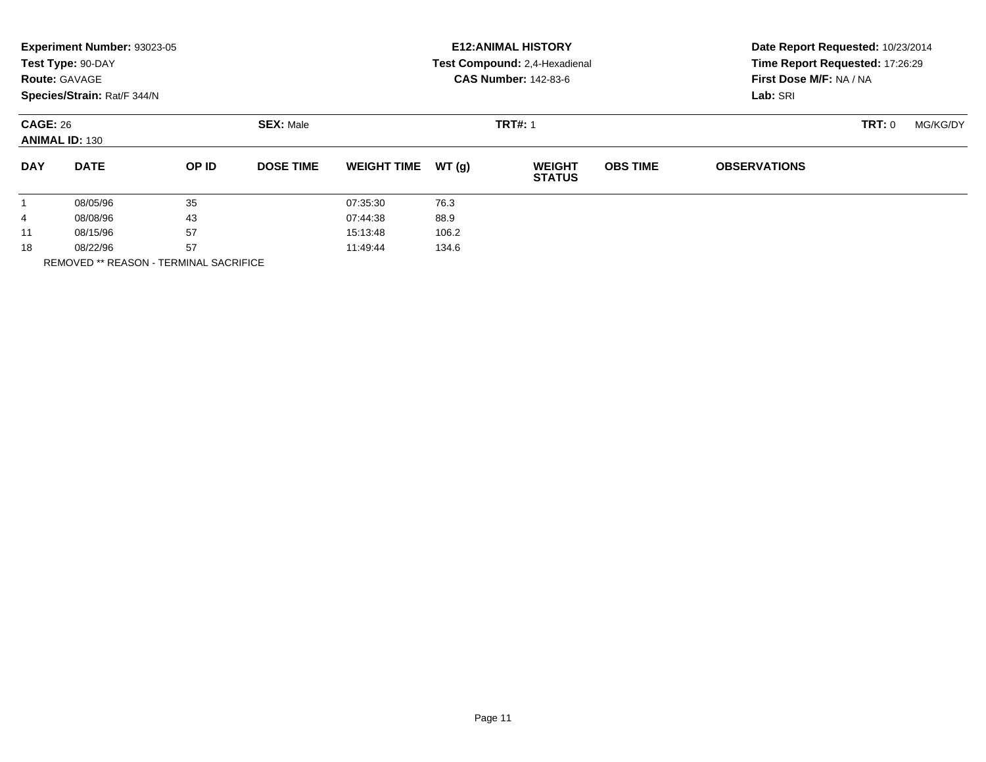|                                          | Experiment Number: 93023-05<br>Test Type: 90-DAY<br><b>Route: GAVAGE</b><br>Species/Strain: Rat/F 344/N |                  |                  |                    |       | <b>E12: ANIMAL HISTORY</b><br>Test Compound: 2,4-Hexadienal<br><b>CAS Number: 142-83-6</b> | Date Report Requested: 10/23/2014<br>Time Report Requested: 17:26:29<br>First Dose M/F: NA / NA<br>Lab: SRI |                     |          |  |
|------------------------------------------|---------------------------------------------------------------------------------------------------------|------------------|------------------|--------------------|-------|--------------------------------------------------------------------------------------------|-------------------------------------------------------------------------------------------------------------|---------------------|----------|--|
| <b>CAGE: 26</b><br><b>ANIMAL ID: 130</b> |                                                                                                         | <b>SEX: Male</b> | <b>TRT#: 1</b>   |                    |       |                                                                                            |                                                                                                             | TRT: 0              | MG/KG/DY |  |
| <b>DAY</b>                               | <b>DATE</b>                                                                                             | OP ID            | <b>DOSE TIME</b> | <b>WEIGHT TIME</b> | WT(g) | <b>WEIGHT</b><br><b>STATUS</b>                                                             | <b>OBS TIME</b>                                                                                             | <b>OBSERVATIONS</b> |          |  |
| $\mathbf{1}$                             | 08/05/96                                                                                                | 35               |                  | 07:35:30           | 76.3  |                                                                                            |                                                                                                             |                     |          |  |
| 4                                        | 08/08/96                                                                                                | 43               |                  | 07:44:38           | 88.9  |                                                                                            |                                                                                                             |                     |          |  |
| 11                                       | 08/15/96                                                                                                | 57               |                  | 15:13:48           | 106.2 |                                                                                            |                                                                                                             |                     |          |  |
| 18                                       | 08/22/96                                                                                                | 57               |                  | 11:49:44           | 134.6 |                                                                                            |                                                                                                             |                     |          |  |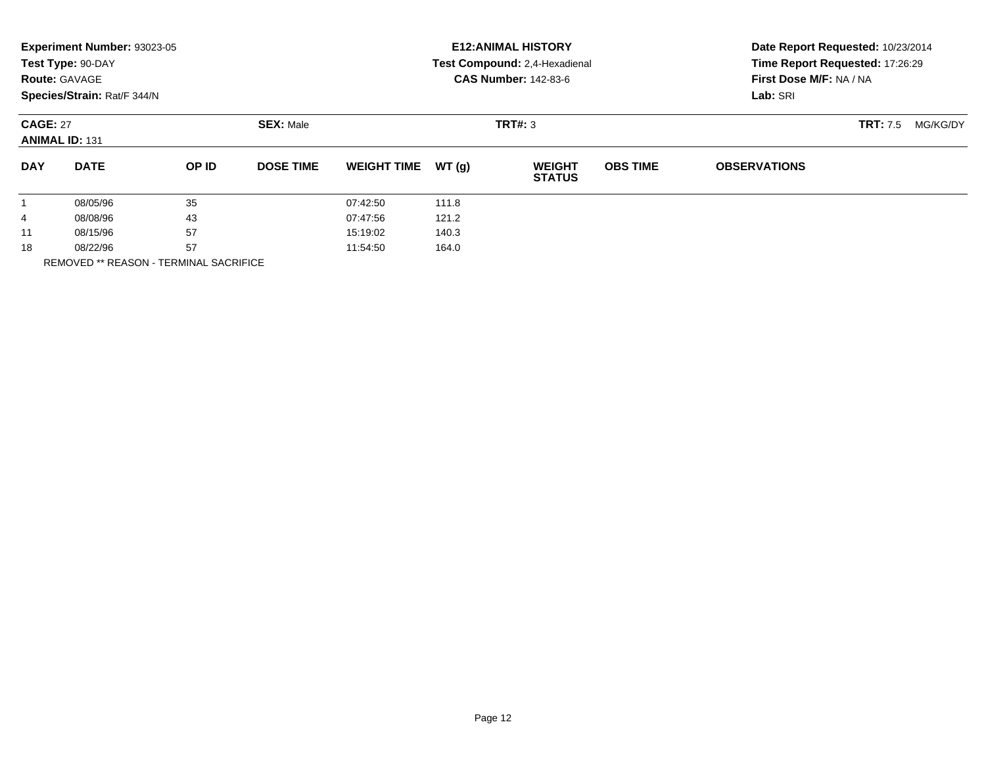|                                          | Experiment Number: 93023-05<br>Test Type: 90-DAY<br><b>Route: GAVAGE</b><br>Species/Strain: Rat/F 344/N |                  |                  | <b>E12: ANIMAL HISTORY</b><br>Test Compound: 2,4-Hexadienal<br><b>CAS Number: 142-83-6</b> | Date Report Requested: 10/23/2014<br>Time Report Requested: 17:26:29<br>First Dose M/F: NA / NA<br>Lab: SRI |                                |                 |                             |  |
|------------------------------------------|---------------------------------------------------------------------------------------------------------|------------------|------------------|--------------------------------------------------------------------------------------------|-------------------------------------------------------------------------------------------------------------|--------------------------------|-----------------|-----------------------------|--|
| <b>CAGE: 27</b><br><b>ANIMAL ID: 131</b> |                                                                                                         | <b>SEX: Male</b> |                  |                                                                                            | TRT#: 3                                                                                                     |                                |                 | <b>TRT:</b> 7.5<br>MG/KG/DY |  |
| <b>DAY</b>                               | <b>DATE</b>                                                                                             | OP ID            | <b>DOSE TIME</b> | <b>WEIGHT TIME</b>                                                                         | WT(g)                                                                                                       | <b>WEIGHT</b><br><b>STATUS</b> | <b>OBS TIME</b> | <b>OBSERVATIONS</b>         |  |
| 1                                        | 08/05/96                                                                                                | 35               |                  | 07:42:50                                                                                   | 111.8                                                                                                       |                                |                 |                             |  |
| 4                                        | 43<br>08/08/96                                                                                          |                  |                  | 07:47:56                                                                                   | 121.2                                                                                                       |                                |                 |                             |  |
| 11                                       | 57<br>08/15/96                                                                                          |                  |                  | 15:19:02                                                                                   | 140.3                                                                                                       |                                |                 |                             |  |
| 18                                       | 08/22/96                                                                                                | 57               |                  | 11:54:50                                                                                   | 164.0                                                                                                       |                                |                 |                             |  |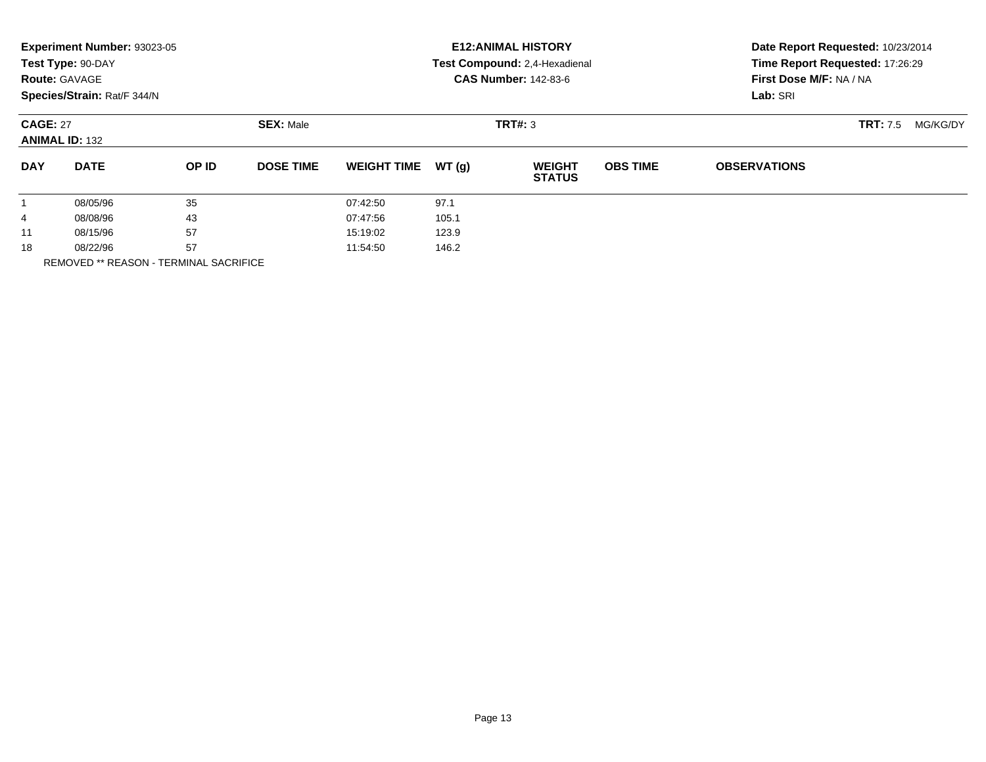|                                          | Experiment Number: 93023-05<br>Test Type: 90-DAY<br><b>Route: GAVAGE</b><br>Species/Strain: Rat/F 344/N |                  |                   | <b>E12: ANIMAL HISTORY</b><br>Test Compound: 2,4-Hexadienal<br><b>CAS Number: 142-83-6</b> | Date Report Requested: 10/23/2014<br>Time Report Requested: 17:26:29<br>First Dose M/F: NA / NA<br>Lab: SRI |                                |                 |                             |  |
|------------------------------------------|---------------------------------------------------------------------------------------------------------|------------------|-------------------|--------------------------------------------------------------------------------------------|-------------------------------------------------------------------------------------------------------------|--------------------------------|-----------------|-----------------------------|--|
| <b>CAGE: 27</b><br><b>ANIMAL ID: 132</b> |                                                                                                         | <b>SEX: Male</b> |                   |                                                                                            | TRT#: 3                                                                                                     |                                |                 | <b>TRT:</b> 7.5<br>MG/KG/DY |  |
| <b>DAY</b>                               | <b>DATE</b>                                                                                             | OP ID            | <b>DOSE TIME</b>  | <b>WEIGHT TIME</b>                                                                         | WT(g)                                                                                                       | <b>WEIGHT</b><br><b>STATUS</b> | <b>OBS TIME</b> | <b>OBSERVATIONS</b>         |  |
| 1                                        | 08/05/96                                                                                                | 35               |                   | 07:42:50                                                                                   | 97.1                                                                                                        |                                |                 |                             |  |
| 4                                        | 43<br>08/08/96                                                                                          |                  |                   | 07:47:56                                                                                   | 105.1                                                                                                       |                                |                 |                             |  |
| 11                                       | 57<br>08/15/96                                                                                          |                  | 15:19:02<br>123.9 |                                                                                            |                                                                                                             |                                |                 |                             |  |
| 18                                       | 08/22/96                                                                                                | 57               |                   | 11:54:50                                                                                   | 146.2                                                                                                       |                                |                 |                             |  |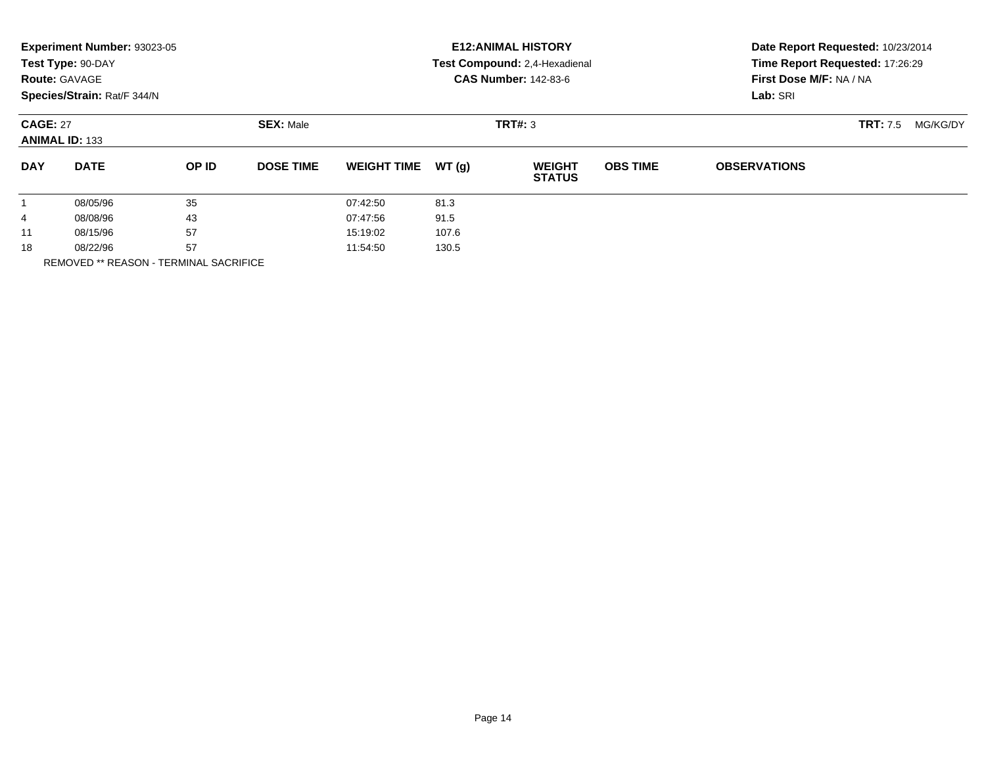|                                          | Experiment Number: 93023-05<br>Test Type: 90-DAY<br><b>Route: GAVAGE</b><br>Species/Strain: Rat/F 344/N |       |                  | <b>E12: ANIMAL HISTORY</b><br>Test Compound: 2,4-Hexadienal<br><b>CAS Number: 142-83-6</b> | Date Report Requested: 10/23/2014<br>Time Report Requested: 17:26:29<br>First Dose M/F: NA / NA<br>Lab: SRI |                                |                 |                     |                             |
|------------------------------------------|---------------------------------------------------------------------------------------------------------|-------|------------------|--------------------------------------------------------------------------------------------|-------------------------------------------------------------------------------------------------------------|--------------------------------|-----------------|---------------------|-----------------------------|
| <b>CAGE: 27</b><br><b>ANIMAL ID: 133</b> |                                                                                                         |       | <b>SEX: Male</b> |                                                                                            |                                                                                                             | TRT#: 3                        |                 |                     | <b>TRT:</b> 7.5<br>MG/KG/DY |
| <b>DAY</b>                               | <b>DATE</b>                                                                                             | OP ID | <b>DOSE TIME</b> | <b>WEIGHT TIME</b>                                                                         | WT(g)                                                                                                       | <b>WEIGHT</b><br><b>STATUS</b> | <b>OBS TIME</b> | <b>OBSERVATIONS</b> |                             |
| $\mathbf{1}$                             | 08/05/96                                                                                                | 35    |                  | 07:42:50                                                                                   | 81.3                                                                                                        |                                |                 |                     |                             |
| 4                                        | 43<br>08/08/96                                                                                          |       |                  | 07:47:56                                                                                   | 91.5                                                                                                        |                                |                 |                     |                             |
| 11                                       | 57<br>08/15/96                                                                                          |       |                  | 107.6<br>15:19:02                                                                          |                                                                                                             |                                |                 |                     |                             |
| 18                                       | 57<br>08/22/96                                                                                          |       |                  | 11:54:50                                                                                   | 130.5                                                                                                       |                                |                 |                     |                             |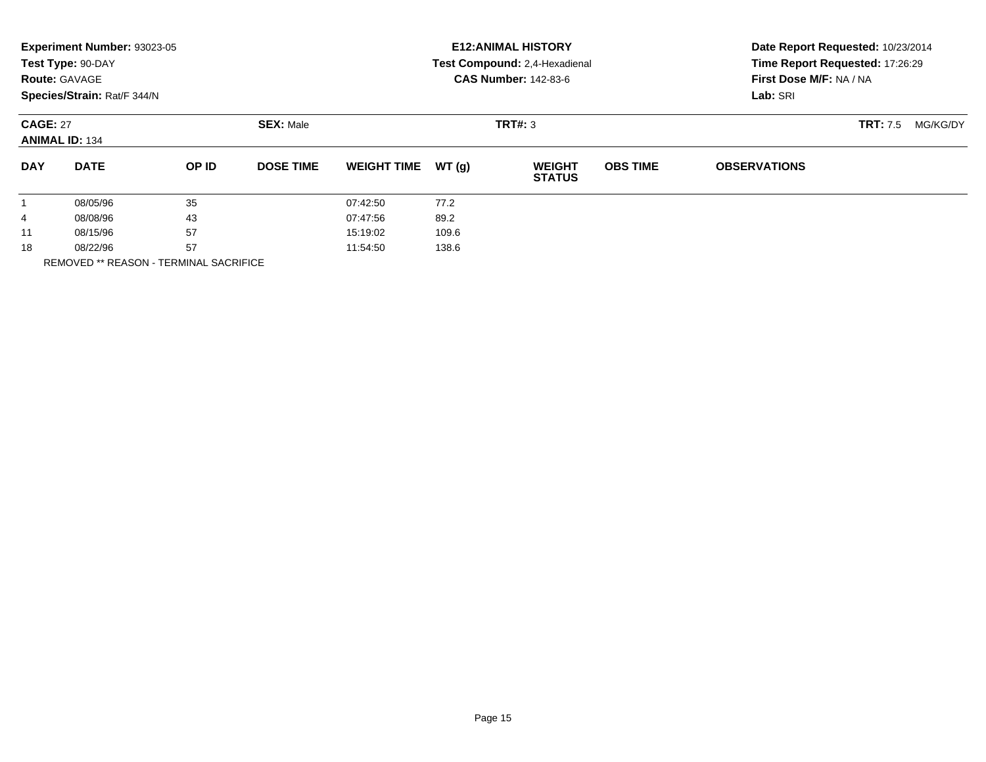|                                          | Experiment Number: 93023-05<br>Test Type: 90-DAY<br><b>Route: GAVAGE</b><br>Species/Strain: Rat/F 344/N |       |                  | <b>E12: ANIMAL HISTORY</b><br>Test Compound: 2,4-Hexadienal<br><b>CAS Number: 142-83-6</b> | Date Report Requested: 10/23/2014<br>Time Report Requested: 17:26:29<br>First Dose M/F: NA / NA<br>Lab: SRI |                                |                 |                     |                             |
|------------------------------------------|---------------------------------------------------------------------------------------------------------|-------|------------------|--------------------------------------------------------------------------------------------|-------------------------------------------------------------------------------------------------------------|--------------------------------|-----------------|---------------------|-----------------------------|
| <b>CAGE: 27</b><br><b>ANIMAL ID: 134</b> |                                                                                                         |       | <b>SEX: Male</b> |                                                                                            |                                                                                                             | TRT#: 3                        |                 |                     | <b>TRT:</b> 7.5<br>MG/KG/DY |
| <b>DAY</b>                               | <b>DATE</b>                                                                                             | OP ID | <b>DOSE TIME</b> | <b>WEIGHT TIME</b>                                                                         | WT(g)                                                                                                       | <b>WEIGHT</b><br><b>STATUS</b> | <b>OBS TIME</b> | <b>OBSERVATIONS</b> |                             |
| $\mathbf{1}$                             | 08/05/96                                                                                                | 35    |                  | 07:42:50                                                                                   | 77.2                                                                                                        |                                |                 |                     |                             |
| 4                                        | 43<br>08/08/96                                                                                          |       |                  | 07:47:56                                                                                   | 89.2                                                                                                        |                                |                 |                     |                             |
| 11                                       | 57<br>08/15/96                                                                                          |       | 15:19:02         | 109.6                                                                                      |                                                                                                             |                                |                 |                     |                             |
| 18                                       | 57<br>08/22/96                                                                                          |       |                  | 11:54:50<br>138.6                                                                          |                                                                                                             |                                |                 |                     |                             |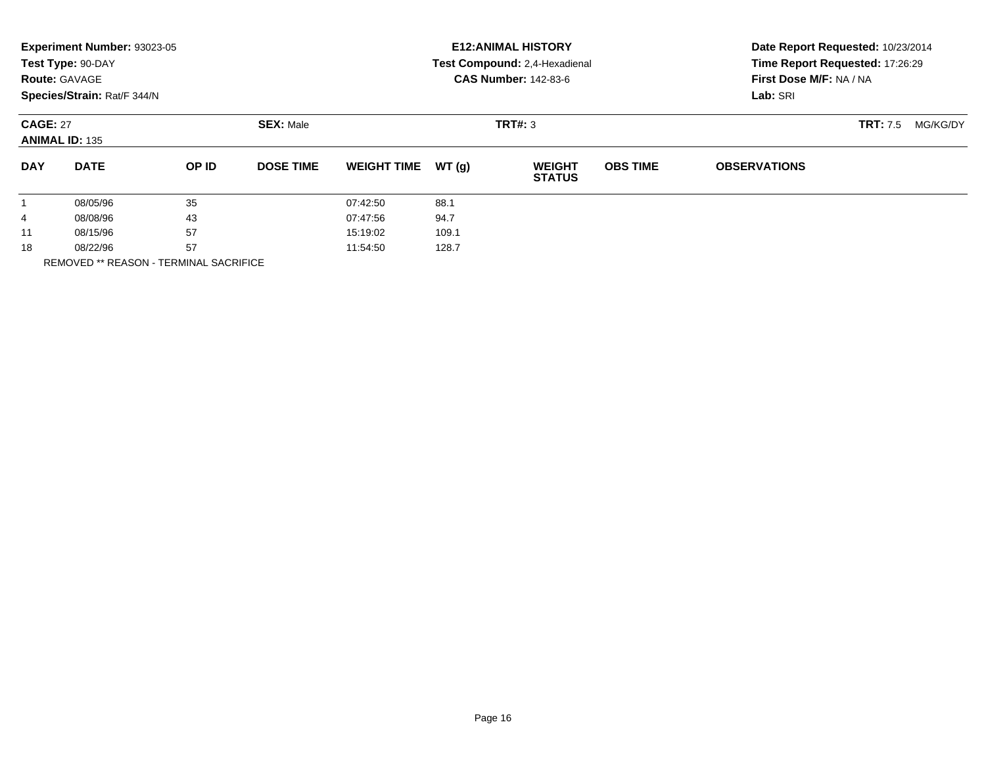|                                          | Experiment Number: 93023-05<br>Test Type: 90-DAY<br><b>Route: GAVAGE</b><br>Species/Strain: Rat/F 344/N |       |                  | <b>E12: ANIMAL HISTORY</b><br>Test Compound: 2,4-Hexadienal<br><b>CAS Number: 142-83-6</b> | Date Report Requested: 10/23/2014<br>Time Report Requested: 17:26:29<br>First Dose M/F: NA / NA<br>Lab: SRI |                                |                 |                     |                             |
|------------------------------------------|---------------------------------------------------------------------------------------------------------|-------|------------------|--------------------------------------------------------------------------------------------|-------------------------------------------------------------------------------------------------------------|--------------------------------|-----------------|---------------------|-----------------------------|
| <b>CAGE: 27</b><br><b>ANIMAL ID: 135</b> |                                                                                                         |       | <b>SEX: Male</b> |                                                                                            |                                                                                                             | TRT#: 3                        |                 |                     | <b>TRT:</b> 7.5<br>MG/KG/DY |
| <b>DAY</b>                               | <b>DATE</b>                                                                                             | OP ID | <b>DOSE TIME</b> | <b>WEIGHT TIME</b>                                                                         | WT(g)                                                                                                       | <b>WEIGHT</b><br><b>STATUS</b> | <b>OBS TIME</b> | <b>OBSERVATIONS</b> |                             |
| $\mathbf{1}$                             | 08/05/96                                                                                                | 35    |                  | 07:42:50                                                                                   | 88.1                                                                                                        |                                |                 |                     |                             |
| 4                                        | 43<br>08/08/96                                                                                          |       |                  | 07:47:56                                                                                   | 94.7                                                                                                        |                                |                 |                     |                             |
| 11                                       | 57<br>08/15/96                                                                                          |       |                  | 15:19:02                                                                                   | 109.1                                                                                                       |                                |                 |                     |                             |
| 18                                       | 57<br>08/22/96                                                                                          |       |                  | 11:54:50                                                                                   | 128.7                                                                                                       |                                |                 |                     |                             |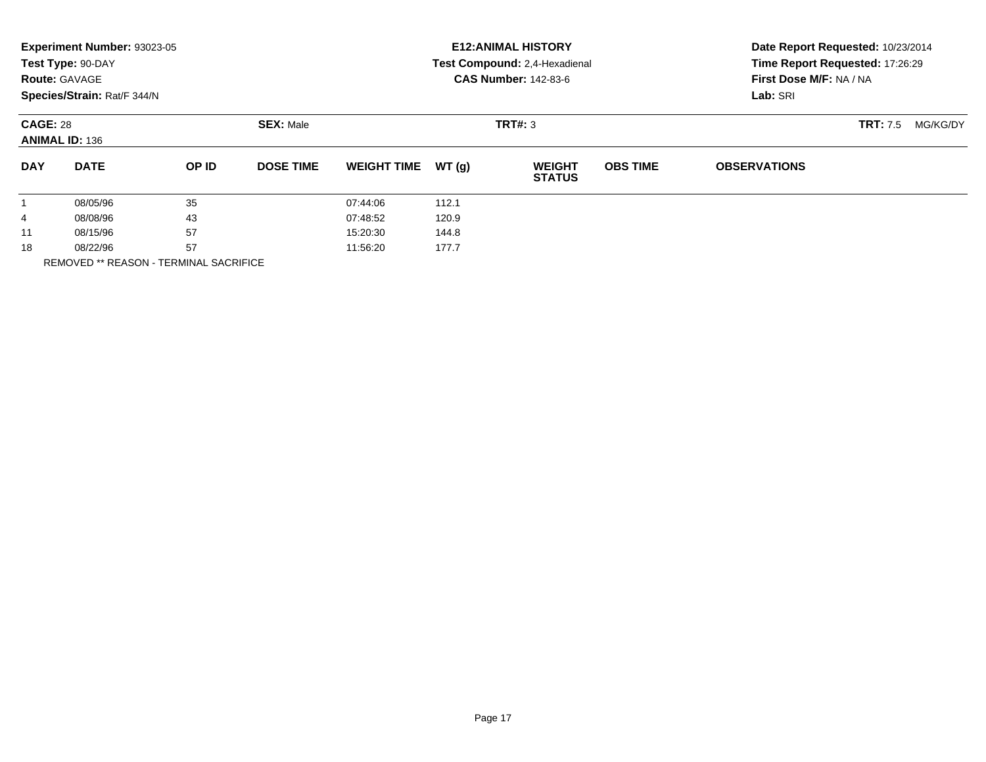|                                          | Experiment Number: 93023-05<br>Test Type: 90-DAY<br><b>Route: GAVAGE</b><br>Species/Strain: Rat/F 344/N |                  |                   | <b>E12: ANIMAL HISTORY</b><br>Test Compound: 2,4-Hexadienal<br><b>CAS Number: 142-83-6</b> | Date Report Requested: 10/23/2014<br>Time Report Requested: 17:26:29<br>First Dose M/F: NA / NA<br>Lab: SRI |                                |                 |                             |  |
|------------------------------------------|---------------------------------------------------------------------------------------------------------|------------------|-------------------|--------------------------------------------------------------------------------------------|-------------------------------------------------------------------------------------------------------------|--------------------------------|-----------------|-----------------------------|--|
| <b>CAGE: 28</b><br><b>ANIMAL ID: 136</b> |                                                                                                         | <b>SEX: Male</b> |                   |                                                                                            | TRT#: 3                                                                                                     |                                |                 | <b>TRT:</b> 7.5<br>MG/KG/DY |  |
| <b>DAY</b>                               | <b>DATE</b>                                                                                             | OP ID            | <b>DOSE TIME</b>  | <b>WEIGHT TIME</b>                                                                         | WT(g)                                                                                                       | <b>WEIGHT</b><br><b>STATUS</b> | <b>OBS TIME</b> | <b>OBSERVATIONS</b>         |  |
| 1                                        | 08/05/96                                                                                                | 35               |                   | 07:44:06                                                                                   | 112.1                                                                                                       |                                |                 |                             |  |
| 4                                        | 43<br>08/08/96                                                                                          |                  |                   | 07:48:52                                                                                   | 120.9                                                                                                       |                                |                 |                             |  |
| 11                                       | 57<br>08/15/96                                                                                          |                  | 15:20:30<br>144.8 |                                                                                            |                                                                                                             |                                |                 |                             |  |
| 18                                       | 08/22/96                                                                                                | 57               |                   | 11:56:20                                                                                   | 177.7                                                                                                       |                                |                 |                             |  |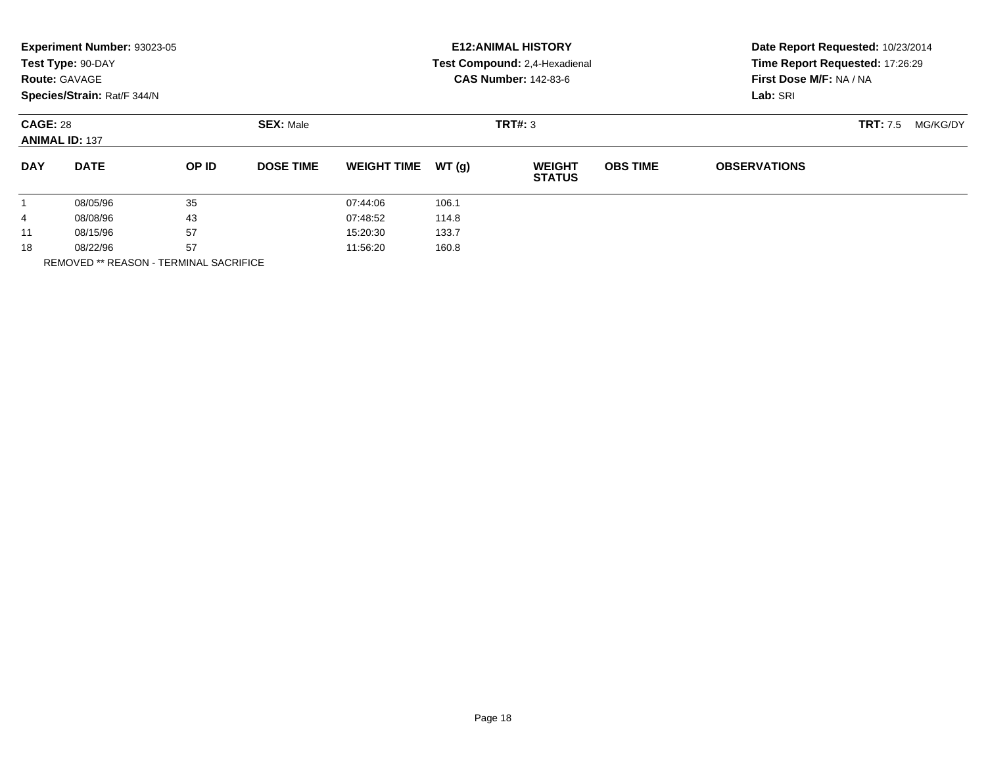|                                          | Experiment Number: 93023-05<br>Test Type: 90-DAY<br><b>Route: GAVAGE</b><br>Species/Strain: Rat/F 344/N |                  |                  | <b>E12: ANIMAL HISTORY</b><br>Test Compound: 2,4-Hexadienal<br><b>CAS Number: 142-83-6</b> | Date Report Requested: 10/23/2014<br>Time Report Requested: 17:26:29<br>First Dose M/F: NA / NA<br>Lab: SRI |                                |                 |                             |  |
|------------------------------------------|---------------------------------------------------------------------------------------------------------|------------------|------------------|--------------------------------------------------------------------------------------------|-------------------------------------------------------------------------------------------------------------|--------------------------------|-----------------|-----------------------------|--|
| <b>CAGE: 28</b><br><b>ANIMAL ID: 137</b> |                                                                                                         | <b>SEX: Male</b> |                  |                                                                                            | TRT#: 3                                                                                                     |                                |                 | <b>TRT:</b> 7.5<br>MG/KG/DY |  |
| <b>DAY</b>                               | <b>DATE</b>                                                                                             | OP ID            | <b>DOSE TIME</b> | <b>WEIGHT TIME</b>                                                                         | WT(q)                                                                                                       | <b>WEIGHT</b><br><b>STATUS</b> | <b>OBS TIME</b> | <b>OBSERVATIONS</b>         |  |
|                                          | 08/05/96                                                                                                | 35               |                  | 07:44:06                                                                                   | 106.1                                                                                                       |                                |                 |                             |  |
| 4                                        | 43<br>08/08/96                                                                                          |                  |                  | 07:48:52                                                                                   | 114.8                                                                                                       |                                |                 |                             |  |
| 11                                       | 57<br>08/15/96                                                                                          |                  | 15:20:30         | 133.7                                                                                      |                                                                                                             |                                |                 |                             |  |
| 18                                       | 08/22/96                                                                                                | 57               |                  | 11:56:20                                                                                   | 160.8                                                                                                       |                                |                 |                             |  |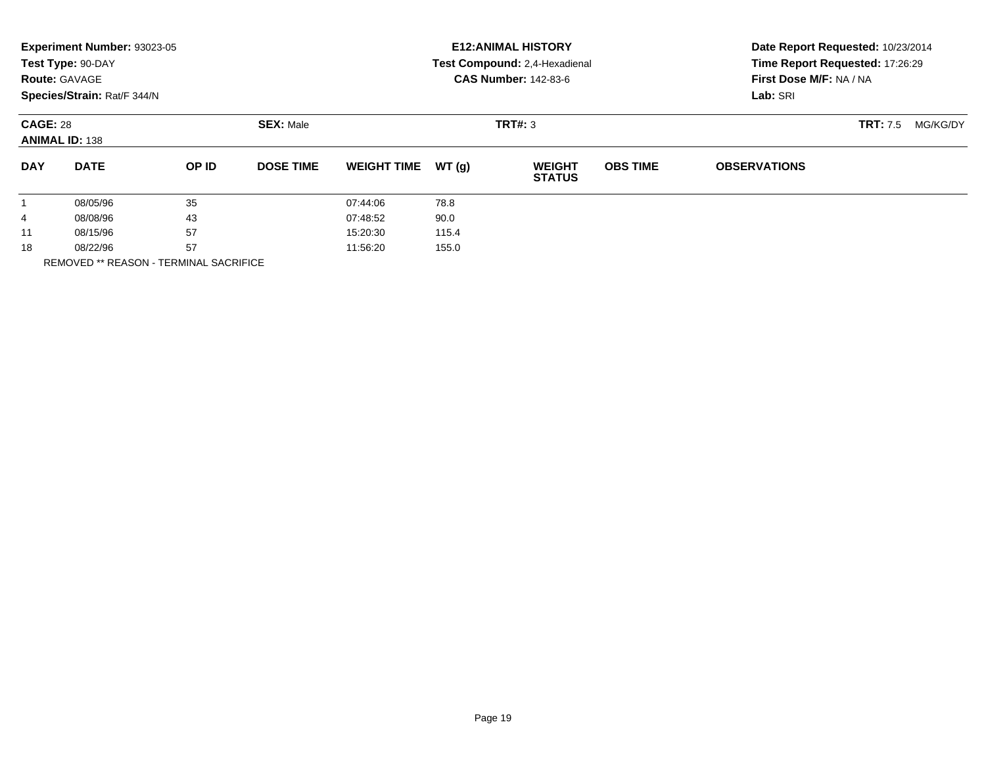|                                          | Experiment Number: 93023-05<br>Test Type: 90-DAY<br><b>Route: GAVAGE</b><br>Species/Strain: Rat/F 344/N |                  |                  | <b>E12: ANIMAL HISTORY</b><br>Test Compound: 2,4-Hexadienal<br><b>CAS Number: 142-83-6</b> | Date Report Requested: 10/23/2014<br>Time Report Requested: 17:26:29<br>First Dose M/F: NA / NA<br>Lab: SRI |                                |                 |                             |  |
|------------------------------------------|---------------------------------------------------------------------------------------------------------|------------------|------------------|--------------------------------------------------------------------------------------------|-------------------------------------------------------------------------------------------------------------|--------------------------------|-----------------|-----------------------------|--|
| <b>CAGE: 28</b><br><b>ANIMAL ID: 138</b> |                                                                                                         | <b>SEX: Male</b> |                  |                                                                                            | TRT#: 3                                                                                                     |                                |                 | <b>TRT:</b> 7.5<br>MG/KG/DY |  |
| <b>DAY</b>                               | <b>DATE</b>                                                                                             | OP ID            | <b>DOSE TIME</b> | <b>WEIGHT TIME</b>                                                                         | WT(g)                                                                                                       | <b>WEIGHT</b><br><b>STATUS</b> | <b>OBS TIME</b> | <b>OBSERVATIONS</b>         |  |
| 1                                        | 08/05/96                                                                                                | 35               |                  | 07:44:06                                                                                   | 78.8                                                                                                        |                                |                 |                             |  |
| 4                                        | 43<br>08/08/96                                                                                          |                  |                  | 07:48:52                                                                                   | 90.0                                                                                                        |                                |                 |                             |  |
| 11                                       | 57<br>08/15/96                                                                                          |                  | 15:20:30         | 115.4                                                                                      |                                                                                                             |                                |                 |                             |  |
| 18                                       | 08/22/96                                                                                                | 57               |                  | 11:56:20                                                                                   | 155.0                                                                                                       |                                |                 |                             |  |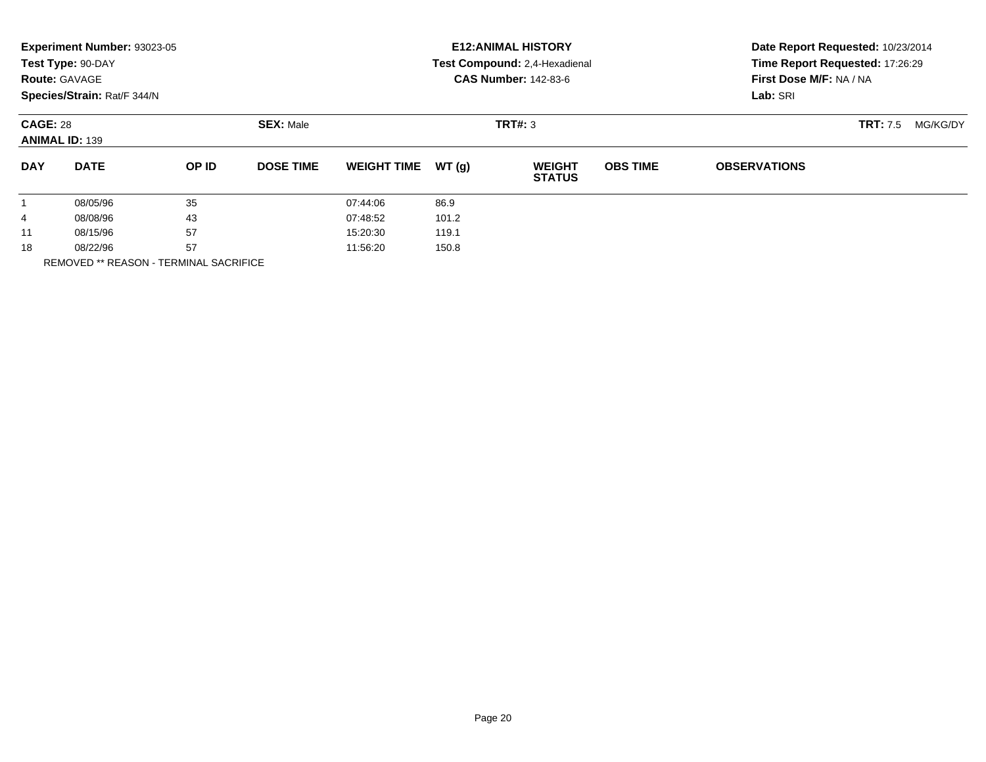|                                          | Experiment Number: 93023-05<br>Test Type: 90-DAY<br><b>Route: GAVAGE</b><br>Species/Strain: Rat/F 344/N |                  |                  | <b>E12: ANIMAL HISTORY</b><br>Test Compound: 2,4-Hexadienal<br><b>CAS Number: 142-83-6</b> | Date Report Requested: 10/23/2014<br>Time Report Requested: 17:26:29<br>First Dose M/F: NA / NA<br>Lab: SRI |                                |                 |                             |  |
|------------------------------------------|---------------------------------------------------------------------------------------------------------|------------------|------------------|--------------------------------------------------------------------------------------------|-------------------------------------------------------------------------------------------------------------|--------------------------------|-----------------|-----------------------------|--|
| <b>CAGE: 28</b><br><b>ANIMAL ID: 139</b> |                                                                                                         | <b>SEX: Male</b> |                  |                                                                                            | TRT#: 3                                                                                                     |                                |                 | <b>TRT:</b> 7.5<br>MG/KG/DY |  |
| <b>DAY</b>                               | <b>DATE</b>                                                                                             | OP ID            | <b>DOSE TIME</b> | <b>WEIGHT TIME</b>                                                                         | WT(g)                                                                                                       | <b>WEIGHT</b><br><b>STATUS</b> | <b>OBS TIME</b> | <b>OBSERVATIONS</b>         |  |
| 1                                        | 08/05/96                                                                                                | 35               |                  | 07:44:06                                                                                   | 86.9                                                                                                        |                                |                 |                             |  |
| 4                                        | 43<br>08/08/96                                                                                          |                  |                  | 07:48:52                                                                                   | 101.2                                                                                                       |                                |                 |                             |  |
| 11                                       | 57<br>08/15/96                                                                                          |                  | 15:20:30         | 119.1                                                                                      |                                                                                                             |                                |                 |                             |  |
| 18                                       | 57<br>08/22/96                                                                                          |                  | 11:56:20         | 150.8                                                                                      |                                                                                                             |                                |                 |                             |  |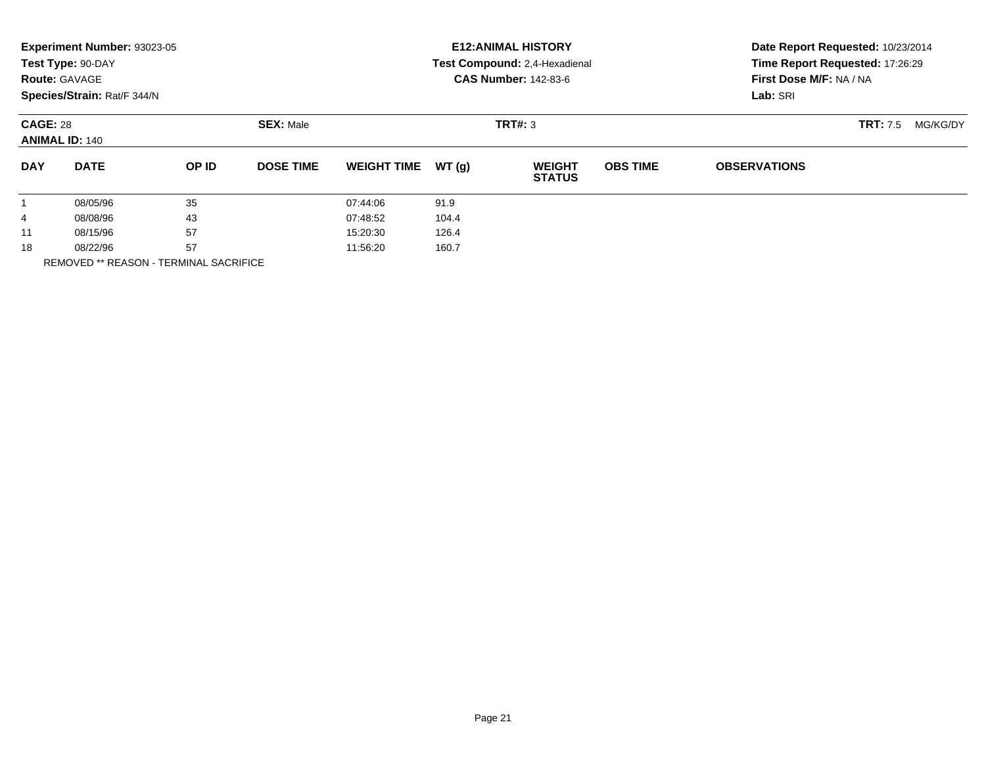|                                          | Experiment Number: 93023-05<br>Test Type: 90-DAY<br><b>Route: GAVAGE</b><br>Species/Strain: Rat/F 344/N |       |                  |                    |       | <b>E12: ANIMAL HISTORY</b><br>Test Compound: 2,4-Hexadienal<br><b>CAS Number: 142-83-6</b> | Date Report Requested: 10/23/2014<br>Time Report Requested: 17:26:29<br>First Dose M/F: NA / NA<br>Lab: SRI |                     |                             |
|------------------------------------------|---------------------------------------------------------------------------------------------------------|-------|------------------|--------------------|-------|--------------------------------------------------------------------------------------------|-------------------------------------------------------------------------------------------------------------|---------------------|-----------------------------|
| <b>CAGE: 28</b><br><b>ANIMAL ID: 140</b> |                                                                                                         |       | <b>SEX: Male</b> |                    |       | TRT#: 3                                                                                    |                                                                                                             |                     | <b>TRT:</b> 7.5<br>MG/KG/DY |
| <b>DAY</b>                               | <b>DATE</b>                                                                                             | OP ID | <b>DOSE TIME</b> | <b>WEIGHT TIME</b> | WT(g) | <b>WEIGHT</b><br><b>STATUS</b>                                                             | <b>OBS TIME</b>                                                                                             | <b>OBSERVATIONS</b> |                             |
| $\mathbf{1}$                             | 08/05/96                                                                                                | 35    |                  | 07:44:06           | 91.9  |                                                                                            |                                                                                                             |                     |                             |
| 4                                        | 43<br>08/08/96                                                                                          |       | 07:48:52         | 104.4              |       |                                                                                            |                                                                                                             |                     |                             |
| 11                                       | 57<br>08/15/96                                                                                          |       | 15:20:30         | 126.4              |       |                                                                                            |                                                                                                             |                     |                             |
| 18                                       | 57<br>08/22/96                                                                                          |       |                  | 11:56:20<br>160.7  |       |                                                                                            |                                                                                                             |                     |                             |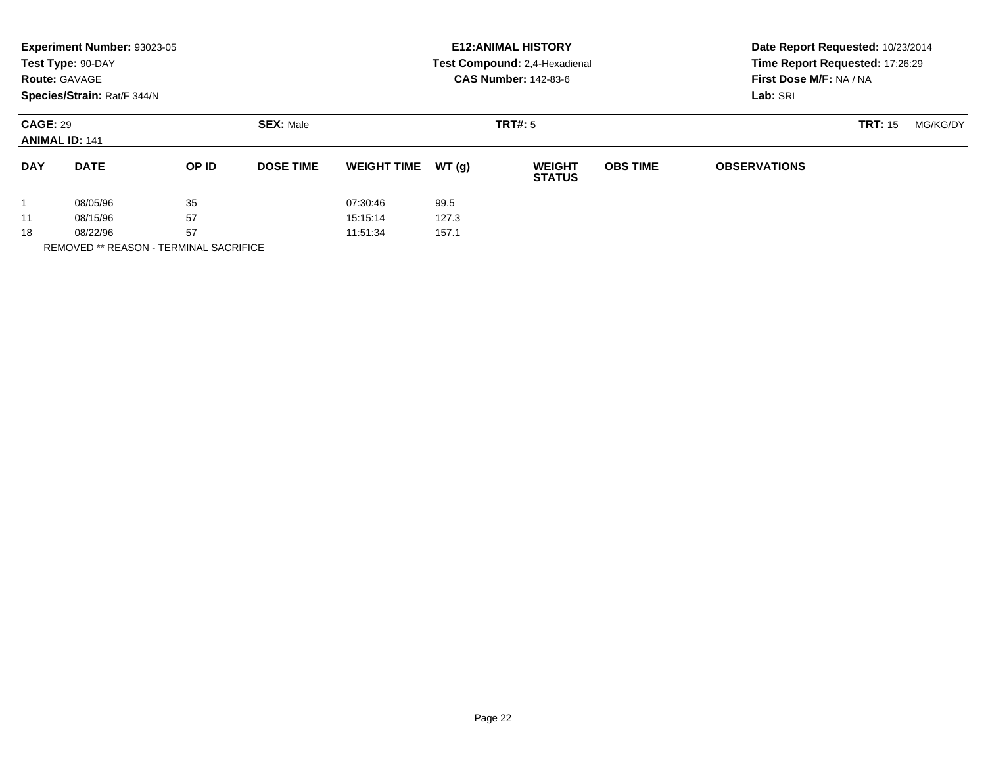|                                          | Experiment Number: 93023-05<br>Test Type: 90-DAY<br><b>Route: GAVAGE</b><br>Species/Strain: Rat/F 344/N |              |                   | <b>E12: ANIMAL HISTORY</b><br>Test Compound: 2,4-Hexadienal<br><b>CAS Number: 142-83-6</b> | Date Report Requested: 10/23/2014<br>Time Report Requested: 17:26:29<br>First Dose M/F: NA / NA<br>Lab: SRI |                                |                 |                     |          |  |
|------------------------------------------|---------------------------------------------------------------------------------------------------------|--------------|-------------------|--------------------------------------------------------------------------------------------|-------------------------------------------------------------------------------------------------------------|--------------------------------|-----------------|---------------------|----------|--|
| <b>CAGE: 29</b><br><b>ANIMAL ID: 141</b> |                                                                                                         |              | <b>SEX: Male</b>  |                                                                                            |                                                                                                             | <b>TRT#: 5</b>                 |                 | <b>TRT: 15</b>      | MG/KG/DY |  |
| <b>DAY</b>                               | <b>DATE</b>                                                                                             | <b>OP ID</b> | <b>DOSE TIME</b>  | <b>WEIGHT TIME</b>                                                                         | WT(q)                                                                                                       | <b>WEIGHT</b><br><b>STATUS</b> | <b>OBS TIME</b> | <b>OBSERVATIONS</b> |          |  |
| 08/05/96                                 |                                                                                                         | 35           |                   | 07:30:46                                                                                   | 99.5                                                                                                        |                                |                 |                     |          |  |
| 11                                       | 57<br>08/15/96                                                                                          |              |                   | 15:15:14                                                                                   | 127.3                                                                                                       |                                |                 |                     |          |  |
| 18                                       | 57<br>08/22/96                                                                                          |              | 157.1<br>11:51:34 |                                                                                            |                                                                                                             |                                |                 |                     |          |  |
|                                          |                                                                                                         |              |                   |                                                                                            |                                                                                                             |                                |                 |                     |          |  |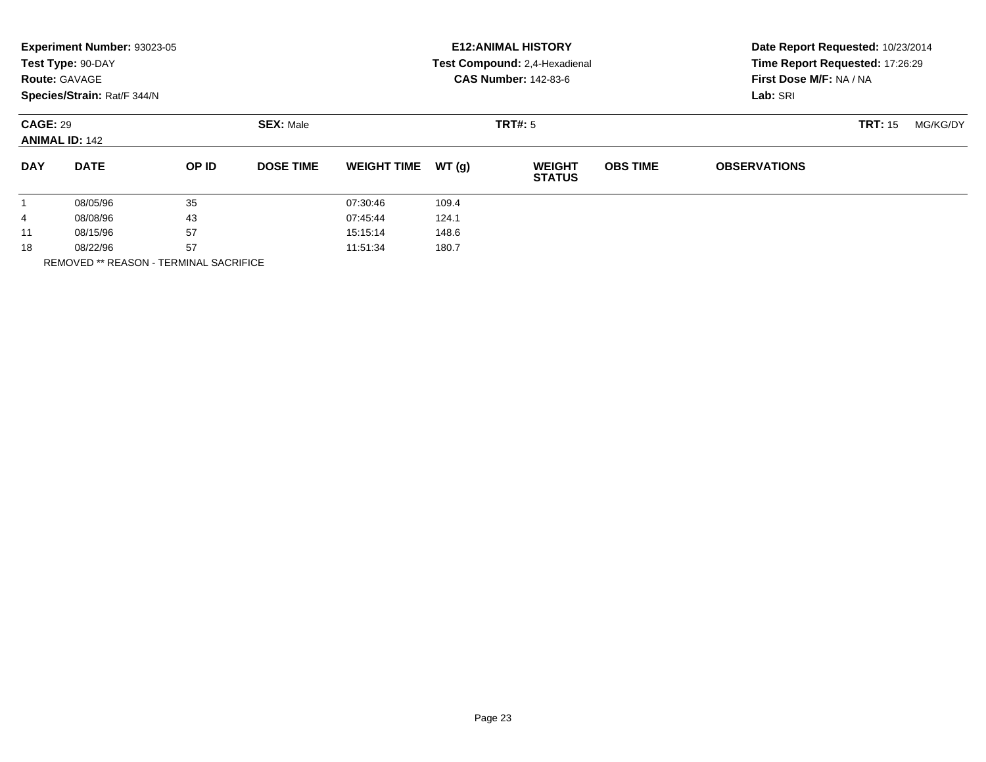|                                          | Experiment Number: 93023-05<br>Test Type: 90-DAY<br><b>Route: GAVAGE</b><br>Species/Strain: Rat/F 344/N |                  |                  | <b>E12: ANIMAL HISTORY</b><br>Test Compound: 2,4-Hexadienal<br><b>CAS Number: 142-83-6</b> | Date Report Requested: 10/23/2014<br>Time Report Requested: 17:26:29<br>First Dose M/F: NA / NA<br>Lab: SRI |                                |                 |                     |          |  |
|------------------------------------------|---------------------------------------------------------------------------------------------------------|------------------|------------------|--------------------------------------------------------------------------------------------|-------------------------------------------------------------------------------------------------------------|--------------------------------|-----------------|---------------------|----------|--|
| <b>CAGE: 29</b><br><b>ANIMAL ID: 142</b> |                                                                                                         | <b>SEX: Male</b> |                  |                                                                                            | <b>TRT#: 5</b>                                                                                              |                                |                 | <b>TRT: 15</b>      | MG/KG/DY |  |
| <b>DAY</b>                               | <b>DATE</b>                                                                                             | OP ID            | <b>DOSE TIME</b> | <b>WEIGHT TIME</b>                                                                         | WT(q)                                                                                                       | <b>WEIGHT</b><br><b>STATUS</b> | <b>OBS TIME</b> | <b>OBSERVATIONS</b> |          |  |
|                                          | 08/05/96                                                                                                | 35               |                  | 07:30:46                                                                                   | 109.4                                                                                                       |                                |                 |                     |          |  |
| 4                                        | 08/08/96                                                                                                | 43               |                  | 07:45:44                                                                                   | 124.1                                                                                                       |                                |                 |                     |          |  |
| 11                                       | 57<br>08/15/96                                                                                          |                  | 15:15:14         | 148.6                                                                                      |                                                                                                             |                                |                 |                     |          |  |
| 18                                       | 08/22/96                                                                                                | 57               |                  | 11:51:34                                                                                   | 180.7                                                                                                       |                                |                 |                     |          |  |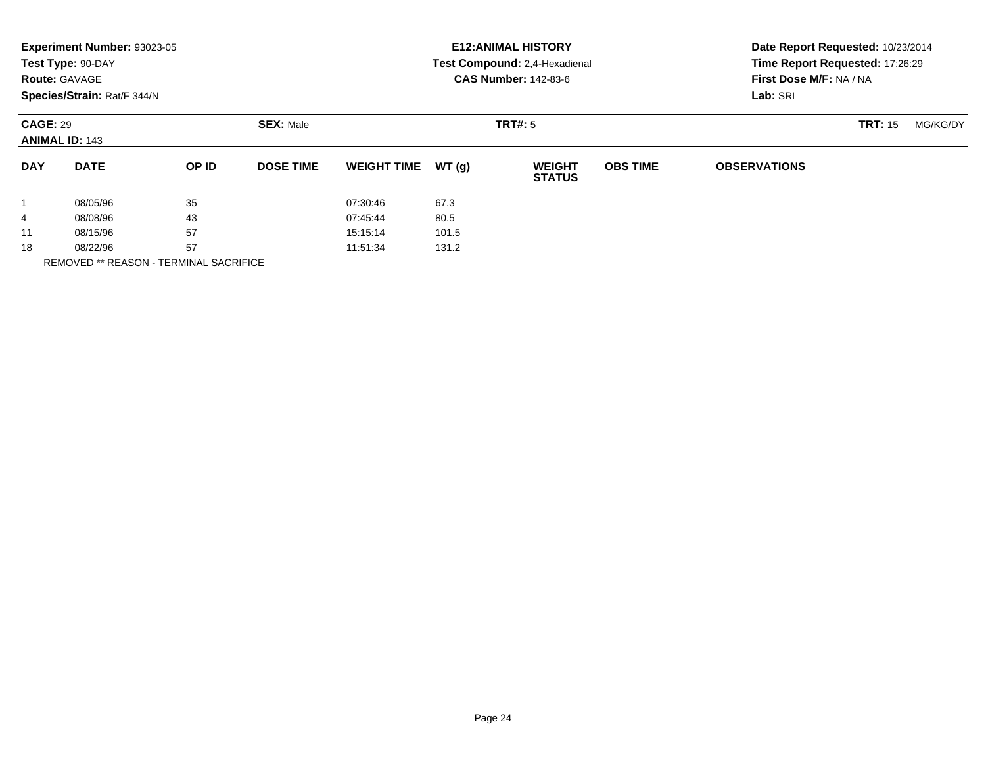|            | Experiment Number: 93023-05<br>Test Type: 90-DAY<br><b>Route: GAVAGE</b><br>Species/Strain: Rat/F 344/N |       |                  |                    |       | <b>E12: ANIMAL HISTORY</b><br>Test Compound: 2,4-Hexadienal<br><b>CAS Number: 142-83-6</b> | Date Report Requested: 10/23/2014<br>Time Report Requested: 17:26:29<br>First Dose M/F: NA / NA<br>Lab: SRI |                     |                |          |
|------------|---------------------------------------------------------------------------------------------------------|-------|------------------|--------------------|-------|--------------------------------------------------------------------------------------------|-------------------------------------------------------------------------------------------------------------|---------------------|----------------|----------|
|            | <b>CAGE: 29</b><br><b>ANIMAL ID: 143</b>                                                                |       | <b>SEX: Male</b> |                    |       | <b>TRT#: 5</b>                                                                             |                                                                                                             |                     | <b>TRT: 15</b> | MG/KG/DY |
| <b>DAY</b> | <b>DATE</b>                                                                                             | OP ID | <b>DOSE TIME</b> | <b>WEIGHT TIME</b> | WT(g) | <b>WEIGHT</b><br><b>STATUS</b>                                                             | <b>OBS TIME</b>                                                                                             | <b>OBSERVATIONS</b> |                |          |
| 1          | 08/05/96                                                                                                | 35    |                  | 07:30:46           | 67.3  |                                                                                            |                                                                                                             |                     |                |          |
| 4          | 08/08/96                                                                                                | 43    |                  | 07:45:44           | 80.5  |                                                                                            |                                                                                                             |                     |                |          |
| 11         | 08/15/96                                                                                                | 57    |                  | 15:15:14           | 101.5 |                                                                                            |                                                                                                             |                     |                |          |
| 18         | 08/22/96                                                                                                | 57    |                  | 11:51:34           | 131.2 |                                                                                            |                                                                                                             |                     |                |          |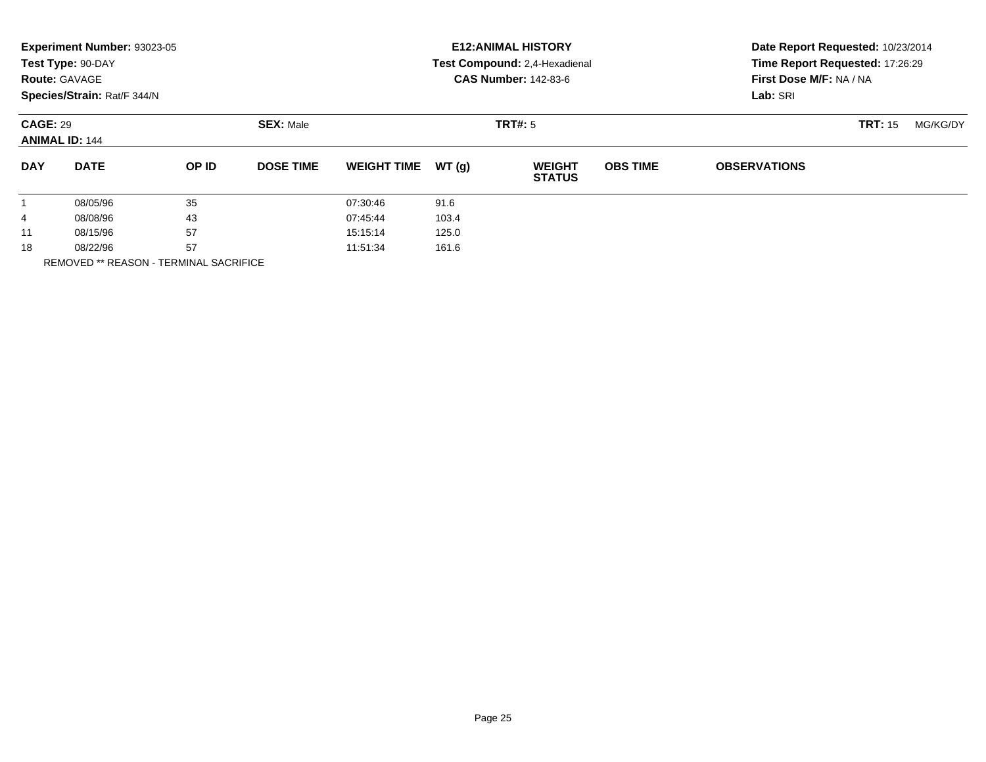|            | Experiment Number: 93023-05<br>Test Type: 90-DAY<br><b>Route: GAVAGE</b><br>Species/Strain: Rat/F 344/N |       |                  |                    |       | <b>E12: ANIMAL HISTORY</b><br>Test Compound: 2,4-Hexadienal<br><b>CAS Number: 142-83-6</b> | Date Report Requested: 10/23/2014<br>Time Report Requested: 17:26:29<br>First Dose M/F: NA / NA<br>Lab: SRI |                     |                |          |
|------------|---------------------------------------------------------------------------------------------------------|-------|------------------|--------------------|-------|--------------------------------------------------------------------------------------------|-------------------------------------------------------------------------------------------------------------|---------------------|----------------|----------|
|            | <b>CAGE: 29</b><br><b>ANIMAL ID: 144</b>                                                                |       | <b>SEX: Male</b> |                    |       | TRT#: 5                                                                                    |                                                                                                             |                     | <b>TRT: 15</b> | MG/KG/DY |
| <b>DAY</b> | <b>DATE</b>                                                                                             | OP ID | <b>DOSE TIME</b> | <b>WEIGHT TIME</b> | WT(q) | <b>WEIGHT</b><br><b>STATUS</b>                                                             | <b>OBS TIME</b>                                                                                             | <b>OBSERVATIONS</b> |                |          |
|            | 08/05/96                                                                                                | 35    |                  | 07:30:46           | 91.6  |                                                                                            |                                                                                                             |                     |                |          |
| 4          | 08/08/96                                                                                                | 43    |                  | 07:45:44           | 103.4 |                                                                                            |                                                                                                             |                     |                |          |
| 11         | 08/15/96                                                                                                | 57    |                  | 15:15:14           | 125.0 |                                                                                            |                                                                                                             |                     |                |          |
| 18         | 08/22/96                                                                                                | 57    |                  | 11:51:34           | 161.6 |                                                                                            |                                                                                                             |                     |                |          |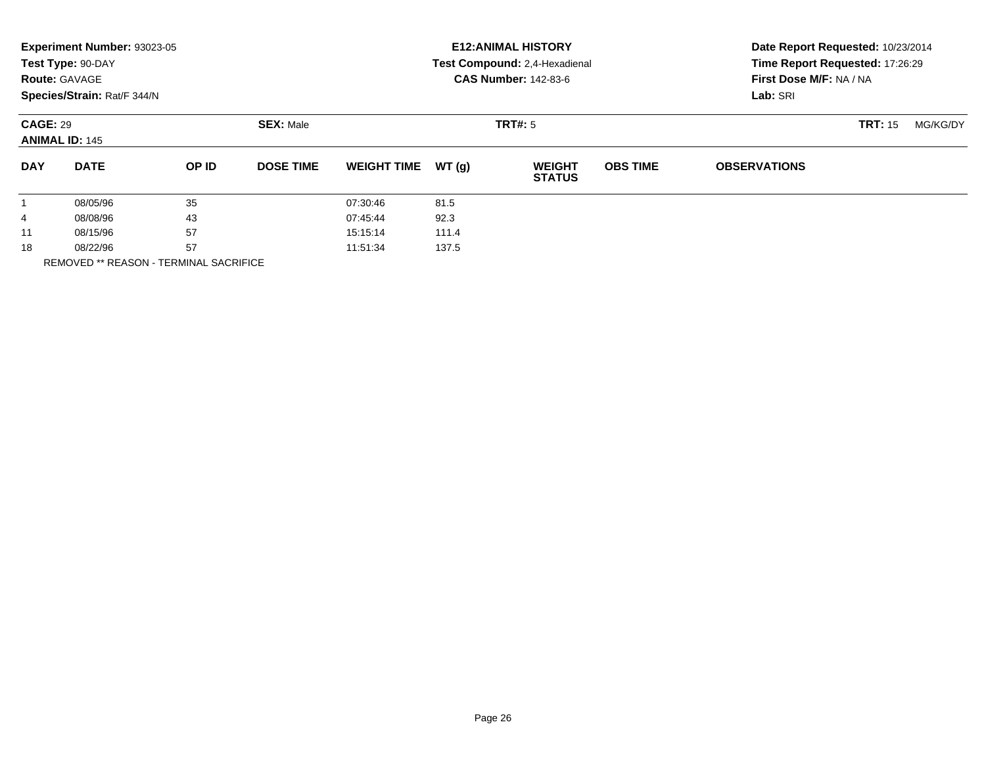|            | Experiment Number: 93023-05<br>Test Type: 90-DAY<br><b>Route: GAVAGE</b><br>Species/Strain: Rat/F 344/N |       |                  |                    |       | <b>E12: ANIMAL HISTORY</b><br>Test Compound: 2,4-Hexadienal<br><b>CAS Number: 142-83-6</b> | Date Report Requested: 10/23/2014<br>Time Report Requested: 17:26:29<br>First Dose M/F: NA / NA<br>Lab: SRI |                     |                |          |
|------------|---------------------------------------------------------------------------------------------------------|-------|------------------|--------------------|-------|--------------------------------------------------------------------------------------------|-------------------------------------------------------------------------------------------------------------|---------------------|----------------|----------|
|            | <b>CAGE: 29</b><br><b>ANIMAL ID: 145</b>                                                                |       | <b>SEX: Male</b> |                    |       | <b>TRT#: 5</b>                                                                             |                                                                                                             |                     | <b>TRT: 15</b> | MG/KG/DY |
| <b>DAY</b> | <b>DATE</b>                                                                                             | OP ID | <b>DOSE TIME</b> | <b>WEIGHT TIME</b> | WT(g) | <b>WEIGHT</b><br><b>STATUS</b>                                                             | <b>OBS TIME</b>                                                                                             | <b>OBSERVATIONS</b> |                |          |
| 1          | 08/05/96                                                                                                | 35    |                  | 07:30:46           | 81.5  |                                                                                            |                                                                                                             |                     |                |          |
| 4          | 08/08/96                                                                                                | 43    |                  | 07:45:44           | 92.3  |                                                                                            |                                                                                                             |                     |                |          |
| 11         | 08/15/96                                                                                                | 57    |                  | 15:15:14           | 111.4 |                                                                                            |                                                                                                             |                     |                |          |
| 18         | 08/22/96                                                                                                | 57    |                  | 11:51:34           | 137.5 |                                                                                            |                                                                                                             |                     |                |          |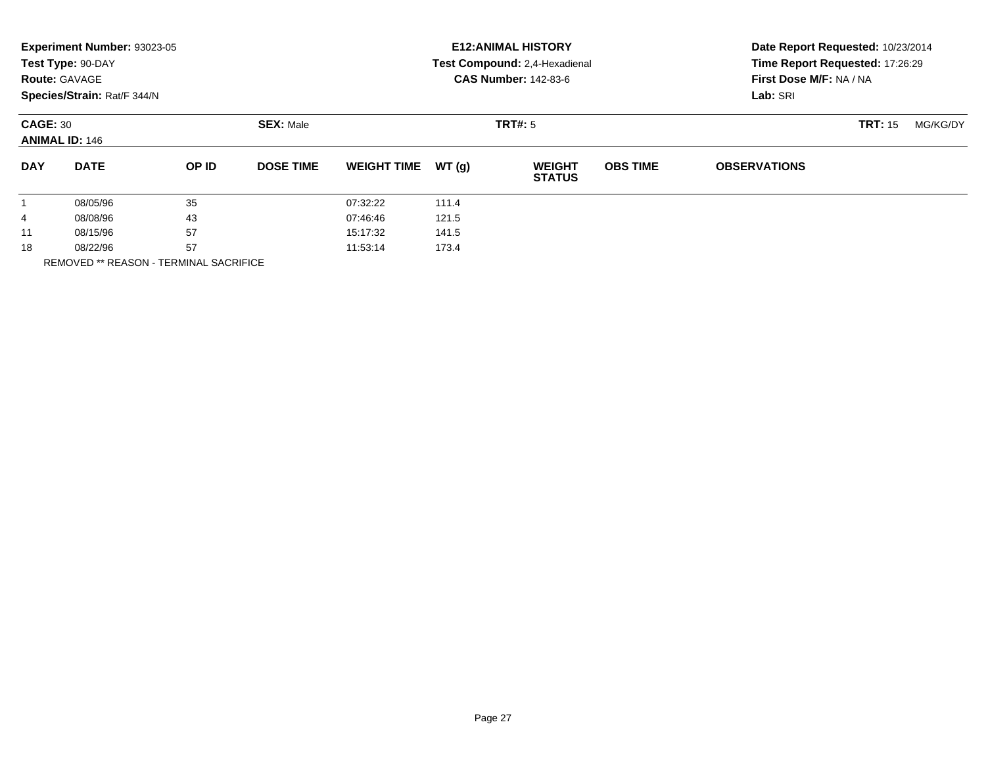|            | Experiment Number: 93023-05<br>Test Type: 90-DAY<br><b>Route: GAVAGE</b><br>Species/Strain: Rat/F 344/N |       |                  | <b>E12: ANIMAL HISTORY</b><br>Test Compound: 2,4-Hexadienal<br><b>CAS Number: 142-83-6</b> |       |                                |                 | Date Report Requested: 10/23/2014<br>Time Report Requested: 17:26:29<br>First Dose M/F: NA / NA<br>Lab: SRI |                |          |
|------------|---------------------------------------------------------------------------------------------------------|-------|------------------|--------------------------------------------------------------------------------------------|-------|--------------------------------|-----------------|-------------------------------------------------------------------------------------------------------------|----------------|----------|
|            | <b>CAGE: 30</b><br><b>ANIMAL ID: 146</b>                                                                |       | <b>SEX: Male</b> |                                                                                            |       | TRT#: 5                        |                 |                                                                                                             | <b>TRT: 15</b> | MG/KG/DY |
| <b>DAY</b> | <b>DATE</b>                                                                                             | OP ID | <b>DOSE TIME</b> | <b>WEIGHT TIME</b>                                                                         | WT(q) | <b>WEIGHT</b><br><b>STATUS</b> | <b>OBS TIME</b> | <b>OBSERVATIONS</b>                                                                                         |                |          |
|            | 08/05/96                                                                                                | 35    |                  | 07:32:22                                                                                   | 111.4 |                                |                 |                                                                                                             |                |          |
| 4          | 08/08/96                                                                                                | 43    |                  | 07:46:46                                                                                   | 121.5 |                                |                 |                                                                                                             |                |          |
| 11         | 08/15/96                                                                                                | 57    |                  | 15:17:32                                                                                   | 141.5 |                                |                 |                                                                                                             |                |          |
| 18         | 08/22/96                                                                                                | 57    |                  | 11:53:14                                                                                   | 173.4 |                                |                 |                                                                                                             |                |          |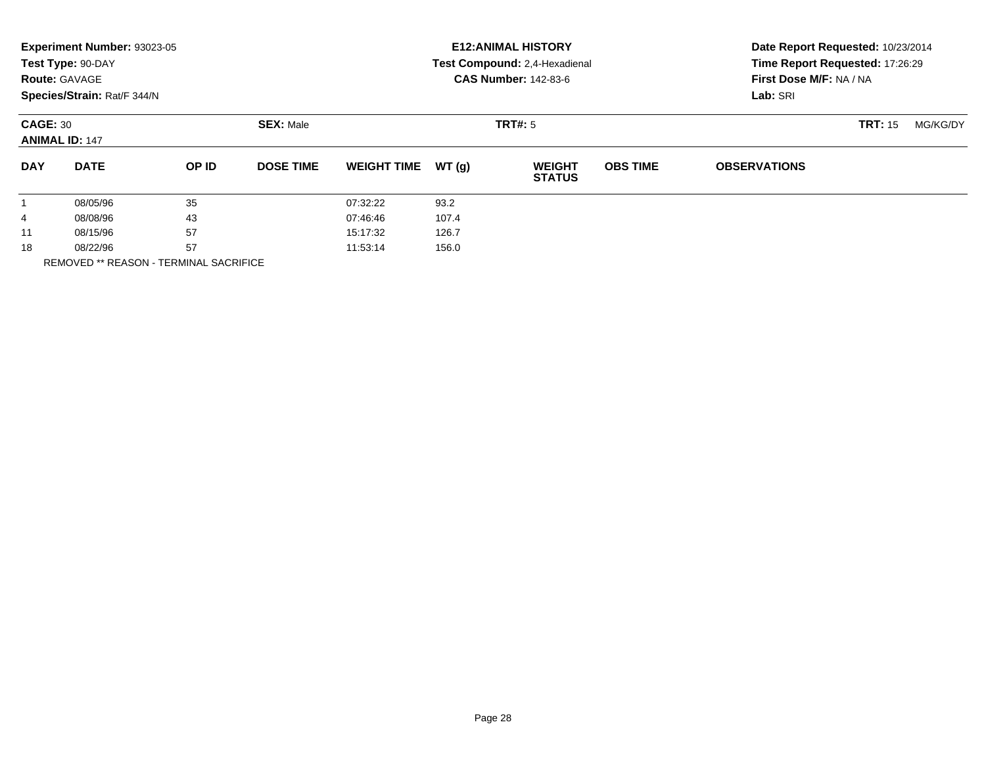|            | Experiment Number: 93023-05<br>Test Type: 90-DAY<br><b>Route: GAVAGE</b><br>Species/Strain: Rat/F 344/N |       |                  | <b>E12: ANIMAL HISTORY</b><br>Test Compound: 2,4-Hexadienal<br><b>CAS Number: 142-83-6</b> |       |                                |                 | Date Report Requested: 10/23/2014<br>Time Report Requested: 17:26:29<br>First Dose M/F: NA / NA<br>Lab: SRI |                |          |
|------------|---------------------------------------------------------------------------------------------------------|-------|------------------|--------------------------------------------------------------------------------------------|-------|--------------------------------|-----------------|-------------------------------------------------------------------------------------------------------------|----------------|----------|
|            | <b>CAGE: 30</b><br><b>ANIMAL ID: 147</b>                                                                |       | <b>SEX: Male</b> |                                                                                            |       | TRT#: 5                        |                 |                                                                                                             | <b>TRT: 15</b> | MG/KG/DY |
| <b>DAY</b> | <b>DATE</b>                                                                                             | OP ID | <b>DOSE TIME</b> | <b>WEIGHT TIME</b>                                                                         | WT(q) | <b>WEIGHT</b><br><b>STATUS</b> | <b>OBS TIME</b> | <b>OBSERVATIONS</b>                                                                                         |                |          |
|            | 08/05/96                                                                                                | 35    |                  | 07:32:22                                                                                   | 93.2  |                                |                 |                                                                                                             |                |          |
| 4          | 08/08/96                                                                                                | 43    |                  | 07:46:46                                                                                   | 107.4 |                                |                 |                                                                                                             |                |          |
| 11         | 08/15/96                                                                                                | 57    |                  | 15:17:32                                                                                   | 126.7 |                                |                 |                                                                                                             |                |          |
| 18         | 08/22/96                                                                                                | 57    |                  | 11:53:14                                                                                   | 156.0 |                                |                 |                                                                                                             |                |          |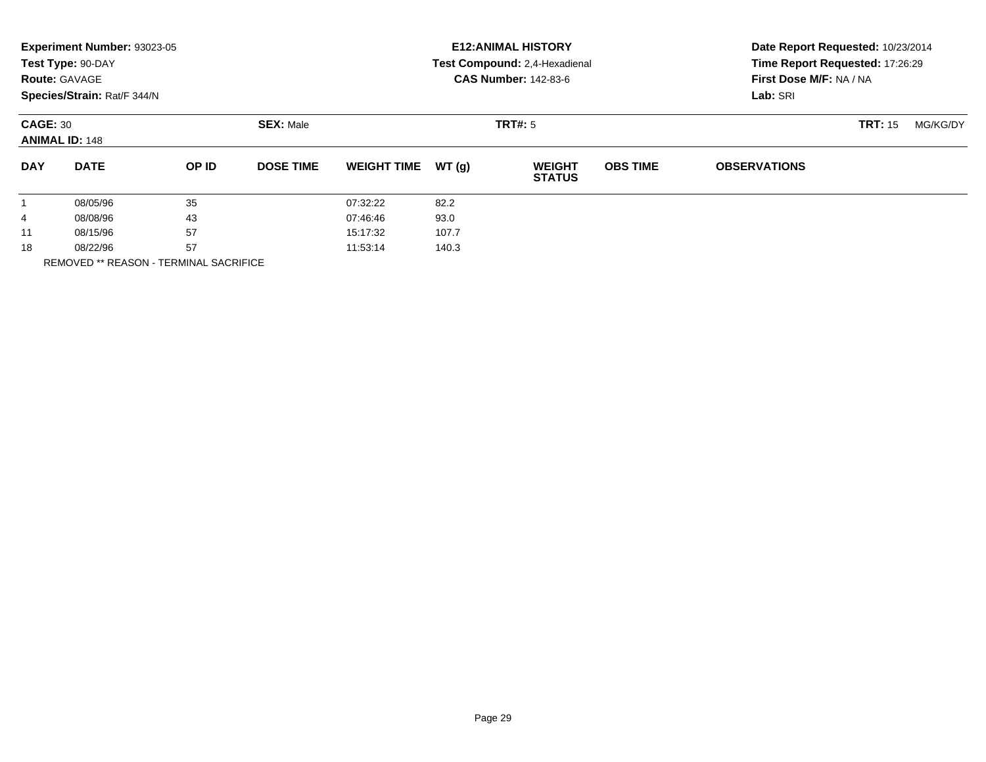|            | Experiment Number: 93023-05<br>Test Type: 90-DAY<br><b>Route: GAVAGE</b><br>Species/Strain: Rat/F 344/N |       |                  | <b>E12: ANIMAL HISTORY</b><br>Test Compound: 2,4-Hexadienal<br><b>CAS Number: 142-83-6</b> |       |                                |                 | Date Report Requested: 10/23/2014<br>Time Report Requested: 17:26:29<br>First Dose M/F: NA / NA<br>Lab: SRI |                |          |
|------------|---------------------------------------------------------------------------------------------------------|-------|------------------|--------------------------------------------------------------------------------------------|-------|--------------------------------|-----------------|-------------------------------------------------------------------------------------------------------------|----------------|----------|
|            | <b>CAGE: 30</b><br><b>ANIMAL ID: 148</b>                                                                |       | <b>SEX: Male</b> |                                                                                            |       | TRT#: 5                        |                 |                                                                                                             | <b>TRT: 15</b> | MG/KG/DY |
| <b>DAY</b> | <b>DATE</b>                                                                                             | OP ID | <b>DOSE TIME</b> | <b>WEIGHT TIME</b>                                                                         | WT(q) | <b>WEIGHT</b><br><b>STATUS</b> | <b>OBS TIME</b> | <b>OBSERVATIONS</b>                                                                                         |                |          |
|            | 08/05/96                                                                                                | 35    |                  | 07:32:22                                                                                   | 82.2  |                                |                 |                                                                                                             |                |          |
| 4          | 08/08/96                                                                                                | 43    |                  | 07:46:46                                                                                   | 93.0  |                                |                 |                                                                                                             |                |          |
| 11         | 08/15/96                                                                                                | 57    |                  | 15:17:32                                                                                   | 107.7 |                                |                 |                                                                                                             |                |          |
| 18         | 08/22/96                                                                                                | 57    |                  | 11:53:14                                                                                   | 140.3 |                                |                 |                                                                                                             |                |          |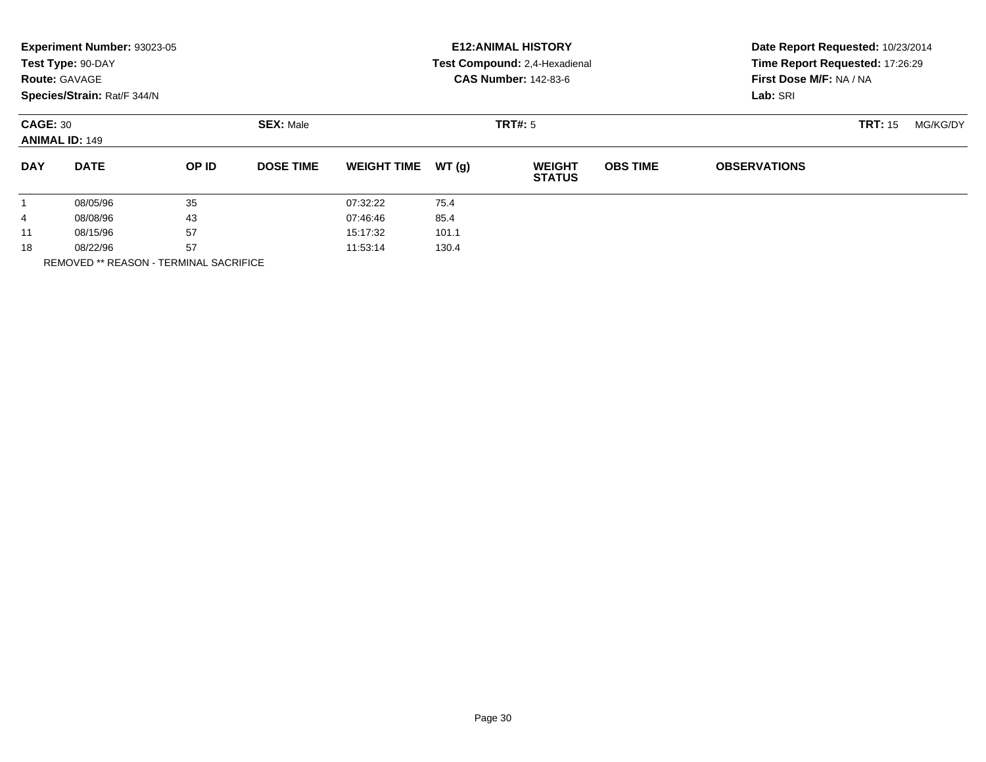|            | Experiment Number: 93023-05<br>Test Type: 90-DAY<br><b>Route: GAVAGE</b><br>Species/Strain: Rat/F 344/N |       |                  | <b>E12: ANIMAL HISTORY</b><br>Test Compound: 2,4-Hexadienal<br><b>CAS Number: 142-83-6</b> |       |                                |                 | Date Report Requested: 10/23/2014<br>Time Report Requested: 17:26:29<br>First Dose M/F: NA / NA<br>Lab: SRI |                |          |
|------------|---------------------------------------------------------------------------------------------------------|-------|------------------|--------------------------------------------------------------------------------------------|-------|--------------------------------|-----------------|-------------------------------------------------------------------------------------------------------------|----------------|----------|
|            | <b>CAGE: 30</b><br><b>ANIMAL ID: 149</b>                                                                |       | <b>SEX: Male</b> |                                                                                            |       | TRT#: 5                        |                 |                                                                                                             | <b>TRT: 15</b> | MG/KG/DY |
| <b>DAY</b> | <b>DATE</b>                                                                                             | OP ID | <b>DOSE TIME</b> | <b>WEIGHT TIME</b>                                                                         | WT(q) | <b>WEIGHT</b><br><b>STATUS</b> | <b>OBS TIME</b> | <b>OBSERVATIONS</b>                                                                                         |                |          |
|            | 08/05/96                                                                                                | 35    |                  | 07:32:22                                                                                   | 75.4  |                                |                 |                                                                                                             |                |          |
| 4          | 08/08/96                                                                                                | 43    |                  | 07:46:46                                                                                   | 85.4  |                                |                 |                                                                                                             |                |          |
| 11         | 08/15/96                                                                                                | 57    |                  | 15:17:32                                                                                   | 101.1 |                                |                 |                                                                                                             |                |          |
| 18         | 08/22/96                                                                                                | 57    |                  | 11:53:14                                                                                   | 130.4 |                                |                 |                                                                                                             |                |          |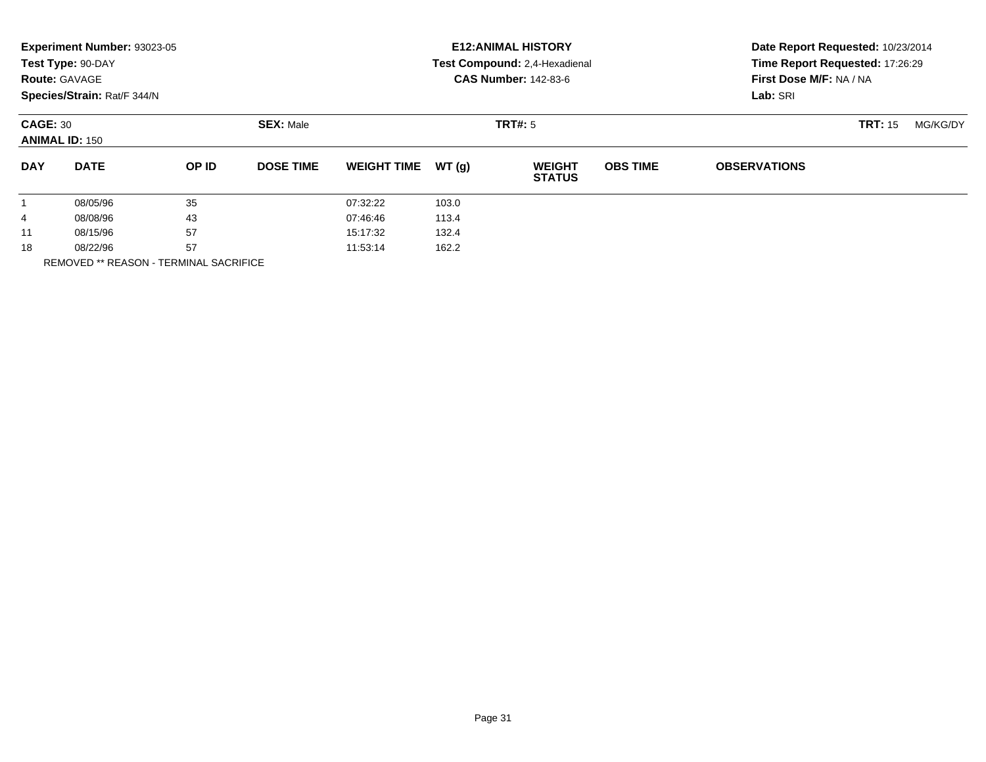|            | Experiment Number: 93023-05<br>Test Type: 90-DAY<br><b>Route: GAVAGE</b><br>Species/Strain: Rat/F 344/N |       |                  | <b>E12: ANIMAL HISTORY</b><br>Test Compound: 2,4-Hexadienal<br><b>CAS Number: 142-83-6</b> |         |                                |                 | Date Report Requested: 10/23/2014<br>Time Report Requested: 17:26:29<br>First Dose M/F: NA / NA<br>Lab: SRI |                |          |
|------------|---------------------------------------------------------------------------------------------------------|-------|------------------|--------------------------------------------------------------------------------------------|---------|--------------------------------|-----------------|-------------------------------------------------------------------------------------------------------------|----------------|----------|
|            | <b>CAGE: 30</b><br><b>ANIMAL ID: 150</b>                                                                |       | <b>SEX: Male</b> |                                                                                            | TRT#: 5 |                                |                 |                                                                                                             | <b>TRT: 15</b> | MG/KG/DY |
| <b>DAY</b> | <b>DATE</b>                                                                                             | OP ID | <b>DOSE TIME</b> | <b>WEIGHT TIME</b>                                                                         | WT(g)   | <b>WEIGHT</b><br><b>STATUS</b> | <b>OBS TIME</b> | <b>OBSERVATIONS</b>                                                                                         |                |          |
|            | 08/05/96                                                                                                | 35    |                  | 07:32:22                                                                                   | 103.0   |                                |                 |                                                                                                             |                |          |
| 4          | 08/08/96                                                                                                | 43    |                  | 07:46:46                                                                                   | 113.4   |                                |                 |                                                                                                             |                |          |
| 11         | 08/15/96                                                                                                | 57    |                  | 15:17:32                                                                                   | 132.4   |                                |                 |                                                                                                             |                |          |
| 18         | 08/22/96                                                                                                | 57    |                  | 11:53:14                                                                                   | 162.2   |                                |                 |                                                                                                             |                |          |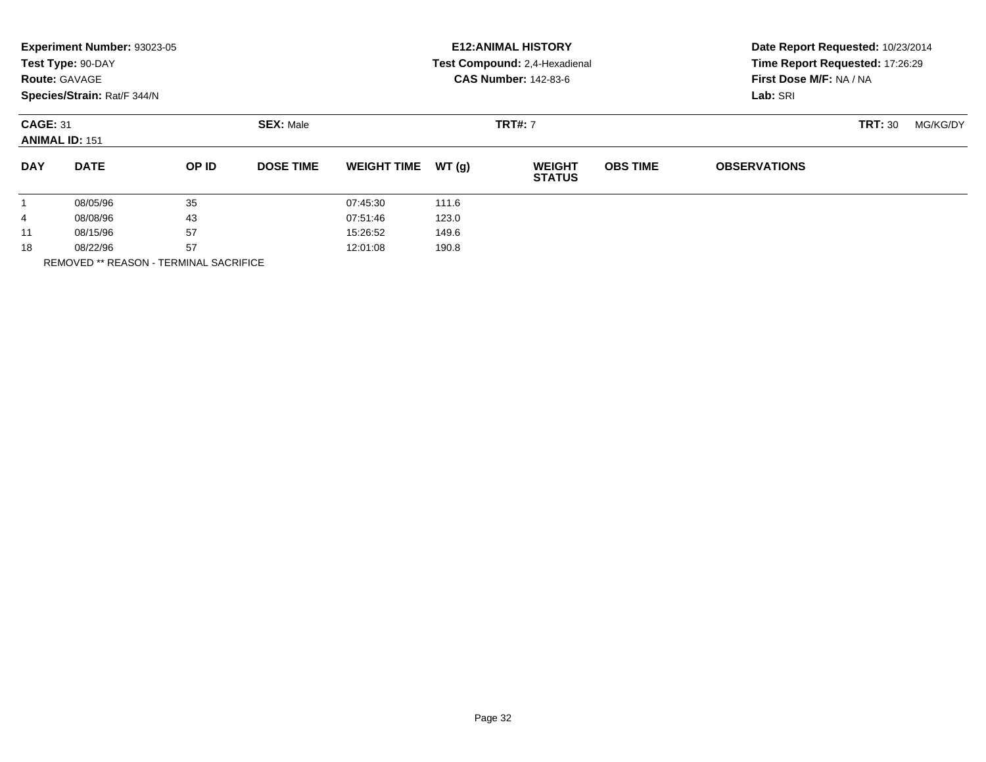|              | Experiment Number: 93023-05<br>Test Type: 90-DAY<br><b>Route: GAVAGE</b><br>Species/Strain: Rat/F 344/N |       |                  | <b>E12: ANIMAL HISTORY</b><br>Test Compound: 2,4-Hexadienal<br><b>CAS Number: 142-83-6</b> |                |                                |                 | Date Report Requested: 10/23/2014<br>Time Report Requested: 17:26:29<br>First Dose M/F: NA / NA<br>Lab: SRI |                |          |  |
|--------------|---------------------------------------------------------------------------------------------------------|-------|------------------|--------------------------------------------------------------------------------------------|----------------|--------------------------------|-----------------|-------------------------------------------------------------------------------------------------------------|----------------|----------|--|
|              | <b>CAGE: 31</b><br><b>ANIMAL ID: 151</b>                                                                |       | <b>SEX: Male</b> |                                                                                            | <b>TRT#: 7</b> |                                |                 |                                                                                                             | <b>TRT: 30</b> | MG/KG/DY |  |
| <b>DAY</b>   | <b>DATE</b>                                                                                             | OP ID | <b>DOSE TIME</b> | <b>WEIGHT TIME</b>                                                                         | WT(g)          | <b>WEIGHT</b><br><b>STATUS</b> | <b>OBS TIME</b> | <b>OBSERVATIONS</b>                                                                                         |                |          |  |
| $\mathbf{1}$ | 08/05/96                                                                                                | 35    |                  | 07:45:30                                                                                   | 111.6          |                                |                 |                                                                                                             |                |          |  |
| 4            | 08/08/96                                                                                                | 43    |                  | 07:51:46                                                                                   | 123.0          |                                |                 |                                                                                                             |                |          |  |
| 11           | 08/15/96                                                                                                | 57    |                  | 15:26:52                                                                                   | 149.6          |                                |                 |                                                                                                             |                |          |  |
| 18           | 08/22/96                                                                                                | 57    |                  | 12:01:08                                                                                   | 190.8          |                                |                 |                                                                                                             |                |          |  |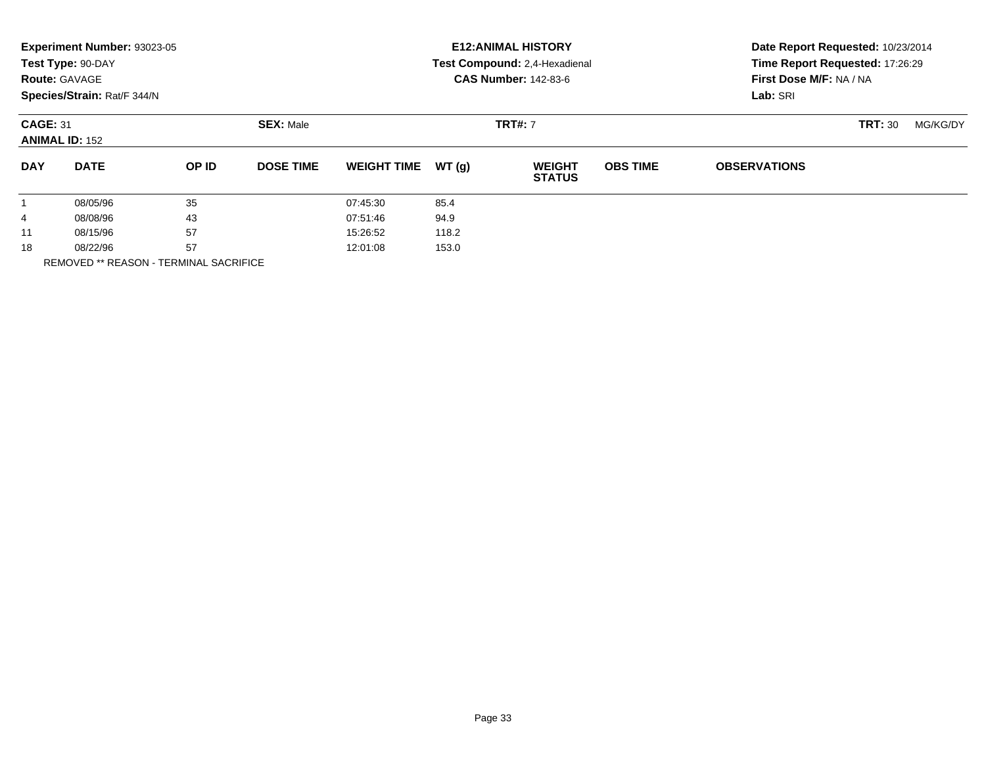|              | Experiment Number: 93023-05<br>Test Type: 90-DAY<br><b>Route: GAVAGE</b><br>Species/Strain: Rat/F 344/N |       |                  |                    | <b>E12: ANIMAL HISTORY</b><br>Test Compound: 2,4-Hexadienal<br><b>CAS Number: 142-83-6</b> | Date Report Requested: 10/23/2014<br>Time Report Requested: 17:26:29<br>First Dose M/F: NA / NA<br>Lab: SRI |                 |                     |          |  |
|--------------|---------------------------------------------------------------------------------------------------------|-------|------------------|--------------------|--------------------------------------------------------------------------------------------|-------------------------------------------------------------------------------------------------------------|-----------------|---------------------|----------|--|
|              | <b>CAGE: 31</b><br><b>ANIMAL ID: 152</b>                                                                |       | <b>SEX: Male</b> |                    |                                                                                            | <b>TRT#: 7</b>                                                                                              |                 | <b>TRT: 30</b>      | MG/KG/DY |  |
| <b>DAY</b>   | <b>DATE</b>                                                                                             | OP ID | <b>DOSE TIME</b> | <b>WEIGHT TIME</b> | WT(g)                                                                                      | <b>WEIGHT</b><br><b>STATUS</b>                                                                              | <b>OBS TIME</b> | <b>OBSERVATIONS</b> |          |  |
| $\mathbf{1}$ | 08/05/96                                                                                                | 35    |                  | 07:45:30           | 85.4                                                                                       |                                                                                                             |                 |                     |          |  |
| 4            | 08/08/96                                                                                                | 43    |                  | 07:51:46           | 94.9                                                                                       |                                                                                                             |                 |                     |          |  |
| 11           | 08/15/96                                                                                                | 57    |                  | 15:26:52           | 118.2                                                                                      |                                                                                                             |                 |                     |          |  |
| 18           | 08/22/96                                                                                                | 57    |                  | 12:01:08           | 153.0                                                                                      |                                                                                                             |                 |                     |          |  |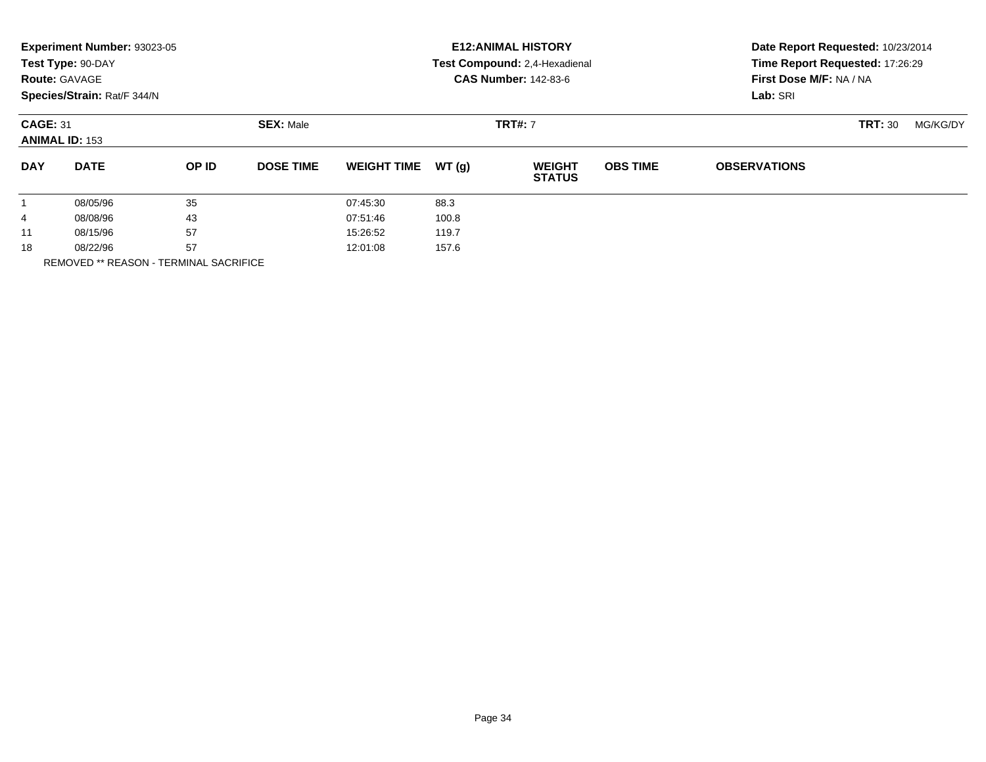| <b>CAS Number: 142-83-6</b><br>First Dose M/F: NA / NA<br><b>Route: GAVAGE</b><br>Species/Strain: Rat/F 344/N<br>Lab: SRI                                         |          |
|-------------------------------------------------------------------------------------------------------------------------------------------------------------------|----------|
| <b>CAGE: 31</b><br><b>SEX: Male</b><br><b>TRT#: 7</b><br><b>TRT: 30</b><br><b>ANIMAL ID: 153</b>                                                                  | MG/KG/DY |
| <b>DATE</b><br><b>DAY</b><br>OP ID<br><b>DOSE TIME</b><br>WT(q)<br><b>OBS TIME</b><br><b>OBSERVATIONS</b><br><b>WEIGHT TIME</b><br><b>WEIGHT</b><br><b>STATUS</b> |          |
| 35<br>08/05/96<br>88.3<br>07:45:30                                                                                                                                |          |
| 43<br>100.8<br>08/08/96<br>07:51:46<br>4                                                                                                                          |          |
| 57<br>08/15/96<br>15:26:52<br>119.7<br>11                                                                                                                         |          |
| 57<br>18<br>157.6<br>12:01:08<br>08/22/96                                                                                                                         |          |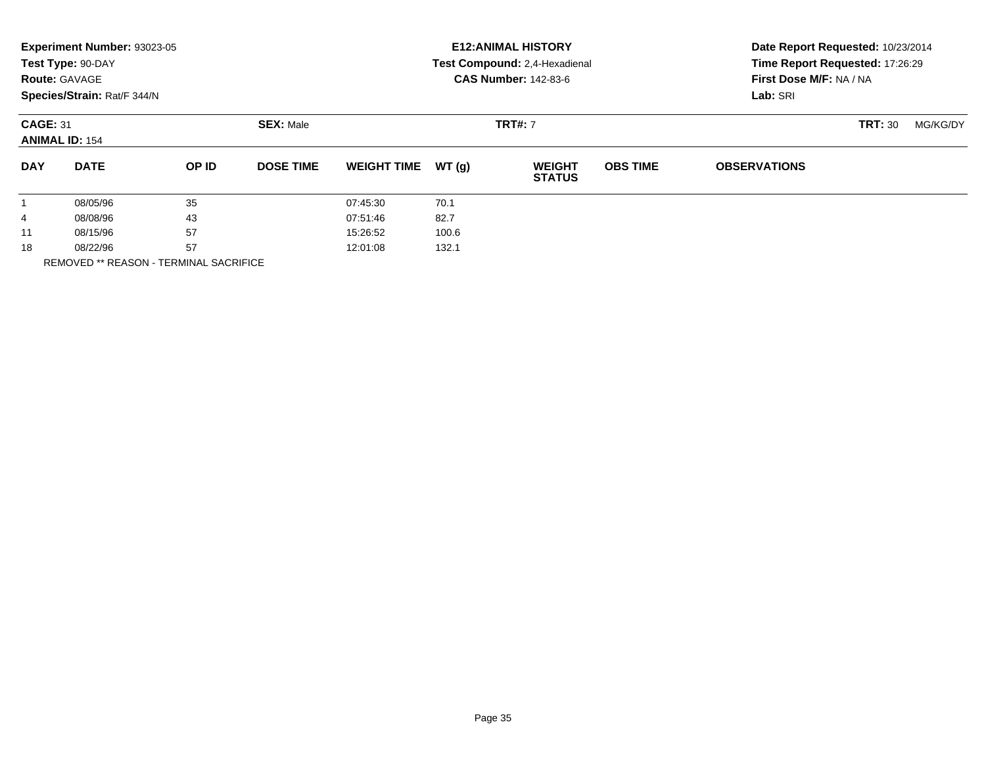|              | Experiment Number: 93023-05<br>Test Type: 90-DAY<br><b>Route: GAVAGE</b><br>Species/Strain: Rat/F 344/N |       |                  |                    | <b>E12: ANIMAL HISTORY</b><br>Test Compound: 2,4-Hexadienal<br><b>CAS Number: 142-83-6</b> | Date Report Requested: 10/23/2014<br>Time Report Requested: 17:26:29<br>First Dose M/F: NA / NA<br>Lab: SRI |                 |                     |                |          |
|--------------|---------------------------------------------------------------------------------------------------------|-------|------------------|--------------------|--------------------------------------------------------------------------------------------|-------------------------------------------------------------------------------------------------------------|-----------------|---------------------|----------------|----------|
|              | <b>CAGE: 31</b><br><b>ANIMAL ID: 154</b>                                                                |       | <b>SEX: Male</b> |                    | <b>TRT#: 7</b>                                                                             |                                                                                                             |                 |                     | <b>TRT: 30</b> | MG/KG/DY |
| <b>DAY</b>   | <b>DATE</b>                                                                                             | OP ID | <b>DOSE TIME</b> | <b>WEIGHT TIME</b> | WT(g)                                                                                      | <b>WEIGHT</b><br><b>STATUS</b>                                                                              | <b>OBS TIME</b> | <b>OBSERVATIONS</b> |                |          |
| $\mathbf{1}$ | 08/05/96                                                                                                | 35    |                  | 07:45:30           | 70.1                                                                                       |                                                                                                             |                 |                     |                |          |
| 4            | 08/08/96                                                                                                | 43    |                  | 07:51:46           | 82.7                                                                                       |                                                                                                             |                 |                     |                |          |
| 11           | 08/15/96                                                                                                | 57    |                  | 15:26:52           | 100.6                                                                                      |                                                                                                             |                 |                     |                |          |
| 18           | 08/22/96                                                                                                | 57    |                  | 12:01:08           | 132.1                                                                                      |                                                                                                             |                 |                     |                |          |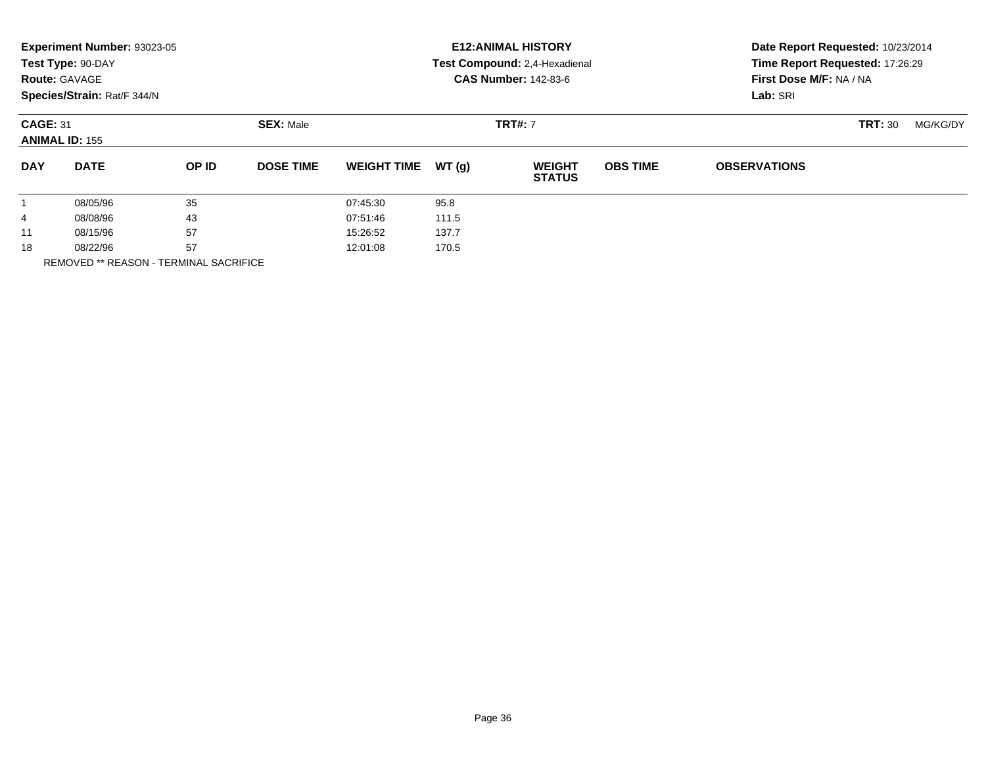| Experiment Number: 93023-05<br>Test Type: 90-DAY<br><b>Route: GAVAGE</b><br>Species/Strain: Rat/F 344/N |             |       |                  | <b>E12: ANIMAL HISTORY</b><br>Test Compound: 2,4-Hexadienal<br><b>CAS Number: 142-83-6</b> |       |                                |                 | Date Report Requested: 10/23/2014<br>Time Report Requested: 17:26:29<br>First Dose M/F: NA / NA<br>Lab: SRI |          |  |
|---------------------------------------------------------------------------------------------------------|-------------|-------|------------------|--------------------------------------------------------------------------------------------|-------|--------------------------------|-----------------|-------------------------------------------------------------------------------------------------------------|----------|--|
| <b>CAGE: 31</b><br><b>ANIMAL ID: 155</b>                                                                |             |       | <b>SEX: Male</b> |                                                                                            |       | <b>TRT#: 7</b>                 |                 | <b>TRT: 30</b>                                                                                              | MG/KG/DY |  |
| <b>DAY</b>                                                                                              | <b>DATE</b> | OP ID | <b>DOSE TIME</b> | <b>WEIGHT TIME</b>                                                                         | WT(g) | <b>WEIGHT</b><br><b>STATUS</b> | <b>OBS TIME</b> | <b>OBSERVATIONS</b>                                                                                         |          |  |
| 1                                                                                                       | 08/05/96    | 35    |                  | 07:45:30                                                                                   | 95.8  |                                |                 |                                                                                                             |          |  |
| 4                                                                                                       | 08/08/96    | 43    |                  | 07:51:46                                                                                   | 111.5 |                                |                 |                                                                                                             |          |  |
| 11                                                                                                      | 08/15/96    | 57    |                  | 15:26:52                                                                                   | 137.7 |                                |                 |                                                                                                             |          |  |
| 18                                                                                                      | 08/22/96    | 57    |                  | 12:01:08                                                                                   | 170.5 |                                |                 |                                                                                                             |          |  |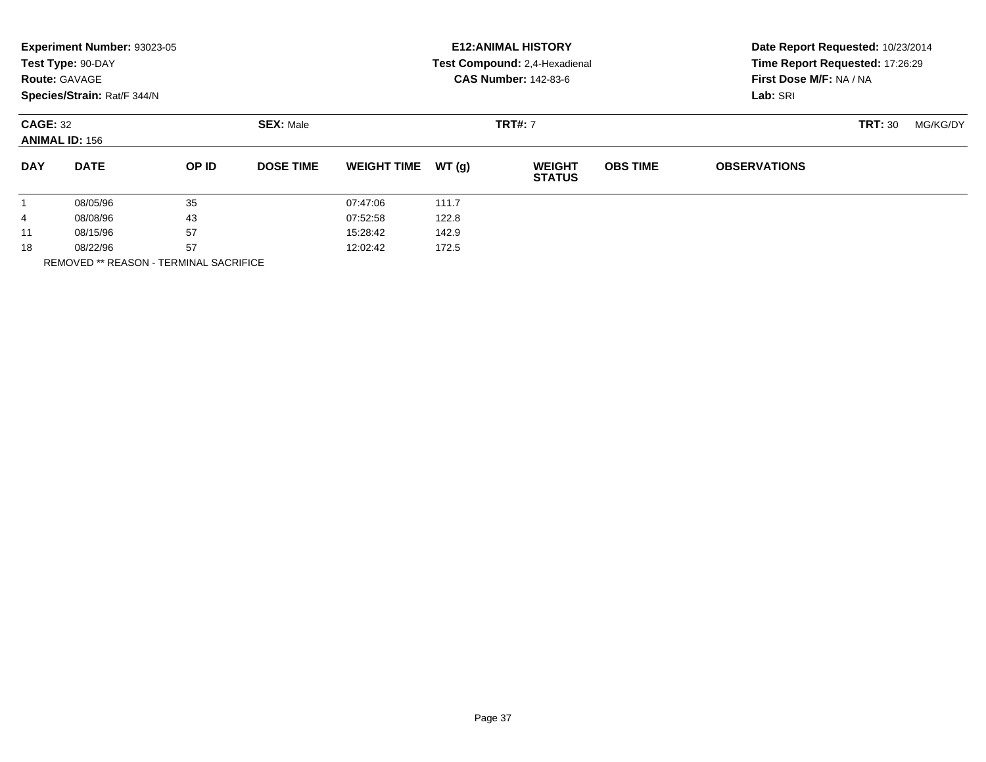|                      | Experiment Number: 93023-05<br>Test Type: 90-DAY<br><b>Route: GAVAGE</b><br>Species/Strain: Rat/F 344/N |              |                   |                    |       | <b>E12: ANIMAL HISTORY</b><br>Test Compound: 2,4-Hexadienal<br><b>CAS Number: 142-83-6</b> | Date Report Requested: 10/23/2014<br>Time Report Requested: 17:26:29<br>First Dose M/F: NA / NA<br>Lab: SRI |                     |                |          |
|----------------------|---------------------------------------------------------------------------------------------------------|--------------|-------------------|--------------------|-------|--------------------------------------------------------------------------------------------|-------------------------------------------------------------------------------------------------------------|---------------------|----------------|----------|
|                      | <b>CAGE: 32</b><br><b>ANIMAL ID: 156</b>                                                                |              | <b>SEX: Male</b>  |                    |       | <b>TRT#: 7</b>                                                                             |                                                                                                             |                     | <b>TRT: 30</b> | MG/KG/DY |
| <b>DAY</b>           | <b>DATE</b>                                                                                             | <b>OP ID</b> | <b>DOSE TIME</b>  | <b>WEIGHT TIME</b> | WT(g) | <b>WEIGHT</b><br><b>STATUS</b>                                                             | <b>OBS TIME</b>                                                                                             | <b>OBSERVATIONS</b> |                |          |
| $\mathbf{1}$         | 08/05/96                                                                                                | 35           |                   | 07:47:06           | 111.7 |                                                                                            |                                                                                                             |                     |                |          |
| 4                    | 08/08/96                                                                                                | 43           |                   | 07:52:58           | 122.8 |                                                                                            |                                                                                                             |                     |                |          |
| 11                   | 08/15/96                                                                                                | 57           |                   | 15:28:42           | 142.9 |                                                                                            |                                                                                                             |                     |                |          |
| 57<br>18<br>08/22/96 |                                                                                                         |              | 172.5<br>12:02:42 |                    |       |                                                                                            |                                                                                                             |                     |                |          |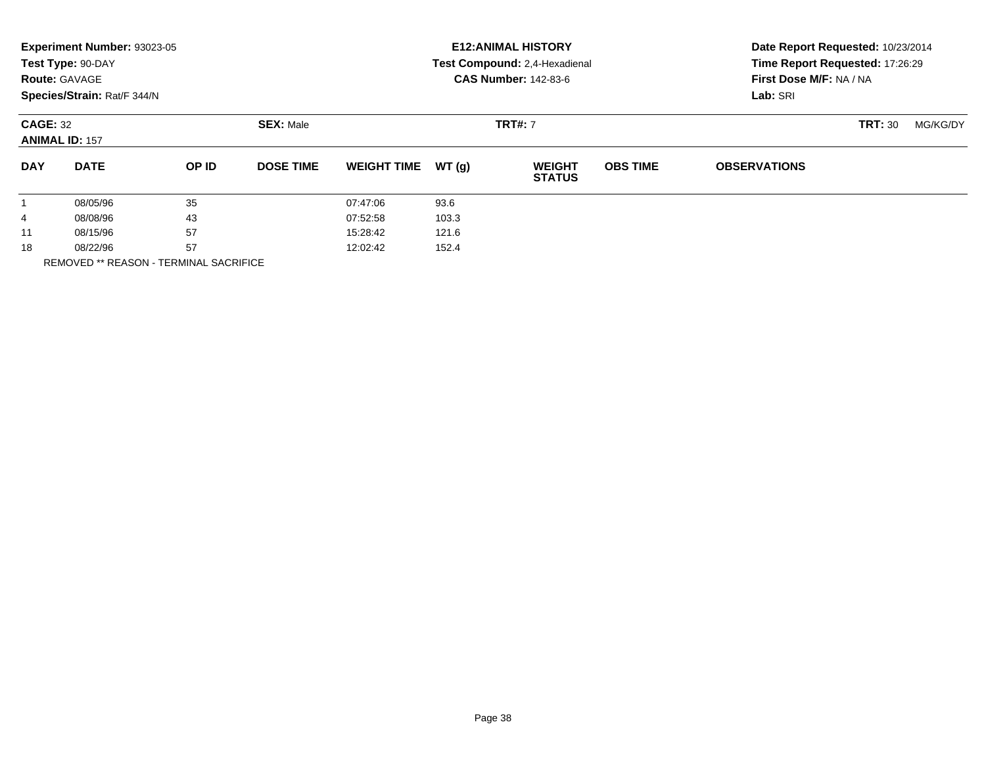|            | Experiment Number: 93023-05<br>Test Type: 90-DAY<br><b>Route: GAVAGE</b><br>Species/Strain: Rat/F 344/N |       |                  |                    |       | <b>E12: ANIMAL HISTORY</b><br>Test Compound: 2,4-Hexadienal<br><b>CAS Number: 142-83-6</b> | Date Report Requested: 10/23/2014<br>Time Report Requested: 17:26:29<br>First Dose M/F: NA / NA<br>Lab: SRI |                     |                |          |
|------------|---------------------------------------------------------------------------------------------------------|-------|------------------|--------------------|-------|--------------------------------------------------------------------------------------------|-------------------------------------------------------------------------------------------------------------|---------------------|----------------|----------|
|            | <b>CAGE: 32</b><br><b>ANIMAL ID: 157</b>                                                                |       | <b>SEX: Male</b> |                    |       | <b>TRT#: 7</b>                                                                             |                                                                                                             |                     | <b>TRT: 30</b> | MG/KG/DY |
| <b>DAY</b> | <b>DATE</b>                                                                                             | OP ID | <b>DOSE TIME</b> | <b>WEIGHT TIME</b> | WT(g) | <b>WEIGHT</b><br><b>STATUS</b>                                                             | <b>OBS TIME</b>                                                                                             | <b>OBSERVATIONS</b> |                |          |
| 1          | 08/05/96                                                                                                | 35    |                  | 07:47:06           | 93.6  |                                                                                            |                                                                                                             |                     |                |          |
| 4          | 08/08/96                                                                                                | 43    |                  | 07:52:58           | 103.3 |                                                                                            |                                                                                                             |                     |                |          |
| 11         | 08/15/96                                                                                                | 57    |                  | 15:28:42           | 121.6 |                                                                                            |                                                                                                             |                     |                |          |
| 18         | 08/22/96                                                                                                | 57    |                  | 12:02:42           | 152.4 |                                                                                            |                                                                                                             |                     |                |          |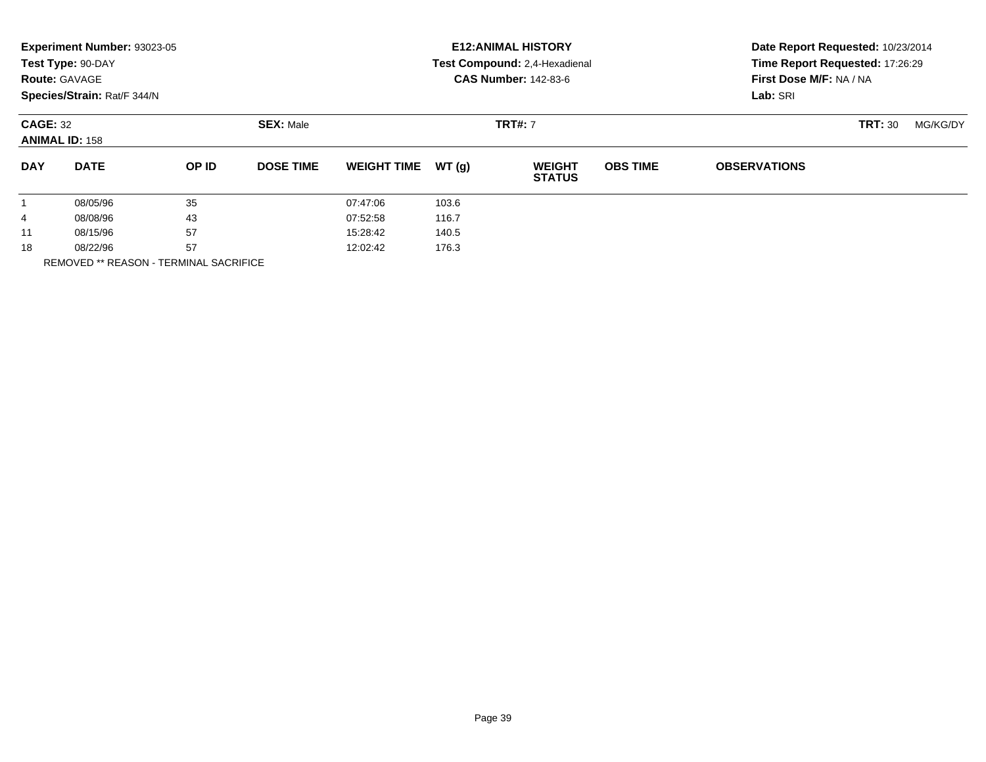|            | Experiment Number: 93023-05<br>Test Type: 90-DAY<br><b>Route: GAVAGE</b><br>Species/Strain: Rat/F 344/N |       |                  |                    |       | <b>E12: ANIMAL HISTORY</b><br>Test Compound: 2,4-Hexadienal<br><b>CAS Number: 142-83-6</b> | Date Report Requested: 10/23/2014<br>Time Report Requested: 17:26:29<br>First Dose M/F: NA / NA<br>Lab: SRI |                     |                |          |
|------------|---------------------------------------------------------------------------------------------------------|-------|------------------|--------------------|-------|--------------------------------------------------------------------------------------------|-------------------------------------------------------------------------------------------------------------|---------------------|----------------|----------|
|            | <b>CAGE: 32</b><br><b>ANIMAL ID: 158</b>                                                                |       | <b>SEX: Male</b> |                    |       | <b>TRT#: 7</b>                                                                             |                                                                                                             |                     | <b>TRT: 30</b> | MG/KG/DY |
| <b>DAY</b> | <b>DATE</b>                                                                                             | OP ID | <b>DOSE TIME</b> | <b>WEIGHT TIME</b> | WT(g) | <b>WEIGHT</b><br><b>STATUS</b>                                                             | <b>OBS TIME</b>                                                                                             | <b>OBSERVATIONS</b> |                |          |
| 1          | 08/05/96                                                                                                | 35    |                  | 07:47:06           | 103.6 |                                                                                            |                                                                                                             |                     |                |          |
| 4          | 08/08/96                                                                                                | 43    |                  | 07:52:58           | 116.7 |                                                                                            |                                                                                                             |                     |                |          |
| 11         | 08/15/96                                                                                                | 57    |                  | 15:28:42           | 140.5 |                                                                                            |                                                                                                             |                     |                |          |
| 18         | 08/22/96                                                                                                | 57    |                  | 12:02:42           | 176.3 |                                                                                            |                                                                                                             |                     |                |          |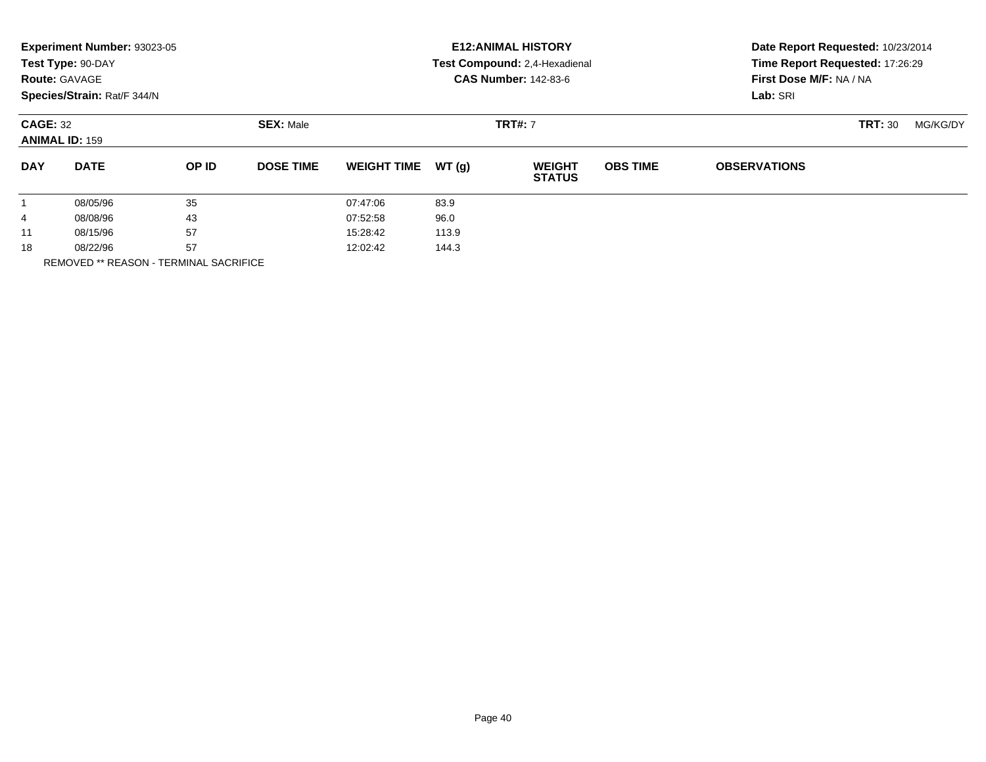|                      | Experiment Number: 93023-05<br>Test Type: 90-DAY<br><b>Route: GAVAGE</b><br>Species/Strain: Rat/F 344/N |              |                   |                    |       | <b>E12: ANIMAL HISTORY</b><br>Test Compound: 2,4-Hexadienal<br><b>CAS Number: 142-83-6</b> | Date Report Requested: 10/23/2014<br>Time Report Requested: 17:26:29<br>First Dose M/F: NA / NA<br>Lab: SRI |                     |                |          |
|----------------------|---------------------------------------------------------------------------------------------------------|--------------|-------------------|--------------------|-------|--------------------------------------------------------------------------------------------|-------------------------------------------------------------------------------------------------------------|---------------------|----------------|----------|
|                      | <b>CAGE: 32</b><br><b>ANIMAL ID: 159</b>                                                                |              | <b>SEX: Male</b>  |                    |       | <b>TRT#: 7</b>                                                                             |                                                                                                             |                     | <b>TRT: 30</b> | MG/KG/DY |
| <b>DAY</b>           | <b>DATE</b>                                                                                             | <b>OP ID</b> | <b>DOSE TIME</b>  | <b>WEIGHT TIME</b> | WT(g) | <b>WEIGHT</b><br><b>STATUS</b>                                                             | <b>OBS TIME</b>                                                                                             | <b>OBSERVATIONS</b> |                |          |
| $\mathbf{1}$         | 08/05/96                                                                                                | 35           |                   | 07:47:06           | 83.9  |                                                                                            |                                                                                                             |                     |                |          |
| 4                    | 08/08/96                                                                                                | 43           |                   | 07:52:58           | 96.0  |                                                                                            |                                                                                                             |                     |                |          |
| 11                   | 08/15/96                                                                                                | 57           |                   | 15:28:42           | 113.9 |                                                                                            |                                                                                                             |                     |                |          |
| 57<br>18<br>08/22/96 |                                                                                                         |              | 12:02:42<br>144.3 |                    |       |                                                                                            |                                                                                                             |                     |                |          |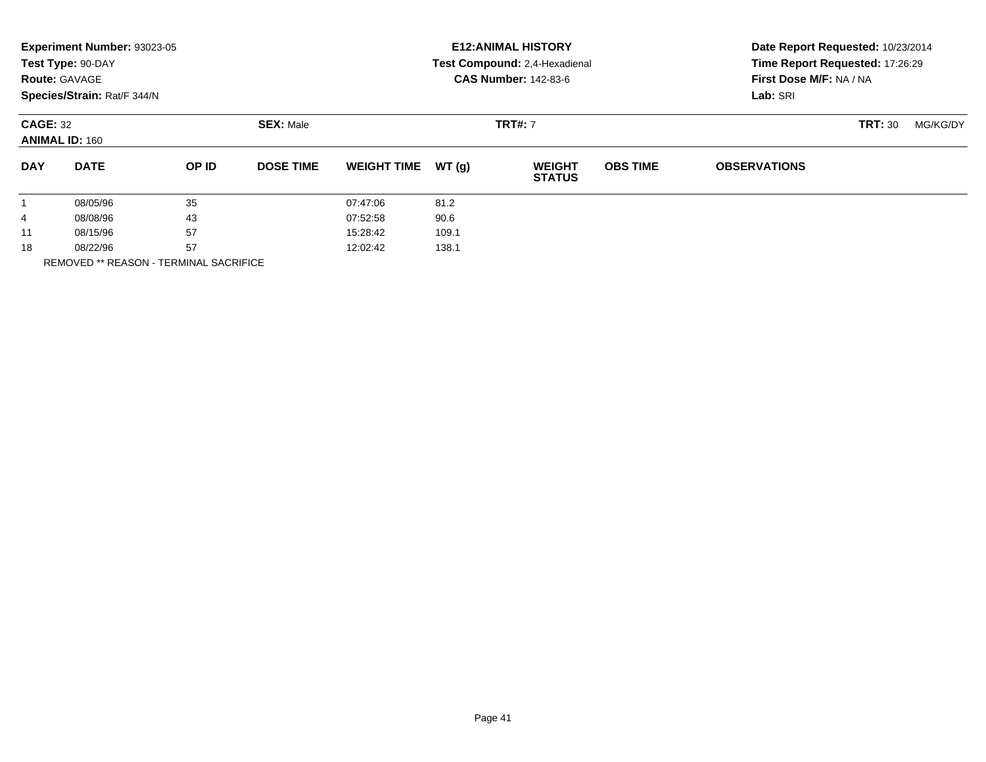|                      | Experiment Number: 93023-05<br>Test Type: 90-DAY<br><b>Route: GAVAGE</b><br>Species/Strain: Rat/F 344/N |              |                  |                    |       | <b>E12: ANIMAL HISTORY</b><br>Test Compound: 2,4-Hexadienal<br><b>CAS Number: 142-83-6</b> | Date Report Requested: 10/23/2014<br>Time Report Requested: 17:26:29<br>First Dose M/F: NA / NA<br>Lab: SRI |                     |                |          |
|----------------------|---------------------------------------------------------------------------------------------------------|--------------|------------------|--------------------|-------|--------------------------------------------------------------------------------------------|-------------------------------------------------------------------------------------------------------------|---------------------|----------------|----------|
|                      | <b>CAGE: 32</b><br><b>ANIMAL ID: 160</b>                                                                |              | <b>SEX: Male</b> |                    |       | <b>TRT#: 7</b>                                                                             |                                                                                                             |                     | <b>TRT: 30</b> | MG/KG/DY |
| <b>DAY</b>           | <b>DATE</b>                                                                                             | <b>OP ID</b> | <b>DOSE TIME</b> | <b>WEIGHT TIME</b> | WT(g) | <b>WEIGHT</b><br><b>STATUS</b>                                                             | <b>OBS TIME</b>                                                                                             | <b>OBSERVATIONS</b> |                |          |
| $\mathbf{1}$         | 08/05/96                                                                                                | 35           |                  | 07:47:06           | 81.2  |                                                                                            |                                                                                                             |                     |                |          |
| 4                    | 08/08/96                                                                                                | 43           |                  | 07:52:58           | 90.6  |                                                                                            |                                                                                                             |                     |                |          |
| 11                   | 08/15/96                                                                                                | 57           |                  | 15:28:42           | 109.1 |                                                                                            |                                                                                                             |                     |                |          |
| 57<br>18<br>08/22/96 |                                                                                                         |              | 12:02:42         | 138.1              |       |                                                                                            |                                                                                                             |                     |                |          |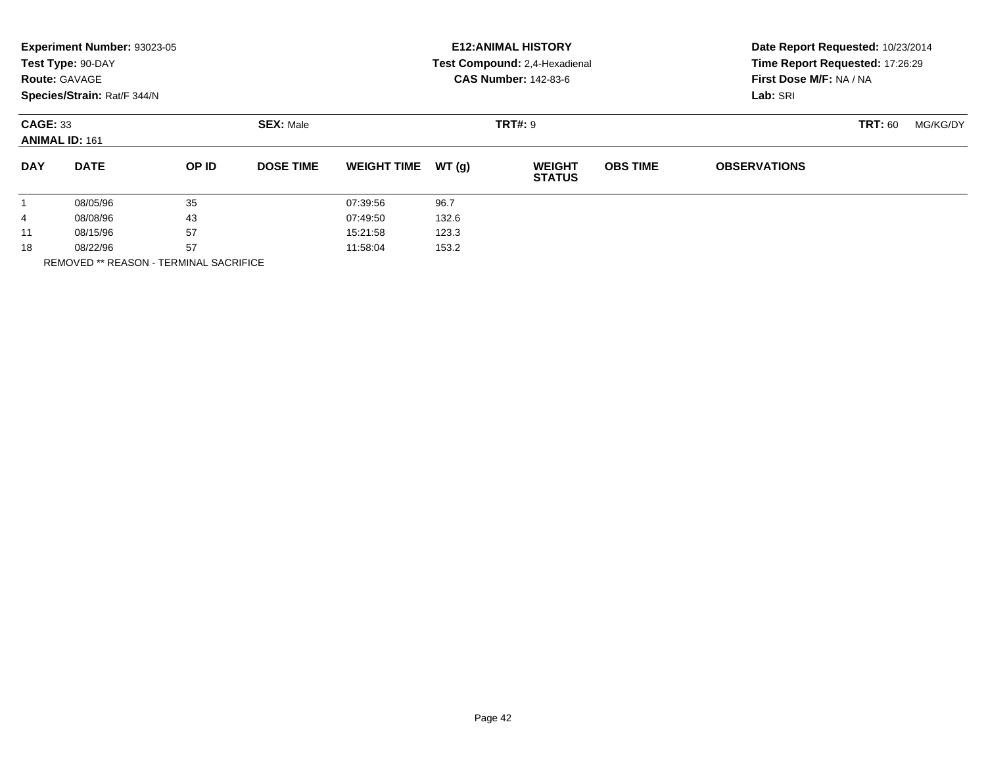|            | Experiment Number: 93023-05<br>Test Type: 90-DAY<br><b>Route: GAVAGE</b><br>Species/Strain: Rat/F 344/N |       |                  |                    |       | <b>E12: ANIMAL HISTORY</b><br>Test Compound: 2,4-Hexadienal<br><b>CAS Number: 142-83-6</b> |                 | Date Report Requested: 10/23/2014<br>Time Report Requested: 17:26:29<br>First Dose M/F: NA / NA<br>Lab: SRI |                |          |  |
|------------|---------------------------------------------------------------------------------------------------------|-------|------------------|--------------------|-------|--------------------------------------------------------------------------------------------|-----------------|-------------------------------------------------------------------------------------------------------------|----------------|----------|--|
|            | <b>CAGE: 33</b><br><b>ANIMAL ID: 161</b>                                                                |       | <b>SEX: Male</b> |                    |       | <b>TRT#: 9</b>                                                                             |                 |                                                                                                             | <b>TRT: 60</b> | MG/KG/DY |  |
| <b>DAY</b> | <b>DATE</b>                                                                                             | OP ID | <b>DOSE TIME</b> | <b>WEIGHT TIME</b> | WT(q) | <b>WEIGHT</b><br><b>STATUS</b>                                                             | <b>OBS TIME</b> | <b>OBSERVATIONS</b>                                                                                         |                |          |  |
|            | 08/05/96                                                                                                | 35    |                  | 07:39:56           | 96.7  |                                                                                            |                 |                                                                                                             |                |          |  |
| 4          | 08/08/96                                                                                                | 43    |                  | 07:49:50           | 132.6 |                                                                                            |                 |                                                                                                             |                |          |  |
| 11         | 08/15/96                                                                                                | 57    |                  | 15:21:58           | 123.3 |                                                                                            |                 |                                                                                                             |                |          |  |
| 18         | 08/22/96                                                                                                | 57    |                  | 11:58:04           | 153.2 |                                                                                            |                 |                                                                                                             |                |          |  |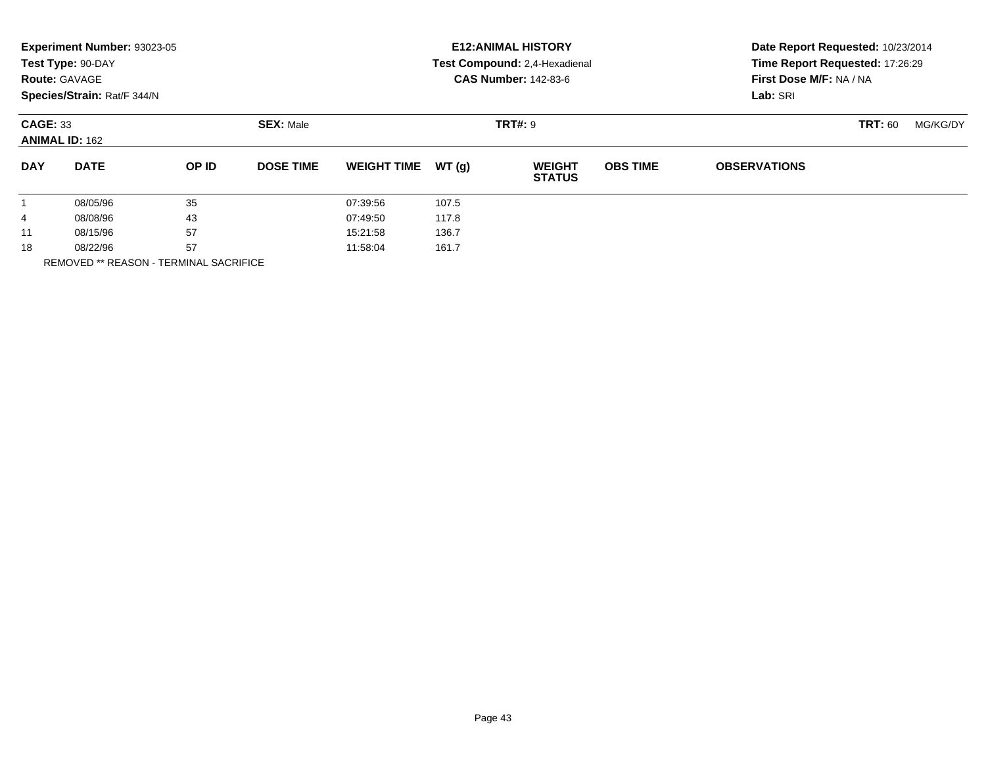|            | Experiment Number: 93023-05<br>Test Type: 90-DAY<br><b>Route: GAVAGE</b><br>Species/Strain: Rat/F 344/N |       |                  |                    |       | <b>E12: ANIMAL HISTORY</b><br>Test Compound: 2,4-Hexadienal<br><b>CAS Number: 142-83-6</b> | Date Report Requested: 10/23/2014<br>Time Report Requested: 17:26:29<br>First Dose M/F: NA / NA<br>Lab: SRI |                     |                |          |
|------------|---------------------------------------------------------------------------------------------------------|-------|------------------|--------------------|-------|--------------------------------------------------------------------------------------------|-------------------------------------------------------------------------------------------------------------|---------------------|----------------|----------|
|            | <b>CAGE: 33</b><br><b>ANIMAL ID: 162</b>                                                                |       | <b>SEX: Male</b> |                    |       | <b>TRT#: 9</b>                                                                             |                                                                                                             |                     | <b>TRT: 60</b> | MG/KG/DY |
| <b>DAY</b> | <b>DATE</b>                                                                                             | OP ID | <b>DOSE TIME</b> | <b>WEIGHT TIME</b> | WT(g) | <b>WEIGHT</b><br><b>STATUS</b>                                                             | <b>OBS TIME</b>                                                                                             | <b>OBSERVATIONS</b> |                |          |
|            | 08/05/96                                                                                                | 35    |                  | 07:39:56           | 107.5 |                                                                                            |                                                                                                             |                     |                |          |
| 4          | 08/08/96                                                                                                | 43    |                  | 07:49:50           | 117.8 |                                                                                            |                                                                                                             |                     |                |          |
| 11         | 08/15/96                                                                                                | 57    |                  | 15:21:58           | 136.7 |                                                                                            |                                                                                                             |                     |                |          |
| 18         | 08/22/96                                                                                                | 57    |                  | 11:58:04           | 161.7 |                                                                                            |                                                                                                             |                     |                |          |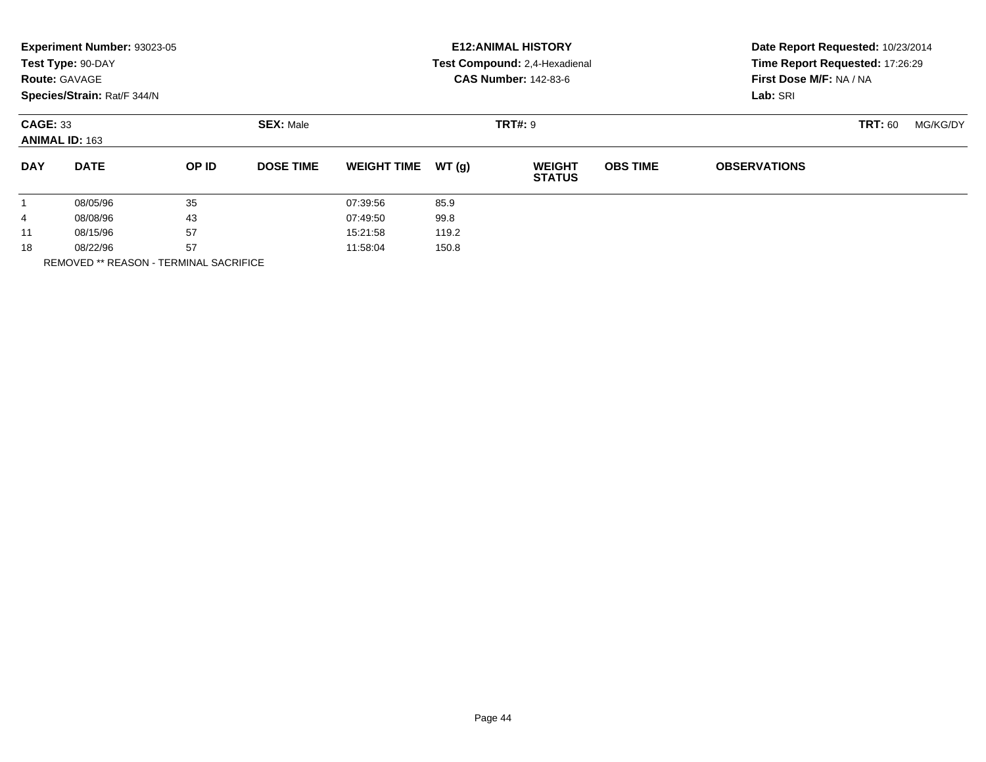|                      | Experiment Number: 93023-05<br>Test Type: 90-DAY<br><b>Route: GAVAGE</b><br>Species/Strain: Rat/F 344/N |          |                  |                    |       | <b>E12: ANIMAL HISTORY</b><br>Test Compound: 2,4-Hexadienal<br><b>CAS Number: 142-83-6</b> | Date Report Requested: 10/23/2014<br>Time Report Requested: 17:26:29<br>First Dose M/F: NA / NA<br>Lab: SRI |                     |                |          |
|----------------------|---------------------------------------------------------------------------------------------------------|----------|------------------|--------------------|-------|--------------------------------------------------------------------------------------------|-------------------------------------------------------------------------------------------------------------|---------------------|----------------|----------|
|                      | <b>CAGE: 33</b><br><b>ANIMAL ID: 163</b>                                                                |          | <b>SEX: Male</b> |                    |       | <b>TRT#: 9</b>                                                                             |                                                                                                             |                     | <b>TRT: 60</b> | MG/KG/DY |
| <b>DAY</b>           | <b>DATE</b>                                                                                             | OP ID    | <b>DOSE TIME</b> | <b>WEIGHT TIME</b> | WT(g) | <b>WEIGHT</b><br><b>STATUS</b>                                                             | <b>OBS TIME</b>                                                                                             | <b>OBSERVATIONS</b> |                |          |
| $\mathbf{1}$         | 08/05/96                                                                                                | 35       |                  | 07:39:56           | 85.9  |                                                                                            |                                                                                                             |                     |                |          |
| 4                    | 08/08/96                                                                                                | 43       |                  | 07:49:50           | 99.8  |                                                                                            |                                                                                                             |                     |                |          |
| 11                   | 08/15/96                                                                                                | 57       |                  | 15:21:58           | 119.2 |                                                                                            |                                                                                                             |                     |                |          |
| 57<br>18<br>08/22/96 |                                                                                                         | 11:58:04 | 150.8            |                    |       |                                                                                            |                                                                                                             |                     |                |          |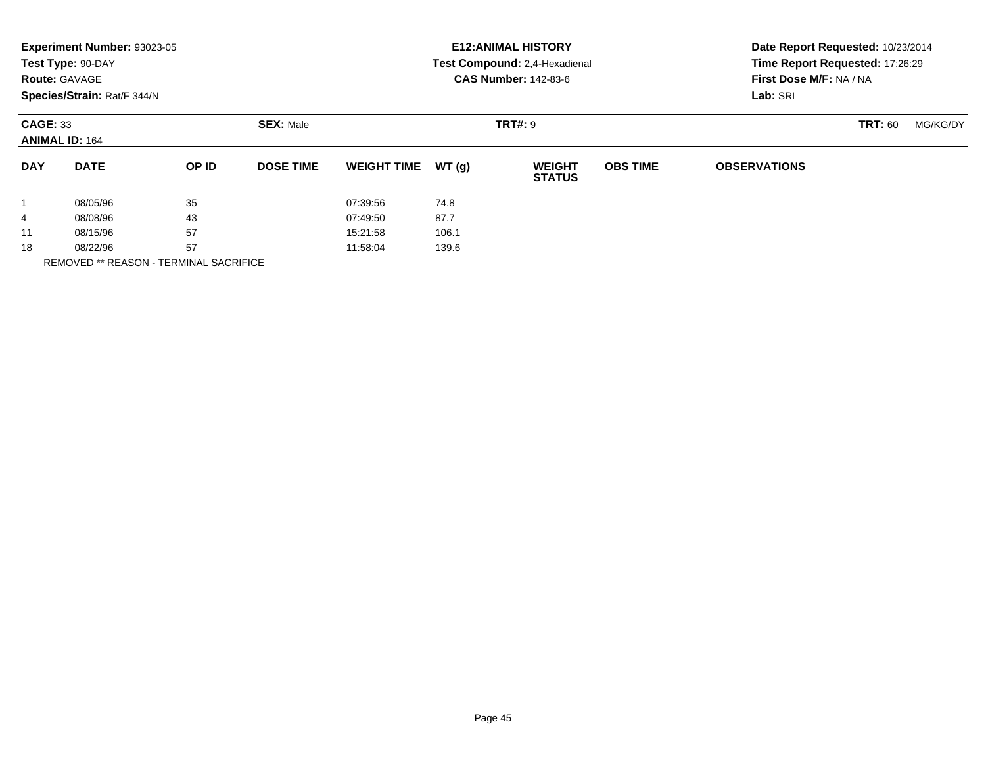|            | Experiment Number: 93023-05<br>Test Type: 90-DAY<br><b>Route: GAVAGE</b><br>Species/Strain: Rat/F 344/N |       |                  |                    |       | <b>E12: ANIMAL HISTORY</b><br>Test Compound: 2,4-Hexadienal<br><b>CAS Number: 142-83-6</b> | Date Report Requested: 10/23/2014<br>Time Report Requested: 17:26:29<br>First Dose M/F: NA / NA<br>Lab: SRI |                     |                |          |
|------------|---------------------------------------------------------------------------------------------------------|-------|------------------|--------------------|-------|--------------------------------------------------------------------------------------------|-------------------------------------------------------------------------------------------------------------|---------------------|----------------|----------|
|            | <b>CAGE: 33</b><br><b>ANIMAL ID: 164</b>                                                                |       | <b>SEX: Male</b> |                    |       | <b>TRT#: 9</b>                                                                             |                                                                                                             |                     | <b>TRT: 60</b> | MG/KG/DY |
| <b>DAY</b> | <b>DATE</b>                                                                                             | OP ID | <b>DOSE TIME</b> | <b>WEIGHT TIME</b> | WT(q) | <b>WEIGHT</b><br><b>STATUS</b>                                                             | <b>OBS TIME</b>                                                                                             | <b>OBSERVATIONS</b> |                |          |
|            | 08/05/96                                                                                                | 35    |                  | 07:39:56           | 74.8  |                                                                                            |                                                                                                             |                     |                |          |
| 4          | 08/08/96                                                                                                | 43    |                  | 07:49:50           | 87.7  |                                                                                            |                                                                                                             |                     |                |          |
| 11         | 08/15/96                                                                                                | 57    |                  | 15:21:58           | 106.1 |                                                                                            |                                                                                                             |                     |                |          |
| 18         | 08/22/96                                                                                                | 57    |                  | 11:58:04           | 139.6 |                                                                                            |                                                                                                             |                     |                |          |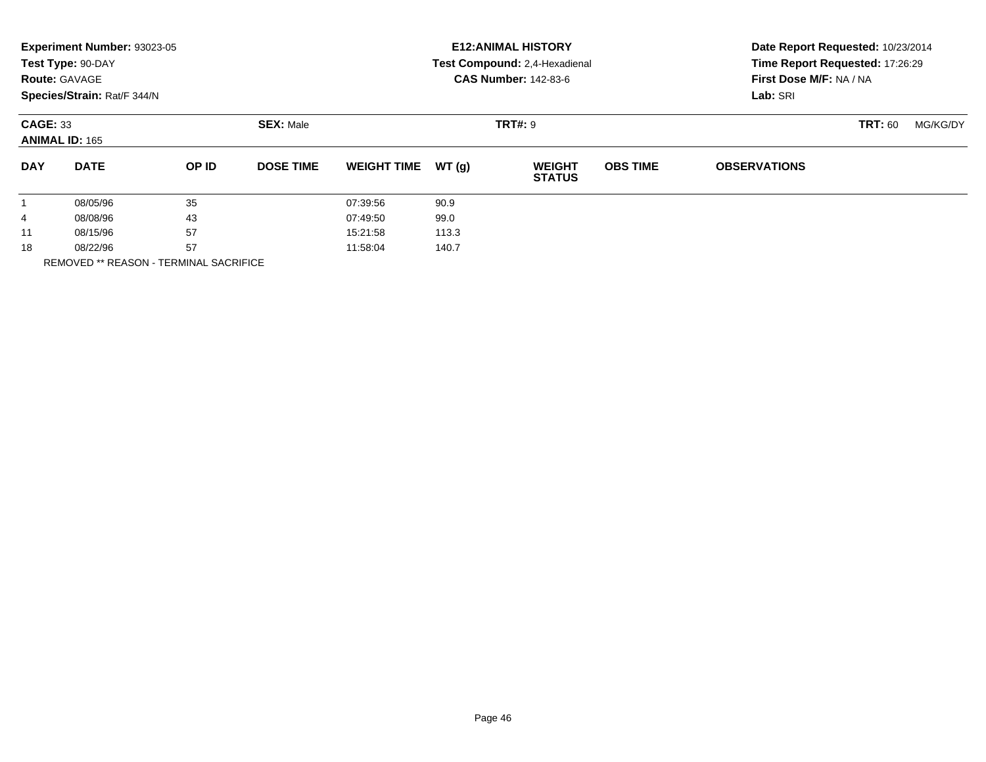|                      | Experiment Number: 93023-05<br>Test Type: 90-DAY<br><b>Route: GAVAGE</b><br>Species/Strain: Rat/F 344/N |          |                  |                    |       | <b>E12: ANIMAL HISTORY</b><br>Test Compound: 2,4-Hexadienal<br><b>CAS Number: 142-83-6</b> | Date Report Requested: 10/23/2014<br>Time Report Requested: 17:26:29<br>First Dose M/F: NA / NA<br>Lab: SRI |                     |                |          |
|----------------------|---------------------------------------------------------------------------------------------------------|----------|------------------|--------------------|-------|--------------------------------------------------------------------------------------------|-------------------------------------------------------------------------------------------------------------|---------------------|----------------|----------|
|                      | <b>CAGE: 33</b><br><b>ANIMAL ID: 165</b>                                                                |          | <b>SEX: Male</b> |                    |       | <b>TRT#: 9</b>                                                                             |                                                                                                             |                     | <b>TRT: 60</b> | MG/KG/DY |
| <b>DAY</b>           | <b>DATE</b>                                                                                             | OP ID    | <b>DOSE TIME</b> | <b>WEIGHT TIME</b> | WT(g) | <b>WEIGHT</b><br><b>STATUS</b>                                                             | <b>OBS TIME</b>                                                                                             | <b>OBSERVATIONS</b> |                |          |
| $\mathbf{1}$         | 08/05/96                                                                                                | 35       |                  | 07:39:56           | 90.9  |                                                                                            |                                                                                                             |                     |                |          |
| 4                    | 08/08/96                                                                                                | 43       |                  | 07:49:50           | 99.0  |                                                                                            |                                                                                                             |                     |                |          |
| 11                   | 08/15/96                                                                                                | 57       |                  | 15:21:58           | 113.3 |                                                                                            |                                                                                                             |                     |                |          |
| 57<br>18<br>08/22/96 |                                                                                                         | 11:58:04 | 140.7            |                    |       |                                                                                            |                                                                                                             |                     |                |          |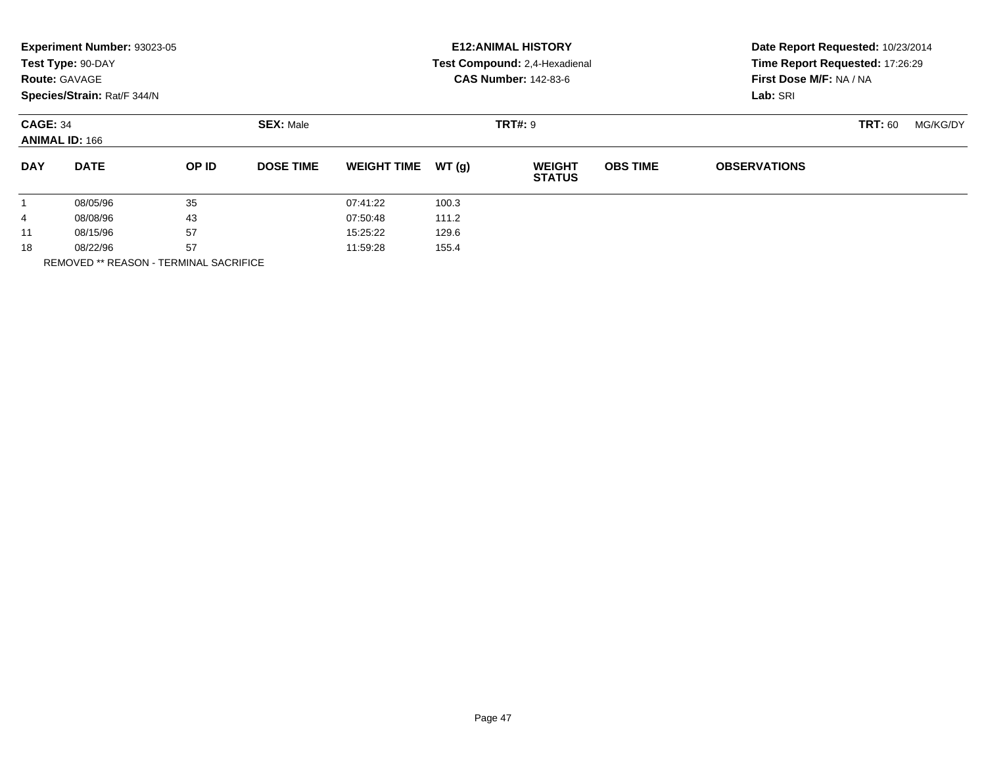|            | Experiment Number: 93023-05<br>Test Type: 90-DAY<br><b>Route: GAVAGE</b><br>Species/Strain: Rat/F 344/N |       |                  |                    |       | <b>E12: ANIMAL HISTORY</b><br>Test Compound: 2,4-Hexadienal<br><b>CAS Number: 142-83-6</b> | Date Report Requested: 10/23/2014<br>Time Report Requested: 17:26:29<br>First Dose M/F: NA / NA<br>Lab: SRI |                     |                |          |
|------------|---------------------------------------------------------------------------------------------------------|-------|------------------|--------------------|-------|--------------------------------------------------------------------------------------------|-------------------------------------------------------------------------------------------------------------|---------------------|----------------|----------|
|            | <b>CAGE: 34</b><br><b>ANIMAL ID: 166</b>                                                                |       | <b>SEX: Male</b> |                    |       | <b>TRT#: 9</b>                                                                             |                                                                                                             |                     | <b>TRT: 60</b> | MG/KG/DY |
| <b>DAY</b> | <b>DATE</b>                                                                                             | OP ID | <b>DOSE TIME</b> | <b>WEIGHT TIME</b> | WT(q) | <b>WEIGHT</b><br><b>STATUS</b>                                                             | <b>OBS TIME</b>                                                                                             | <b>OBSERVATIONS</b> |                |          |
|            | 08/05/96                                                                                                | 35    |                  | 07:41:22           | 100.3 |                                                                                            |                                                                                                             |                     |                |          |
| 4          | 08/08/96                                                                                                | 43    |                  | 07:50:48           | 111.2 |                                                                                            |                                                                                                             |                     |                |          |
| 11         | 08/15/96                                                                                                | 57    |                  | 15:25:22           | 129.6 |                                                                                            |                                                                                                             |                     |                |          |
| 18         | 08/22/96                                                                                                | 57    |                  | 11:59:28           | 155.4 |                                                                                            |                                                                                                             |                     |                |          |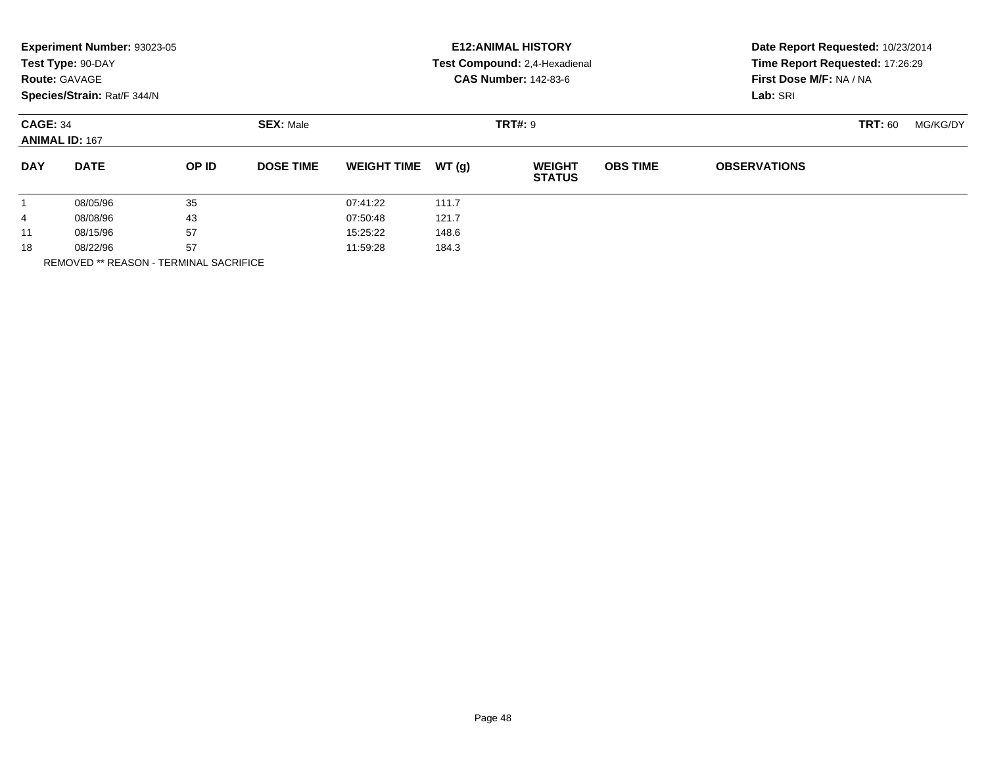|              | Experiment Number: 93023-05<br>Test Type: 90-DAY<br><b>Route: GAVAGE</b><br>Species/Strain: Rat/F 344/N |       |                  |                    |       | <b>E12: ANIMAL HISTORY</b><br>Test Compound: 2,4-Hexadienal<br><b>CAS Number: 142-83-6</b> | Date Report Requested: 10/23/2014<br>Time Report Requested: 17:26:29<br>First Dose M/F: NA / NA<br>Lab: SRI |                     |                |          |
|--------------|---------------------------------------------------------------------------------------------------------|-------|------------------|--------------------|-------|--------------------------------------------------------------------------------------------|-------------------------------------------------------------------------------------------------------------|---------------------|----------------|----------|
|              | <b>CAGE: 34</b><br><b>ANIMAL ID: 167</b>                                                                |       | <b>SEX: Male</b> |                    |       | <b>TRT#: 9</b>                                                                             |                                                                                                             |                     | <b>TRT: 60</b> | MG/KG/DY |
| <b>DAY</b>   | <b>DATE</b>                                                                                             | OP ID | <b>DOSE TIME</b> | <b>WEIGHT TIME</b> | WT(g) | <b>WEIGHT</b><br><b>STATUS</b>                                                             | <b>OBS TIME</b>                                                                                             | <b>OBSERVATIONS</b> |                |          |
| $\mathbf{1}$ | 08/05/96                                                                                                | 35    |                  | 07:41:22           | 111.7 |                                                                                            |                                                                                                             |                     |                |          |
| 4            | 08/08/96                                                                                                | 43    |                  | 07:50:48           | 121.7 |                                                                                            |                                                                                                             |                     |                |          |
| 11           | 08/15/96                                                                                                | 57    |                  | 15:25:22           | 148.6 |                                                                                            |                                                                                                             |                     |                |          |
| 18           | 08/22/96                                                                                                | 57    |                  | 11:59:28           | 184.3 |                                                                                            |                                                                                                             |                     |                |          |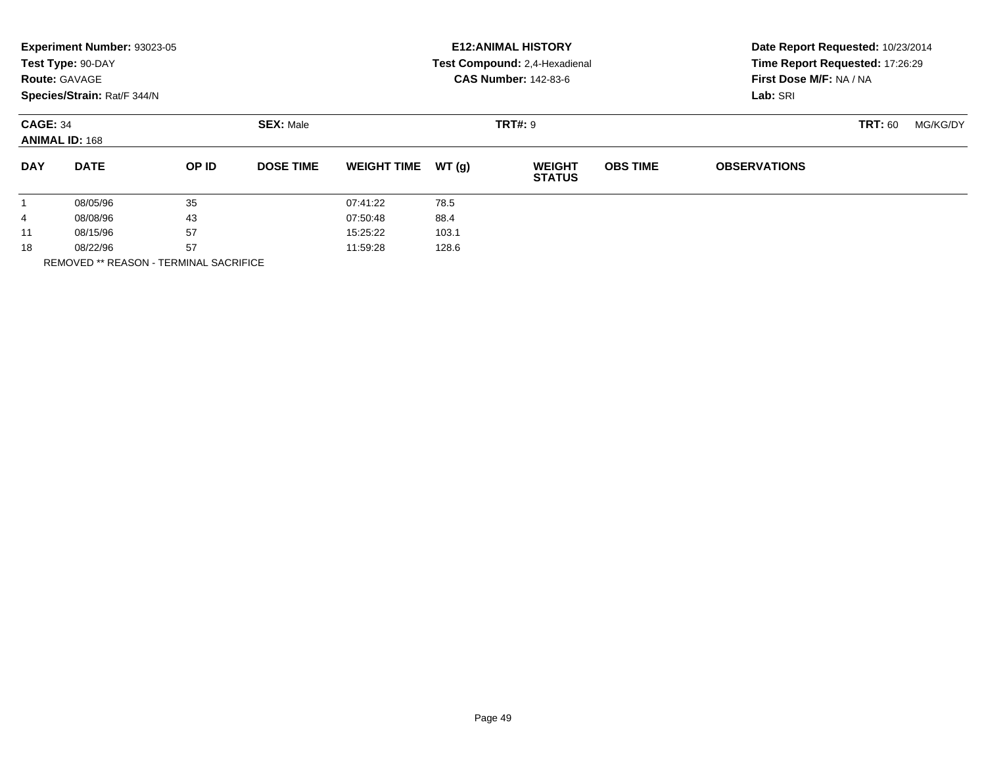|                 | Experiment Number: 93023-05<br>Test Type: 90-DAY<br><b>Route: GAVAGE</b><br>Species/Strain: Rat/F 344/N |       |                  |                    | <b>E12: ANIMAL HISTORY</b><br>Test Compound: 2,4-Hexadienal<br><b>CAS Number: 142-83-6</b> | Date Report Requested: 10/23/2014<br>Time Report Requested: 17:26:29<br>First Dose M/F: NA / NA<br>Lab: SRI |                 |                     |                |          |
|-----------------|---------------------------------------------------------------------------------------------------------|-------|------------------|--------------------|--------------------------------------------------------------------------------------------|-------------------------------------------------------------------------------------------------------------|-----------------|---------------------|----------------|----------|
| <b>CAGE: 34</b> | <b>ANIMAL ID: 168</b>                                                                                   |       | <b>SEX: Male</b> |                    |                                                                                            | <b>TRT#: 9</b>                                                                                              |                 |                     | <b>TRT: 60</b> | MG/KG/DY |
| <b>DAY</b>      | <b>DATE</b>                                                                                             | OP ID | <b>DOSE TIME</b> | <b>WEIGHT TIME</b> | WT(g)                                                                                      | <b>WEIGHT</b><br><b>STATUS</b>                                                                              | <b>OBS TIME</b> | <b>OBSERVATIONS</b> |                |          |
|                 | 08/05/96                                                                                                | 35    |                  | 07:41:22           | 78.5                                                                                       |                                                                                                             |                 |                     |                |          |
| 4               | 08/08/96                                                                                                | 43    |                  | 07:50:48           | 88.4                                                                                       |                                                                                                             |                 |                     |                |          |
| 11              | 08/15/96                                                                                                | 57    |                  | 15:25:22           | 103.1                                                                                      |                                                                                                             |                 |                     |                |          |
| 18              | 08/22/96                                                                                                | 57    |                  | 11:59:28           | 128.6                                                                                      |                                                                                                             |                 |                     |                |          |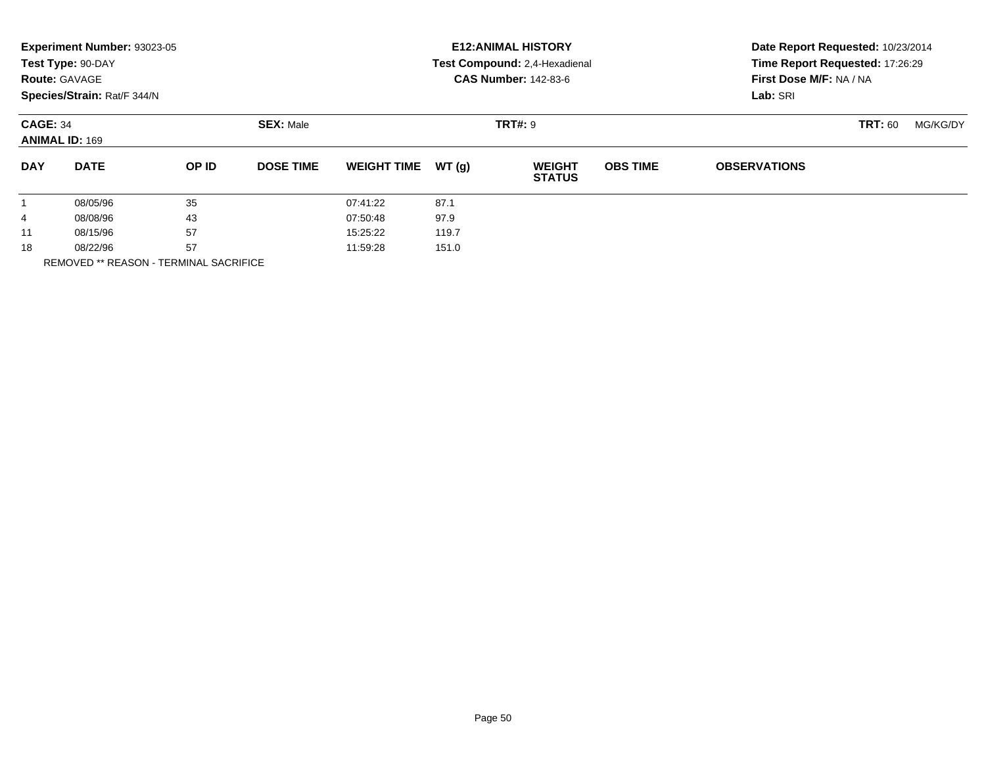|                 | Experiment Number: 93023-05<br>Test Type: 90-DAY<br><b>Route: GAVAGE</b><br>Species/Strain: Rat/F 344/N |       | <b>E12: ANIMAL HISTORY</b><br>Test Compound: 2,4-Hexadienal<br><b>CAS Number: 142-83-6</b> | Date Report Requested: 10/23/2014<br>Time Report Requested: 17:26:29<br>First Dose M/F: NA / NA<br>Lab: SRI |       |                                |                 |                     |                |          |
|-----------------|---------------------------------------------------------------------------------------------------------|-------|--------------------------------------------------------------------------------------------|-------------------------------------------------------------------------------------------------------------|-------|--------------------------------|-----------------|---------------------|----------------|----------|
| <b>CAGE: 34</b> | <b>ANIMAL ID: 169</b>                                                                                   |       | <b>SEX: Male</b>                                                                           |                                                                                                             |       | <b>TRT#: 9</b>                 |                 |                     | <b>TRT: 60</b> | MG/KG/DY |
| <b>DAY</b>      | <b>DATE</b>                                                                                             | OP ID | <b>DOSE TIME</b>                                                                           | <b>WEIGHT TIME</b>                                                                                          | WT(q) | <b>WEIGHT</b><br><b>STATUS</b> | <b>OBS TIME</b> | <b>OBSERVATIONS</b> |                |          |
|                 | 08/05/96                                                                                                | 35    |                                                                                            | 07:41:22                                                                                                    | 87.1  |                                |                 |                     |                |          |
| 4               | 08/08/96                                                                                                | 43    |                                                                                            | 07:50:48                                                                                                    | 97.9  |                                |                 |                     |                |          |
| 11              | 08/15/96                                                                                                | 57    |                                                                                            | 15:25:22                                                                                                    | 119.7 |                                |                 |                     |                |          |
| 18              | 08/22/96                                                                                                | 57    |                                                                                            | 11:59:28                                                                                                    | 151.0 |                                |                 |                     |                |          |
|                 | <b>REMOVED ** REASON - TERMINAL SACRIFICE</b>                                                           |       |                                                                                            |                                                                                                             |       |                                |                 |                     |                |          |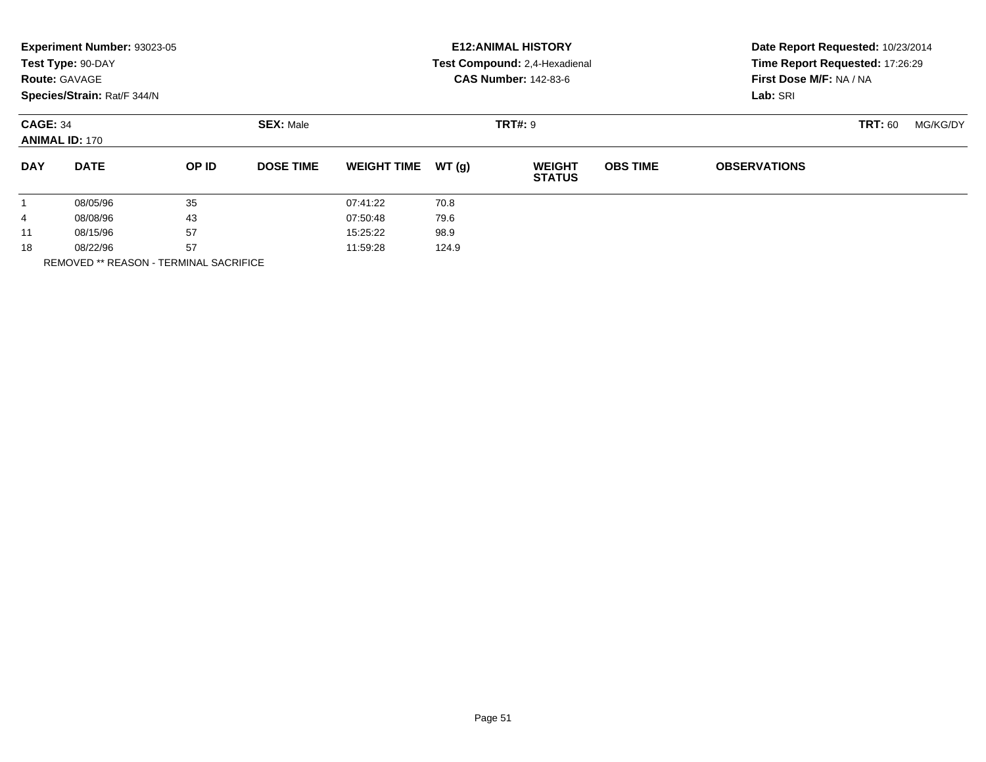|                 | Experiment Number: 93023-05<br>Test Type: 90-DAY<br><b>Route: GAVAGE</b><br>Species/Strain: Rat/F 344/N |              | <b>E12: ANIMAL HISTORY</b><br>Test Compound: 2,4-Hexadienal<br><b>CAS Number: 142-83-6</b> | Date Report Requested: 10/23/2014<br>Time Report Requested: 17:26:29<br>First Dose M/F: NA / NA<br>Lab: SRI |       |                                |                 |                     |                |          |
|-----------------|---------------------------------------------------------------------------------------------------------|--------------|--------------------------------------------------------------------------------------------|-------------------------------------------------------------------------------------------------------------|-------|--------------------------------|-----------------|---------------------|----------------|----------|
| <b>CAGE: 34</b> | <b>ANIMAL ID: 170</b>                                                                                   |              | <b>SEX: Male</b>                                                                           |                                                                                                             |       | <b>TRT#: 9</b>                 |                 |                     | <b>TRT: 60</b> | MG/KG/DY |
| <b>DAY</b>      | <b>DATE</b>                                                                                             | <b>OP ID</b> | <b>DOSE TIME</b>                                                                           | <b>WEIGHT TIME</b>                                                                                          | WT(g) | <b>WEIGHT</b><br><b>STATUS</b> | <b>OBS TIME</b> | <b>OBSERVATIONS</b> |                |          |
| $\mathbf{1}$    | 08/05/96                                                                                                | 35           |                                                                                            | 07:41:22                                                                                                    | 70.8  |                                |                 |                     |                |          |
| 4               | 08/08/96                                                                                                | 43           |                                                                                            | 07:50:48                                                                                                    | 79.6  |                                |                 |                     |                |          |
| 11              | 08/15/96                                                                                                | 57           |                                                                                            | 15:25:22                                                                                                    | 98.9  |                                |                 |                     |                |          |
| 18              | 08/22/96                                                                                                | 57           |                                                                                            | 11:59:28                                                                                                    | 124.9 |                                |                 |                     |                |          |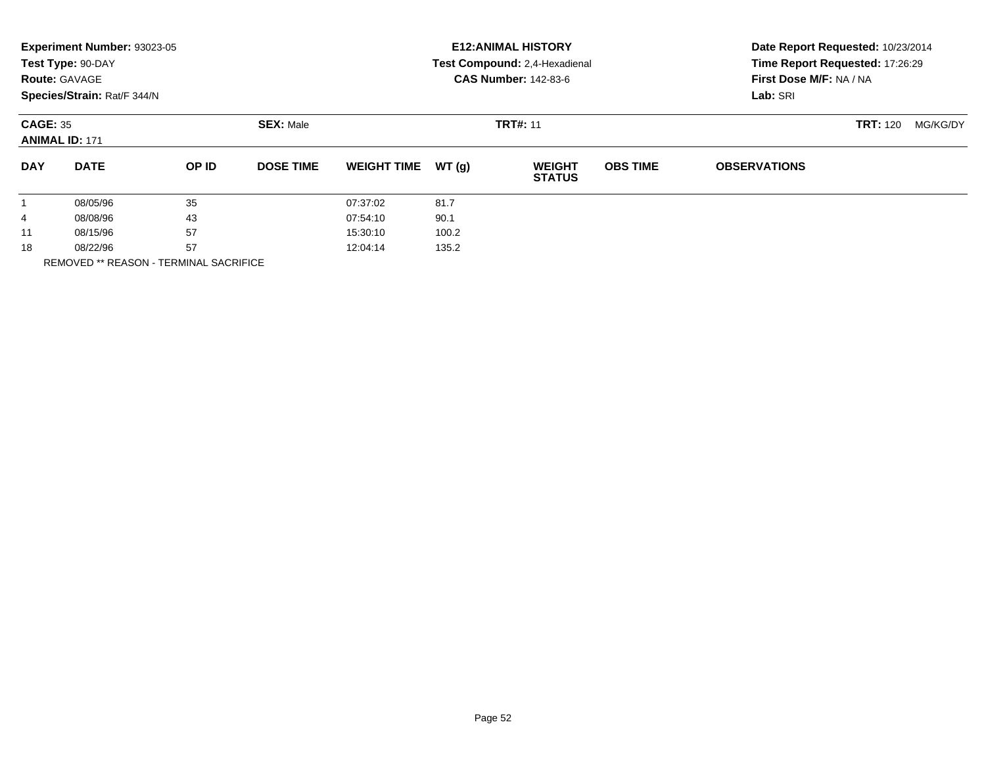|                 | Experiment Number: 93023-05<br>Test Type: 90-DAY<br><b>Route: GAVAGE</b><br>Species/Strain: Rat/F 344/N | <b>E12: ANIMAL HISTORY</b><br>Test Compound: 2,4-Hexadienal<br><b>CAS Number: 142-83-6</b> |                  |                    |       | Date Report Requested: 10/23/2014<br>Time Report Requested: 17:26:29<br>First Dose M/F: NA / NA<br>Lab: SRI |                 |                     |                 |          |
|-----------------|---------------------------------------------------------------------------------------------------------|--------------------------------------------------------------------------------------------|------------------|--------------------|-------|-------------------------------------------------------------------------------------------------------------|-----------------|---------------------|-----------------|----------|
| <b>CAGE: 35</b> | <b>ANIMAL ID: 171</b>                                                                                   |                                                                                            | <b>SEX: Male</b> |                    |       | <b>TRT#: 11</b>                                                                                             |                 |                     | <b>TRT: 120</b> | MG/KG/DY |
| <b>DAY</b>      | <b>DATE</b>                                                                                             | OP ID                                                                                      | <b>DOSE TIME</b> | <b>WEIGHT TIME</b> | WT(g) | <b>WEIGHT</b><br><b>STATUS</b>                                                                              | <b>OBS TIME</b> | <b>OBSERVATIONS</b> |                 |          |
|                 | 08/05/96                                                                                                | 35                                                                                         |                  | 07:37:02           | 81.7  |                                                                                                             |                 |                     |                 |          |
| 4               | 08/08/96                                                                                                | 43                                                                                         |                  | 07:54:10           | 90.1  |                                                                                                             |                 |                     |                 |          |
| 11              | 08/15/96                                                                                                | 57                                                                                         |                  | 15:30:10           | 100.2 |                                                                                                             |                 |                     |                 |          |
| 18              | 08/22/96<br>-----------------                                                                           | 57                                                                                         |                  | 12:04:14           | 135.2 |                                                                                                             |                 |                     |                 |          |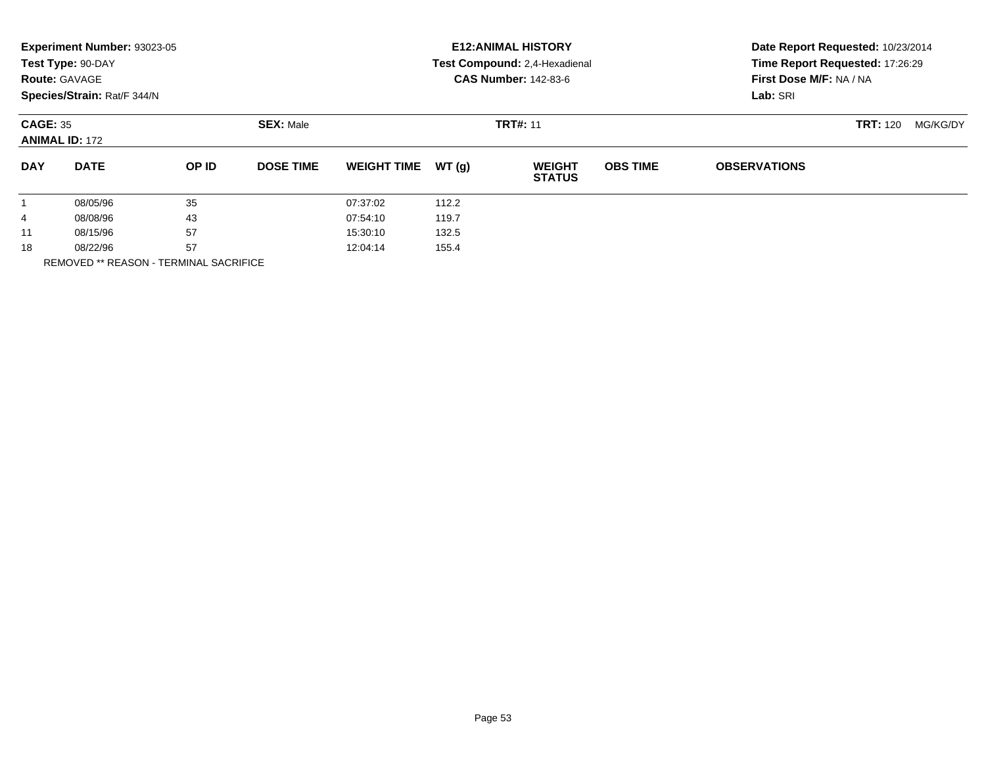|                 | Experiment Number: 93023-05<br>Test Type: 90-DAY<br><b>Route: GAVAGE</b><br>Species/Strain: Rat/F 344/N | <b>E12: ANIMAL HISTORY</b><br>Test Compound: 2,4-Hexadienal<br><b>CAS Number: 142-83-6</b> |                  |                    |       | Date Report Requested: 10/23/2014<br>Time Report Requested: 17:26:29<br>First Dose M/F: NA / NA<br>Lab: SRI |                 |                     |                 |          |
|-----------------|---------------------------------------------------------------------------------------------------------|--------------------------------------------------------------------------------------------|------------------|--------------------|-------|-------------------------------------------------------------------------------------------------------------|-----------------|---------------------|-----------------|----------|
| <b>CAGE: 35</b> | <b>ANIMAL ID: 172</b>                                                                                   |                                                                                            | <b>SEX: Male</b> |                    |       | <b>TRT#: 11</b>                                                                                             |                 |                     | <b>TRT: 120</b> | MG/KG/DY |
| <b>DAY</b>      | <b>DATE</b>                                                                                             | OP ID                                                                                      | <b>DOSE TIME</b> | <b>WEIGHT TIME</b> | WT(q) | <b>WEIGHT</b><br><b>STATUS</b>                                                                              | <b>OBS TIME</b> | <b>OBSERVATIONS</b> |                 |          |
|                 | 08/05/96                                                                                                | 35                                                                                         |                  | 07:37:02           | 112.2 |                                                                                                             |                 |                     |                 |          |
| 4               | 08/08/96                                                                                                | 43                                                                                         |                  | 07:54:10           | 119.7 |                                                                                                             |                 |                     |                 |          |
| 11              | 08/15/96                                                                                                | 57                                                                                         |                  | 15:30:10           | 132.5 |                                                                                                             |                 |                     |                 |          |
| 18              | 08/22/96                                                                                                | 57                                                                                         |                  | 12:04:14           | 155.4 |                                                                                                             |                 |                     |                 |          |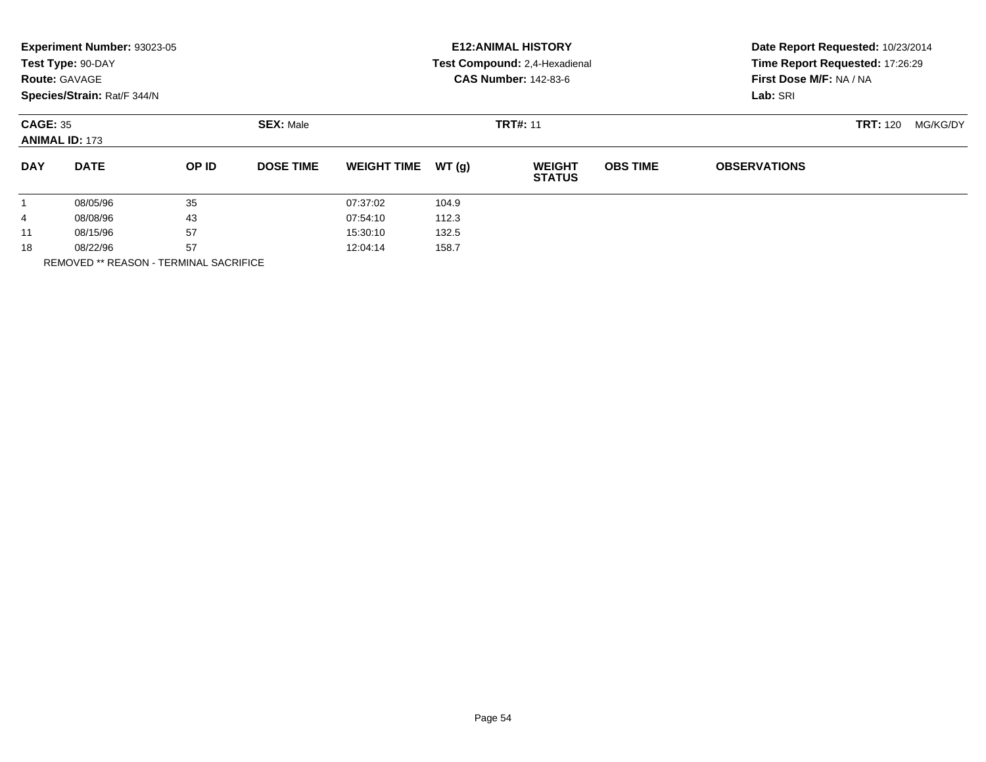|                 | Experiment Number: 93023-05<br>Test Type: 90-DAY<br><b>Route: GAVAGE</b><br>Species/Strain: Rat/F 344/N | <b>E12: ANIMAL HISTORY</b><br>Test Compound: 2,4-Hexadienal<br><b>CAS Number: 142-83-6</b> |                  |                    |       | Date Report Requested: 10/23/2014<br>Time Report Requested: 17:26:29<br>First Dose M/F: NA / NA<br>Lab: SRI |                 |                     |                 |          |
|-----------------|---------------------------------------------------------------------------------------------------------|--------------------------------------------------------------------------------------------|------------------|--------------------|-------|-------------------------------------------------------------------------------------------------------------|-----------------|---------------------|-----------------|----------|
| <b>CAGE: 35</b> | <b>ANIMAL ID: 173</b>                                                                                   |                                                                                            | <b>SEX: Male</b> |                    |       | <b>TRT#: 11</b>                                                                                             |                 |                     | <b>TRT: 120</b> | MG/KG/DY |
| <b>DAY</b>      | <b>DATE</b>                                                                                             | OP ID                                                                                      | <b>DOSE TIME</b> | <b>WEIGHT TIME</b> | WT(q) | <b>WEIGHT</b><br><b>STATUS</b>                                                                              | <b>OBS TIME</b> | <b>OBSERVATIONS</b> |                 |          |
|                 | 08/05/96                                                                                                | 35                                                                                         |                  | 07:37:02           | 104.9 |                                                                                                             |                 |                     |                 |          |
| 4               | 08/08/96                                                                                                | 43                                                                                         |                  | 07:54:10           | 112.3 |                                                                                                             |                 |                     |                 |          |
| 11              | 08/15/96                                                                                                | 57                                                                                         |                  | 15:30:10           | 132.5 |                                                                                                             |                 |                     |                 |          |
| 18              | 08/22/96                                                                                                | 57                                                                                         |                  | 12:04:14           | 158.7 |                                                                                                             |                 |                     |                 |          |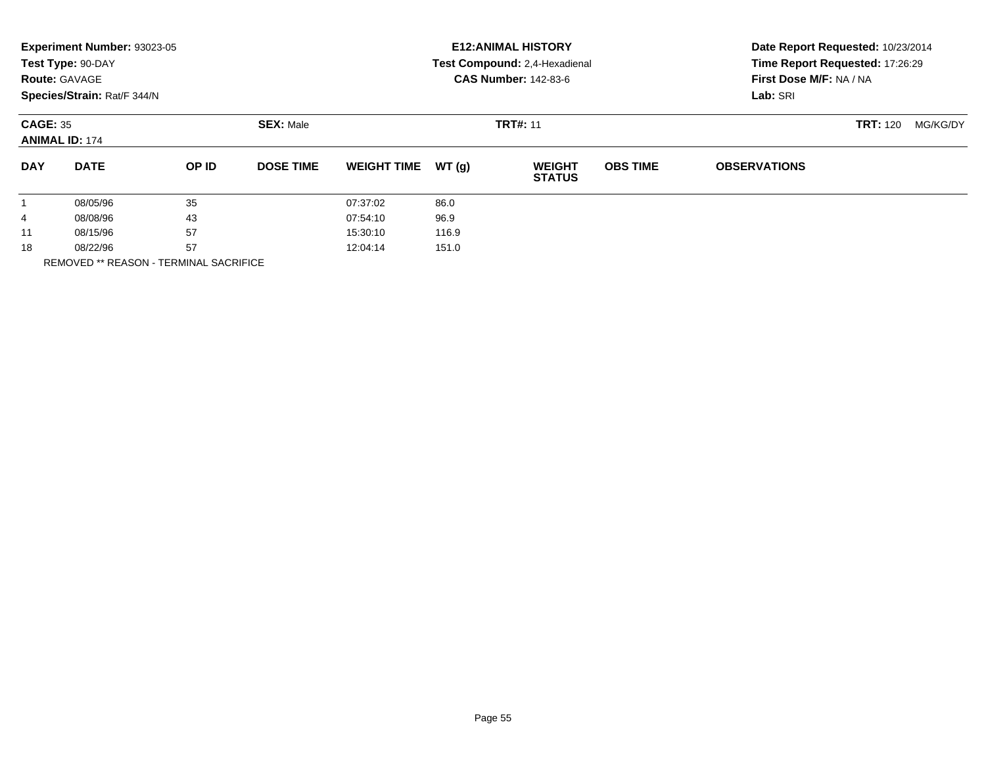| <b>Route: GAVAGE</b> | Experiment Number: 93023-05<br>Test Type: 90-DAY<br>Species/Strain: Rat/F 344/N | <b>E12: ANIMAL HISTORY</b><br>Test Compound: 2,4-Hexadienal<br><b>CAS Number: 142-83-6</b> |                  |                    |       | Date Report Requested: 10/23/2014<br>Time Report Requested: 17:26:29<br>First Dose M/F: NA / NA<br>Lab: SRI |                 |                     |                 |          |
|----------------------|---------------------------------------------------------------------------------|--------------------------------------------------------------------------------------------|------------------|--------------------|-------|-------------------------------------------------------------------------------------------------------------|-----------------|---------------------|-----------------|----------|
| <b>CAGE: 35</b>      | <b>ANIMAL ID: 174</b>                                                           |                                                                                            | <b>SEX: Male</b> |                    |       | <b>TRT#: 11</b>                                                                                             |                 |                     | <b>TRT: 120</b> | MG/KG/DY |
| <b>DAY</b>           | <b>DATE</b>                                                                     | OP ID                                                                                      | <b>DOSE TIME</b> | <b>WEIGHT TIME</b> | WT(g) | <b>WEIGHT</b><br><b>STATUS</b>                                                                              | <b>OBS TIME</b> | <b>OBSERVATIONS</b> |                 |          |
|                      | 08/05/96                                                                        | 35                                                                                         |                  | 07:37:02           | 86.0  |                                                                                                             |                 |                     |                 |          |
| 4                    | 08/08/96                                                                        | 43                                                                                         |                  | 07:54:10           | 96.9  |                                                                                                             |                 |                     |                 |          |
| 11                   | 08/15/96                                                                        | 57                                                                                         |                  | 15:30:10           | 116.9 |                                                                                                             |                 |                     |                 |          |
| 18                   | 08/22/96<br>-----------------                                                   | 57                                                                                         |                  | 12:04:14           | 151.0 |                                                                                                             |                 |                     |                 |          |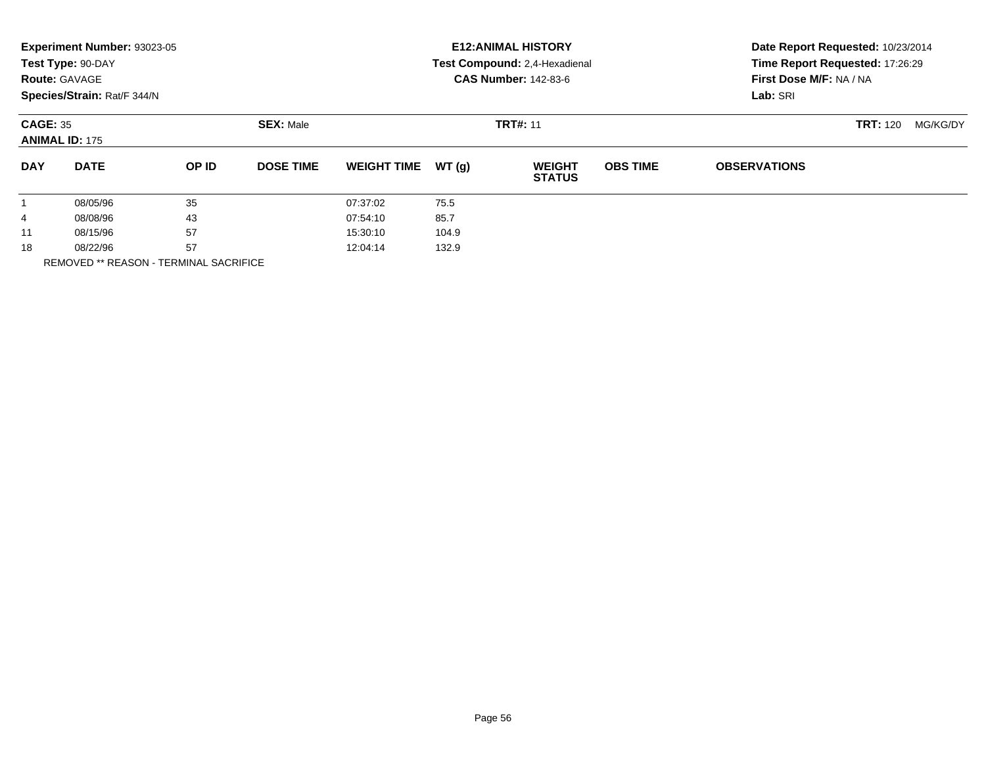|                 | Experiment Number: 93023-05<br>Test Type: 90-DAY<br><b>Route: GAVAGE</b><br>Species/Strain: Rat/F 344/N | <b>E12: ANIMAL HISTORY</b><br>Test Compound: 2,4-Hexadienal<br><b>CAS Number: 142-83-6</b> |                  |                    |       | Date Report Requested: 10/23/2014<br>Time Report Requested: 17:26:29<br>First Dose M/F: NA / NA<br>Lab: SRI |                 |                     |                 |          |
|-----------------|---------------------------------------------------------------------------------------------------------|--------------------------------------------------------------------------------------------|------------------|--------------------|-------|-------------------------------------------------------------------------------------------------------------|-----------------|---------------------|-----------------|----------|
| <b>CAGE: 35</b> | <b>ANIMAL ID: 175</b>                                                                                   |                                                                                            | <b>SEX: Male</b> |                    |       | <b>TRT#: 11</b>                                                                                             |                 |                     | <b>TRT: 120</b> | MG/KG/DY |
| <b>DAY</b>      | <b>DATE</b>                                                                                             | OP ID                                                                                      | <b>DOSE TIME</b> | <b>WEIGHT TIME</b> | WT(g) | <b>WEIGHT</b><br><b>STATUS</b>                                                                              | <b>OBS TIME</b> | <b>OBSERVATIONS</b> |                 |          |
|                 | 08/05/96                                                                                                | 35                                                                                         |                  | 07:37:02           | 75.5  |                                                                                                             |                 |                     |                 |          |
| 4               | 08/08/96                                                                                                | 43                                                                                         |                  | 07:54:10           | 85.7  |                                                                                                             |                 |                     |                 |          |
| 11              | 08/15/96                                                                                                | 57                                                                                         |                  | 15:30:10           | 104.9 |                                                                                                             |                 |                     |                 |          |
| 18              | 08/22/96<br>-----------------                                                                           | 57                                                                                         |                  | 12:04:14           | 132.9 |                                                                                                             |                 |                     |                 |          |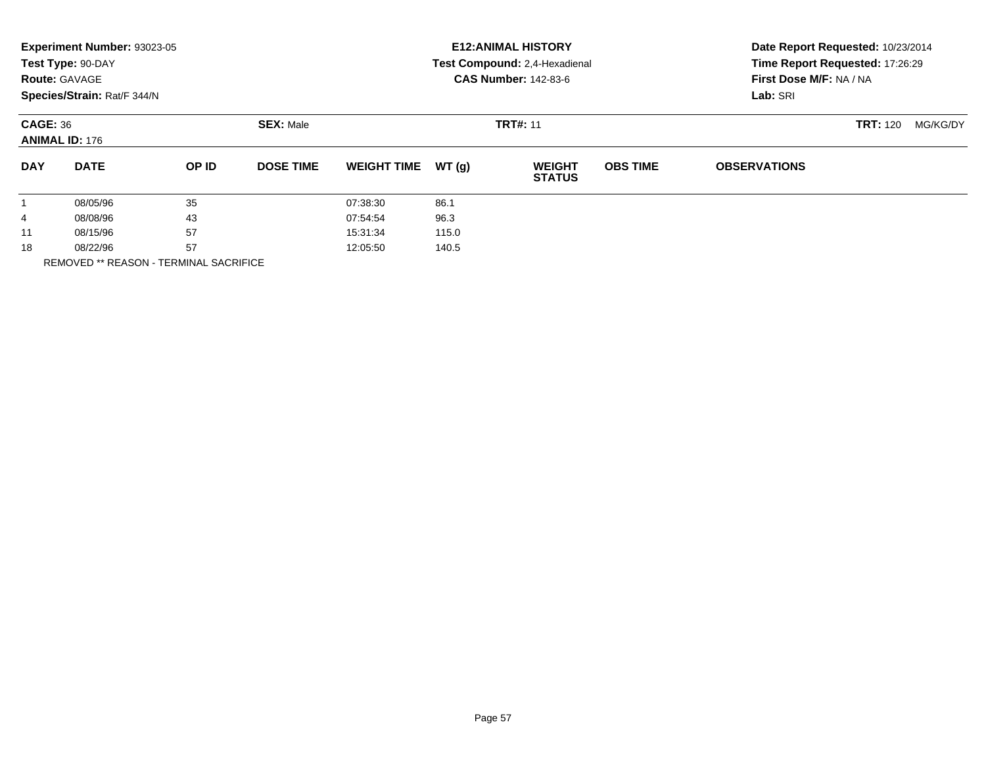|                 | Experiment Number: 93023-05<br>Test Type: 90-DAY<br><b>Route: GAVAGE</b><br>Species/Strain: Rat/F 344/N | <b>E12: ANIMAL HISTORY</b><br>Test Compound: 2,4-Hexadienal<br><b>CAS Number: 142-83-6</b> |                  |                    |       | Date Report Requested: 10/23/2014<br>Time Report Requested: 17:26:29<br>First Dose M/F: NA / NA<br>Lab: SRI |                 |                     |                 |          |
|-----------------|---------------------------------------------------------------------------------------------------------|--------------------------------------------------------------------------------------------|------------------|--------------------|-------|-------------------------------------------------------------------------------------------------------------|-----------------|---------------------|-----------------|----------|
| <b>CAGE: 36</b> | <b>ANIMAL ID: 176</b>                                                                                   |                                                                                            | <b>SEX: Male</b> |                    |       | <b>TRT#: 11</b>                                                                                             |                 |                     | <b>TRT: 120</b> | MG/KG/DY |
| <b>DAY</b>      | <b>DATE</b>                                                                                             | OP ID                                                                                      | <b>DOSE TIME</b> | <b>WEIGHT TIME</b> | WT(g) | <b>WEIGHT</b><br><b>STATUS</b>                                                                              | <b>OBS TIME</b> | <b>OBSERVATIONS</b> |                 |          |
|                 | 08/05/96                                                                                                | 35                                                                                         |                  | 07:38:30           | 86.1  |                                                                                                             |                 |                     |                 |          |
| 4               | 08/08/96                                                                                                | 43                                                                                         |                  | 07:54:54           | 96.3  |                                                                                                             |                 |                     |                 |          |
| 11              | 08/15/96                                                                                                | 57                                                                                         |                  | 15:31:34           | 115.0 |                                                                                                             |                 |                     |                 |          |
| 18              | 08/22/96<br>-----------------                                                                           | 57                                                                                         |                  | 12:05:50           | 140.5 |                                                                                                             |                 |                     |                 |          |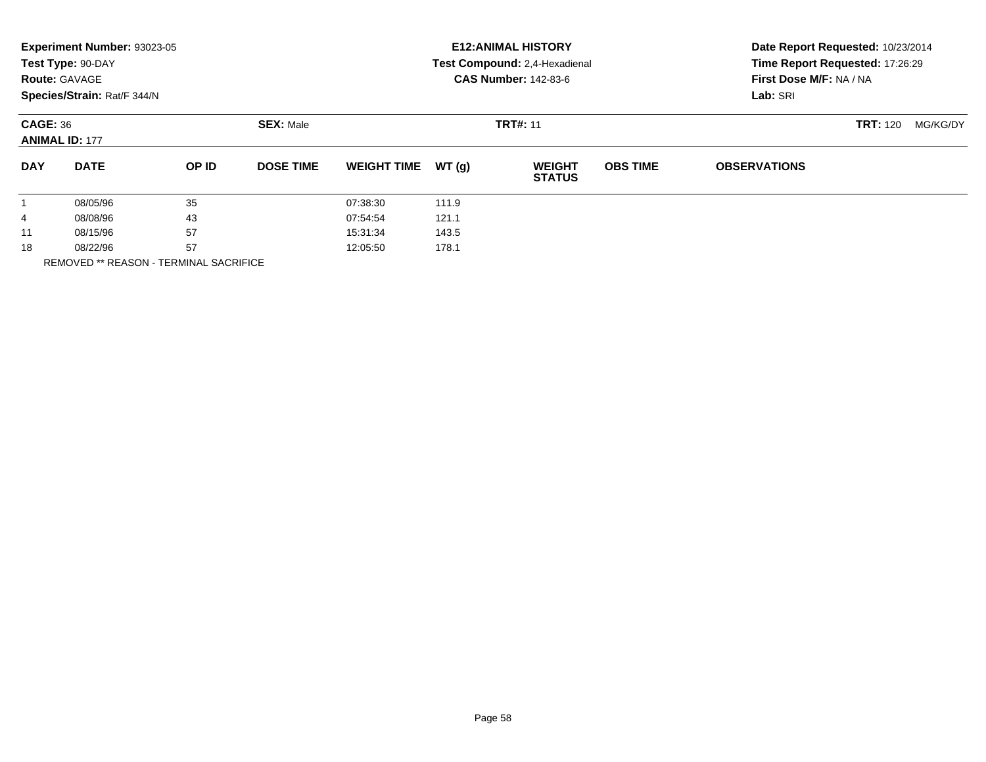|                 | Experiment Number: 93023-05<br>Test Type: 90-DAY<br><b>Route: GAVAGE</b><br>Species/Strain: Rat/F 344/N | <b>E12: ANIMAL HISTORY</b><br>Test Compound: 2,4-Hexadienal<br><b>CAS Number: 142-83-6</b> |                  |                    |       | Date Report Requested: 10/23/2014<br>Time Report Requested: 17:26:29<br>First Dose M/F: NA / NA<br>Lab: SRI |                 |                     |                 |          |
|-----------------|---------------------------------------------------------------------------------------------------------|--------------------------------------------------------------------------------------------|------------------|--------------------|-------|-------------------------------------------------------------------------------------------------------------|-----------------|---------------------|-----------------|----------|
| <b>CAGE: 36</b> | <b>ANIMAL ID: 177</b>                                                                                   |                                                                                            | <b>SEX: Male</b> |                    |       | <b>TRT#: 11</b>                                                                                             |                 |                     | <b>TRT:</b> 120 | MG/KG/DY |
| <b>DAY</b>      | <b>DATE</b>                                                                                             | OP ID                                                                                      | <b>DOSE TIME</b> | <b>WEIGHT TIME</b> | WT(g) | <b>WEIGHT</b><br><b>STATUS</b>                                                                              | <b>OBS TIME</b> | <b>OBSERVATIONS</b> |                 |          |
|                 | 08/05/96                                                                                                | 35                                                                                         |                  | 07:38:30           | 111.9 |                                                                                                             |                 |                     |                 |          |
| 4               | 08/08/96                                                                                                | 43                                                                                         |                  | 07:54:54           | 121.1 |                                                                                                             |                 |                     |                 |          |
| 11              | 08/15/96                                                                                                | 57                                                                                         |                  | 15:31:34           | 143.5 |                                                                                                             |                 |                     |                 |          |
| 18              | 08/22/96                                                                                                | 57                                                                                         |                  | 12:05:50           | 178.1 |                                                                                                             |                 |                     |                 |          |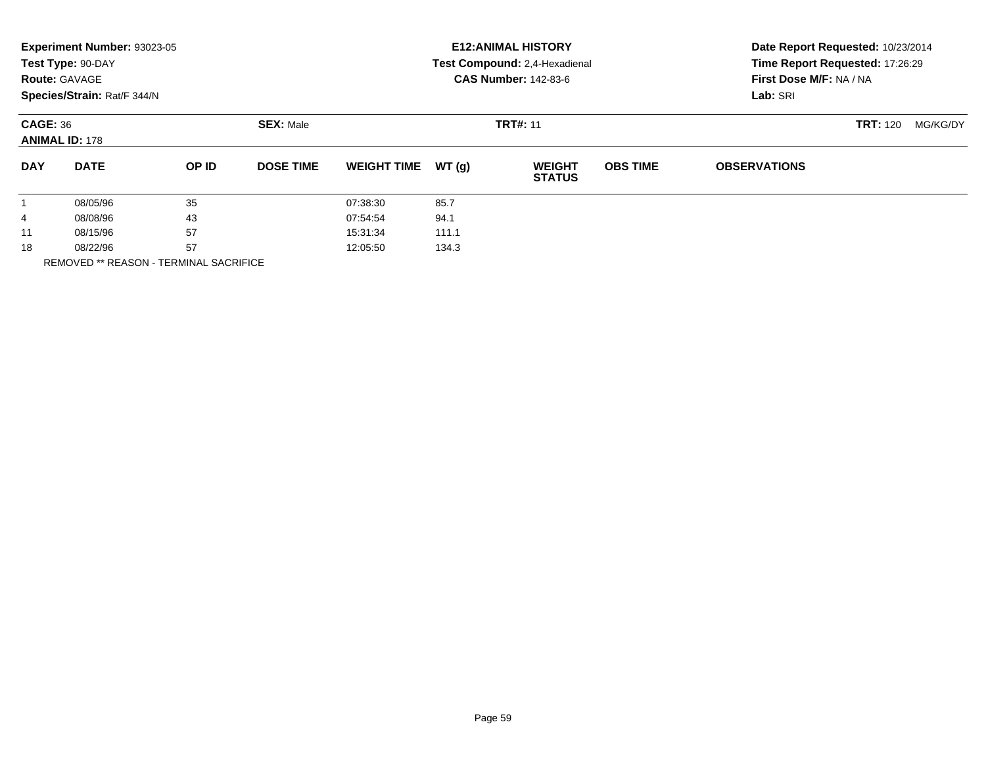|                 | Experiment Number: 93023-05<br>Test Type: 90-DAY<br><b>Route: GAVAGE</b><br>Species/Strain: Rat/F 344/N |       | <b>E12: ANIMAL HISTORY</b><br>Test Compound: 2,4-Hexadienal<br><b>CAS Number: 142-83-6</b> |                    |       |                                | Date Report Requested: 10/23/2014<br>Time Report Requested: 17:26:29<br>First Dose M/F: NA / NA<br>Lab: SRI |                     |                 |          |
|-----------------|---------------------------------------------------------------------------------------------------------|-------|--------------------------------------------------------------------------------------------|--------------------|-------|--------------------------------|-------------------------------------------------------------------------------------------------------------|---------------------|-----------------|----------|
| <b>CAGE: 36</b> | <b>ANIMAL ID: 178</b>                                                                                   |       | <b>SEX: Male</b>                                                                           |                    |       | <b>TRT#: 11</b>                |                                                                                                             |                     | <b>TRT:</b> 120 | MG/KG/DY |
| <b>DAY</b>      | <b>DATE</b>                                                                                             | OP ID | <b>DOSE TIME</b>                                                                           | <b>WEIGHT TIME</b> | WT(g) | <b>WEIGHT</b><br><b>STATUS</b> | <b>OBS TIME</b>                                                                                             | <b>OBSERVATIONS</b> |                 |          |
|                 | 08/05/96                                                                                                | 35    |                                                                                            | 07:38:30           | 85.7  |                                |                                                                                                             |                     |                 |          |
| 4               | 08/08/96                                                                                                | 43    |                                                                                            | 07:54:54           | 94.1  |                                |                                                                                                             |                     |                 |          |
| 11              | 08/15/96                                                                                                | 57    |                                                                                            | 15:31:34           | 111.1 |                                |                                                                                                             |                     |                 |          |
| 18              | 08/22/96                                                                                                | 57    |                                                                                            | 12:05:50           | 134.3 |                                |                                                                                                             |                     |                 |          |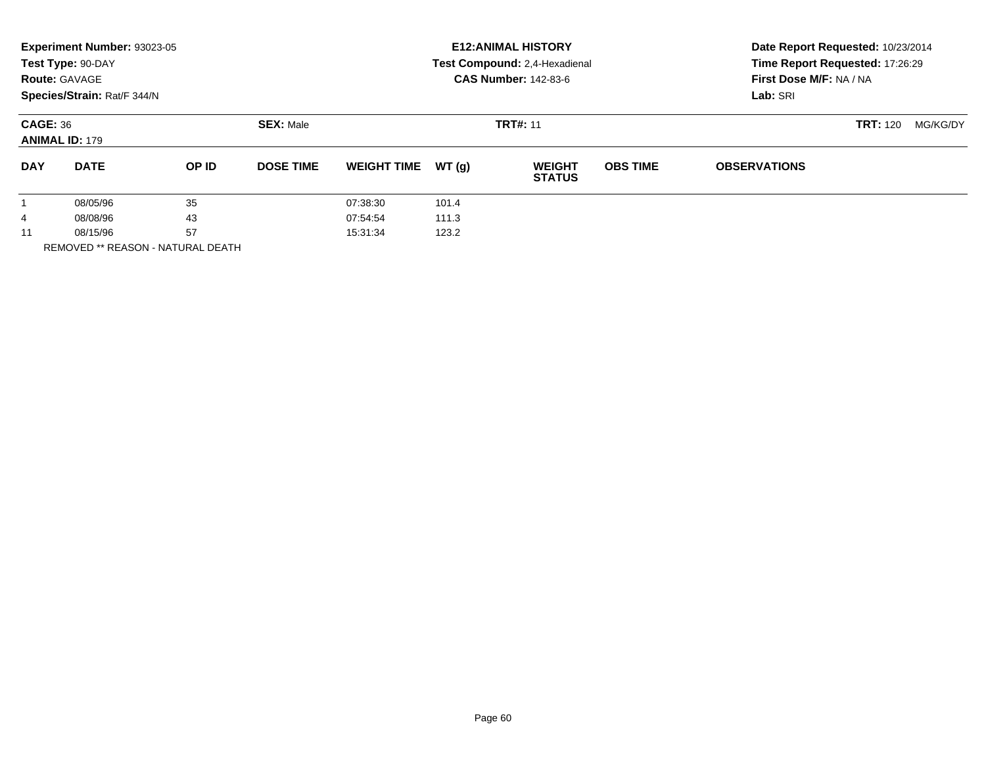| Species/Strain: Rat/F 344/N<br>Lab: SRI                                                                                                                           | Date Report Requested: 10/23/2014 |
|-------------------------------------------------------------------------------------------------------------------------------------------------------------------|-----------------------------------|
| <b>CAGE: 36</b><br><b>SEX: Male</b><br><b>TRT#: 11</b><br><b>TRT: 120</b><br><b>ANIMAL ID: 179</b>                                                                | MG/KG/DY                          |
| <b>DATE</b><br>OP ID<br>WT(g)<br><b>OBS TIME</b><br><b>DAY</b><br><b>DOSE TIME</b><br><b>WEIGHT</b><br><b>WEIGHT TIME</b><br><b>OBSERVATIONS</b><br><b>STATUS</b> |                                   |
| 35<br>08/05/96<br>07:38:30<br>101.4                                                                                                                               |                                   |
| 43<br>07:54:54<br>111.3<br>08/08/96<br>4                                                                                                                          |                                   |
| 57<br>08/15/96<br>15:31:34<br>123.2<br>11                                                                                                                         |                                   |

REMOVED \*\* REASON - NATURAL DEATH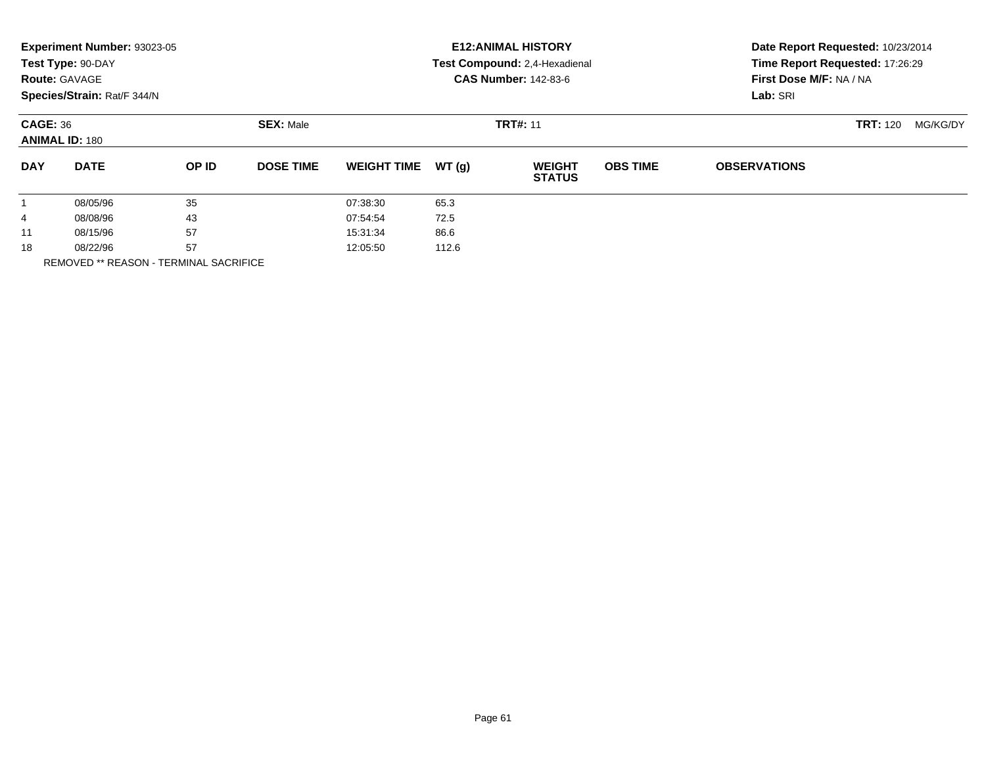|                 | Experiment Number: 93023-05<br>Test Type: 90-DAY<br><b>Route: GAVAGE</b><br>Species/Strain: Rat/F 344/N |       |                  | <b>E12: ANIMAL HISTORY</b><br>Test Compound: 2,4-Hexadienal<br><b>CAS Number: 142-83-6</b> |                 |                                |                 | Date Report Requested: 10/23/2014<br>Time Report Requested: 17:26:29<br>First Dose M/F: NA / NA<br>Lab: SRI |  |  |  |
|-----------------|---------------------------------------------------------------------------------------------------------|-------|------------------|--------------------------------------------------------------------------------------------|-----------------|--------------------------------|-----------------|-------------------------------------------------------------------------------------------------------------|--|--|--|
| <b>CAGE: 36</b> | <b>ANIMAL ID: 180</b>                                                                                   |       | <b>SEX: Male</b> |                                                                                            | <b>TRT#: 11</b> |                                | <b>TRT: 120</b> | MG/KG/DY                                                                                                    |  |  |  |
| <b>DAY</b>      | <b>DATE</b>                                                                                             | OP ID | <b>DOSE TIME</b> | <b>WEIGHT TIME</b>                                                                         | WT(g)           | <b>WEIGHT</b><br><b>STATUS</b> | <b>OBS TIME</b> | <b>OBSERVATIONS</b>                                                                                         |  |  |  |
|                 | 08/05/96                                                                                                | 35    |                  | 07:38:30                                                                                   | 65.3            |                                |                 |                                                                                                             |  |  |  |
| 4               | 08/08/96                                                                                                | 43    |                  | 07:54:54                                                                                   | 72.5            |                                |                 |                                                                                                             |  |  |  |
| 11              | 08/15/96                                                                                                | 57    |                  | 15:31:34                                                                                   | 86.6            |                                |                 |                                                                                                             |  |  |  |
| 18              | 57<br>08/22/96                                                                                          |       |                  | 12:05:50                                                                                   | 112.6           |                                |                 |                                                                                                             |  |  |  |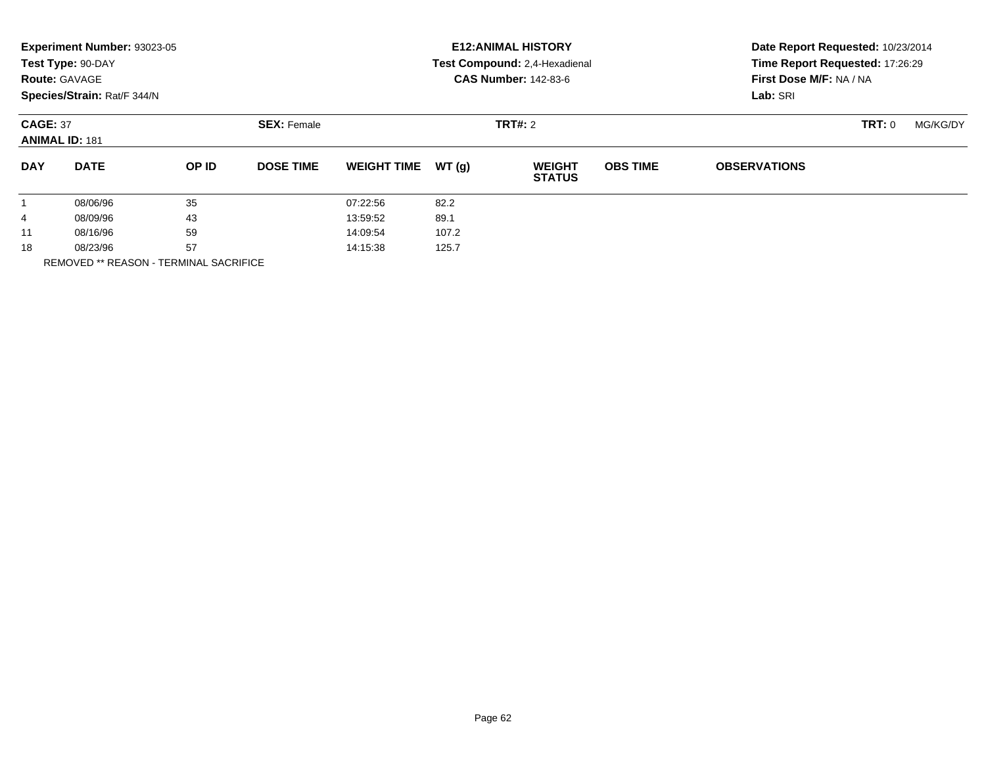| Experiment Number: 93023-05<br><b>E12: ANIMAL HISTORY</b><br>Test Type: 90-DAY<br>Test Compound: 2,4-Hexadienal<br><b>CAS Number: 142-83-6</b><br><b>Route: GAVAGE</b><br>Species/Strain: Rat/F 344/N | Date Report Requested: 10/23/2014<br>Time Report Requested: 17:26:29<br>First Dose M/F: NA / NA<br>Lab: SRI |  |  |
|-------------------------------------------------------------------------------------------------------------------------------------------------------------------------------------------------------|-------------------------------------------------------------------------------------------------------------|--|--|
| <b>CAGE: 37</b><br><b>SEX: Female</b><br>TRT#: 2<br><b>ANIMAL ID: 181</b>                                                                                                                             | TRT: 0<br>MG/KG/DY                                                                                          |  |  |
| WT(g)<br><b>DAY</b><br><b>DATE</b><br>OP ID<br><b>DOSE TIME</b><br><b>OBS TIME</b><br><b>WEIGHT TIME</b><br><b>WEIGHT</b><br><b>STATUS</b>                                                            | <b>OBSERVATIONS</b>                                                                                         |  |  |
| 35<br>82.2<br>08/06/96<br>07:22:56<br>$\mathbf{1}$                                                                                                                                                    |                                                                                                             |  |  |
| 43<br>89.1<br>13:59:52<br>08/09/96<br>4                                                                                                                                                               |                                                                                                             |  |  |
| 59<br>107.2<br>08/16/96<br>14:09:54<br>11                                                                                                                                                             |                                                                                                             |  |  |
| 57<br>125.7<br>18<br>08/23/96<br>14:15:38                                                                                                                                                             |                                                                                                             |  |  |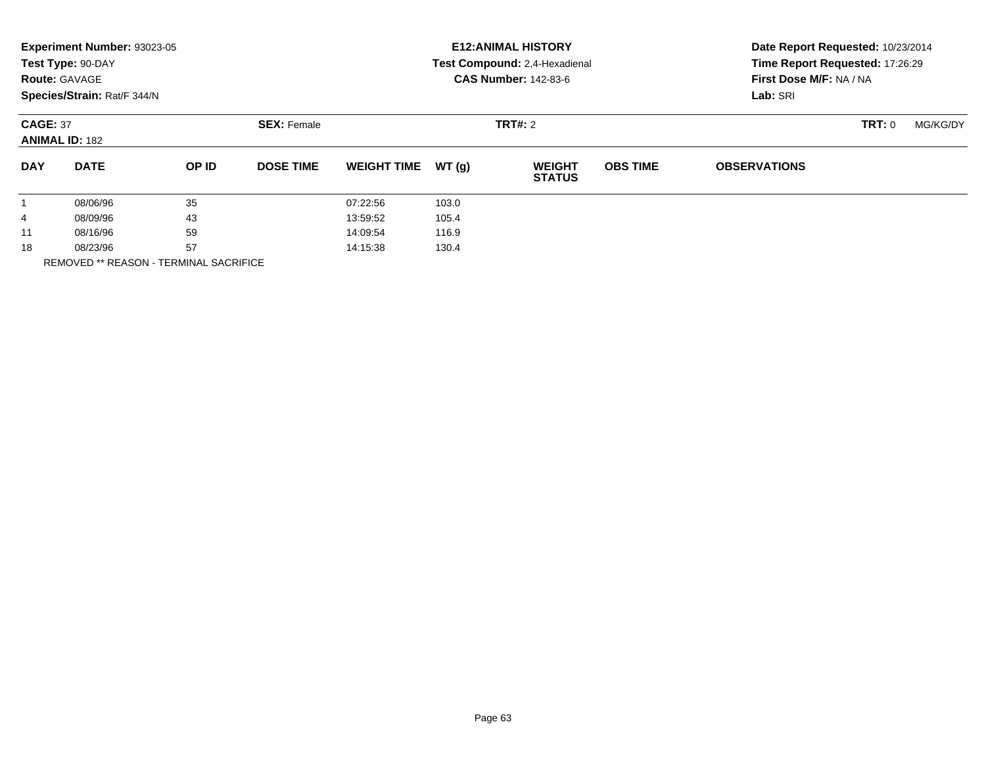|            | Experiment Number: 93023-05<br>Test Type: 90-DAY<br><b>Route: GAVAGE</b><br>Species/Strain: Rat/F 344/N |       |                                      |                    |       | <b>E12: ANIMAL HISTORY</b><br>Test Compound: 2,4-Hexadienal<br><b>CAS Number: 142-83-6</b> | Date Report Requested: 10/23/2014<br>Time Report Requested: 17:26:29<br>First Dose M/F: NA / NA<br>Lab: SRI |                     |          |  |
|------------|---------------------------------------------------------------------------------------------------------|-------|--------------------------------------|--------------------|-------|--------------------------------------------------------------------------------------------|-------------------------------------------------------------------------------------------------------------|---------------------|----------|--|
|            | <b>CAGE: 37</b><br><b>ANIMAL ID: 182</b>                                                                |       | <b>SEX: Female</b><br><b>TRT#: 2</b> |                    |       |                                                                                            |                                                                                                             | <b>TRT: 0</b>       | MG/KG/DY |  |
| <b>DAY</b> | <b>DATE</b>                                                                                             | OP ID | <b>DOSE TIME</b>                     | <b>WEIGHT TIME</b> | WT(g) | <b>WEIGHT</b><br><b>STATUS</b>                                                             | <b>OBS TIME</b>                                                                                             | <b>OBSERVATIONS</b> |          |  |
|            | 08/06/96                                                                                                | 35    |                                      | 07:22:56           | 103.0 |                                                                                            |                                                                                                             |                     |          |  |
| 4          | 08/09/96                                                                                                | 43    |                                      | 13:59:52           | 105.4 |                                                                                            |                                                                                                             |                     |          |  |
| 11         | 08/16/96                                                                                                | 59    |                                      | 14:09:54           | 116.9 |                                                                                            |                                                                                                             |                     |          |  |
| 18         | 57<br>08/23/96                                                                                          |       |                                      | 14:15:38           | 130.4 |                                                                                            |                                                                                                             |                     |          |  |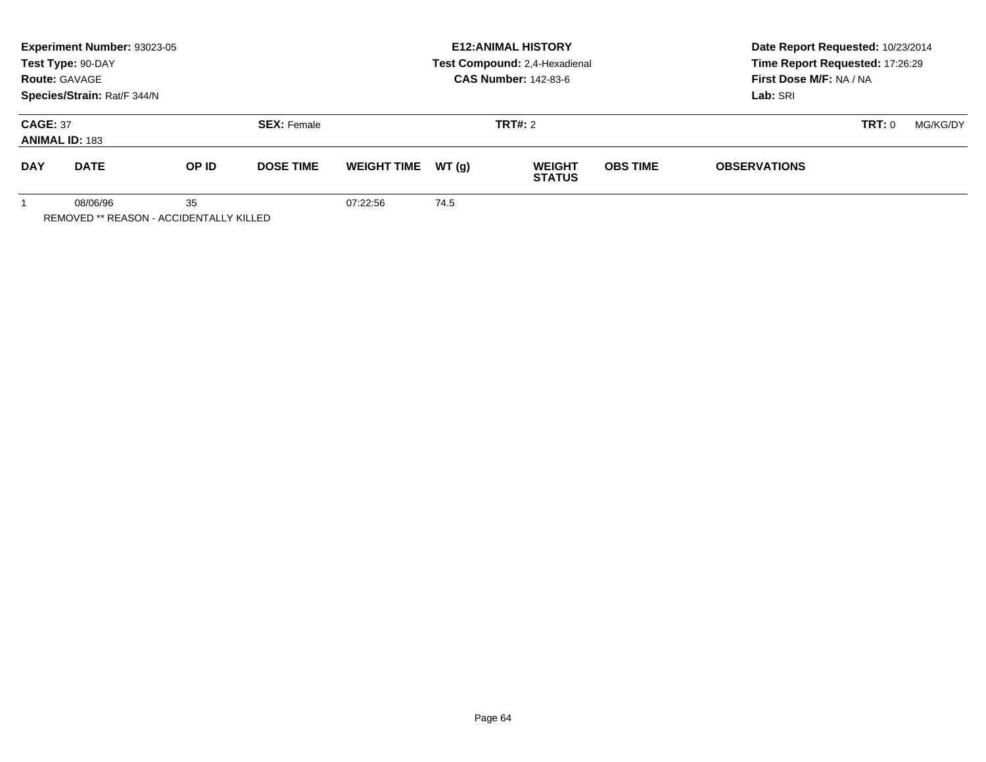|                                          | <b>Experiment Number: 93023-05</b><br>Test Type: 90-DAY<br><b>Route: GAVAGE</b><br>Species/Strain: Rat/F 344/N |       |                                      | <b>E12:ANIMAL HISTORY</b><br>Test Compound: 2,4-Hexadienal<br><b>CAS Number: 142-83-6</b> |      |                                |                 | Date Report Requested: 10/23/2014<br>Time Report Requested: 17:26:29<br>First Dose M/F: NA / NA<br>Lab: SRI |               |          |
|------------------------------------------|----------------------------------------------------------------------------------------------------------------|-------|--------------------------------------|-------------------------------------------------------------------------------------------|------|--------------------------------|-----------------|-------------------------------------------------------------------------------------------------------------|---------------|----------|
| <b>CAGE: 37</b><br><b>ANIMAL ID: 183</b> |                                                                                                                |       | <b>TRT#:</b> 2<br><b>SEX: Female</b> |                                                                                           |      |                                |                 |                                                                                                             | <b>TRT: 0</b> | MG/KG/DY |
| <b>DAY</b>                               | <b>DATE</b>                                                                                                    | OP ID | <b>DOSE TIME</b>                     | WEIGHT TIME $WT(g)$                                                                       |      | <b>WEIGHT</b><br><b>STATUS</b> | <b>OBS TIME</b> | <b>OBSERVATIONS</b>                                                                                         |               |          |
|                                          | 08/06/96                                                                                                       | 35    |                                      | 07:22:56                                                                                  | 74.5 |                                |                 |                                                                                                             |               |          |

REMOVED \*\* REASON - ACCIDENTALLY KILLED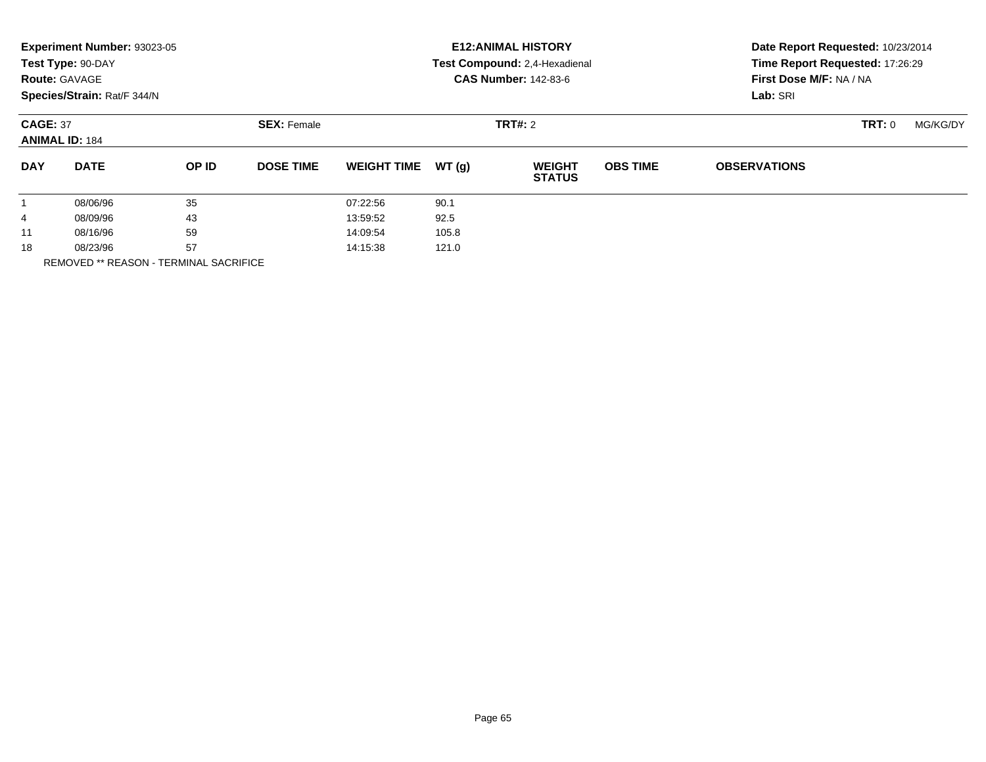|                        | Experiment Number: 93023-05<br>Test Type: 90-DAY<br><b>Route: GAVAGE</b><br>Species/Strain: Rat/F 344/N |       |                    |                    |       | <b>E12: ANIMAL HISTORY</b><br>Test Compound: 2,4-Hexadienal<br><b>CAS Number: 142-83-6</b> | Date Report Requested: 10/23/2014<br>Time Report Requested: 17:26:29<br>First Dose M/F: NA / NA<br>Lab: SRI |                     |               |          |
|------------------------|---------------------------------------------------------------------------------------------------------|-------|--------------------|--------------------|-------|--------------------------------------------------------------------------------------------|-------------------------------------------------------------------------------------------------------------|---------------------|---------------|----------|
|                        | <b>CAGE: 37</b><br><b>ANIMAL ID: 184</b>                                                                |       | <b>SEX: Female</b> | <b>TRT#: 2</b>     |       |                                                                                            |                                                                                                             |                     | <b>TRT: 0</b> | MG/KG/DY |
| <b>DAY</b>             | <b>DATE</b>                                                                                             | OP ID | <b>DOSE TIME</b>   | <b>WEIGHT TIME</b> | WT(g) | <b>WEIGHT</b><br><b>STATUS</b>                                                             | <b>OBS TIME</b>                                                                                             | <b>OBSERVATIONS</b> |               |          |
|                        | 08/06/96                                                                                                | 35    |                    | 07:22:56           | 90.1  |                                                                                            |                                                                                                             |                     |               |          |
| 4                      | 08/09/96                                                                                                | 43    |                    | 13:59:52           | 92.5  |                                                                                            |                                                                                                             |                     |               |          |
| 11                     | 08/16/96                                                                                                | 59    |                    | 14:09:54           | 105.8 |                                                                                            |                                                                                                             |                     |               |          |
| 18<br>---------------- | 57<br>08/23/96                                                                                          |       |                    | 121.0<br>14:15:38  |       |                                                                                            |                                                                                                             |                     |               |          |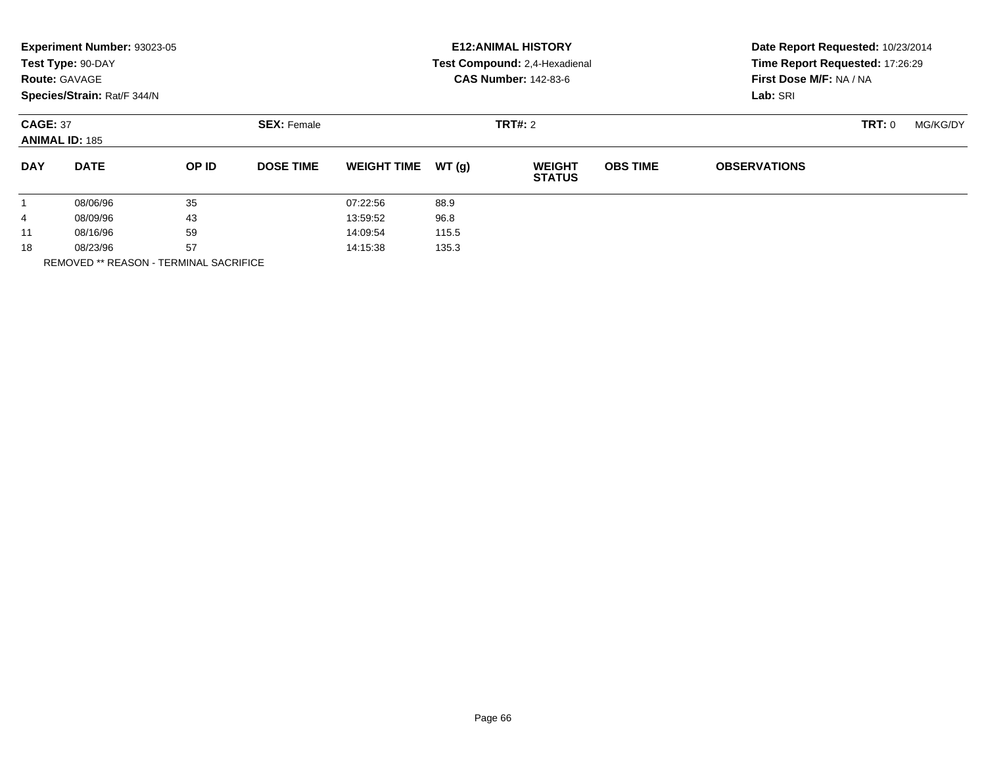|            | Experiment Number: 93023-05<br>Test Type: 90-DAY<br><b>Route: GAVAGE</b><br>Species/Strain: Rat/F 344/N |       |                                      | <b>E12: ANIMAL HISTORY</b><br>Test Compound: 2,4-Hexadienal<br><b>CAS Number: 142-83-6</b> |       |                                |                 | Date Report Requested: 10/23/2014<br>Time Report Requested: 17:26:29<br>First Dose M/F: NA / NA<br>Lab: SRI |          |  |
|------------|---------------------------------------------------------------------------------------------------------|-------|--------------------------------------|--------------------------------------------------------------------------------------------|-------|--------------------------------|-----------------|-------------------------------------------------------------------------------------------------------------|----------|--|
|            | <b>CAGE: 37</b><br><b>ANIMAL ID: 185</b>                                                                |       | <b>SEX: Female</b><br><b>TRT#: 2</b> |                                                                                            |       |                                |                 | <b>TRT: 0</b>                                                                                               | MG/KG/DY |  |
| <b>DAY</b> | <b>DATE</b>                                                                                             | OP ID | <b>DOSE TIME</b>                     | <b>WEIGHT TIME</b>                                                                         | WT(g) | <b>WEIGHT</b><br><b>STATUS</b> | <b>OBS TIME</b> | <b>OBSERVATIONS</b>                                                                                         |          |  |
|            | 08/06/96                                                                                                | 35    |                                      | 07:22:56                                                                                   | 88.9  |                                |                 |                                                                                                             |          |  |
| 4          | 08/09/96                                                                                                | 43    |                                      | 13:59:52                                                                                   | 96.8  |                                |                 |                                                                                                             |          |  |
| 11         | 08/16/96                                                                                                | 59    |                                      | 14:09:54                                                                                   | 115.5 |                                |                 |                                                                                                             |          |  |
| 18         | 57<br>08/23/96                                                                                          |       |                                      | 14:15:38                                                                                   | 135.3 |                                |                 |                                                                                                             |          |  |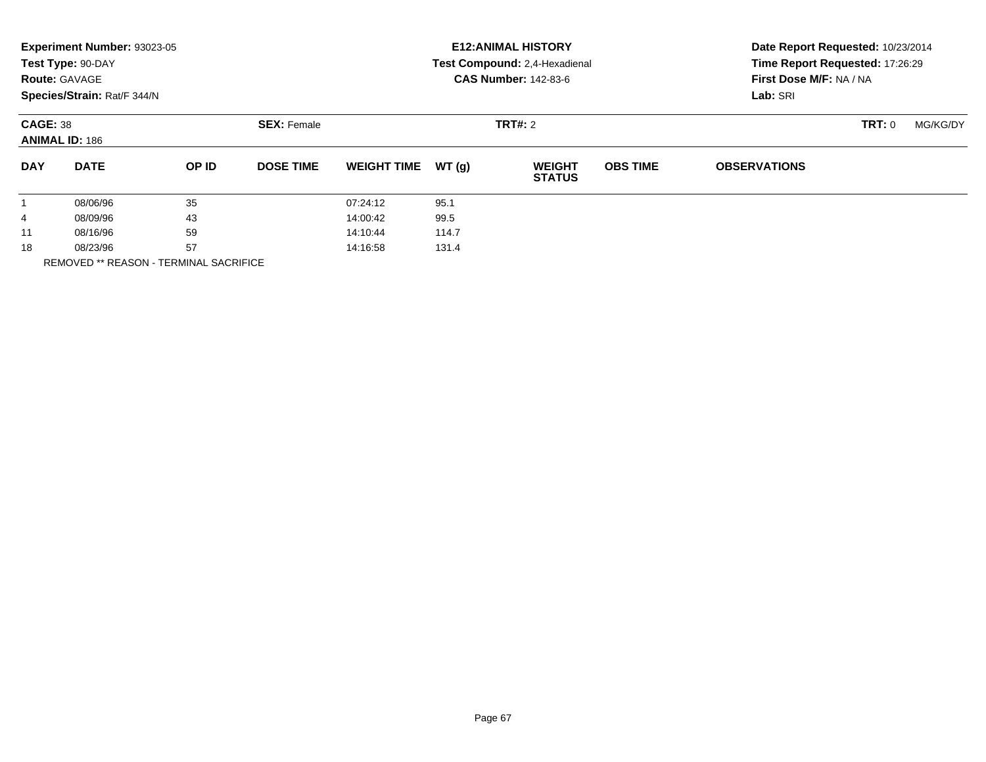|              | Experiment Number: 93023-05<br>Test Type: 90-DAY<br><b>Route: GAVAGE</b><br>Species/Strain: Rat/F 344/N |       |                    | <b>E12: ANIMAL HISTORY</b><br>Test Compound: 2,4-Hexadienal<br><b>CAS Number: 142-83-6</b> |       |                                |                 | Date Report Requested: 10/23/2014<br>Time Report Requested: 17:26:29<br>First Dose M/F: NA / NA<br>Lab: SRI |               |          |
|--------------|---------------------------------------------------------------------------------------------------------|-------|--------------------|--------------------------------------------------------------------------------------------|-------|--------------------------------|-----------------|-------------------------------------------------------------------------------------------------------------|---------------|----------|
|              | <b>CAGE: 38</b><br><b>ANIMAL ID: 186</b>                                                                |       | <b>SEX: Female</b> | <b>TRT#: 2</b>                                                                             |       |                                |                 |                                                                                                             | <b>TRT: 0</b> | MG/KG/DY |
| <b>DAY</b>   | <b>DATE</b>                                                                                             | OP ID | <b>DOSE TIME</b>   | <b>WEIGHT TIME</b>                                                                         | WT(g) | <b>WEIGHT</b><br><b>STATUS</b> | <b>OBS TIME</b> | <b>OBSERVATIONS</b>                                                                                         |               |          |
| $\mathbf{1}$ | 08/06/96                                                                                                | 35    |                    | 07:24:12                                                                                   | 95.1  |                                |                 |                                                                                                             |               |          |
| 4            | 08/09/96                                                                                                | 43    |                    | 14:00:42                                                                                   | 99.5  |                                |                 |                                                                                                             |               |          |
| 11           | 08/16/96                                                                                                | 59    |                    | 14:10:44                                                                                   | 114.7 |                                |                 |                                                                                                             |               |          |
| 18           | 57<br>08/23/96                                                                                          |       |                    | 14:16:58                                                                                   | 131.4 |                                |                 |                                                                                                             |               |          |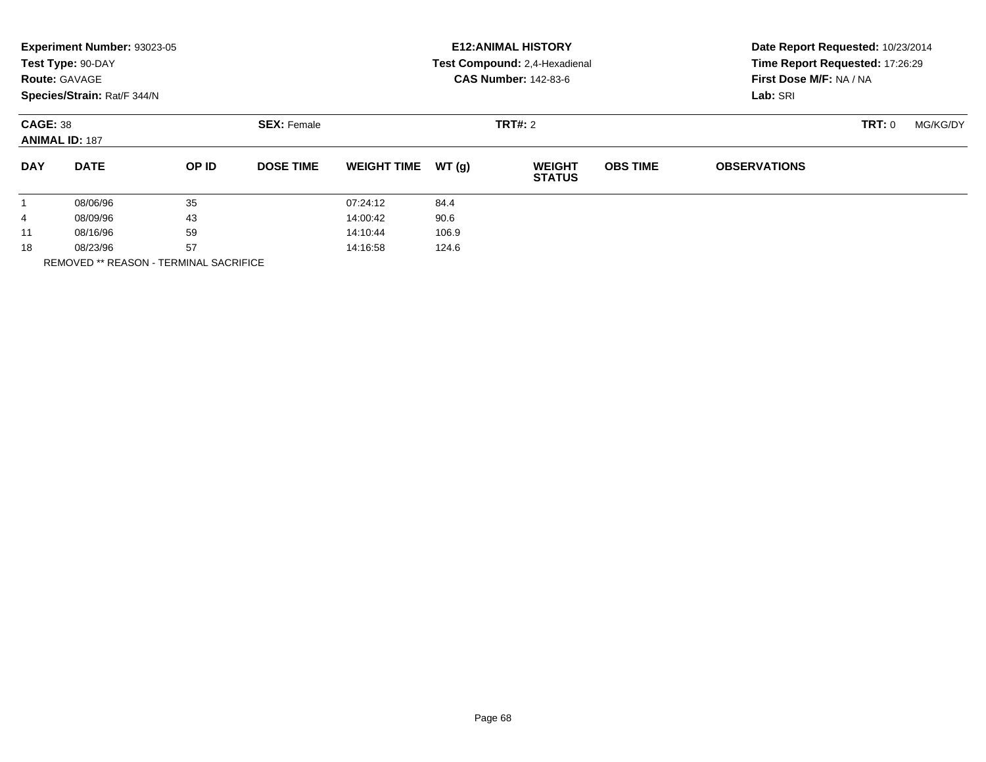|              | Experiment Number: 93023-05<br>Test Type: 90-DAY<br><b>Route: GAVAGE</b><br>Species/Strain: Rat/F 344/N |       |                    | <b>E12: ANIMAL HISTORY</b><br>Test Compound: 2,4-Hexadienal<br><b>CAS Number: 142-83-6</b> |       |                                |                 | Date Report Requested: 10/23/2014<br>Time Report Requested: 17:26:29<br>First Dose M/F: NA / NA<br>Lab: SRI |        |          |  |
|--------------|---------------------------------------------------------------------------------------------------------|-------|--------------------|--------------------------------------------------------------------------------------------|-------|--------------------------------|-----------------|-------------------------------------------------------------------------------------------------------------|--------|----------|--|
|              | <b>CAGE: 38</b><br><b>ANIMAL ID: 187</b>                                                                |       | <b>SEX: Female</b> | <b>TRT#: 2</b>                                                                             |       |                                |                 |                                                                                                             | TRT: 0 | MG/KG/DY |  |
| <b>DAY</b>   | <b>DATE</b>                                                                                             | OP ID | <b>DOSE TIME</b>   | <b>WEIGHT TIME</b>                                                                         | WT(q) | <b>WEIGHT</b><br><b>STATUS</b> | <b>OBS TIME</b> | <b>OBSERVATIONS</b>                                                                                         |        |          |  |
| $\mathbf{1}$ | 08/06/96                                                                                                | 35    |                    | 07:24:12                                                                                   | 84.4  |                                |                 |                                                                                                             |        |          |  |
| 4            | 08/09/96                                                                                                | 43    |                    | 14:00:42                                                                                   | 90.6  |                                |                 |                                                                                                             |        |          |  |
| 11           | 08/16/96                                                                                                | 59    |                    | 14:10:44                                                                                   | 106.9 |                                |                 |                                                                                                             |        |          |  |
| 18           | 57<br>08/23/96                                                                                          |       |                    | 14:16:58                                                                                   | 124.6 |                                |                 |                                                                                                             |        |          |  |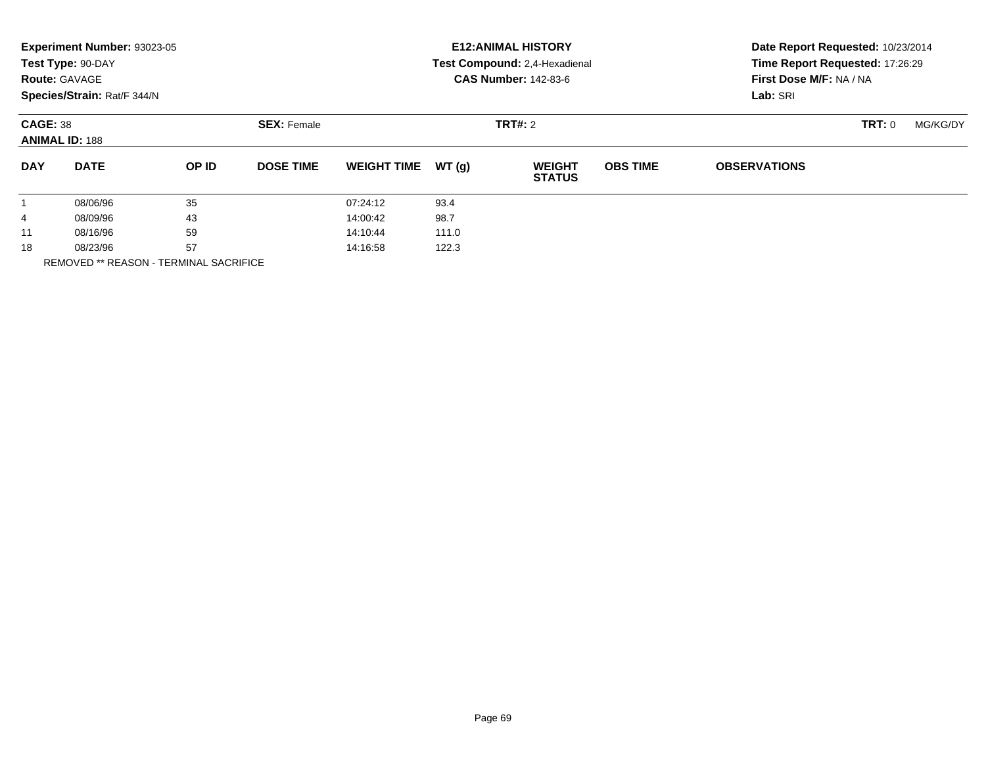|            | Experiment Number: 93023-05<br>Test Type: 90-DAY<br><b>Route: GAVAGE</b><br>Species/Strain: Rat/F 344/N |       |                                      | <b>E12: ANIMAL HISTORY</b><br>Test Compound: 2,4-Hexadienal<br><b>CAS Number: 142-83-6</b> |       |                                |                 | Date Report Requested: 10/23/2014<br>Time Report Requested: 17:26:29<br>First Dose M/F: NA / NA<br>Lab: SRI |          |  |
|------------|---------------------------------------------------------------------------------------------------------|-------|--------------------------------------|--------------------------------------------------------------------------------------------|-------|--------------------------------|-----------------|-------------------------------------------------------------------------------------------------------------|----------|--|
|            | <b>CAGE: 38</b><br><b>ANIMAL ID: 188</b>                                                                |       | <b>SEX: Female</b><br><b>TRT#: 2</b> |                                                                                            |       |                                |                 | <b>TRT: 0</b>                                                                                               | MG/KG/DY |  |
| <b>DAY</b> | <b>DATE</b>                                                                                             | OP ID | <b>DOSE TIME</b>                     | <b>WEIGHT TIME</b>                                                                         | WT(g) | <b>WEIGHT</b><br><b>STATUS</b> | <b>OBS TIME</b> | <b>OBSERVATIONS</b>                                                                                         |          |  |
|            | 08/06/96                                                                                                | 35    |                                      | 07:24:12                                                                                   | 93.4  |                                |                 |                                                                                                             |          |  |
| 4          | 08/09/96                                                                                                | 43    |                                      | 14:00:42                                                                                   | 98.7  |                                |                 |                                                                                                             |          |  |
| 11         | 08/16/96                                                                                                | 59    |                                      | 14:10:44                                                                                   | 111.0 |                                |                 |                                                                                                             |          |  |
| 18         | 57<br>08/23/96                                                                                          |       |                                      | 122.3<br>14:16:58                                                                          |       |                                |                 |                                                                                                             |          |  |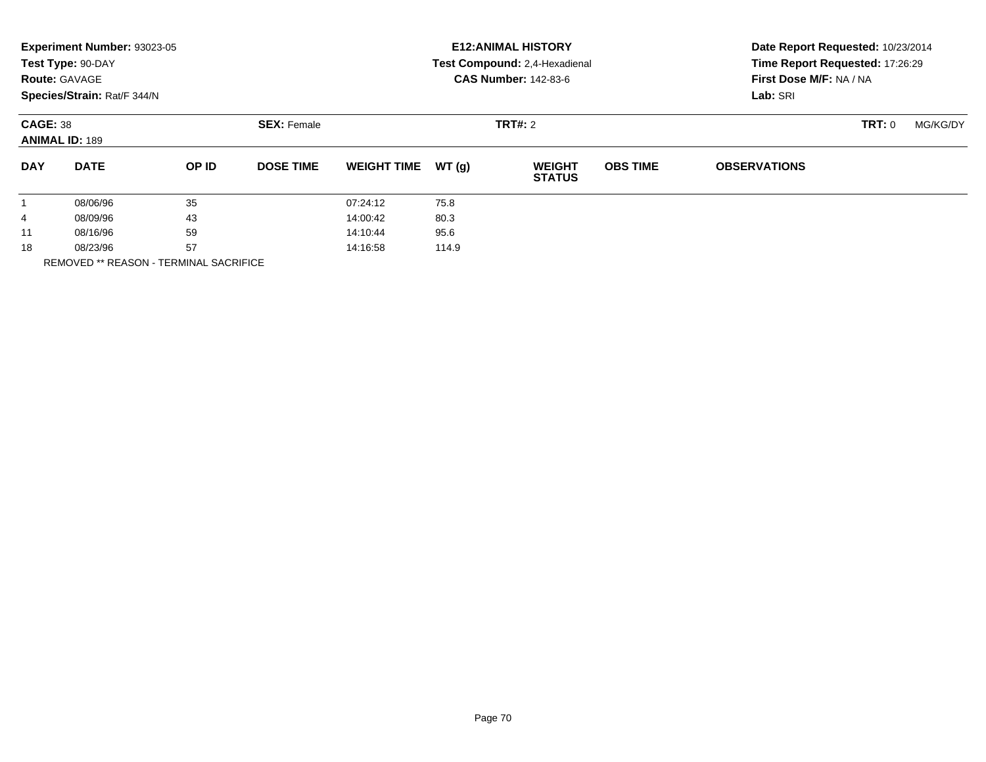|              | Experiment Number: 93023-05<br>Test Type: 90-DAY<br><b>Route: GAVAGE</b><br>Species/Strain: Rat/F 344/N |       |                                      |                    |       | <b>E12: ANIMAL HISTORY</b><br>Test Compound: 2,4-Hexadienal<br><b>CAS Number: 142-83-6</b> | Date Report Requested: 10/23/2014<br>Time Report Requested: 17:26:29<br>First Dose M/F: NA / NA<br>Lab: SRI |                     |          |  |
|--------------|---------------------------------------------------------------------------------------------------------|-------|--------------------------------------|--------------------|-------|--------------------------------------------------------------------------------------------|-------------------------------------------------------------------------------------------------------------|---------------------|----------|--|
|              | <b>CAGE: 38</b><br><b>ANIMAL ID: 189</b>                                                                |       | <b>TRT#: 2</b><br><b>SEX: Female</b> |                    |       |                                                                                            |                                                                                                             | TRT: 0              | MG/KG/DY |  |
| <b>DAY</b>   | <b>DATE</b>                                                                                             | OP ID | <b>DOSE TIME</b>                     | <b>WEIGHT TIME</b> | WT(q) | <b>WEIGHT</b><br><b>STATUS</b>                                                             | <b>OBS TIME</b>                                                                                             | <b>OBSERVATIONS</b> |          |  |
| $\mathbf{1}$ | 08/06/96                                                                                                | 35    |                                      | 07:24:12           | 75.8  |                                                                                            |                                                                                                             |                     |          |  |
| 4            | 08/09/96                                                                                                | 43    |                                      | 14:00:42           | 80.3  |                                                                                            |                                                                                                             |                     |          |  |
| 11           | 08/16/96                                                                                                | 59    |                                      | 14:10:44           | 95.6  |                                                                                            |                                                                                                             |                     |          |  |
| 18           | 57<br>08/23/96                                                                                          |       |                                      | 14:16:58           | 114.9 |                                                                                            |                                                                                                             |                     |          |  |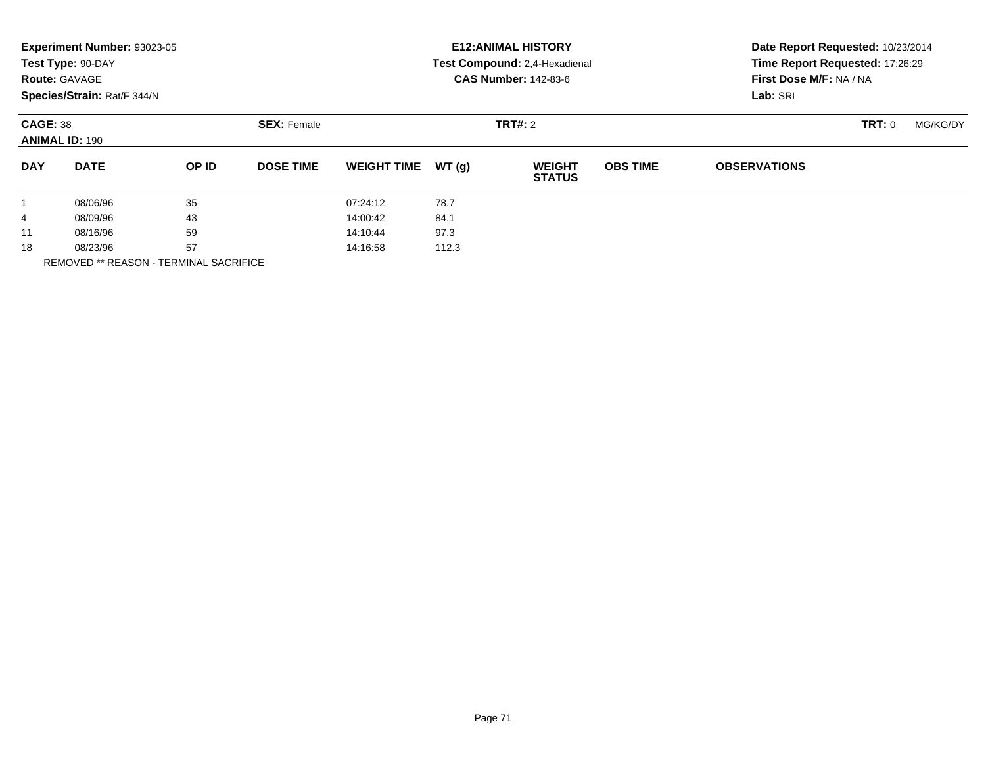|              | Experiment Number: 93023-05<br>Test Type: 90-DAY<br><b>Route: GAVAGE</b><br>Species/Strain: Rat/F 344/N |       |                               |                    |       | <b>E12: ANIMAL HISTORY</b><br>Test Compound: 2,4-Hexadienal<br><b>CAS Number: 142-83-6</b> | Date Report Requested: 10/23/2014<br>Time Report Requested: 17:26:29<br>First Dose M/F: NA / NA<br>Lab: SRI |                     |        |          |
|--------------|---------------------------------------------------------------------------------------------------------|-------|-------------------------------|--------------------|-------|--------------------------------------------------------------------------------------------|-------------------------------------------------------------------------------------------------------------|---------------------|--------|----------|
|              | <b>CAGE: 38</b><br><b>ANIMAL ID: 190</b>                                                                |       | <b>SEX: Female</b><br>TRT#: 2 |                    |       |                                                                                            |                                                                                                             |                     | TRT: 0 | MG/KG/DY |
| <b>DAY</b>   | <b>DATE</b>                                                                                             | OP ID | <b>DOSE TIME</b>              | <b>WEIGHT TIME</b> | WT(g) | <b>WEIGHT</b><br><b>STATUS</b>                                                             | <b>OBS TIME</b>                                                                                             | <b>OBSERVATIONS</b> |        |          |
| $\mathbf{1}$ | 08/06/96                                                                                                | 35    |                               | 07:24:12           | 78.7  |                                                                                            |                                                                                                             |                     |        |          |
| 4            | 08/09/96                                                                                                | 43    |                               | 14:00:42           | 84.1  |                                                                                            |                                                                                                             |                     |        |          |
| 11           | 08/16/96                                                                                                | 59    |                               | 14:10:44           | 97.3  |                                                                                            |                                                                                                             |                     |        |          |
| 18           | 57<br>08/23/96                                                                                          |       |                               | 14:16:58           | 112.3 |                                                                                            |                                                                                                             |                     |        |          |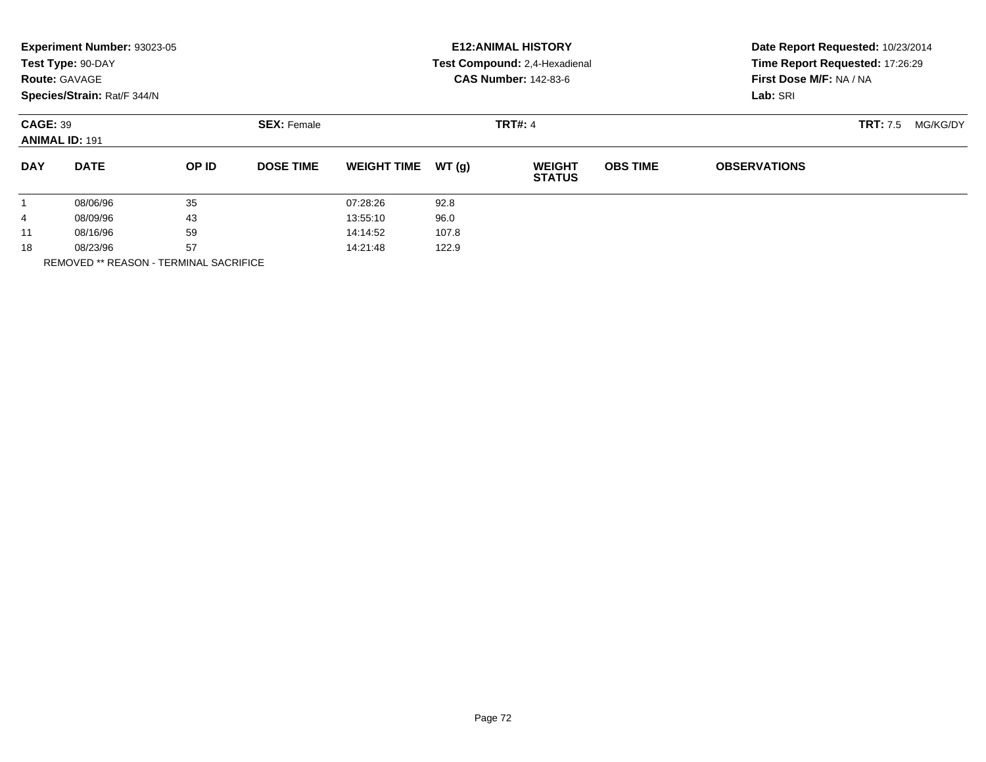|                      | Experiment Number: 93023-05<br>Test Type: 90-DAY<br><b>Route: GAVAGE</b><br>Species/Strain: Rat/F 344/N |              |                    |                    |       | <b>E12: ANIMAL HISTORY</b><br>Test Compound: 2,4-Hexadienal<br><b>CAS Number: 142-83-6</b> | Date Report Requested: 10/23/2014<br>Time Report Requested: 17:26:29<br>First Dose M/F: NA / NA<br>Lab: SRI |                     |                             |
|----------------------|---------------------------------------------------------------------------------------------------------|--------------|--------------------|--------------------|-------|--------------------------------------------------------------------------------------------|-------------------------------------------------------------------------------------------------------------|---------------------|-----------------------------|
|                      | <b>CAGE: 39</b><br><b>ANIMAL ID: 191</b>                                                                |              | <b>SEX: Female</b> |                    |       | <b>TRT#: 4</b>                                                                             |                                                                                                             |                     | <b>TRT:</b> 7.5<br>MG/KG/DY |
| <b>DAY</b>           | <b>DATE</b>                                                                                             | <b>OP ID</b> | <b>DOSE TIME</b>   | <b>WEIGHT TIME</b> | WT(g) | <b>WEIGHT</b><br><b>STATUS</b>                                                             | <b>OBS TIME</b>                                                                                             | <b>OBSERVATIONS</b> |                             |
| $\mathbf{1}$         | 08/06/96                                                                                                | 35           |                    | 07:28:26           | 92.8  |                                                                                            |                                                                                                             |                     |                             |
| 4                    | 08/09/96                                                                                                | 43           |                    | 13:55:10           | 96.0  |                                                                                            |                                                                                                             |                     |                             |
| 11                   | 08/16/96                                                                                                | 59           |                    | 14:14:52           | 107.8 |                                                                                            |                                                                                                             |                     |                             |
| 57<br>18<br>08/23/96 |                                                                                                         |              | 14:21:48           | 122.9              |       |                                                                                            |                                                                                                             |                     |                             |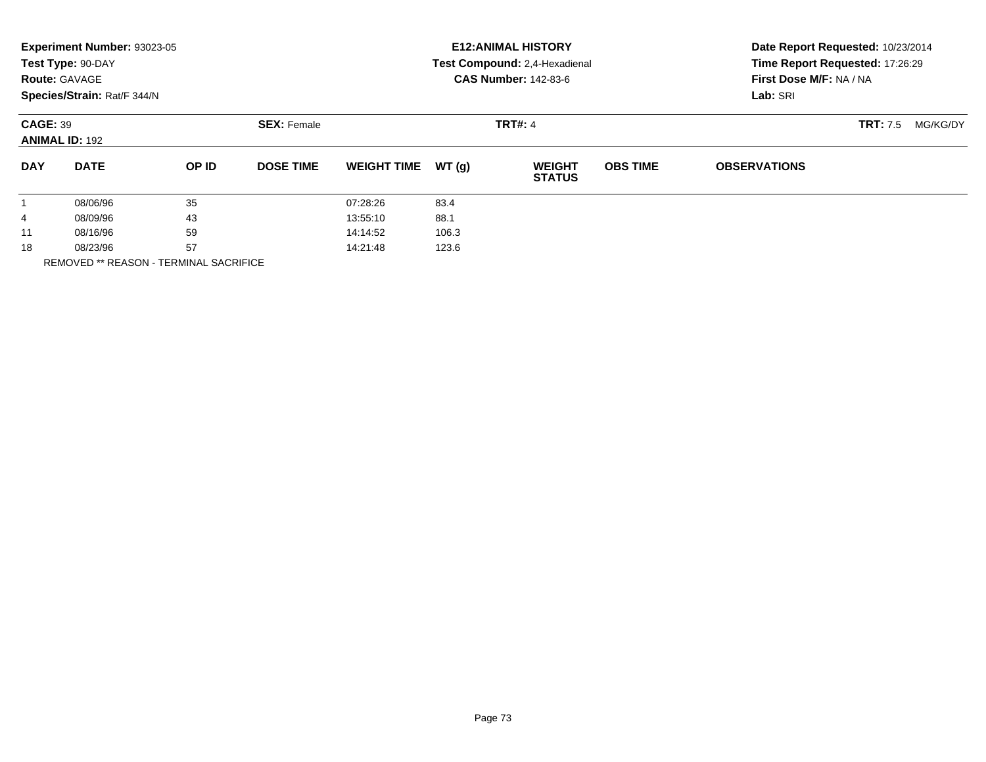|                                          | Experiment Number: 93023-05<br>Test Type: 90-DAY<br><b>Route: GAVAGE</b><br>Species/Strain: Rat/F 344/N |              |                    |                    |       | <b>E12: ANIMAL HISTORY</b><br>Test Compound: 2,4-Hexadienal<br><b>CAS Number: 142-83-6</b> | Date Report Requested: 10/23/2014<br>Time Report Requested: 17:26:29<br>First Dose M/F: NA / NA<br>Lab: SRI |                     |  |
|------------------------------------------|---------------------------------------------------------------------------------------------------------|--------------|--------------------|--------------------|-------|--------------------------------------------------------------------------------------------|-------------------------------------------------------------------------------------------------------------|---------------------|--|
| <b>CAGE: 39</b><br><b>ANIMAL ID: 192</b> |                                                                                                         |              | <b>SEX: Female</b> |                    |       | <b>TRT:</b> 7.5<br>MG/KG/DY                                                                |                                                                                                             |                     |  |
| <b>DAY</b>                               | <b>DATE</b>                                                                                             | <b>OP ID</b> | <b>DOSE TIME</b>   | <b>WEIGHT TIME</b> | WT(g) | <b>WEIGHT</b><br><b>STATUS</b>                                                             | <b>OBS TIME</b>                                                                                             | <b>OBSERVATIONS</b> |  |
| 1                                        | 08/06/96                                                                                                | 35           |                    | 07:28:26           | 83.4  |                                                                                            |                                                                                                             |                     |  |
| 4                                        | 08/09/96                                                                                                | 43           |                    | 13:55:10           | 88.1  |                                                                                            |                                                                                                             |                     |  |
| 11                                       | 08/16/96                                                                                                | 59           |                    | 14:14:52           | 106.3 |                                                                                            |                                                                                                             |                     |  |
| 18                                       | 08/23/96                                                                                                | 57           |                    | 14:21:48           | 123.6 |                                                                                            |                                                                                                             |                     |  |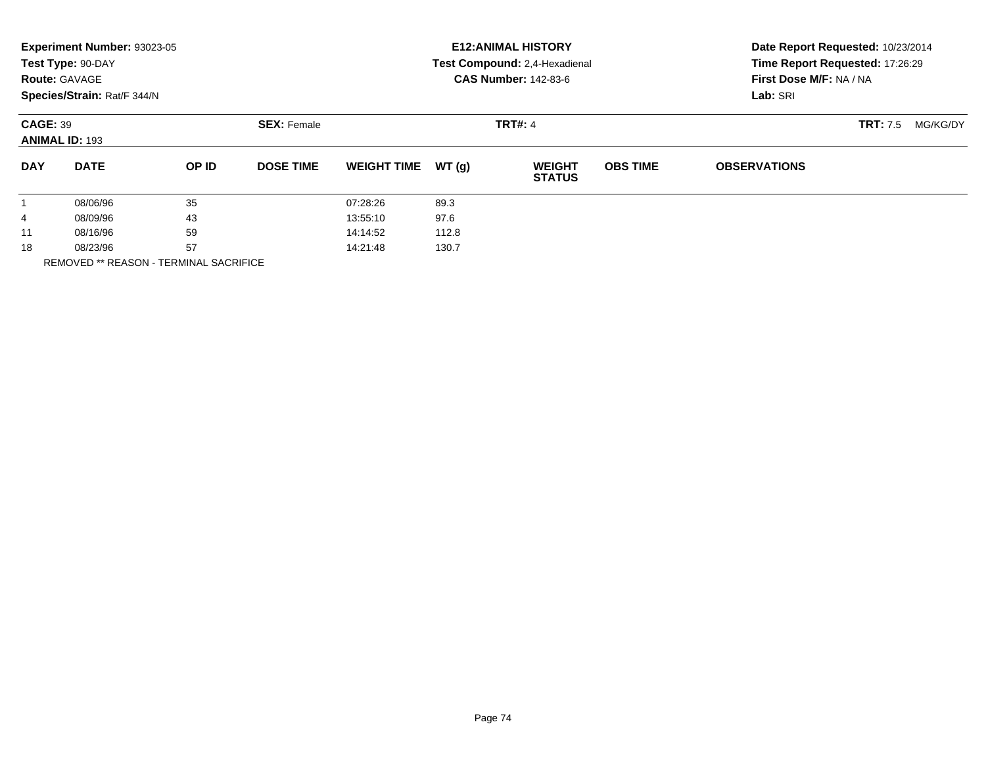|                                          | Experiment Number: 93023-05<br>Test Type: 90-DAY<br><b>Route: GAVAGE</b><br>Species/Strain: Rat/F 344/N |              |                    |                    |                | <b>E12: ANIMAL HISTORY</b><br>Test Compound: 2,4-Hexadienal<br><b>CAS Number: 142-83-6</b> | Date Report Requested: 10/23/2014<br>Time Report Requested: 17:26:29<br>First Dose M/F: NA / NA<br>Lab: SRI |                     |  |
|------------------------------------------|---------------------------------------------------------------------------------------------------------|--------------|--------------------|--------------------|----------------|--------------------------------------------------------------------------------------------|-------------------------------------------------------------------------------------------------------------|---------------------|--|
| <b>CAGE: 39</b><br><b>ANIMAL ID: 193</b> |                                                                                                         |              | <b>SEX: Female</b> |                    | <b>TRT#: 4</b> |                                                                                            | <b>TRT:</b> 7.5<br>MG/KG/DY                                                                                 |                     |  |
| <b>DAY</b>                               | <b>DATE</b>                                                                                             | <b>OP ID</b> | <b>DOSE TIME</b>   | <b>WEIGHT TIME</b> | WT(g)          | <b>WEIGHT</b><br><b>STATUS</b>                                                             | <b>OBS TIME</b>                                                                                             | <b>OBSERVATIONS</b> |  |
| $\mathbf{1}$                             | 08/06/96                                                                                                | 35           |                    | 07:28:26           | 89.3           |                                                                                            |                                                                                                             |                     |  |
| 4                                        | 43<br>08/09/96                                                                                          |              |                    | 13:55:10           | 97.6           |                                                                                            |                                                                                                             |                     |  |
| 11                                       | 08/16/96                                                                                                | 59           |                    | 14:14:52           | 112.8          |                                                                                            |                                                                                                             |                     |  |
| 18                                       | 57<br>08/23/96                                                                                          |              |                    | 130.7<br>14:21:48  |                |                                                                                            |                                                                                                             |                     |  |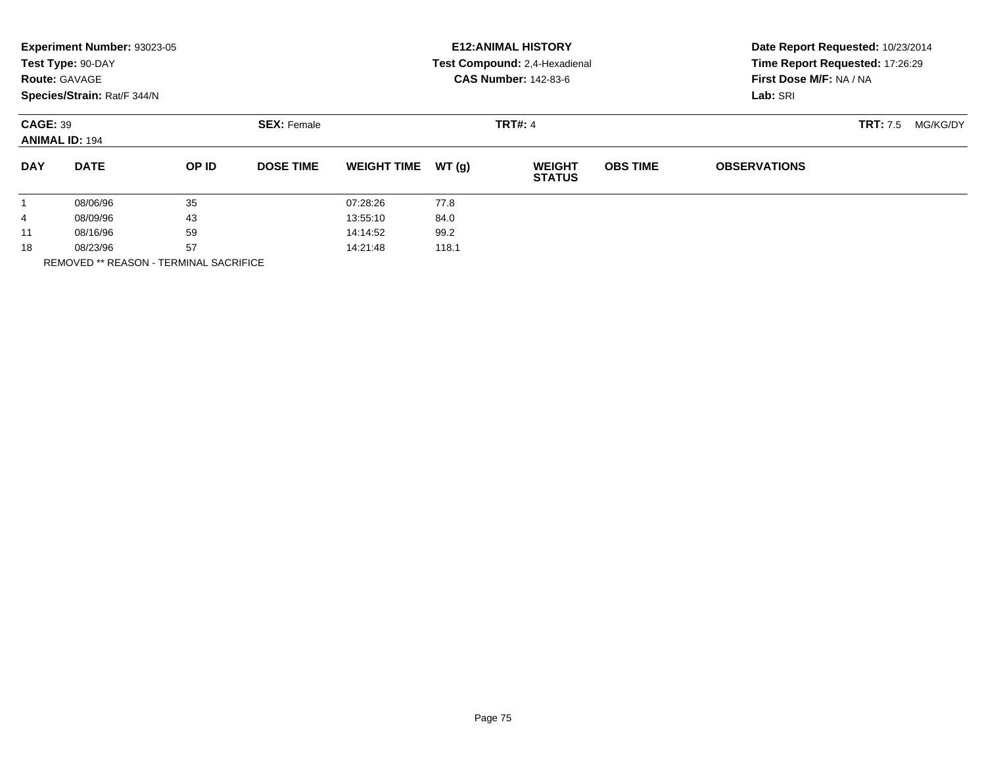|                                          | Experiment Number: 93023-05<br>Test Type: 90-DAY<br><b>Route: GAVAGE</b><br>Species/Strain: Rat/F 344/N |              |                    |                    |                | <b>E12: ANIMAL HISTORY</b><br>Test Compound: 2,4-Hexadienal<br><b>CAS Number: 142-83-6</b> | Date Report Requested: 10/23/2014<br>Time Report Requested: 17:26:29<br>First Dose M/F: NA / NA<br>Lab: SRI |                     |  |
|------------------------------------------|---------------------------------------------------------------------------------------------------------|--------------|--------------------|--------------------|----------------|--------------------------------------------------------------------------------------------|-------------------------------------------------------------------------------------------------------------|---------------------|--|
| <b>CAGE: 39</b><br><b>ANIMAL ID: 194</b> |                                                                                                         |              | <b>SEX: Female</b> |                    | <b>TRT#: 4</b> |                                                                                            | <b>TRT:</b> 7.5<br>MG/KG/DY                                                                                 |                     |  |
| <b>DAY</b>                               | <b>DATE</b>                                                                                             | <b>OP ID</b> | <b>DOSE TIME</b>   | <b>WEIGHT TIME</b> | WT(g)          | <b>WEIGHT</b><br><b>STATUS</b>                                                             | <b>OBS TIME</b>                                                                                             | <b>OBSERVATIONS</b> |  |
| $\mathbf{1}$                             | 08/06/96                                                                                                | 35           |                    | 07:28:26           | 77.8           |                                                                                            |                                                                                                             |                     |  |
| 4                                        | 43<br>08/09/96                                                                                          |              |                    | 13:55:10           | 84.0           |                                                                                            |                                                                                                             |                     |  |
| 11                                       | 08/16/96                                                                                                | 59           |                    | 14:14:52           | 99.2           |                                                                                            |                                                                                                             |                     |  |
| 18                                       | 57<br>08/23/96                                                                                          |              |                    | 118.1<br>14:21:48  |                |                                                                                            |                                                                                                             |                     |  |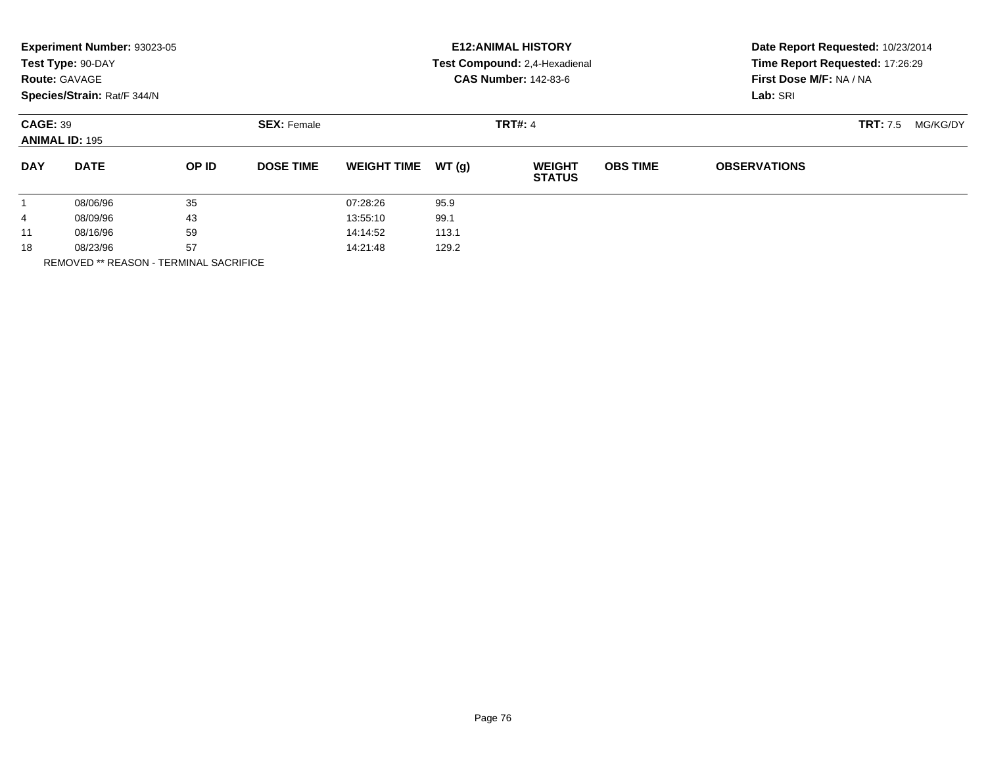|                                          | Experiment Number: 93023-05<br>Test Type: 90-DAY<br><b>Route: GAVAGE</b><br>Species/Strain: Rat/F 344/N |       |                    | <b>E12: ANIMAL HISTORY</b><br>Test Compound: 2,4-Hexadienal<br><b>CAS Number: 142-83-6</b> |                |                                |                             | Date Report Requested: 10/23/2014<br>Time Report Requested: 17:26:29<br>First Dose M/F: NA / NA<br>Lab: SRI |  |  |
|------------------------------------------|---------------------------------------------------------------------------------------------------------|-------|--------------------|--------------------------------------------------------------------------------------------|----------------|--------------------------------|-----------------------------|-------------------------------------------------------------------------------------------------------------|--|--|
| <b>CAGE: 39</b><br><b>ANIMAL ID: 195</b> |                                                                                                         |       | <b>SEX: Female</b> |                                                                                            | <b>TRT#: 4</b> |                                | <b>TRT:</b> 7.5<br>MG/KG/DY |                                                                                                             |  |  |
| <b>DAY</b>                               | <b>DATE</b>                                                                                             | OP ID | <b>DOSE TIME</b>   | <b>WEIGHT TIME</b>                                                                         | WT(g)          | <b>WEIGHT</b><br><b>STATUS</b> | <b>OBS TIME</b>             | <b>OBSERVATIONS</b>                                                                                         |  |  |
|                                          | 08/06/96                                                                                                | 35    |                    | 07:28:26                                                                                   | 95.9           |                                |                             |                                                                                                             |  |  |
| 4                                        | 08/09/96                                                                                                | 43    |                    | 13:55:10                                                                                   | 99.1           |                                |                             |                                                                                                             |  |  |
| 11                                       | 08/16/96                                                                                                | 59    |                    | 14:14:52                                                                                   | 113.1          |                                |                             |                                                                                                             |  |  |
| 18                                       | 08/23/96                                                                                                | 57    |                    | 14:21:48                                                                                   | 129.2          |                                |                             |                                                                                                             |  |  |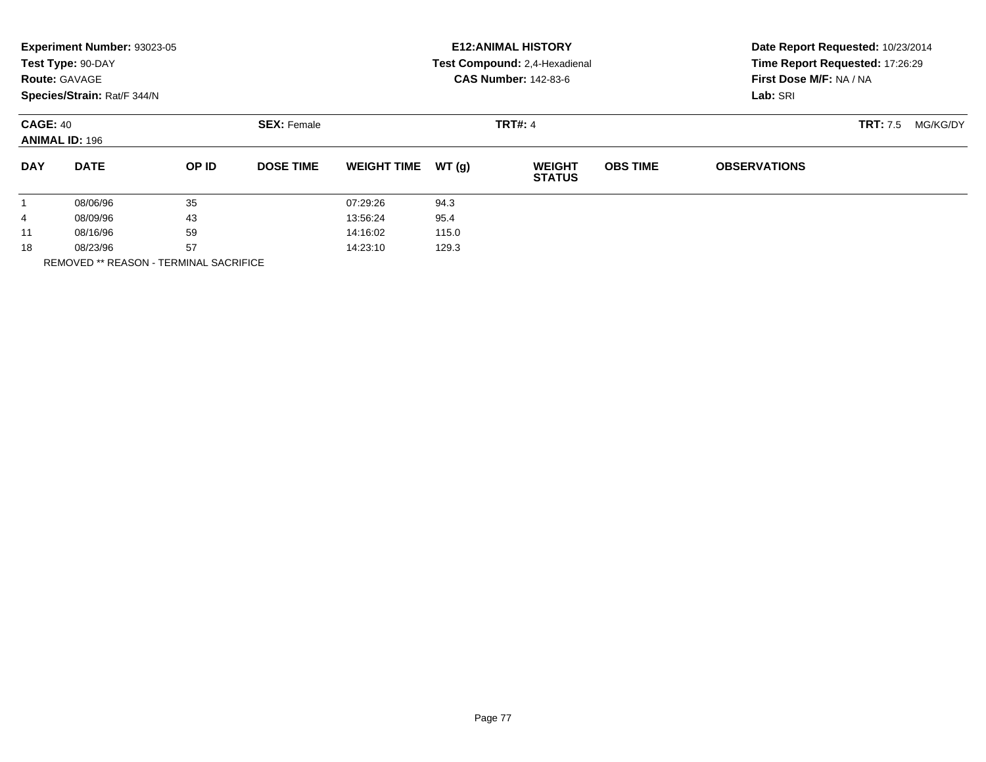|                                          | Experiment Number: 93023-05<br>Test Type: 90-DAY<br><b>Route: GAVAGE</b><br>Species/Strain: Rat/F 344/N |       |                    |                    |       | <b>E12: ANIMAL HISTORY</b><br>Test Compound: 2,4-Hexadienal<br><b>CAS Number: 142-83-6</b> | Date Report Requested: 10/23/2014<br>Time Report Requested: 17:26:29<br>First Dose M/F: NA / NA<br>Lab: SRI |                     |  |
|------------------------------------------|---------------------------------------------------------------------------------------------------------|-------|--------------------|--------------------|-------|--------------------------------------------------------------------------------------------|-------------------------------------------------------------------------------------------------------------|---------------------|--|
| <b>CAGE: 40</b><br><b>ANIMAL ID: 196</b> |                                                                                                         |       | <b>SEX: Female</b> |                    |       | <b>TRT:</b> 7.5<br>MG/KG/DY                                                                |                                                                                                             |                     |  |
| <b>DAY</b>                               | <b>DATE</b>                                                                                             | OP ID | <b>DOSE TIME</b>   | <b>WEIGHT TIME</b> | WT(g) | <b>WEIGHT</b><br><b>STATUS</b>                                                             | <b>OBS TIME</b>                                                                                             | <b>OBSERVATIONS</b> |  |
|                                          | 08/06/96                                                                                                | 35    |                    | 07:29:26           | 94.3  |                                                                                            |                                                                                                             |                     |  |
| 4                                        | 08/09/96                                                                                                | 43    |                    | 13:56:24           | 95.4  |                                                                                            |                                                                                                             |                     |  |
| 11                                       | 08/16/96                                                                                                | 59    |                    | 14:16:02           | 115.0 |                                                                                            |                                                                                                             |                     |  |
| 18                                       | 57<br>08/23/96<br>_ _ . _ _ . _ . _                                                                     |       | 14:23:10<br>129.3  |                    |       |                                                                                            |                                                                                                             |                     |  |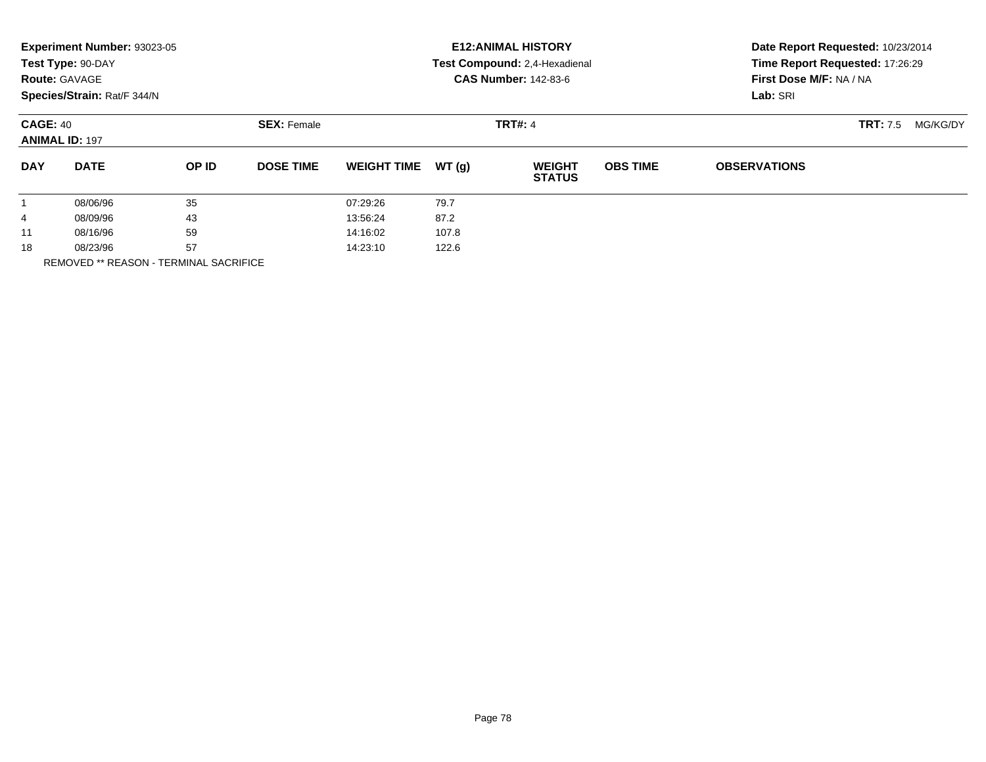|                                          | Experiment Number: 93023-05<br>Test Type: 90-DAY<br><b>Route: GAVAGE</b><br>Species/Strain: Rat/F 344/N |              |                    |                    |                | <b>E12: ANIMAL HISTORY</b><br>Test Compound: 2,4-Hexadienal<br><b>CAS Number: 142-83-6</b> | Date Report Requested: 10/23/2014<br>Time Report Requested: 17:26:29<br>First Dose M/F: NA / NA<br>Lab: SRI |                     |  |
|------------------------------------------|---------------------------------------------------------------------------------------------------------|--------------|--------------------|--------------------|----------------|--------------------------------------------------------------------------------------------|-------------------------------------------------------------------------------------------------------------|---------------------|--|
| <b>CAGE: 40</b><br><b>ANIMAL ID: 197</b> |                                                                                                         |              | <b>SEX: Female</b> |                    | <b>TRT#: 4</b> |                                                                                            | <b>TRT:</b> 7.5<br>MG/KG/DY                                                                                 |                     |  |
| <b>DAY</b>                               | <b>DATE</b>                                                                                             | <b>OP ID</b> | <b>DOSE TIME</b>   | <b>WEIGHT TIME</b> | WT(g)          | <b>WEIGHT</b><br><b>STATUS</b>                                                             | <b>OBS TIME</b>                                                                                             | <b>OBSERVATIONS</b> |  |
| $\mathbf{1}$                             | 08/06/96                                                                                                | 35           |                    | 07:29:26           | 79.7           |                                                                                            |                                                                                                             |                     |  |
| 4                                        | 43<br>08/09/96                                                                                          |              |                    | 13:56:24           | 87.2           |                                                                                            |                                                                                                             |                     |  |
| 11                                       | 08/16/96                                                                                                | 59           |                    | 14:16:02           | 107.8          |                                                                                            |                                                                                                             |                     |  |
| 18                                       | 57<br>08/23/96                                                                                          |              |                    | 14:23:10           | 122.6          |                                                                                            |                                                                                                             |                     |  |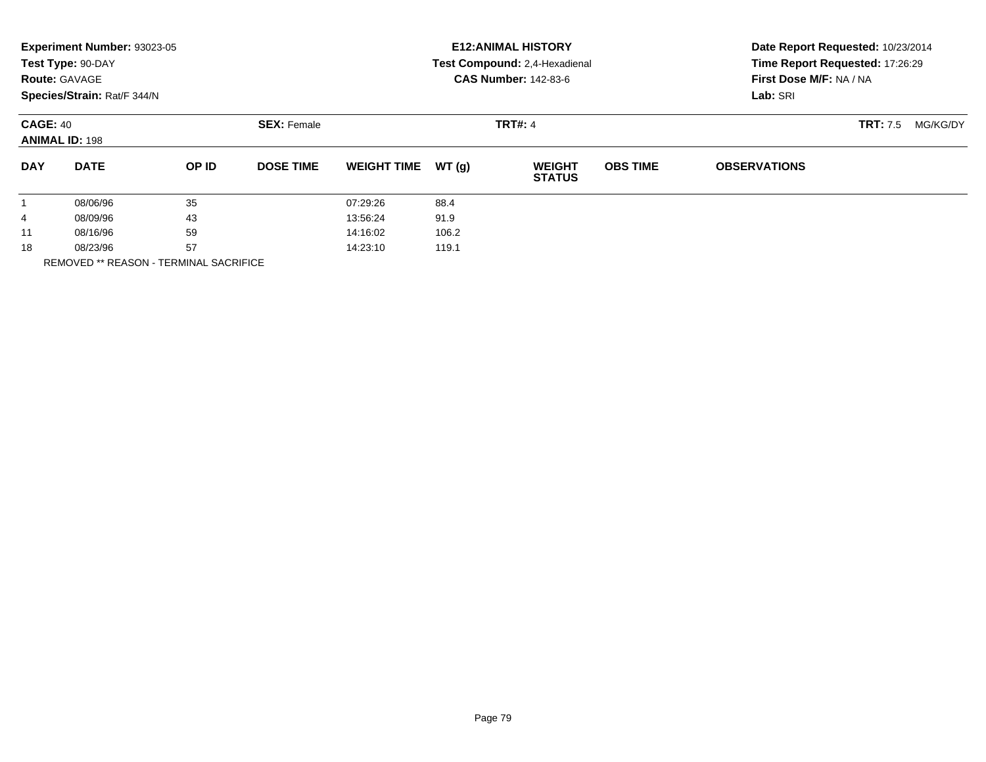|                                          | Experiment Number: 93023-05<br>Test Type: 90-DAY<br><b>Route: GAVAGE</b><br>Species/Strain: Rat/F 344/N |       |                    |                    |                | <b>E12: ANIMAL HISTORY</b><br>Test Compound: 2,4-Hexadienal<br><b>CAS Number: 142-83-6</b> | Date Report Requested: 10/23/2014<br>Time Report Requested: 17:26:29<br>First Dose M/F: NA / NA<br>Lab: SRI |                     |  |
|------------------------------------------|---------------------------------------------------------------------------------------------------------|-------|--------------------|--------------------|----------------|--------------------------------------------------------------------------------------------|-------------------------------------------------------------------------------------------------------------|---------------------|--|
| <b>CAGE: 40</b><br><b>ANIMAL ID: 198</b> |                                                                                                         |       | <b>SEX: Female</b> |                    | <b>TRT#: 4</b> |                                                                                            | <b>TRT:</b> 7.5<br>MG/KG/DY                                                                                 |                     |  |
| <b>DAY</b>                               | <b>DATE</b>                                                                                             | OP ID | <b>DOSE TIME</b>   | <b>WEIGHT TIME</b> | WT(q)          | <b>WEIGHT</b><br><b>STATUS</b>                                                             | <b>OBS TIME</b>                                                                                             | <b>OBSERVATIONS</b> |  |
|                                          | 08/06/96                                                                                                | 35    |                    | 07:29:26           | 88.4           |                                                                                            |                                                                                                             |                     |  |
| 4                                        | 08/09/96                                                                                                | 43    |                    | 13:56:24           | 91.9           |                                                                                            |                                                                                                             |                     |  |
| 11                                       | 08/16/96                                                                                                | 59    |                    | 14:16:02           | 106.2          |                                                                                            |                                                                                                             |                     |  |
| 18                                       | 57<br>08/23/96<br>----------------                                                                      |       |                    | 14:23:10<br>119.1  |                |                                                                                            |                                                                                                             |                     |  |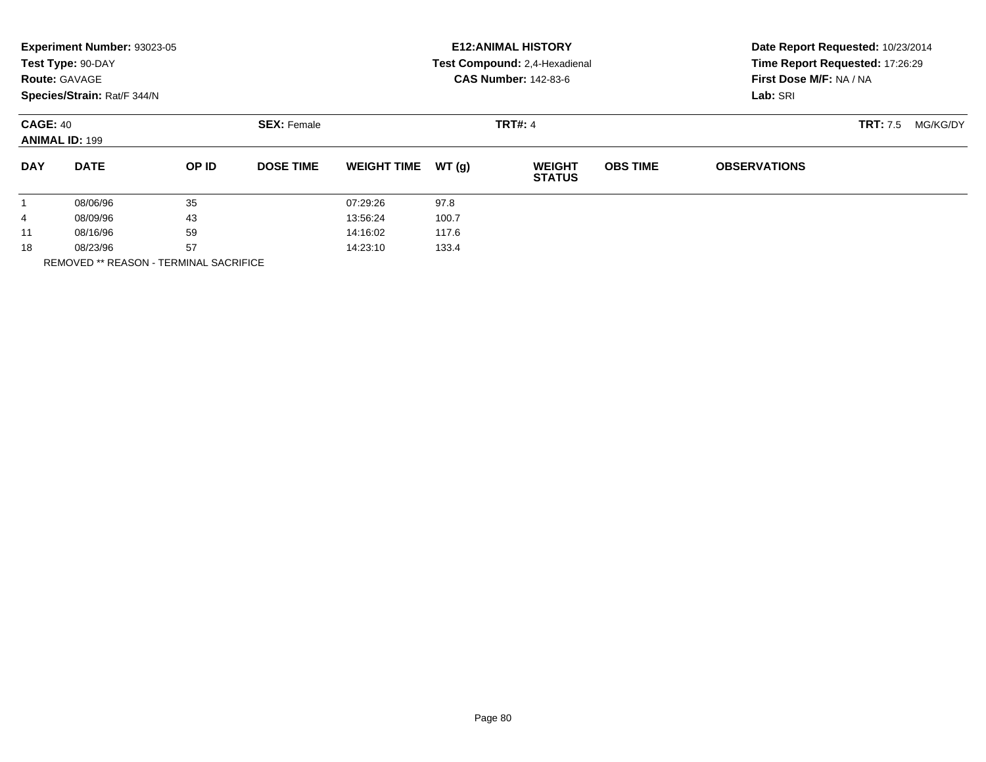|                                          | Experiment Number: 93023-05<br>Test Type: 90-DAY<br><b>Route: GAVAGE</b><br>Species/Strain: Rat/F 344/N |                                      |                  |                    |       | <b>E12: ANIMAL HISTORY</b><br>Test Compound: 2,4-Hexadienal<br><b>CAS Number: 142-83-6</b> | Date Report Requested: 10/23/2014<br>Time Report Requested: 17:26:29<br>First Dose M/F: NA / NA<br>Lab: SRI |                     |  |
|------------------------------------------|---------------------------------------------------------------------------------------------------------|--------------------------------------|------------------|--------------------|-------|--------------------------------------------------------------------------------------------|-------------------------------------------------------------------------------------------------------------|---------------------|--|
| <b>CAGE: 40</b><br><b>ANIMAL ID: 199</b> |                                                                                                         | <b>TRT#: 4</b><br><b>SEX: Female</b> |                  |                    |       |                                                                                            | <b>TRT:</b> 7.5<br>MG/KG/DY                                                                                 |                     |  |
| <b>DAY</b>                               | <b>DATE</b>                                                                                             | OP ID                                | <b>DOSE TIME</b> | <b>WEIGHT TIME</b> | WT(g) | <b>WEIGHT</b><br><b>STATUS</b>                                                             | <b>OBS TIME</b>                                                                                             | <b>OBSERVATIONS</b> |  |
|                                          | 08/06/96                                                                                                | 35                                   |                  | 07:29:26           | 97.8  |                                                                                            |                                                                                                             |                     |  |
| 4                                        | 08/09/96                                                                                                | 43                                   |                  | 13:56:24           | 100.7 |                                                                                            |                                                                                                             |                     |  |
| 11                                       | 08/16/96                                                                                                | 59                                   |                  | 14:16:02           | 117.6 |                                                                                            |                                                                                                             |                     |  |
| 18                                       | 08/23/96                                                                                                | 57                                   |                  | 14:23:10           | 133.4 |                                                                                            |                                                                                                             |                     |  |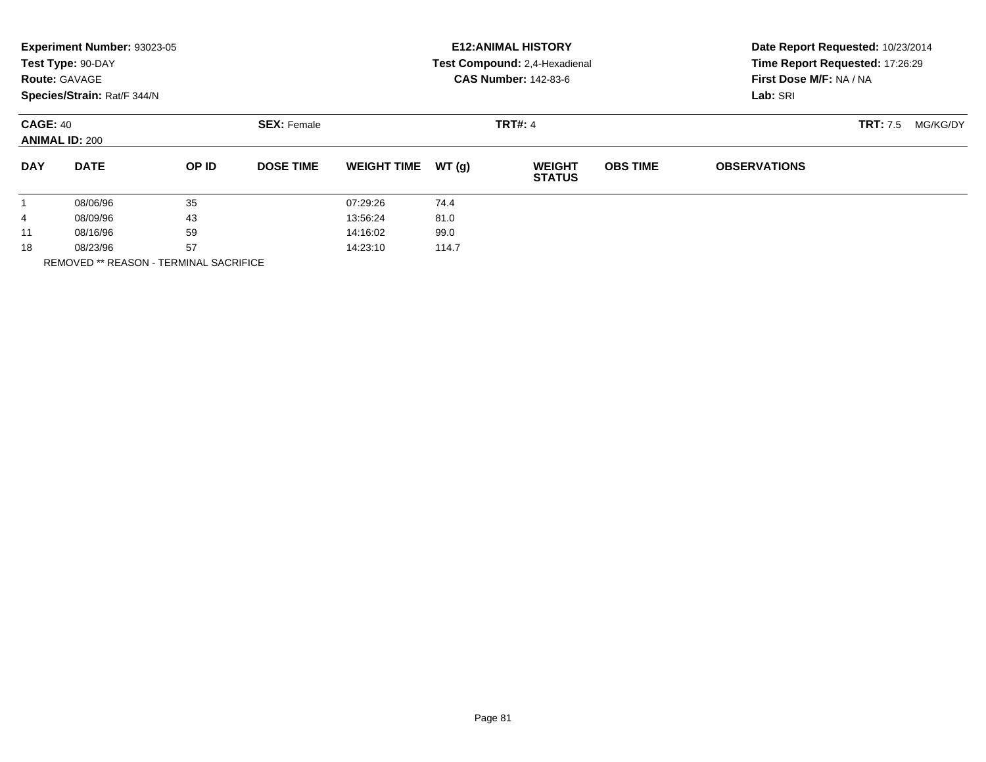|                                          | Experiment Number: 93023-05<br>Test Type: 90-DAY<br><b>Route: GAVAGE</b><br>Species/Strain: Rat/F 344/N |              |                    |                    |                | <b>E12: ANIMAL HISTORY</b><br>Test Compound: 2,4-Hexadienal<br><b>CAS Number: 142-83-6</b> | Date Report Requested: 10/23/2014<br>Time Report Requested: 17:26:29<br>First Dose M/F: NA / NA<br>Lab: SRI |                     |  |
|------------------------------------------|---------------------------------------------------------------------------------------------------------|--------------|--------------------|--------------------|----------------|--------------------------------------------------------------------------------------------|-------------------------------------------------------------------------------------------------------------|---------------------|--|
| <b>CAGE: 40</b><br><b>ANIMAL ID: 200</b> |                                                                                                         |              | <b>SEX: Female</b> |                    | <b>TRT#: 4</b> |                                                                                            | <b>TRT:</b> 7.5<br>MG/KG/DY                                                                                 |                     |  |
| <b>DAY</b>                               | <b>DATE</b>                                                                                             | <b>OP ID</b> | <b>DOSE TIME</b>   | <b>WEIGHT TIME</b> | WT(g)          | <b>WEIGHT</b><br><b>STATUS</b>                                                             | <b>OBS TIME</b>                                                                                             | <b>OBSERVATIONS</b> |  |
| $\mathbf{1}$                             | 08/06/96                                                                                                | 35           |                    | 07:29:26           | 74.4           |                                                                                            |                                                                                                             |                     |  |
| 4                                        | 43<br>08/09/96                                                                                          |              |                    | 13:56:24           | 81.0           |                                                                                            |                                                                                                             |                     |  |
| 11                                       | 08/16/96                                                                                                | 59           |                    | 14:16:02           | 99.0           |                                                                                            |                                                                                                             |                     |  |
| 18                                       | 57<br>08/23/96                                                                                          |              |                    | 114.7<br>14:23:10  |                |                                                                                            |                                                                                                             |                     |  |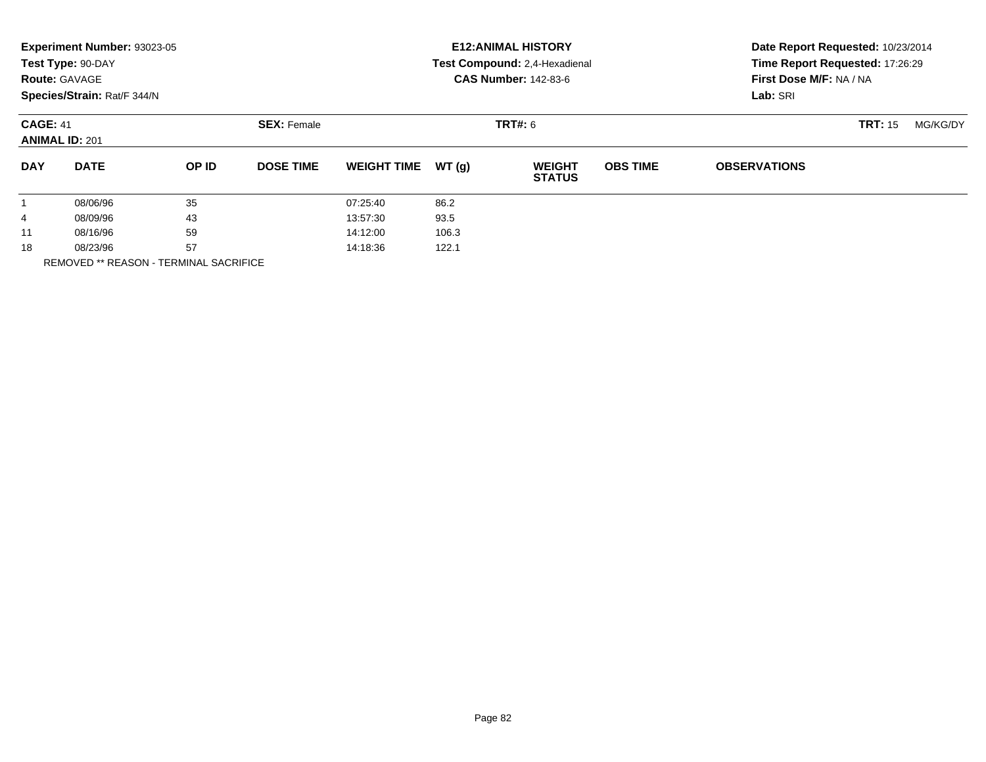|                                          | Experiment Number: 93023-05<br>Test Type: 90-DAY<br><b>Route: GAVAGE</b><br>Species/Strain: Rat/F 344/N |       |                    |                    |                | <b>E12: ANIMAL HISTORY</b><br>Test Compound: 2,4-Hexadienal<br><b>CAS Number: 142-83-6</b> | Date Report Requested: 10/23/2014<br>Time Report Requested: 17:26:29<br>First Dose M/F: NA / NA<br>Lab: SRI |                     |  |  |
|------------------------------------------|---------------------------------------------------------------------------------------------------------|-------|--------------------|--------------------|----------------|--------------------------------------------------------------------------------------------|-------------------------------------------------------------------------------------------------------------|---------------------|--|--|
| <b>CAGE: 41</b><br><b>ANIMAL ID: 201</b> |                                                                                                         |       | <b>SEX: Female</b> |                    | <b>TRT#:</b> 6 |                                                                                            | <b>TRT: 15</b>                                                                                              | MG/KG/DY            |  |  |
| <b>DAY</b>                               | <b>DATE</b>                                                                                             | OP ID | <b>DOSE TIME</b>   | <b>WEIGHT TIME</b> | WT(q)          | <b>WEIGHT</b><br><b>STATUS</b>                                                             | <b>OBS TIME</b>                                                                                             | <b>OBSERVATIONS</b> |  |  |
|                                          | 08/06/96                                                                                                | 35    |                    | 07:25:40           | 86.2           |                                                                                            |                                                                                                             |                     |  |  |
| 4                                        | 08/09/96                                                                                                | 43    |                    | 13:57:30           | 93.5           |                                                                                            |                                                                                                             |                     |  |  |
| 11                                       | 08/16/96                                                                                                | 59    |                    | 14:12:00           | 106.3          |                                                                                            |                                                                                                             |                     |  |  |
| 18<br>----------------                   | 57<br>08/23/96                                                                                          |       |                    | 122.1<br>14:18:36  |                |                                                                                            |                                                                                                             |                     |  |  |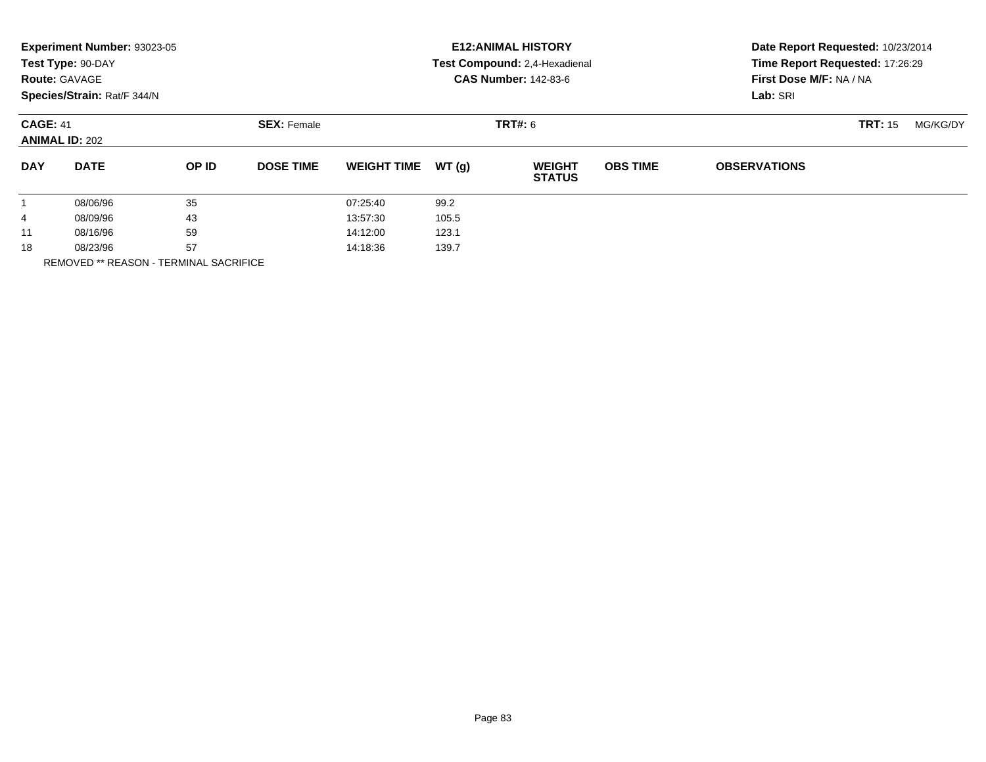|                                          | Experiment Number: 93023-05<br>Test Type: 90-DAY<br><b>Route: GAVAGE</b><br>Species/Strain: Rat/F 344/N |       |                    |                    |       | <b>E12: ANIMAL HISTORY</b><br>Test Compound: 2,4-Hexadienal<br><b>CAS Number: 142-83-6</b> | Date Report Requested: 10/23/2014<br>Time Report Requested: 17:26:29<br>First Dose M/F: NA / NA<br>Lab: SRI |                     |  |  |
|------------------------------------------|---------------------------------------------------------------------------------------------------------|-------|--------------------|--------------------|-------|--------------------------------------------------------------------------------------------|-------------------------------------------------------------------------------------------------------------|---------------------|--|--|
| <b>CAGE: 41</b><br><b>ANIMAL ID: 202</b> |                                                                                                         |       | <b>SEX: Female</b> |                    |       | <b>TRT: 15</b>                                                                             | MG/KG/DY                                                                                                    |                     |  |  |
| <b>DAY</b>                               | <b>DATE</b>                                                                                             | OP ID | <b>DOSE TIME</b>   | <b>WEIGHT TIME</b> | WT(q) | <b>WEIGHT</b><br><b>STATUS</b>                                                             | <b>OBS TIME</b>                                                                                             | <b>OBSERVATIONS</b> |  |  |
|                                          | 08/06/96                                                                                                | 35    |                    | 07:25:40           | 99.2  |                                                                                            |                                                                                                             |                     |  |  |
| 4                                        | 08/09/96                                                                                                | 43    |                    | 13:57:30           | 105.5 |                                                                                            |                                                                                                             |                     |  |  |
| 11                                       | 08/16/96                                                                                                | 59    |                    | 14:12:00           | 123.1 |                                                                                            |                                                                                                             |                     |  |  |
| 18                                       | 57<br>08/23/96<br>----------------                                                                      |       |                    | 139.7<br>14:18:36  |       |                                                                                            |                                                                                                             |                     |  |  |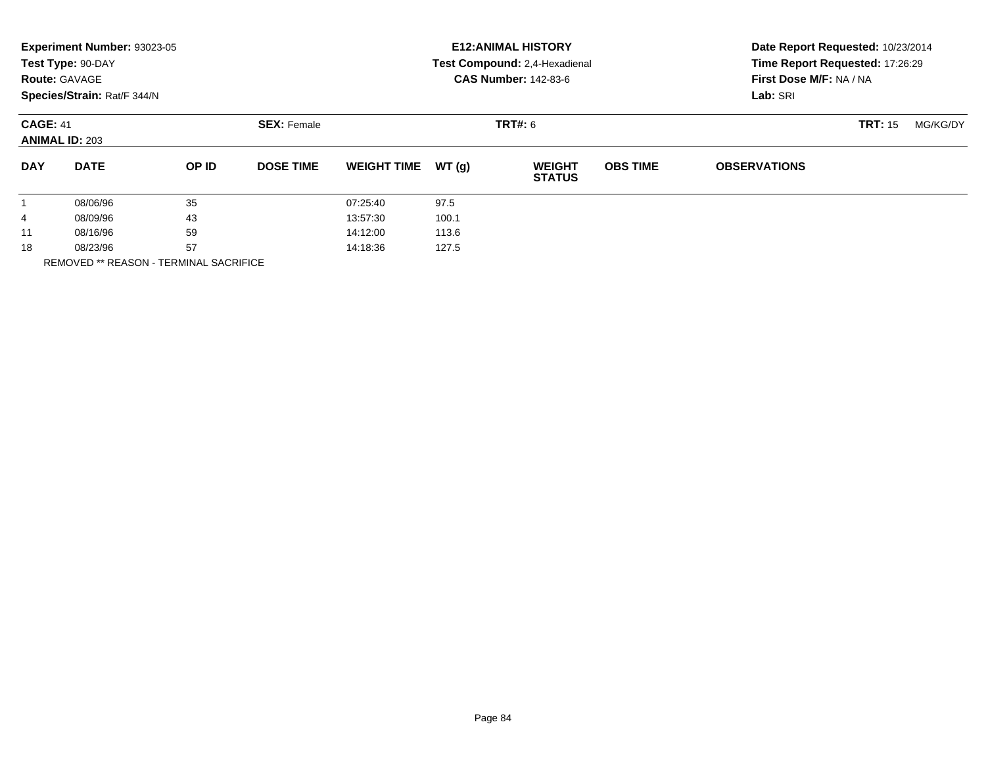|                                          | Experiment Number: 93023-05<br>Test Type: 90-DAY<br><b>Route: GAVAGE</b><br>Species/Strain: Rat/F 344/N |       |                    | <b>E12: ANIMAL HISTORY</b><br>Test Compound: 2,4-Hexadienal<br><b>CAS Number: 142-83-6</b> |       |                                |                 | Date Report Requested: 10/23/2014<br>Time Report Requested: 17:26:29<br>First Dose M/F: NA / NA<br>Lab: SRI |  |  |
|------------------------------------------|---------------------------------------------------------------------------------------------------------|-------|--------------------|--------------------------------------------------------------------------------------------|-------|--------------------------------|-----------------|-------------------------------------------------------------------------------------------------------------|--|--|
| <b>CAGE: 41</b><br><b>ANIMAL ID: 203</b> |                                                                                                         |       | <b>SEX: Female</b> |                                                                                            |       | <b>TRT: 15</b>                 | MG/KG/DY        |                                                                                                             |  |  |
| <b>DAY</b>                               | <b>DATE</b>                                                                                             | OP ID | <b>DOSE TIME</b>   | <b>WEIGHT TIME</b>                                                                         | WT(g) | <b>WEIGHT</b><br><b>STATUS</b> | <b>OBS TIME</b> | <b>OBSERVATIONS</b>                                                                                         |  |  |
|                                          | 08/06/96                                                                                                | 35    |                    | 07:25:40                                                                                   | 97.5  |                                |                 |                                                                                                             |  |  |
| 4                                        | 08/09/96                                                                                                | 43    |                    | 13:57:30                                                                                   | 100.1 |                                |                 |                                                                                                             |  |  |
| 11                                       | 08/16/96                                                                                                | 59    |                    | 14:12:00                                                                                   | 113.6 |                                |                 |                                                                                                             |  |  |
| 18                                       | 57<br>08/23/96                                                                                          |       |                    | 127.5<br>14:18:36                                                                          |       |                                |                 |                                                                                                             |  |  |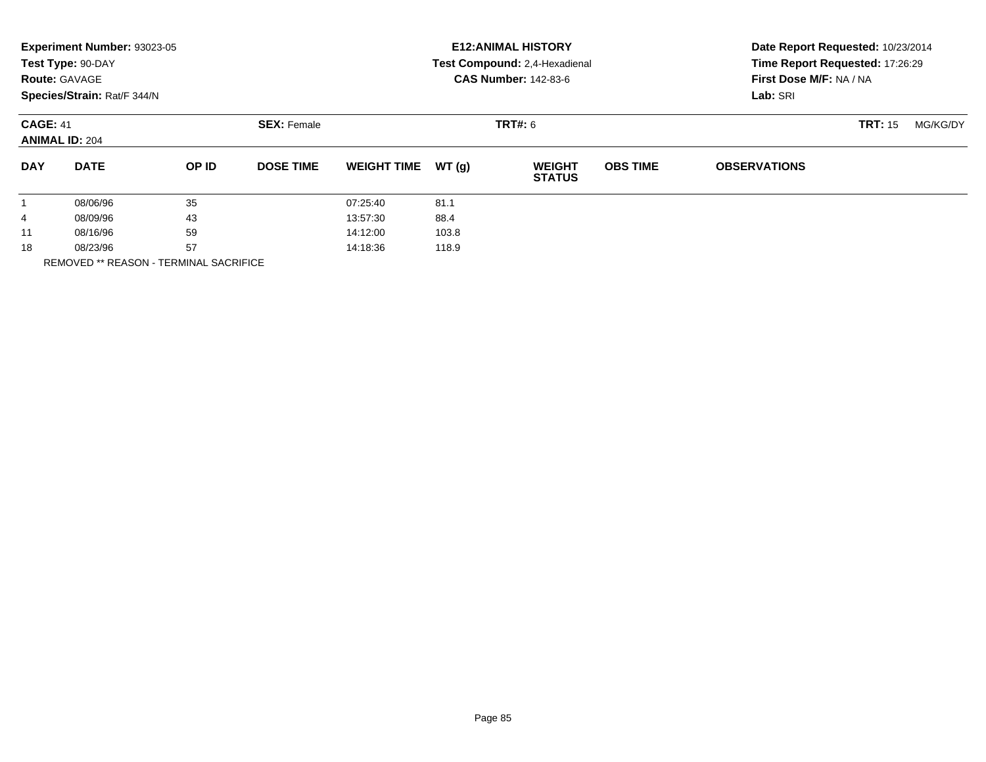|            | Experiment Number: 93023-05<br>Test Type: 90-DAY<br><b>Route: GAVAGE</b><br>Species/Strain: Rat/F 344/N |       |                    |                    |                | <b>E12: ANIMAL HISTORY</b><br>Test Compound: 2,4-Hexadienal<br><b>CAS Number: 142-83-6</b> | Date Report Requested: 10/23/2014<br>Time Report Requested: 17:26:29<br>First Dose M/F: NA / NA<br>Lab: SRI |                     |                |          |
|------------|---------------------------------------------------------------------------------------------------------|-------|--------------------|--------------------|----------------|--------------------------------------------------------------------------------------------|-------------------------------------------------------------------------------------------------------------|---------------------|----------------|----------|
|            | <b>CAGE: 41</b><br><b>ANIMAL ID: 204</b>                                                                |       | <b>SEX: Female</b> |                    | <b>TRT#:</b> 6 |                                                                                            |                                                                                                             |                     | <b>TRT: 15</b> | MG/KG/DY |
| <b>DAY</b> | <b>DATE</b>                                                                                             | OP ID | <b>DOSE TIME</b>   | <b>WEIGHT TIME</b> | WT(q)          | <b>WEIGHT</b><br><b>STATUS</b>                                                             | <b>OBS TIME</b>                                                                                             | <b>OBSERVATIONS</b> |                |          |
|            | 08/06/96                                                                                                | 35    |                    | 07:25:40           | 81.1           |                                                                                            |                                                                                                             |                     |                |          |
| 4          | 08/09/96                                                                                                | 43    |                    | 13:57:30           | 88.4           |                                                                                            |                                                                                                             |                     |                |          |
| 11         | 08/16/96                                                                                                | 59    |                    | 14:12:00           | 103.8          |                                                                                            |                                                                                                             |                     |                |          |
| 18         | 57<br>08/23/96<br>----------------                                                                      |       | 14:18:36           | 118.9              |                |                                                                                            |                                                                                                             |                     |                |          |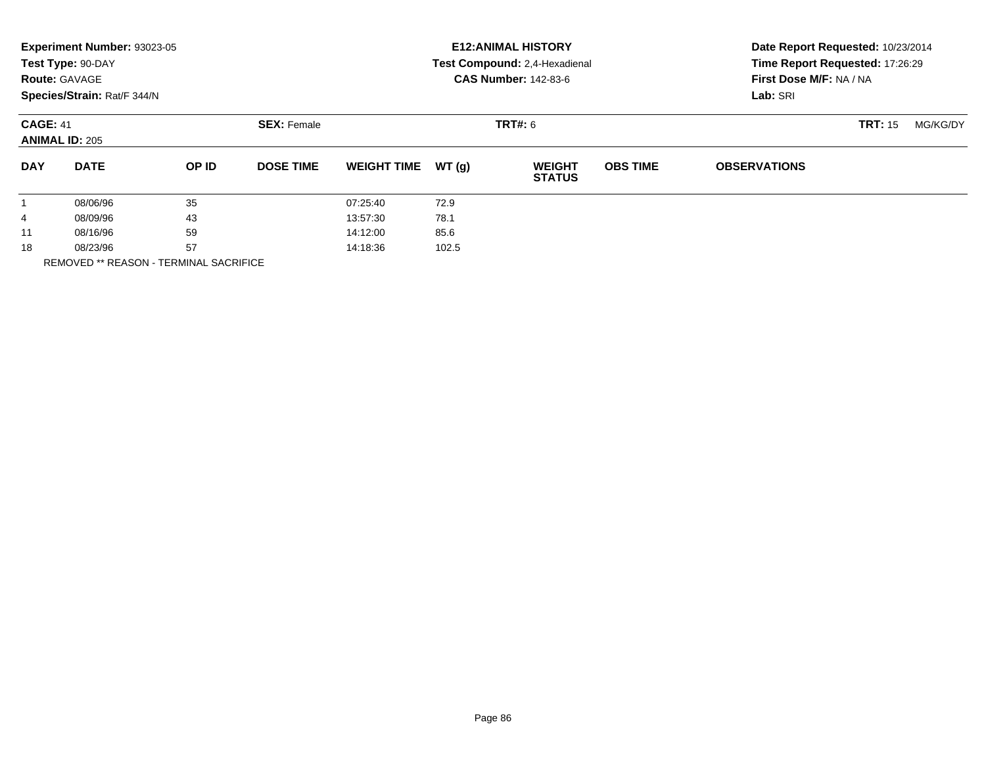|            | Experiment Number: 93023-05<br>Test Type: 90-DAY<br><b>Route: GAVAGE</b><br>Species/Strain: Rat/F 344/N |       |                    |                    |                | <b>E12: ANIMAL HISTORY</b><br>Test Compound: 2,4-Hexadienal<br><b>CAS Number: 142-83-6</b> | Date Report Requested: 10/23/2014<br>Time Report Requested: 17:26:29<br>First Dose M/F: NA / NA<br>Lab: SRI |                     |                |          |
|------------|---------------------------------------------------------------------------------------------------------|-------|--------------------|--------------------|----------------|--------------------------------------------------------------------------------------------|-------------------------------------------------------------------------------------------------------------|---------------------|----------------|----------|
|            | <b>CAGE: 41</b><br><b>ANIMAL ID: 205</b>                                                                |       | <b>SEX: Female</b> |                    | <b>TRT#:</b> 6 |                                                                                            |                                                                                                             |                     | <b>TRT: 15</b> | MG/KG/DY |
| <b>DAY</b> | <b>DATE</b>                                                                                             | OP ID | <b>DOSE TIME</b>   | <b>WEIGHT TIME</b> | WT(q)          | <b>WEIGHT</b><br><b>STATUS</b>                                                             | <b>OBS TIME</b>                                                                                             | <b>OBSERVATIONS</b> |                |          |
|            | 08/06/96                                                                                                | 35    |                    | 07:25:40           | 72.9           |                                                                                            |                                                                                                             |                     |                |          |
| 4          | 08/09/96                                                                                                | 43    |                    | 13:57:30           | 78.1           |                                                                                            |                                                                                                             |                     |                |          |
| 11         | 08/16/96                                                                                                | 59    |                    | 14:12:00           | 85.6           |                                                                                            |                                                                                                             |                     |                |          |
| 18         | 08/23/96<br>----------------                                                                            | 57    |                    | 14:18:36           | 102.5          |                                                                                            |                                                                                                             |                     |                |          |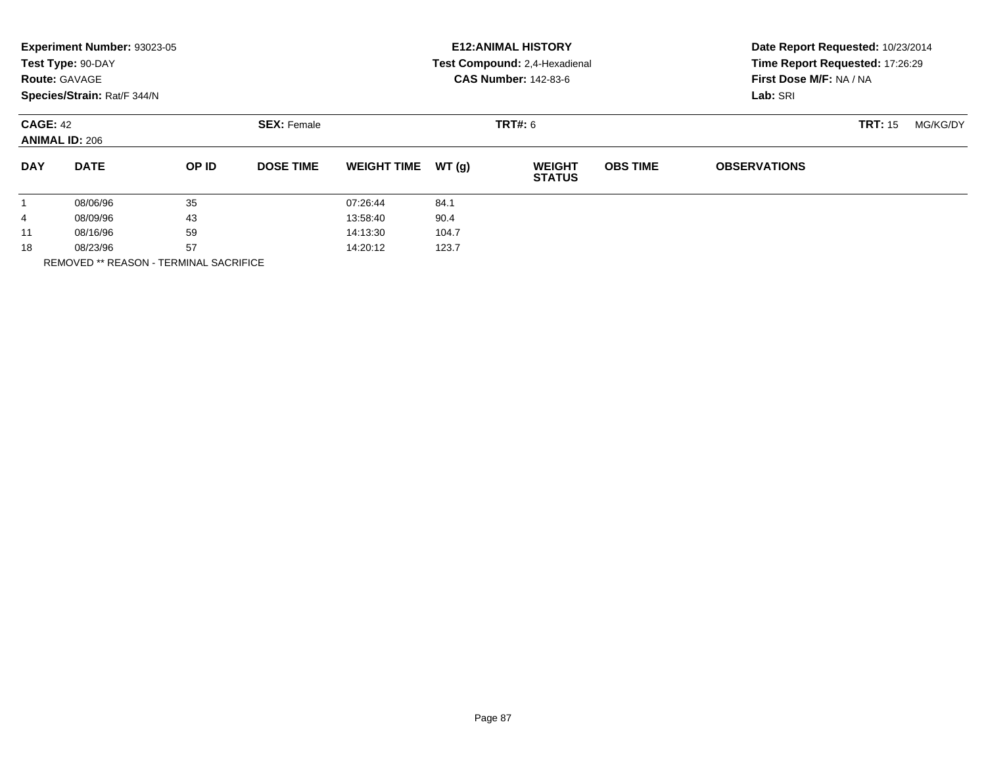|            | Experiment Number: 93023-05<br>Test Type: 90-DAY<br><b>Route: GAVAGE</b><br>Species/Strain: Rat/F 344/N |       |                    |                    |         | <b>E12: ANIMAL HISTORY</b><br>Test Compound: 2,4-Hexadienal<br><b>CAS Number: 142-83-6</b> | Date Report Requested: 10/23/2014<br>Time Report Requested: 17:26:29<br>First Dose M/F: NA / NA<br>Lab: SRI |                     |                |          |
|------------|---------------------------------------------------------------------------------------------------------|-------|--------------------|--------------------|---------|--------------------------------------------------------------------------------------------|-------------------------------------------------------------------------------------------------------------|---------------------|----------------|----------|
|            | <b>CAGE: 42</b><br><b>ANIMAL ID: 206</b>                                                                |       | <b>SEX: Female</b> |                    | TRT#: 6 |                                                                                            |                                                                                                             |                     | <b>TRT: 15</b> | MG/KG/DY |
| <b>DAY</b> | <b>DATE</b>                                                                                             | OP ID | <b>DOSE TIME</b>   | <b>WEIGHT TIME</b> | WT(g)   | <b>WEIGHT</b><br><b>STATUS</b>                                                             | <b>OBS TIME</b>                                                                                             | <b>OBSERVATIONS</b> |                |          |
|            | 08/06/96                                                                                                | 35    |                    | 07:26:44           | 84.1    |                                                                                            |                                                                                                             |                     |                |          |
| 4          | 08/09/96                                                                                                | 43    |                    | 13:58:40           | 90.4    |                                                                                            |                                                                                                             |                     |                |          |
| 11         | 08/16/96                                                                                                | 59    |                    | 14:13:30           | 104.7   |                                                                                            |                                                                                                             |                     |                |          |
| 18         | 57<br>08/23/96<br>$-$ - $ \cdots$ $\cdots$ $\cdots$ $\cdots$ $\cdots$ $\cdots$<br>----------------      |       | 14:20:12           | 123.7              |         |                                                                                            |                                                                                                             |                     |                |          |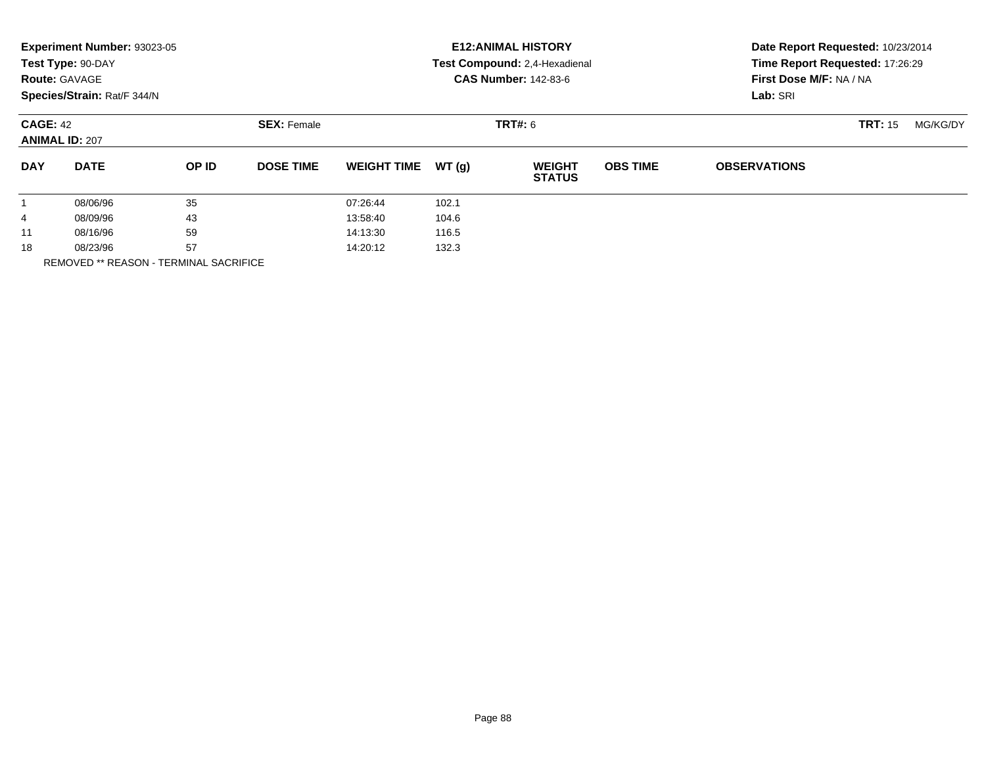|            | Experiment Number: 93023-05<br>Test Type: 90-DAY<br><b>Route: GAVAGE</b><br>Species/Strain: Rat/F 344/N |       |                    |                    |                | <b>E12: ANIMAL HISTORY</b><br>Test Compound: 2,4-Hexadienal<br><b>CAS Number: 142-83-6</b> | Date Report Requested: 10/23/2014<br>Time Report Requested: 17:26:29<br>First Dose M/F: NA / NA<br>Lab: SRI |                     |                |          |
|------------|---------------------------------------------------------------------------------------------------------|-------|--------------------|--------------------|----------------|--------------------------------------------------------------------------------------------|-------------------------------------------------------------------------------------------------------------|---------------------|----------------|----------|
|            | <b>CAGE: 42</b><br><b>ANIMAL ID: 207</b>                                                                |       | <b>SEX: Female</b> |                    | <b>TRT#:</b> 6 |                                                                                            |                                                                                                             |                     | <b>TRT: 15</b> | MG/KG/DY |
| <b>DAY</b> | <b>DATE</b>                                                                                             | OP ID | <b>DOSE TIME</b>   | <b>WEIGHT TIME</b> | WT(q)          | <b>WEIGHT</b><br><b>STATUS</b>                                                             | <b>OBS TIME</b>                                                                                             | <b>OBSERVATIONS</b> |                |          |
|            | 08/06/96                                                                                                | 35    |                    | 07:26:44           | 102.1          |                                                                                            |                                                                                                             |                     |                |          |
| 4          | 08/09/96                                                                                                | 43    |                    | 13:58:40           | 104.6          |                                                                                            |                                                                                                             |                     |                |          |
| 11         | 08/16/96                                                                                                | 59    |                    | 14:13:30           | 116.5          |                                                                                            |                                                                                                             |                     |                |          |
| 18         | 08/23/96                                                                                                | 57    |                    | 14:20:12           | 132.3          |                                                                                            |                                                                                                             |                     |                |          |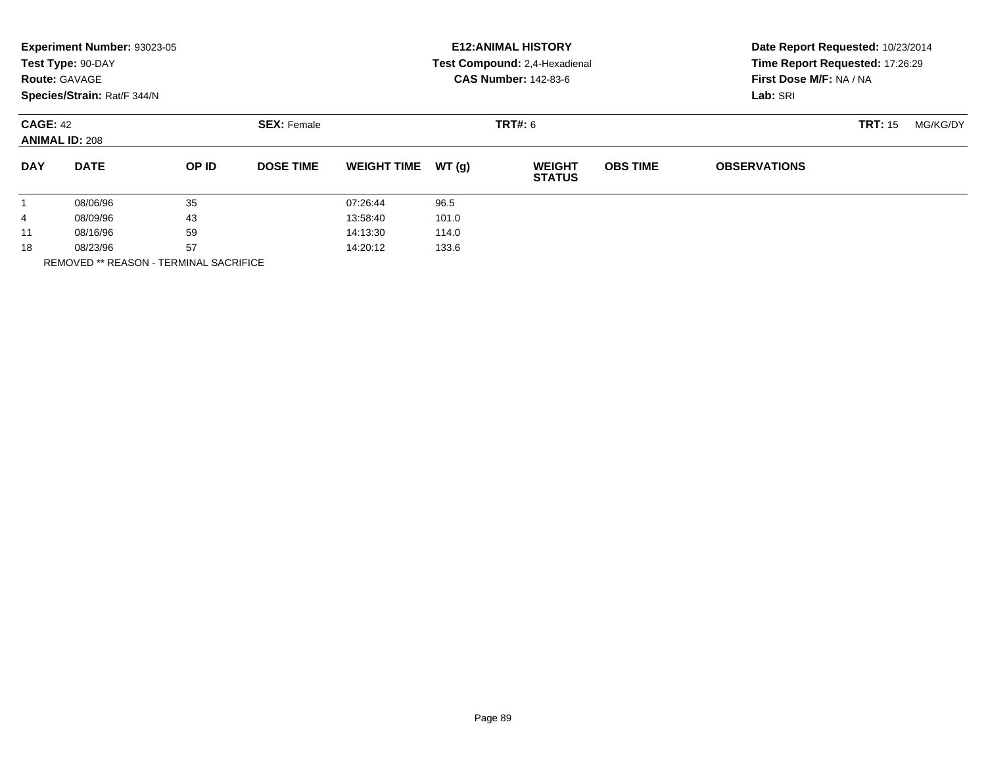|            | Experiment Number: 93023-05<br>Test Type: 90-DAY<br><b>Route: GAVAGE</b><br>Species/Strain: Rat/F 344/N |       |                    |                    |       | <b>E12: ANIMAL HISTORY</b><br>Test Compound: 2,4-Hexadienal<br><b>CAS Number: 142-83-6</b> | Date Report Requested: 10/23/2014<br>Time Report Requested: 17:26:29<br>First Dose M/F: NA / NA<br>Lab: SRI |                     |                |          |
|------------|---------------------------------------------------------------------------------------------------------|-------|--------------------|--------------------|-------|--------------------------------------------------------------------------------------------|-------------------------------------------------------------------------------------------------------------|---------------------|----------------|----------|
|            | <b>CAGE: 42</b><br><b>ANIMAL ID: 208</b>                                                                |       | <b>SEX: Female</b> |                    |       | TRT#: 6                                                                                    |                                                                                                             |                     | <b>TRT: 15</b> | MG/KG/DY |
| <b>DAY</b> | <b>DATE</b>                                                                                             | OP ID | <b>DOSE TIME</b>   | <b>WEIGHT TIME</b> | WT(g) | <b>WEIGHT</b><br><b>STATUS</b>                                                             | <b>OBS TIME</b>                                                                                             | <b>OBSERVATIONS</b> |                |          |
|            | 08/06/96                                                                                                | 35    |                    | 07:26:44           | 96.5  |                                                                                            |                                                                                                             |                     |                |          |
| 4          | 08/09/96                                                                                                | 43    |                    | 13:58:40           | 101.0 |                                                                                            |                                                                                                             |                     |                |          |
| 11         | 08/16/96                                                                                                | 59    |                    | 14:13:30           | 114.0 |                                                                                            |                                                                                                             |                     |                |          |
| 18         | 08/23/96                                                                                                | 57    |                    | 14:20:12           | 133.6 |                                                                                            |                                                                                                             |                     |                |          |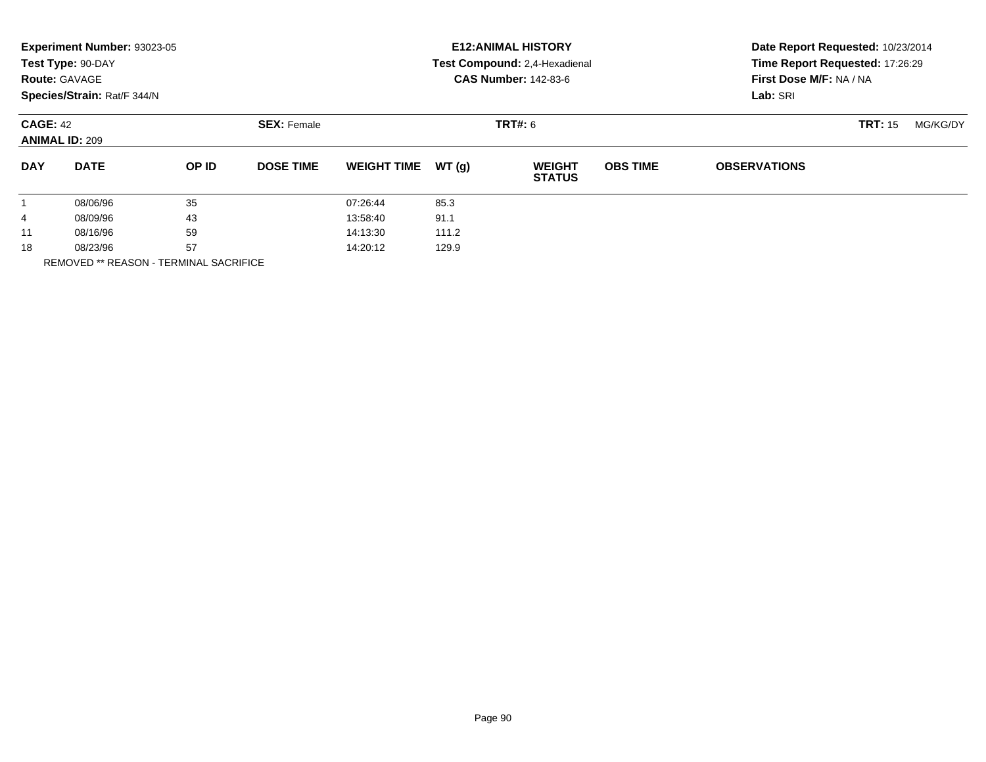|              | Experiment Number: 93023-05<br>Test Type: 90-DAY<br><b>Route: GAVAGE</b><br>Species/Strain: Rat/F 344/N |       |                    |                    |       | <b>E12: ANIMAL HISTORY</b><br>Test Compound: 2,4-Hexadienal<br><b>CAS Number: 142-83-6</b> | Date Report Requested: 10/23/2014<br>Time Report Requested: 17:26:29<br>First Dose M/F: NA / NA<br>Lab: SRI |                     |                |          |
|--------------|---------------------------------------------------------------------------------------------------------|-------|--------------------|--------------------|-------|--------------------------------------------------------------------------------------------|-------------------------------------------------------------------------------------------------------------|---------------------|----------------|----------|
|              | <b>CAGE: 42</b><br><b>ANIMAL ID: 209</b>                                                                |       | <b>SEX: Female</b> |                    |       | <b>TRT#: 6</b>                                                                             |                                                                                                             |                     | <b>TRT: 15</b> | MG/KG/DY |
| <b>DAY</b>   | <b>DATE</b>                                                                                             | OP ID | <b>DOSE TIME</b>   | <b>WEIGHT TIME</b> | WT(g) | <b>WEIGHT</b><br><b>STATUS</b>                                                             | <b>OBS TIME</b>                                                                                             | <b>OBSERVATIONS</b> |                |          |
| $\mathbf{1}$ | 08/06/96                                                                                                | 35    |                    | 07:26:44           | 85.3  |                                                                                            |                                                                                                             |                     |                |          |
| 4            | 08/09/96                                                                                                | 43    |                    | 13:58:40           | 91.1  |                                                                                            |                                                                                                             |                     |                |          |
| 11           | 08/16/96                                                                                                | 59    |                    | 14:13:30           | 111.2 |                                                                                            |                                                                                                             |                     |                |          |
| 18           | 08/23/96                                                                                                | 57    |                    | 14:20:12           | 129.9 |                                                                                            |                                                                                                             |                     |                |          |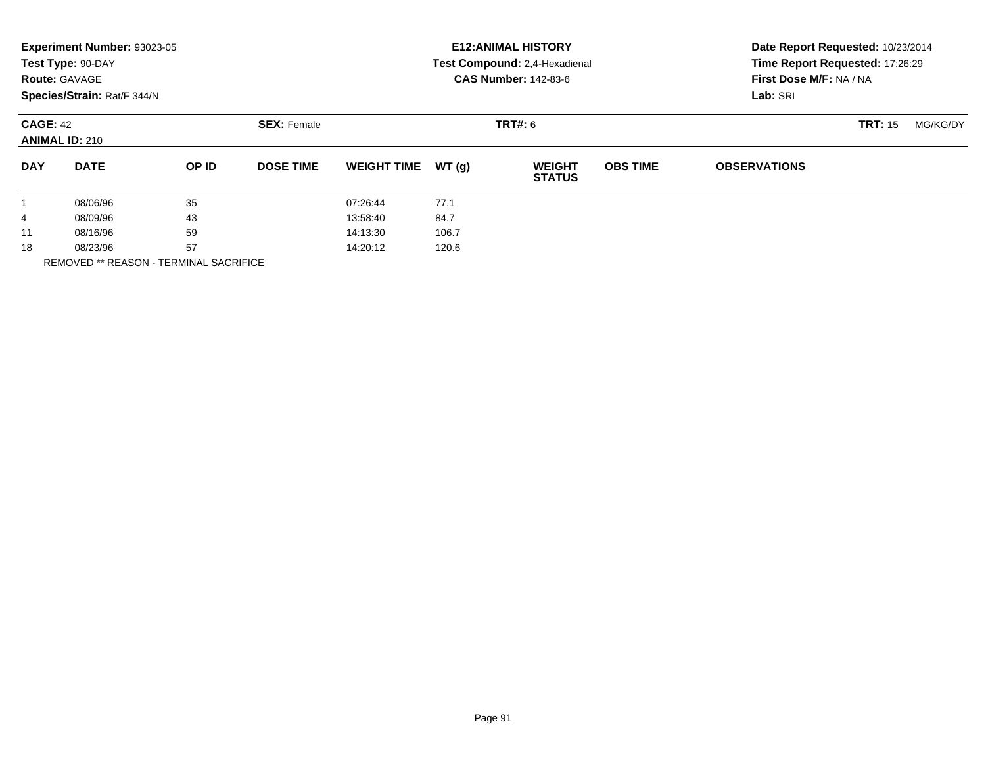|            | Experiment Number: 93023-05<br>Test Type: 90-DAY<br><b>Route: GAVAGE</b><br>Species/Strain: Rat/F 344/N |       |                    |                    |       | <b>E12: ANIMAL HISTORY</b><br>Test Compound: 2,4-Hexadienal<br><b>CAS Number: 142-83-6</b> | Date Report Requested: 10/23/2014<br>Time Report Requested: 17:26:29<br>First Dose M/F: NA / NA<br>Lab: SRI |                     |                |          |
|------------|---------------------------------------------------------------------------------------------------------|-------|--------------------|--------------------|-------|--------------------------------------------------------------------------------------------|-------------------------------------------------------------------------------------------------------------|---------------------|----------------|----------|
|            | <b>CAGE: 42</b><br><b>ANIMAL ID: 210</b>                                                                |       | <b>SEX: Female</b> |                    |       | <b>TRT#: 6</b>                                                                             |                                                                                                             |                     | <b>TRT: 15</b> | MG/KG/DY |
| <b>DAY</b> | <b>DATE</b>                                                                                             | OP ID | <b>DOSE TIME</b>   | <b>WEIGHT TIME</b> | WT(g) | <b>WEIGHT</b><br><b>STATUS</b>                                                             | <b>OBS TIME</b>                                                                                             | <b>OBSERVATIONS</b> |                |          |
|            | 08/06/96                                                                                                | 35    |                    | 07:26:44           | 77.1  |                                                                                            |                                                                                                             |                     |                |          |
| 4          | 08/09/96                                                                                                | 43    |                    | 13:58:40           | 84.7  |                                                                                            |                                                                                                             |                     |                |          |
| 11         | 08/16/96                                                                                                | 59    |                    | 14:13:30           | 106.7 |                                                                                            |                                                                                                             |                     |                |          |
| 18         | 08/23/96                                                                                                | 57    |                    | 14:20:12           | 120.6 |                                                                                            |                                                                                                             |                     |                |          |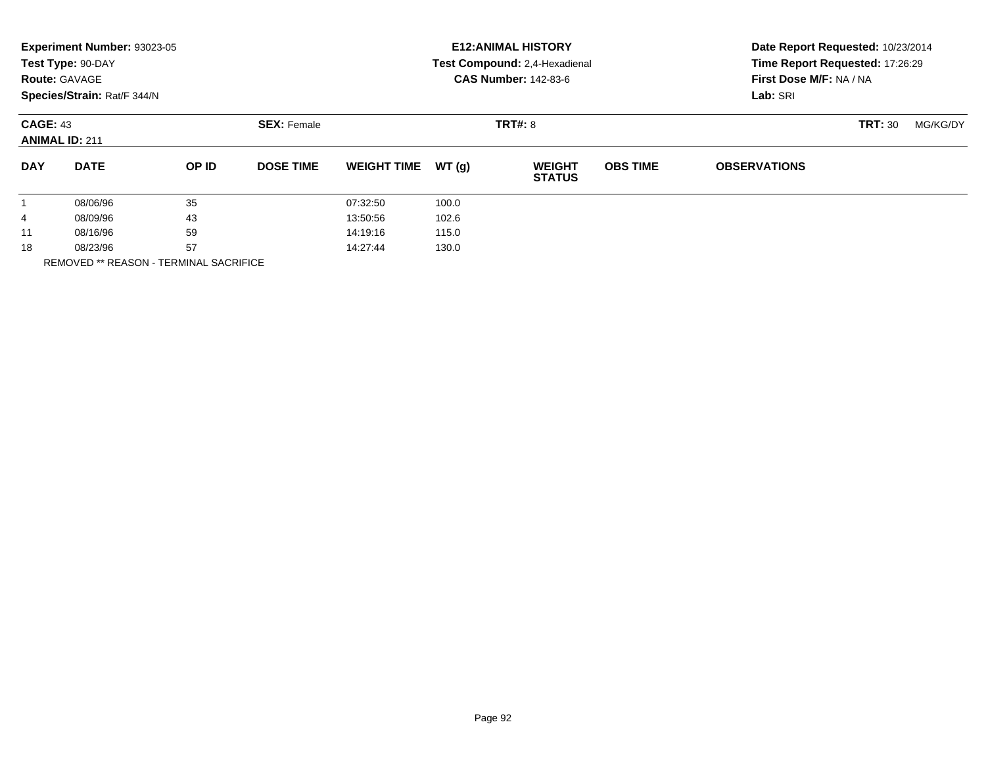|            | Experiment Number: 93023-05<br>Test Type: 90-DAY<br><b>Route: GAVAGE</b><br>Species/Strain: Rat/F 344/N |       |                    |                    |       | <b>E12: ANIMAL HISTORY</b><br>Test Compound: 2,4-Hexadienal<br><b>CAS Number: 142-83-6</b> | Date Report Requested: 10/23/2014<br>Time Report Requested: 17:26:29<br>First Dose M/F: NA / NA<br>Lab: SRI |                     |                |          |
|------------|---------------------------------------------------------------------------------------------------------|-------|--------------------|--------------------|-------|--------------------------------------------------------------------------------------------|-------------------------------------------------------------------------------------------------------------|---------------------|----------------|----------|
|            | <b>CAGE: 43</b><br><b>ANIMAL ID: 211</b>                                                                |       | <b>SEX: Female</b> |                    |       | <b>TRT#: 8</b>                                                                             |                                                                                                             |                     | <b>TRT: 30</b> | MG/KG/DY |
| <b>DAY</b> | <b>DATE</b>                                                                                             | OP ID | <b>DOSE TIME</b>   | <b>WEIGHT TIME</b> | WT(g) | <b>WEIGHT</b><br><b>STATUS</b>                                                             | <b>OBS TIME</b>                                                                                             | <b>OBSERVATIONS</b> |                |          |
|            | 08/06/96                                                                                                | 35    |                    | 07:32:50           | 100.0 |                                                                                            |                                                                                                             |                     |                |          |
| 4          | 08/09/96                                                                                                | 43    |                    | 13:50:56           | 102.6 |                                                                                            |                                                                                                             |                     |                |          |
| 11         | 08/16/96                                                                                                | 59    |                    | 14:19:16           | 115.0 |                                                                                            |                                                                                                             |                     |                |          |
| 18         | 08/23/96                                                                                                | 57    |                    | 14:27:44           | 130.0 |                                                                                            |                                                                                                             |                     |                |          |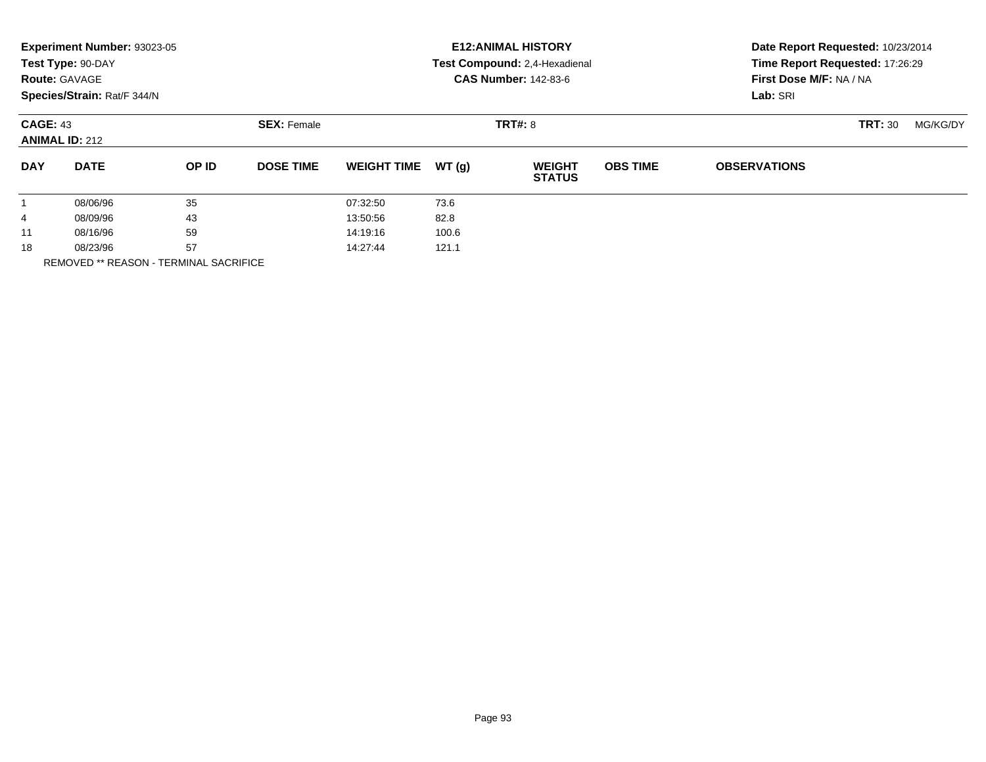|            | Experiment Number: 93023-05<br>Test Type: 90-DAY<br><b>Route: GAVAGE</b><br>Species/Strain: Rat/F 344/N |       |                    |                    |       | <b>E12: ANIMAL HISTORY</b><br>Test Compound: 2,4-Hexadienal<br><b>CAS Number: 142-83-6</b> | Date Report Requested: 10/23/2014<br>Time Report Requested: 17:26:29<br>First Dose M/F: NA / NA<br>Lab: SRI |                     |                |          |
|------------|---------------------------------------------------------------------------------------------------------|-------|--------------------|--------------------|-------|--------------------------------------------------------------------------------------------|-------------------------------------------------------------------------------------------------------------|---------------------|----------------|----------|
|            | <b>CAGE: 43</b><br><b>ANIMAL ID: 212</b>                                                                |       | <b>SEX: Female</b> |                    |       | <b>TRT#: 8</b>                                                                             |                                                                                                             |                     | <b>TRT: 30</b> | MG/KG/DY |
| <b>DAY</b> | <b>DATE</b>                                                                                             | OP ID | <b>DOSE TIME</b>   | <b>WEIGHT TIME</b> | WT(g) | <b>WEIGHT</b><br><b>STATUS</b>                                                             | <b>OBS TIME</b>                                                                                             | <b>OBSERVATIONS</b> |                |          |
|            | 08/06/96                                                                                                | 35    |                    | 07:32:50           | 73.6  |                                                                                            |                                                                                                             |                     |                |          |
| 4          | 08/09/96                                                                                                | 43    |                    | 13:50:56           | 82.8  |                                                                                            |                                                                                                             |                     |                |          |
| 11         | 08/16/96                                                                                                | 59    |                    | 14:19:16           | 100.6 |                                                                                            |                                                                                                             |                     |                |          |
| 18         | 57<br>08/23/96<br>----------------                                                                      |       | 14:27:44           | 121.1              |       |                                                                                            |                                                                                                             |                     |                |          |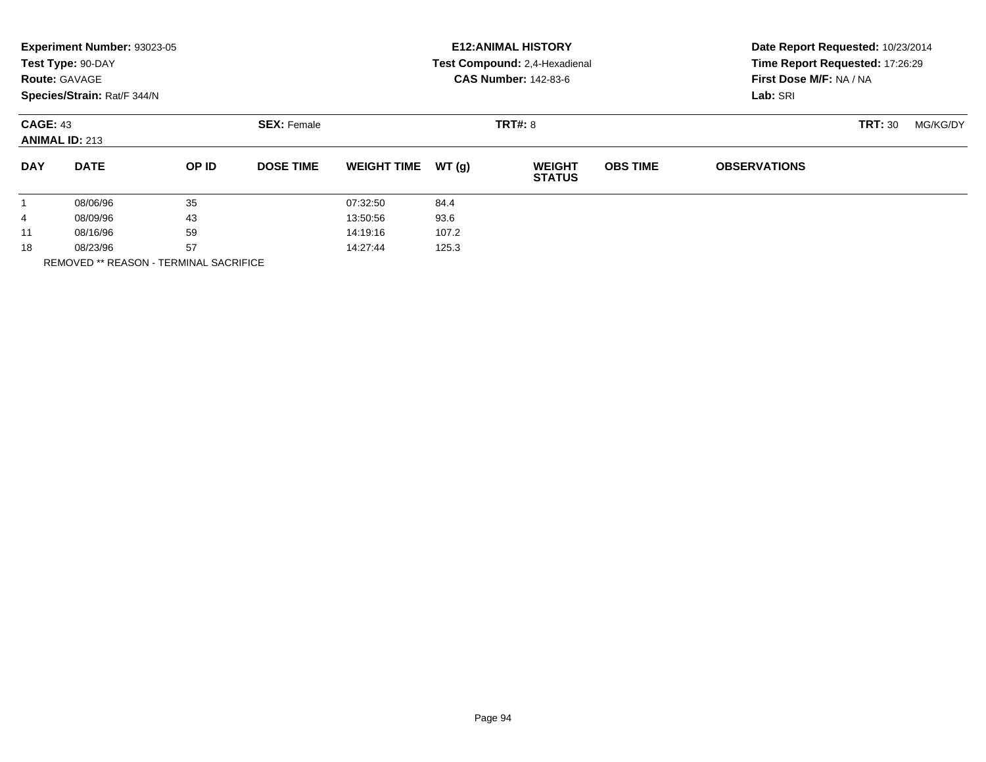|            | Experiment Number: 93023-05<br>Test Type: 90-DAY<br><b>Route: GAVAGE</b><br>Species/Strain: Rat/F 344/N |       |                    |                    |       | <b>E12: ANIMAL HISTORY</b><br>Test Compound: 2,4-Hexadienal<br><b>CAS Number: 142-83-6</b> | Date Report Requested: 10/23/2014<br>Time Report Requested: 17:26:29<br>First Dose M/F: NA / NA<br>Lab: SRI |                     |                |          |
|------------|---------------------------------------------------------------------------------------------------------|-------|--------------------|--------------------|-------|--------------------------------------------------------------------------------------------|-------------------------------------------------------------------------------------------------------------|---------------------|----------------|----------|
|            | <b>CAGE: 43</b><br><b>ANIMAL ID: 213</b>                                                                |       | <b>SEX: Female</b> |                    |       | <b>TRT#: 8</b>                                                                             |                                                                                                             |                     | <b>TRT: 30</b> | MG/KG/DY |
| <b>DAY</b> | <b>DATE</b>                                                                                             | OP ID | <b>DOSE TIME</b>   | <b>WEIGHT TIME</b> | WT(g) | <b>WEIGHT</b><br><b>STATUS</b>                                                             | <b>OBS TIME</b>                                                                                             | <b>OBSERVATIONS</b> |                |          |
|            | 08/06/96                                                                                                | 35    |                    | 07:32:50           | 84.4  |                                                                                            |                                                                                                             |                     |                |          |
| 4          | 08/09/96                                                                                                | 43    |                    | 13:50:56           | 93.6  |                                                                                            |                                                                                                             |                     |                |          |
| 11         | 08/16/96                                                                                                | 59    |                    | 14:19:16           | 107.2 |                                                                                            |                                                                                                             |                     |                |          |
| 18         | 57<br>08/23/96<br>----------------                                                                      |       | 14:27:44           | 125.3              |       |                                                                                            |                                                                                                             |                     |                |          |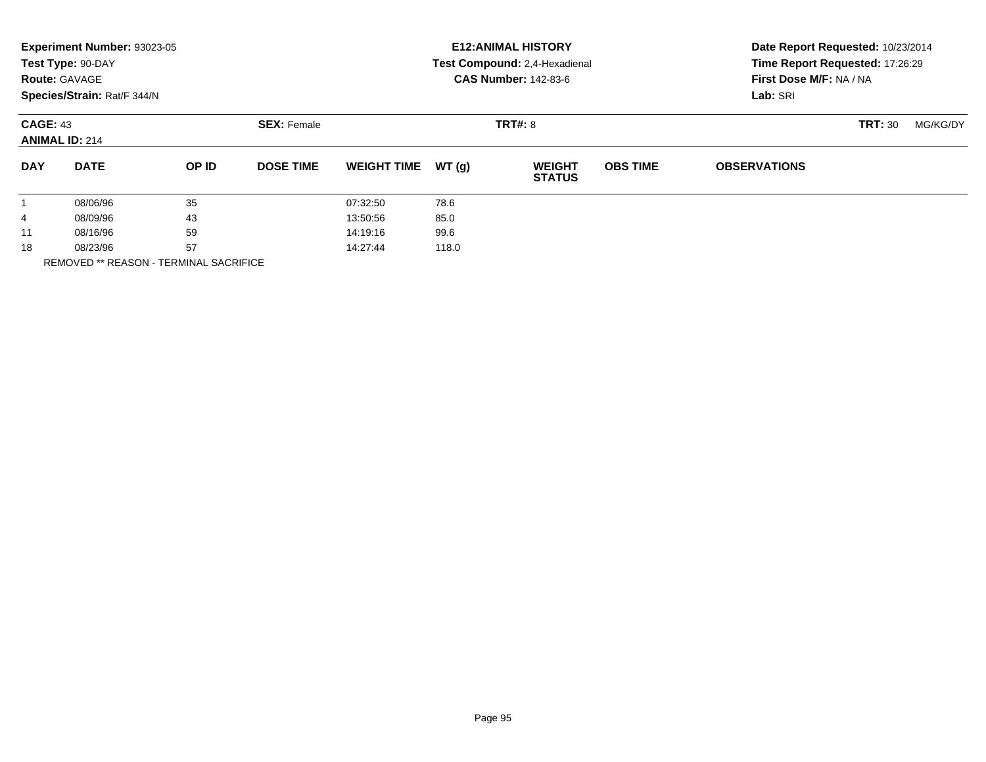|            | Experiment Number: 93023-05<br>Test Type: 90-DAY<br><b>Route: GAVAGE</b><br>Species/Strain: Rat/F 344/N |       |                    |                    |                | <b>E12: ANIMAL HISTORY</b><br>Test Compound: 2,4-Hexadienal<br><b>CAS Number: 142-83-6</b> | Date Report Requested: 10/23/2014<br>Time Report Requested: 17:26:29<br>First Dose M/F: NA / NA<br>Lab: SRI |                     |                |          |
|------------|---------------------------------------------------------------------------------------------------------|-------|--------------------|--------------------|----------------|--------------------------------------------------------------------------------------------|-------------------------------------------------------------------------------------------------------------|---------------------|----------------|----------|
|            | <b>CAGE: 43</b><br><b>ANIMAL ID: 214</b>                                                                |       | <b>SEX: Female</b> |                    | <b>TRT#: 8</b> |                                                                                            |                                                                                                             |                     | <b>TRT: 30</b> | MG/KG/DY |
| <b>DAY</b> | <b>DATE</b>                                                                                             | OP ID | <b>DOSE TIME</b>   | <b>WEIGHT TIME</b> | WT(g)          | <b>WEIGHT</b><br><b>STATUS</b>                                                             | <b>OBS TIME</b>                                                                                             | <b>OBSERVATIONS</b> |                |          |
|            | 08/06/96                                                                                                | 35    |                    | 07:32:50           | 78.6           |                                                                                            |                                                                                                             |                     |                |          |
| 4          | 08/09/96                                                                                                | 43    |                    | 13:50:56           | 85.0           |                                                                                            |                                                                                                             |                     |                |          |
| 11         | 08/16/96                                                                                                | 59    |                    | 14:19:16           | 99.6           |                                                                                            |                                                                                                             |                     |                |          |
| 18         | 57<br>08/23/96<br>----------------                                                                      |       | 14:27:44           | 118.0              |                |                                                                                            |                                                                                                             |                     |                |          |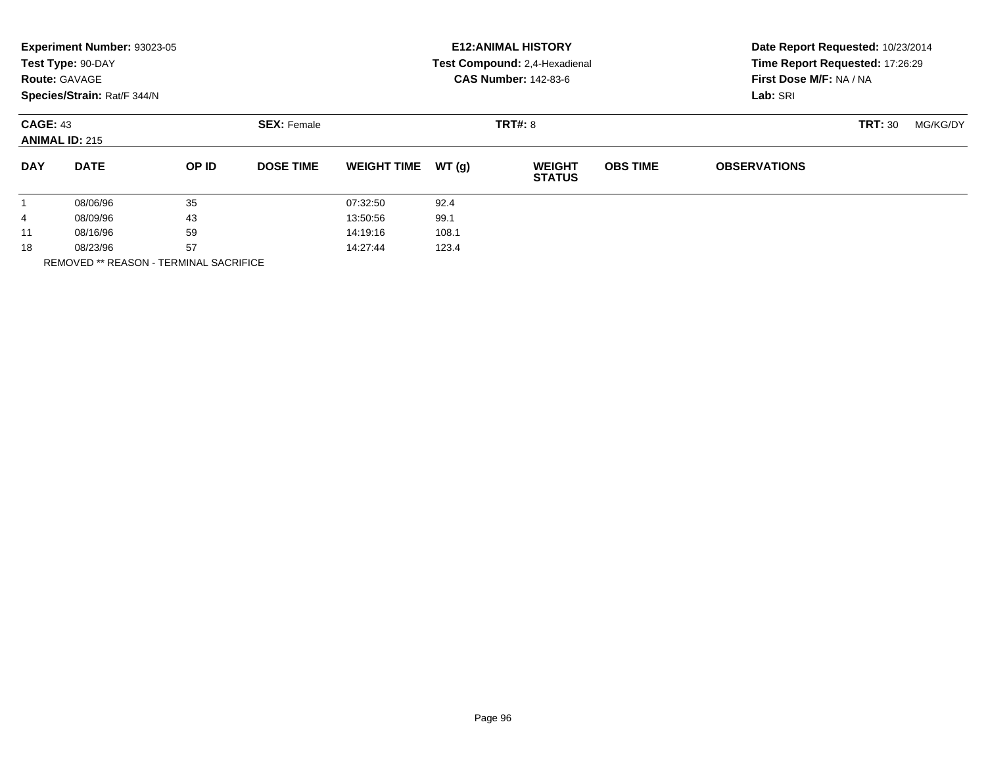|            | Experiment Number: 93023-05<br>Test Type: 90-DAY<br><b>Route: GAVAGE</b><br>Species/Strain: Rat/F 344/N |       |                    |                    |                | <b>E12: ANIMAL HISTORY</b><br>Test Compound: 2,4-Hexadienal<br><b>CAS Number: 142-83-6</b> | Date Report Requested: 10/23/2014<br>Time Report Requested: 17:26:29<br>First Dose M/F: NA / NA<br>Lab: SRI |                     |                |          |
|------------|---------------------------------------------------------------------------------------------------------|-------|--------------------|--------------------|----------------|--------------------------------------------------------------------------------------------|-------------------------------------------------------------------------------------------------------------|---------------------|----------------|----------|
|            | <b>CAGE: 43</b><br><b>ANIMAL ID: 215</b>                                                                |       | <b>SEX: Female</b> |                    | <b>TRT#: 8</b> |                                                                                            |                                                                                                             |                     | <b>TRT: 30</b> | MG/KG/DY |
| <b>DAY</b> | <b>DATE</b>                                                                                             | OP ID | <b>DOSE TIME</b>   | <b>WEIGHT TIME</b> | WT(g)          | <b>WEIGHT</b><br><b>STATUS</b>                                                             | <b>OBS TIME</b>                                                                                             | <b>OBSERVATIONS</b> |                |          |
|            | 08/06/96                                                                                                | 35    |                    | 07:32:50           | 92.4           |                                                                                            |                                                                                                             |                     |                |          |
| 4          | 08/09/96                                                                                                | 43    |                    | 13:50:56           | 99.1           |                                                                                            |                                                                                                             |                     |                |          |
| 11         | 08/16/96                                                                                                | 59    |                    | 14:19:16           | 108.1          |                                                                                            |                                                                                                             |                     |                |          |
| 18         | 08/23/96                                                                                                | 57    |                    | 14:27:44           | 123.4          |                                                                                            |                                                                                                             |                     |                |          |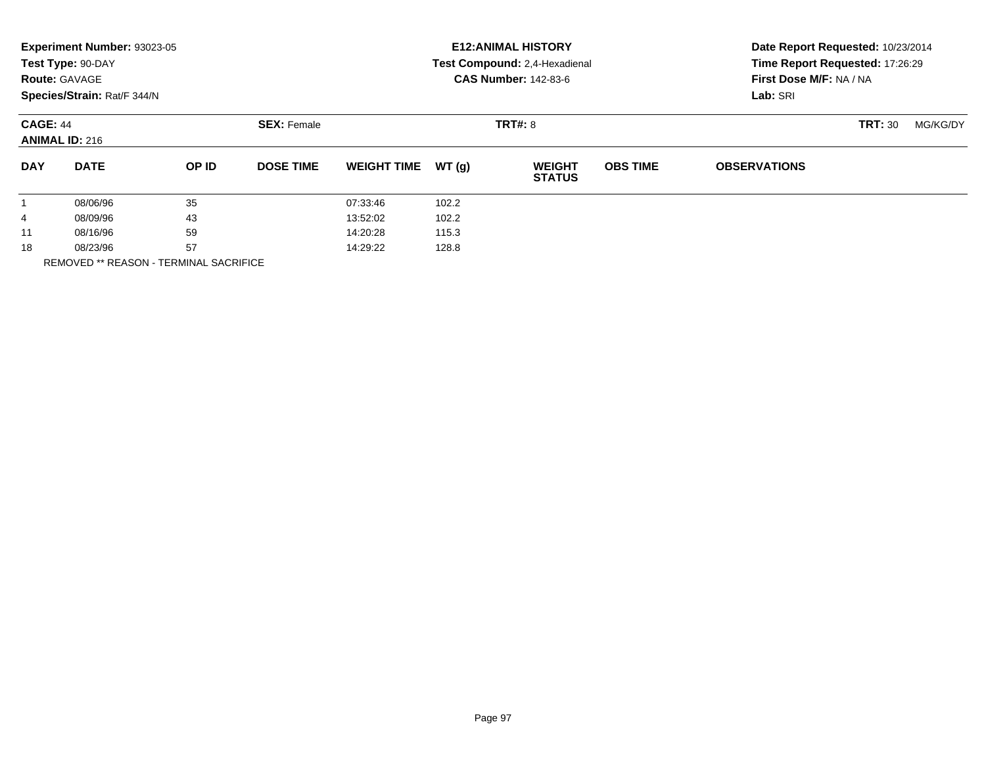|            | Experiment Number: 93023-05<br>Test Type: 90-DAY<br><b>Route: GAVAGE</b><br>Species/Strain: Rat/F 344/N |       |                    |                    |       | <b>E12: ANIMAL HISTORY</b><br>Test Compound: 2,4-Hexadienal<br><b>CAS Number: 142-83-6</b> | Date Report Requested: 10/23/2014<br>Time Report Requested: 17:26:29<br>First Dose M/F: NA / NA<br>Lab: SRI |                     |                |          |
|------------|---------------------------------------------------------------------------------------------------------|-------|--------------------|--------------------|-------|--------------------------------------------------------------------------------------------|-------------------------------------------------------------------------------------------------------------|---------------------|----------------|----------|
|            | <b>CAGE: 44</b><br><b>ANIMAL ID: 216</b>                                                                |       | <b>SEX: Female</b> |                    |       | <b>TRT#: 8</b>                                                                             |                                                                                                             |                     | <b>TRT: 30</b> | MG/KG/DY |
| <b>DAY</b> | <b>DATE</b>                                                                                             | OP ID | <b>DOSE TIME</b>   | <b>WEIGHT TIME</b> | WT(g) | <b>WEIGHT</b><br><b>STATUS</b>                                                             | <b>OBS TIME</b>                                                                                             | <b>OBSERVATIONS</b> |                |          |
|            | 08/06/96                                                                                                | 35    |                    | 07:33:46           | 102.2 |                                                                                            |                                                                                                             |                     |                |          |
| 4          | 08/09/96                                                                                                | 43    |                    | 13:52:02           | 102.2 |                                                                                            |                                                                                                             |                     |                |          |
| 11         | 08/16/96                                                                                                | 59    |                    | 14:20:28           | 115.3 |                                                                                            |                                                                                                             |                     |                |          |
| 18         | 08/23/96                                                                                                | 57    |                    | 14:29:22           | 128.8 |                                                                                            |                                                                                                             |                     |                |          |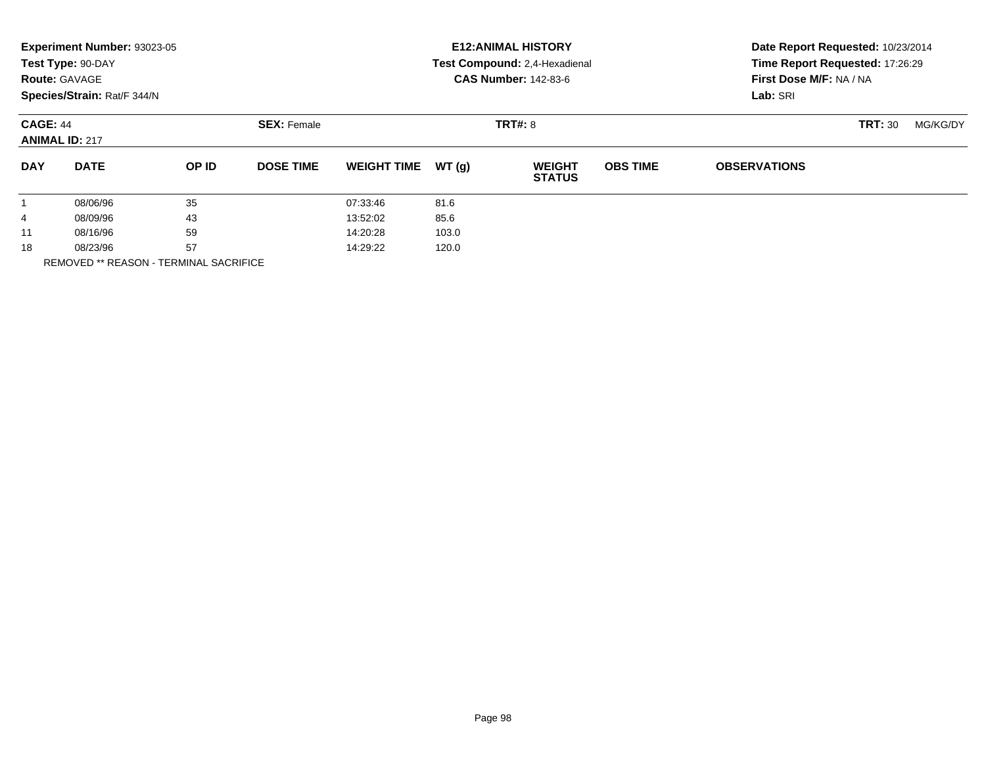|                      | Experiment Number: 93023-05<br>Test Type: 90-DAY<br><b>Route: GAVAGE</b><br>Species/Strain: Rat/F 344/N |    |                  |                    |       | <b>E12: ANIMAL HISTORY</b><br>Test Compound: 2,4-Hexadienal<br><b>CAS Number: 142-83-6</b> | Date Report Requested: 10/23/2014<br>Time Report Requested: 17:26:29<br>First Dose M/F: NA / NA<br>Lab: SRI |                     |                |          |
|----------------------|---------------------------------------------------------------------------------------------------------|----|------------------|--------------------|-------|--------------------------------------------------------------------------------------------|-------------------------------------------------------------------------------------------------------------|---------------------|----------------|----------|
|                      | <b>SEX: Female</b><br><b>CAGE: 44</b><br><b>ANIMAL ID: 217</b>                                          |    |                  |                    |       | <b>TRT#: 8</b>                                                                             |                                                                                                             |                     | <b>TRT: 30</b> | MG/KG/DY |
| <b>DAY</b>           | <b>DATE</b><br>OP ID                                                                                    |    | <b>DOSE TIME</b> | <b>WEIGHT TIME</b> | WT(q) | <b>WEIGHT</b><br><b>STATUS</b>                                                             | <b>OBS TIME</b>                                                                                             | <b>OBSERVATIONS</b> |                |          |
|                      | 08/06/96                                                                                                | 35 |                  | 07:33:46           | 81.6  |                                                                                            |                                                                                                             |                     |                |          |
| 4                    | 43<br>08/09/96                                                                                          |    | 13:52:02         | 85.6               |       |                                                                                            |                                                                                                             |                     |                |          |
| 11                   | 59<br>08/16/96                                                                                          |    |                  | 14:20:28           | 103.0 |                                                                                            |                                                                                                             |                     |                |          |
| 57<br>18<br>08/23/96 |                                                                                                         |    | 14:29:22         | 120.0              |       |                                                                                            |                                                                                                             |                     |                |          |
|                      | <b>REMOVED ** REASON - TERMINAL SACRIFICE</b>                                                           |    |                  |                    |       |                                                                                            |                                                                                                             |                     |                |          |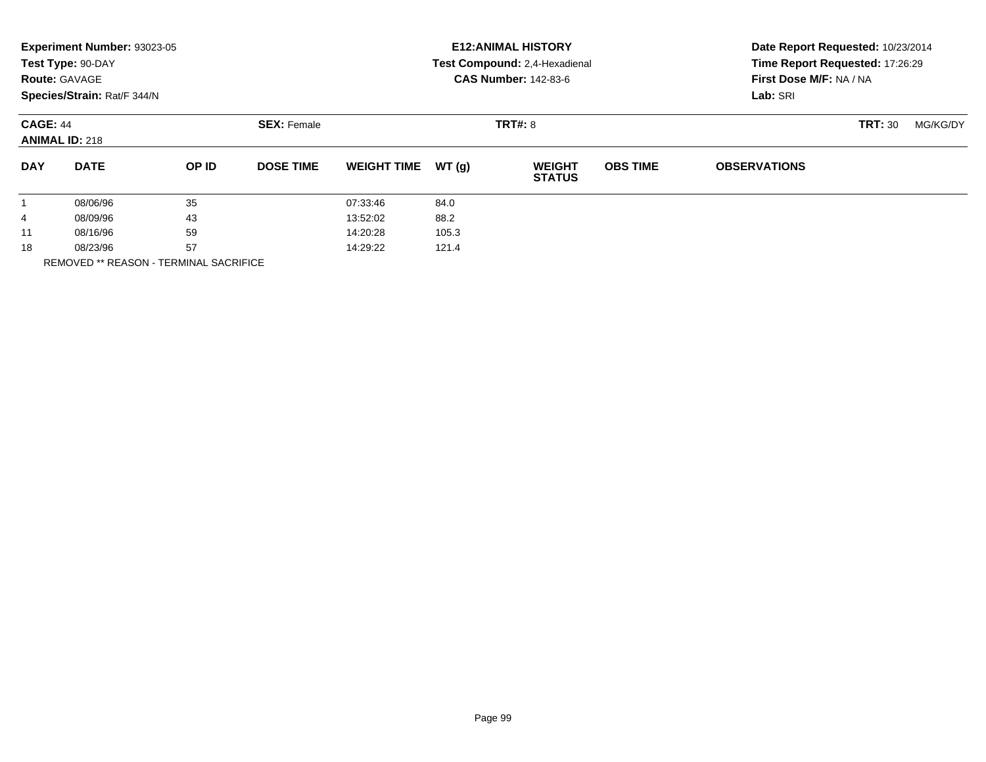|                      | Experiment Number: 93023-05<br>Test Type: 90-DAY<br><b>Route: GAVAGE</b><br>Species/Strain: Rat/F 344/N |          |                    |                    |       | <b>E12: ANIMAL HISTORY</b><br>Test Compound: 2,4-Hexadienal<br><b>CAS Number: 142-83-6</b> | Date Report Requested: 10/23/2014<br>Time Report Requested: 17:26:29<br>First Dose M/F: NA / NA<br>Lab: SRI |                     |                |          |
|----------------------|---------------------------------------------------------------------------------------------------------|----------|--------------------|--------------------|-------|--------------------------------------------------------------------------------------------|-------------------------------------------------------------------------------------------------------------|---------------------|----------------|----------|
|                      | <b>CAGE: 44</b><br><b>ANIMAL ID: 218</b>                                                                |          | <b>SEX: Female</b> |                    |       | <b>TRT#: 8</b>                                                                             |                                                                                                             |                     | <b>TRT: 30</b> | MG/KG/DY |
| <b>DAY</b>           | <b>DATE</b>                                                                                             | OP ID    | <b>DOSE TIME</b>   | <b>WEIGHT TIME</b> | WT(g) | <b>WEIGHT</b><br><b>STATUS</b>                                                             | <b>OBS TIME</b>                                                                                             | <b>OBSERVATIONS</b> |                |          |
|                      | 08/06/96                                                                                                | 35       |                    | 07:33:46           | 84.0  |                                                                                            |                                                                                                             |                     |                |          |
| 4                    | 08/09/96                                                                                                | 43       |                    | 13:52:02           | 88.2  |                                                                                            |                                                                                                             |                     |                |          |
| 11                   | 59<br>08/16/96                                                                                          |          | 14:20:28           | 105.3              |       |                                                                                            |                                                                                                             |                     |                |          |
| 57<br>18<br>08/23/96 |                                                                                                         | 14:29:22 | 121.4              |                    |       |                                                                                            |                                                                                                             |                     |                |          |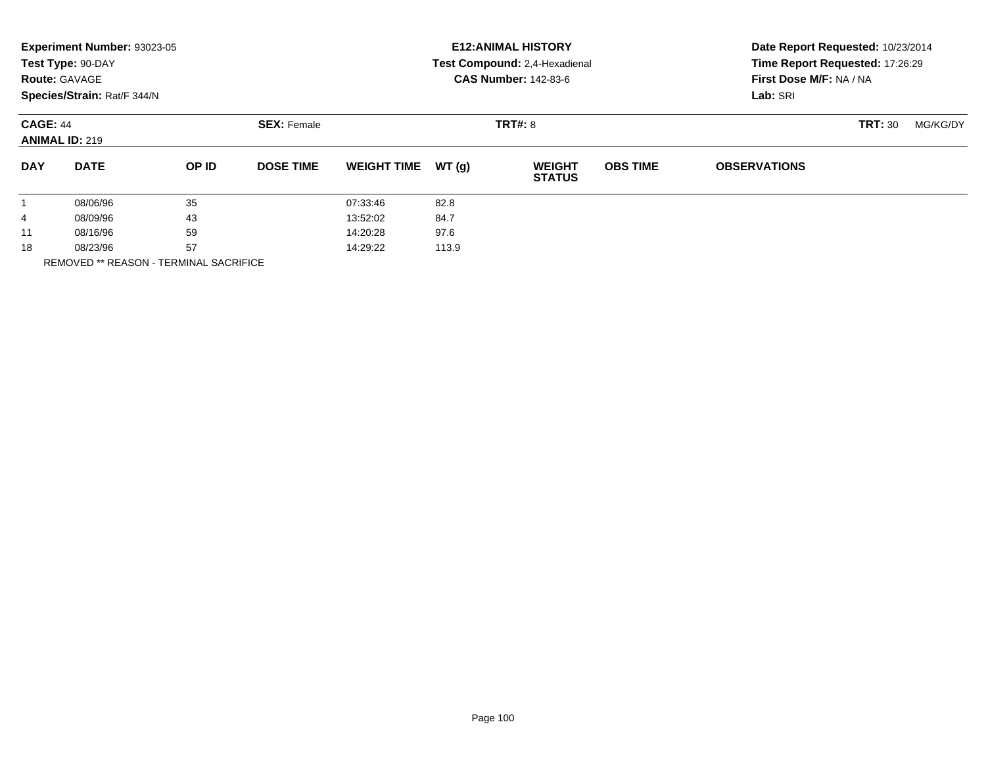|                      | Experiment Number: 93023-05<br>Test Type: 90-DAY<br><b>Route: GAVAGE</b><br>Species/Strain: Rat/F 344/N |          |                                      |                    |       | <b>E12: ANIMAL HISTORY</b><br>Test Compound: 2,4-Hexadienal<br><b>CAS Number: 142-83-6</b> | Date Report Requested: 10/23/2014<br>Time Report Requested: 17:26:29<br>First Dose M/F: NA / NA<br>Lab: SRI |                            |  |  |
|----------------------|---------------------------------------------------------------------------------------------------------|----------|--------------------------------------|--------------------|-------|--------------------------------------------------------------------------------------------|-------------------------------------------------------------------------------------------------------------|----------------------------|--|--|
|                      | <b>CAGE: 44</b><br><b>ANIMAL ID: 219</b>                                                                |          | <b>TRT#: 8</b><br><b>SEX: Female</b> |                    |       |                                                                                            |                                                                                                             | <b>TRT: 30</b><br>MG/KG/DY |  |  |
| <b>DAY</b>           | <b>DATE</b>                                                                                             | OP ID    | <b>DOSE TIME</b>                     | <b>WEIGHT TIME</b> | WT(g) | <b>WEIGHT</b><br><b>STATUS</b>                                                             | <b>OBS TIME</b>                                                                                             | <b>OBSERVATIONS</b>        |  |  |
|                      | 08/06/96                                                                                                | 35       |                                      | 07:33:46           | 82.8  |                                                                                            |                                                                                                             |                            |  |  |
| 4                    | 08/09/96                                                                                                | 43       |                                      | 13:52:02           | 84.7  |                                                                                            |                                                                                                             |                            |  |  |
| 11                   | 59<br>08/16/96                                                                                          |          | 14:20:28                             | 97.6               |       |                                                                                            |                                                                                                             |                            |  |  |
| 57<br>18<br>08/23/96 |                                                                                                         | 14:29:22 | 113.9                                |                    |       |                                                                                            |                                                                                                             |                            |  |  |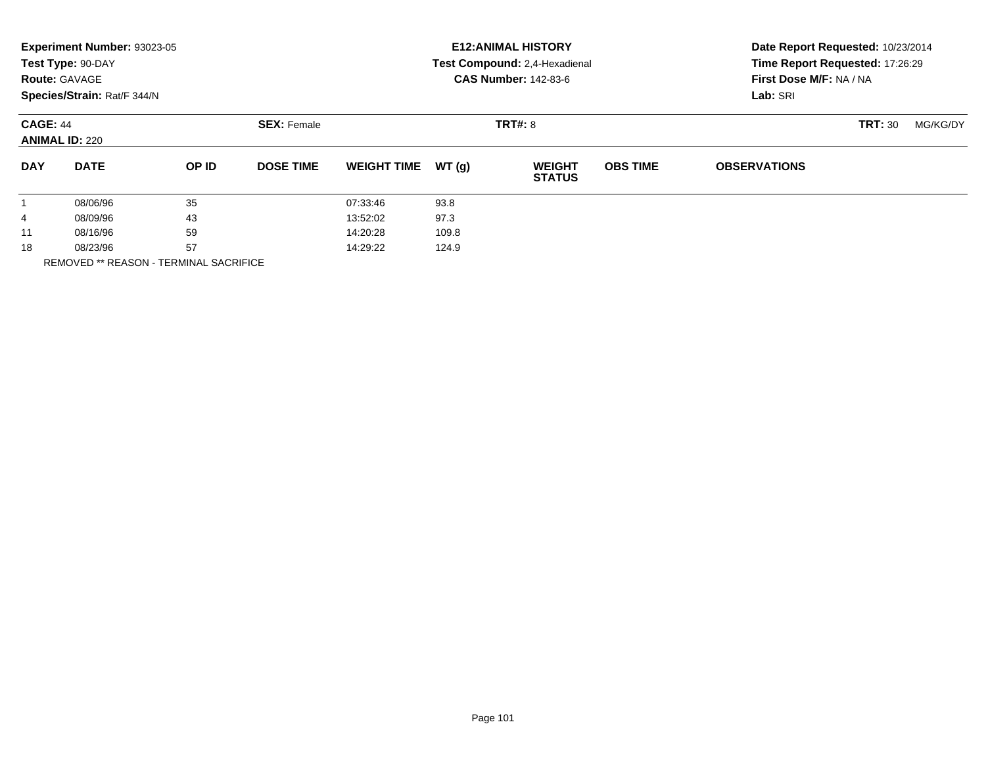|                        | Experiment Number: 93023-05<br>Test Type: 90-DAY<br><b>Route: GAVAGE</b><br>Species/Strain: Rat/F 344/N |       |                    |                    |                | <b>E12: ANIMAL HISTORY</b><br>Test Compound: 2,4-Hexadienal<br><b>CAS Number: 142-83-6</b> | Date Report Requested: 10/23/2014<br>Time Report Requested: 17:26:29<br>First Dose M/F: NA / NA<br>Lab: SRI<br><b>TRT: 30</b><br>MG/KG/DY |                     |  |  |
|------------------------|---------------------------------------------------------------------------------------------------------|-------|--------------------|--------------------|----------------|--------------------------------------------------------------------------------------------|-------------------------------------------------------------------------------------------------------------------------------------------|---------------------|--|--|
|                        | <b>CAGE: 44</b><br><b>ANIMAL ID: 220</b>                                                                |       | <b>SEX: Female</b> |                    | <b>TRT#: 8</b> |                                                                                            |                                                                                                                                           |                     |  |  |
| <b>DAY</b>             | <b>DATE</b>                                                                                             | OP ID | <b>DOSE TIME</b>   | <b>WEIGHT TIME</b> | WT(q)          | <b>WEIGHT</b><br><b>STATUS</b>                                                             | <b>OBS TIME</b>                                                                                                                           | <b>OBSERVATIONS</b> |  |  |
|                        | 08/06/96                                                                                                | 35    |                    | 07:33:46           | 93.8           |                                                                                            |                                                                                                                                           |                     |  |  |
| 4                      | 08/09/96                                                                                                | 43    |                    | 13:52:02           | 97.3           |                                                                                            |                                                                                                                                           |                     |  |  |
| 11                     | 59<br>08/16/96                                                                                          |       | 14:20:28           | 109.8              |                |                                                                                            |                                                                                                                                           |                     |  |  |
| 18<br>---------------- | 57<br>08/23/96                                                                                          |       | 14:29:22           | 124.9              |                |                                                                                            |                                                                                                                                           |                     |  |  |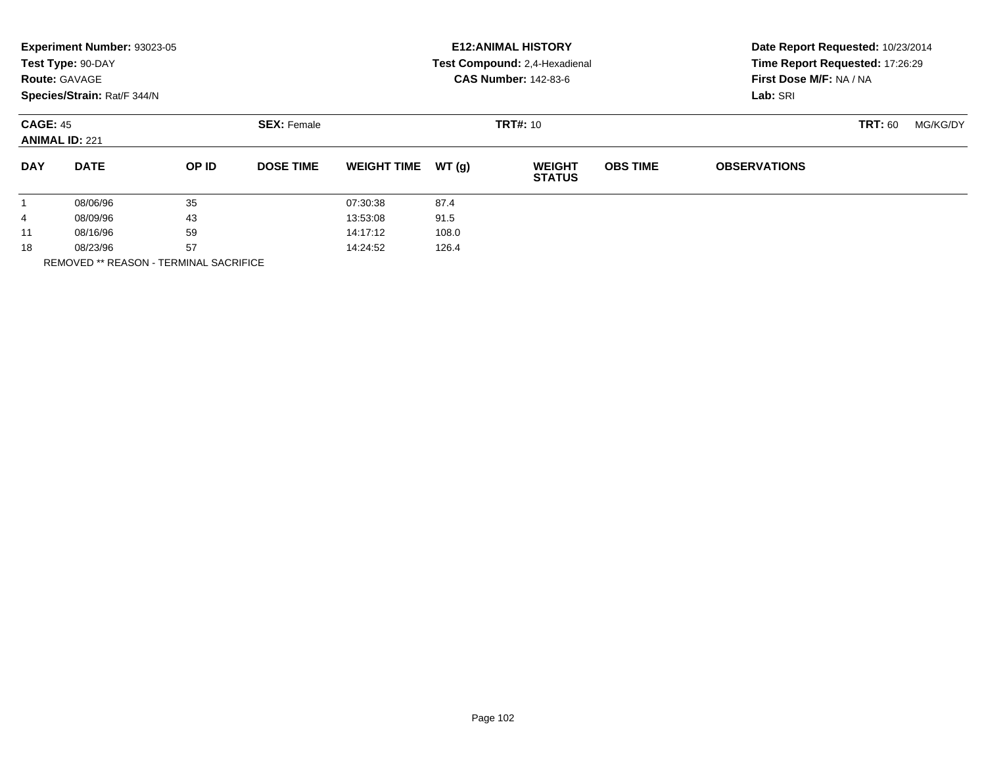|                                                                                                                                                                   | Experiment Number: 93023-05<br>Test Type: 90-DAY<br><b>Route: GAVAGE</b><br>Species/Strain: Rat/F 344/N |  |  |  |  | <b>E12: ANIMAL HISTORY</b><br>Test Compound: 2,4-Hexadienal<br><b>CAS Number: 142-83-6</b> | Date Report Requested: 10/23/2014<br>Time Report Requested: 17:26:29<br>First Dose M/F: NA / NA<br>Lab: SRI |          |  |
|-------------------------------------------------------------------------------------------------------------------------------------------------------------------|---------------------------------------------------------------------------------------------------------|--|--|--|--|--------------------------------------------------------------------------------------------|-------------------------------------------------------------------------------------------------------------|----------|--|
| <b>CAGE: 45</b><br><b>SEX: Female</b><br><b>TRT#: 10</b><br><b>TRT: 60</b><br><b>ANIMAL ID: 221</b>                                                               |                                                                                                         |  |  |  |  |                                                                                            |                                                                                                             | MG/KG/DY |  |
| WT(g)<br><b>OBS TIME</b><br><b>DAY</b><br><b>DATE</b><br>OP ID<br><b>DOSE TIME</b><br><b>WEIGHT TIME</b><br><b>WEIGHT</b><br><b>OBSERVATIONS</b><br><b>STATUS</b> |                                                                                                         |  |  |  |  |                                                                                            |                                                                                                             |          |  |
| 35<br>87.4<br>08/06/96<br>07:30:38<br>$\mathbf{1}$                                                                                                                |                                                                                                         |  |  |  |  |                                                                                            |                                                                                                             |          |  |
| 43<br>91.5<br>13:53:08<br>08/09/96<br>4                                                                                                                           |                                                                                                         |  |  |  |  |                                                                                            |                                                                                                             |          |  |
| 59<br>108.0<br>08/16/96<br>14:17:12<br>11                                                                                                                         |                                                                                                         |  |  |  |  |                                                                                            |                                                                                                             |          |  |
| 57<br>18<br>126.4<br>08/23/96<br>14:24:52                                                                                                                         |                                                                                                         |  |  |  |  |                                                                                            |                                                                                                             |          |  |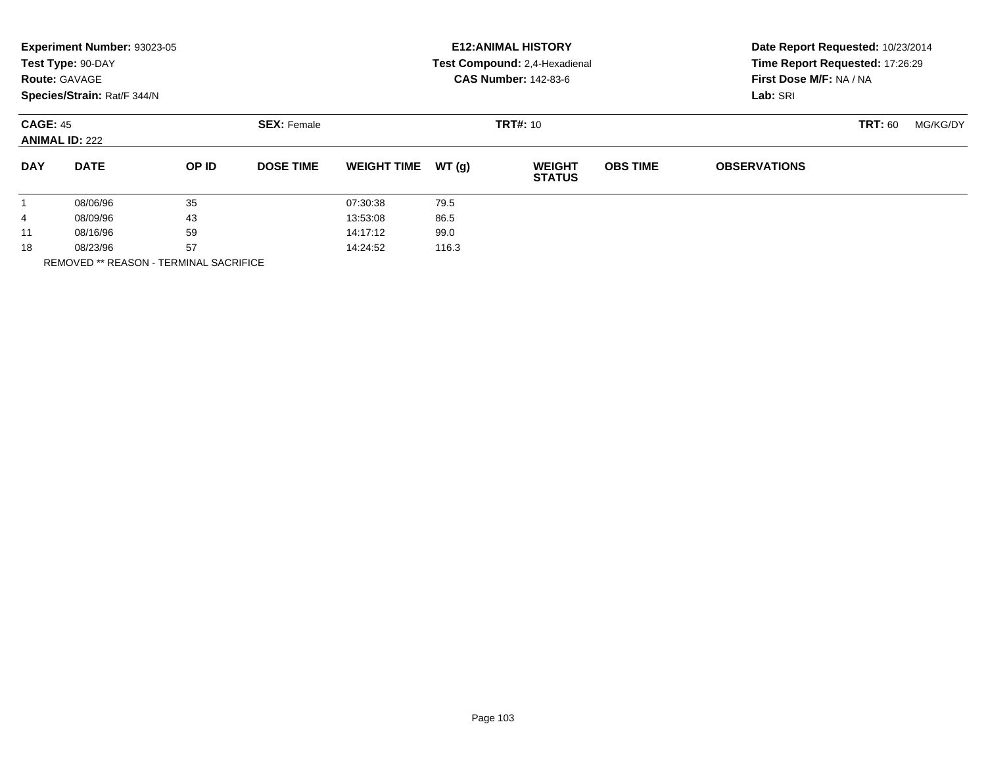| Experiment Number: 93023-05<br>Test Type: 90-DAY<br><b>Route: GAVAGE</b><br>Species/Strain: Rat/F 344/N |       |                    |                    |       | <b>E12: ANIMAL HISTORY</b><br>Test Compound: 2,4-Hexadienal<br><b>CAS Number: 142-83-6</b> | Date Report Requested: 10/23/2014<br>Time Report Requested: 17:26:29<br>First Dose M/F: NA / NA<br>Lab: SRI |                     |                |          |
|---------------------------------------------------------------------------------------------------------|-------|--------------------|--------------------|-------|--------------------------------------------------------------------------------------------|-------------------------------------------------------------------------------------------------------------|---------------------|----------------|----------|
| <b>CAGE: 45</b><br><b>ANIMAL ID: 222</b>                                                                |       | <b>SEX: Female</b> |                    |       | <b>TRT#: 10</b>                                                                            |                                                                                                             |                     | <b>TRT: 60</b> | MG/KG/DY |
| <b>DAY</b><br><b>DATE</b>                                                                               | OP ID | <b>DOSE TIME</b>   | <b>WEIGHT TIME</b> | WT(g) | <b>WEIGHT</b><br><b>STATUS</b>                                                             | <b>OBS TIME</b>                                                                                             | <b>OBSERVATIONS</b> |                |          |
| 35<br>08/06/96<br>$\mathbf{1}$                                                                          |       |                    | 07:30:38           | 79.5  |                                                                                            |                                                                                                             |                     |                |          |
| 43<br>08/09/96<br>4                                                                                     |       |                    | 13:53:08           | 86.5  |                                                                                            |                                                                                                             |                     |                |          |
| 59<br>08/16/96<br>11                                                                                    |       | 14:17:12           | 99.0               |       |                                                                                            |                                                                                                             |                     |                |          |
| 57<br>18<br>08/23/96                                                                                    |       |                    | 14:24:52           | 116.3 |                                                                                            |                                                                                                             |                     |                |          |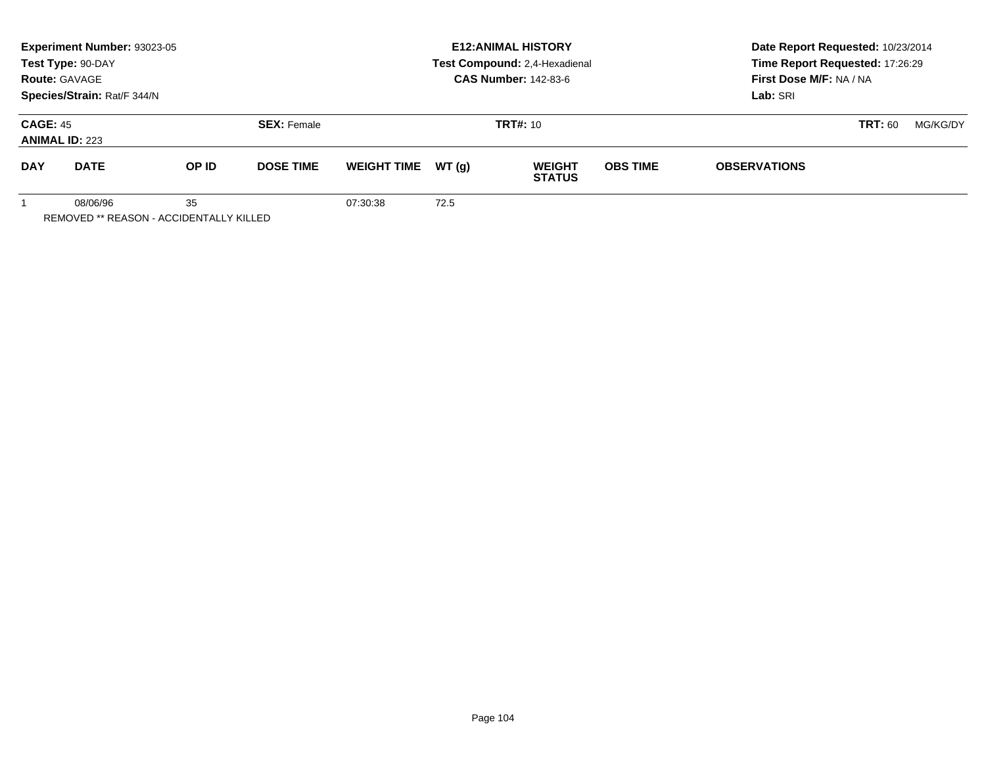|                                          | Experiment Number: 93023-05<br>Test Type: 90-DAY<br><b>Route: GAVAGE</b><br>Species/Strain: Rat/F 344/N |       |                    | <b>E12: ANIMAL HISTORY</b><br>Test Compound: 2,4-Hexadienal<br><b>CAS Number: 142-83-6</b> |        |                                |                 | Date Report Requested: 10/23/2014<br>Time Report Requested: 17:26:29<br>First Dose M/F: NA / NA<br>Lab: SRI |                |          |  |
|------------------------------------------|---------------------------------------------------------------------------------------------------------|-------|--------------------|--------------------------------------------------------------------------------------------|--------|--------------------------------|-----------------|-------------------------------------------------------------------------------------------------------------|----------------|----------|--|
| <b>CAGE: 45</b><br><b>ANIMAL ID: 223</b> |                                                                                                         |       | <b>SEX: Female</b> |                                                                                            |        | <b>TRT#: 10</b>                |                 |                                                                                                             | <b>TRT: 60</b> | MG/KG/DY |  |
| <b>DAY</b>                               | <b>DATE</b>                                                                                             | OP ID | <b>DOSE TIME</b>   | <b>WEIGHT TIME</b>                                                                         | WT (a) | <b>WEIGHT</b><br><b>STATUS</b> | <b>OBS TIME</b> | <b>OBSERVATIONS</b>                                                                                         |                |          |  |
|                                          | 08/06/96                                                                                                | 35    |                    | 07:30:38                                                                                   | 72.5   |                                |                 |                                                                                                             |                |          |  |

REMOVED \*\* REASON - ACCIDENTALLY KILLED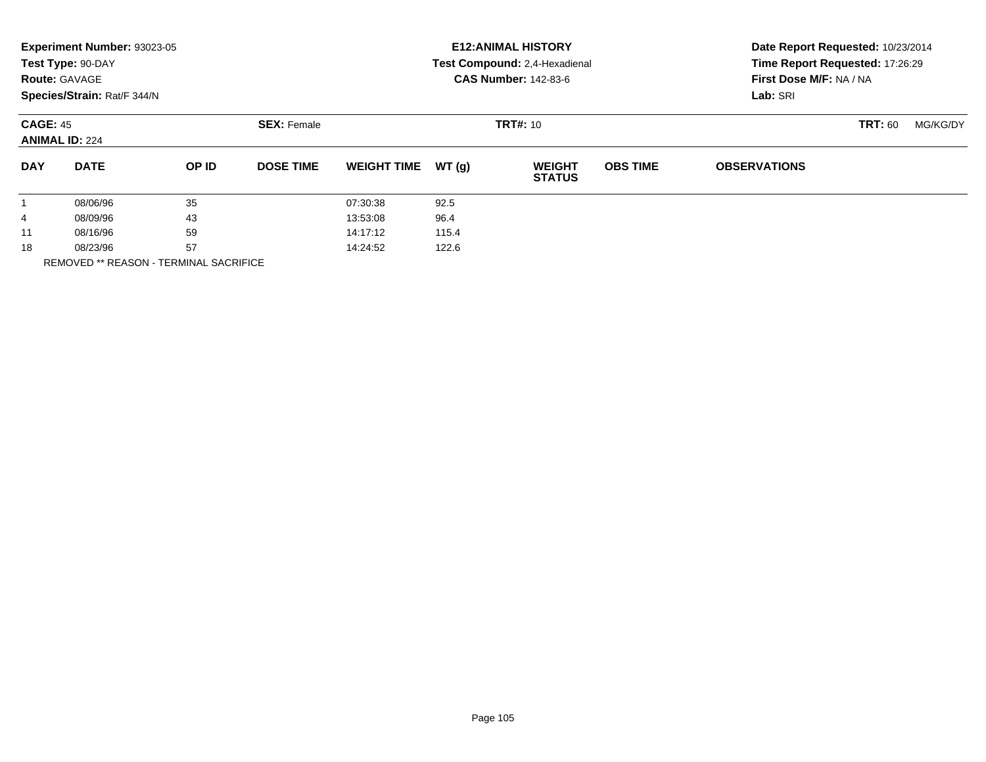|                      | Experiment Number: 93023-05<br>Test Type: 90-DAY<br><b>Route: GAVAGE</b><br>Species/Strain: Rat/F 344/N |          |                                       |                    |       | <b>E12: ANIMAL HISTORY</b><br>Test Compound: 2,4-Hexadienal<br><b>CAS Number: 142-83-6</b> | Lab: SRI        | Time Report Requested: 17:26:29<br>First Dose M/F: NA / NA |                                                                 |  |  |
|----------------------|---------------------------------------------------------------------------------------------------------|----------|---------------------------------------|--------------------|-------|--------------------------------------------------------------------------------------------|-----------------|------------------------------------------------------------|-----------------------------------------------------------------|--|--|
|                      | <b>CAGE: 45</b><br><b>ANIMAL ID: 224</b>                                                                |          | <b>TRT#: 10</b><br><b>SEX: Female</b> |                    |       |                                                                                            |                 |                                                            | Date Report Requested: 10/23/2014<br><b>TRT: 60</b><br>MG/KG/DY |  |  |
| <b>DAY</b>           | <b>DATE</b>                                                                                             | OP ID    | <b>DOSE TIME</b>                      | <b>WEIGHT TIME</b> | WT(g) | <b>WEIGHT</b><br><b>STATUS</b>                                                             | <b>OBS TIME</b> | <b>OBSERVATIONS</b>                                        |                                                                 |  |  |
| $\mathbf{1}$         | 08/06/96                                                                                                | 35       |                                       | 07:30:38           | 92.5  |                                                                                            |                 |                                                            |                                                                 |  |  |
| 4                    | 08/09/96                                                                                                | 43       |                                       | 13:53:08           | 96.4  |                                                                                            |                 |                                                            |                                                                 |  |  |
| 59<br>08/16/96<br>11 |                                                                                                         | 14:17:12 | 115.4                                 |                    |       |                                                                                            |                 |                                                            |                                                                 |  |  |
| 57<br>18<br>08/23/96 |                                                                                                         |          | 14:24:52                              | 122.6              |       |                                                                                            |                 |                                                            |                                                                 |  |  |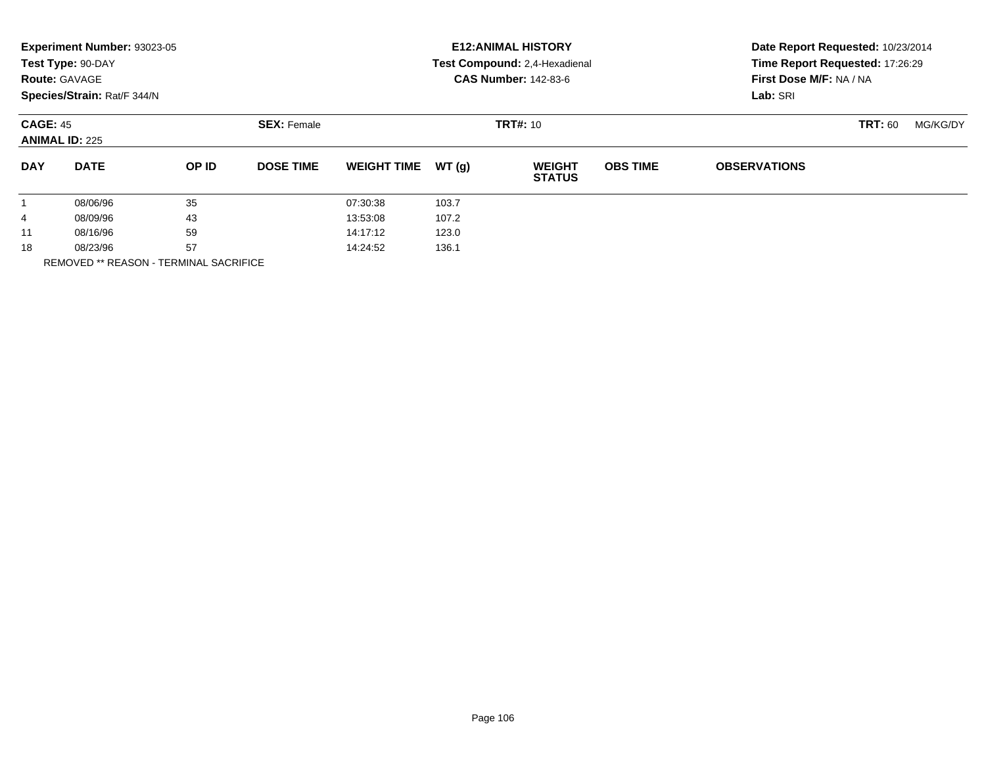|                      | Experiment Number: 93023-05<br>Test Type: 90-DAY<br><b>Route: GAVAGE</b><br>Species/Strain: Rat/F 344/N |          |                                       |                    |       | <b>E12: ANIMAL HISTORY</b><br>Test Compound: 2,4-Hexadienal<br><b>CAS Number: 142-83-6</b> | Date Report Requested: 10/23/2014<br>Time Report Requested: 17:26:29<br>First Dose M/F: NA / NA<br>Lab: SRI |                     |                            |  |  |  |
|----------------------|---------------------------------------------------------------------------------------------------------|----------|---------------------------------------|--------------------|-------|--------------------------------------------------------------------------------------------|-------------------------------------------------------------------------------------------------------------|---------------------|----------------------------|--|--|--|
|                      | <b>CAGE: 45</b><br><b>ANIMAL ID: 225</b>                                                                |          | <b>TRT#: 10</b><br><b>SEX: Female</b> |                    |       |                                                                                            |                                                                                                             |                     | <b>TRT: 60</b><br>MG/KG/DY |  |  |  |
| <b>DAY</b>           | <b>DATE</b>                                                                                             | OP ID    | <b>DOSE TIME</b>                      | <b>WEIGHT TIME</b> | WT(g) | <b>WEIGHT</b><br><b>STATUS</b>                                                             | <b>OBS TIME</b>                                                                                             | <b>OBSERVATIONS</b> |                            |  |  |  |
|                      | 08/06/96                                                                                                | 35       |                                       | 07:30:38           | 103.7 |                                                                                            |                                                                                                             |                     |                            |  |  |  |
| 4                    | 08/09/96                                                                                                | 43       |                                       | 13:53:08           | 107.2 |                                                                                            |                                                                                                             |                     |                            |  |  |  |
| 11                   | 59<br>08/16/96                                                                                          |          | 14:17:12                              | 123.0              |       |                                                                                            |                                                                                                             |                     |                            |  |  |  |
| 57<br>18<br>08/23/96 |                                                                                                         | 14:24:52 | 136.1                                 |                    |       |                                                                                            |                                                                                                             |                     |                            |  |  |  |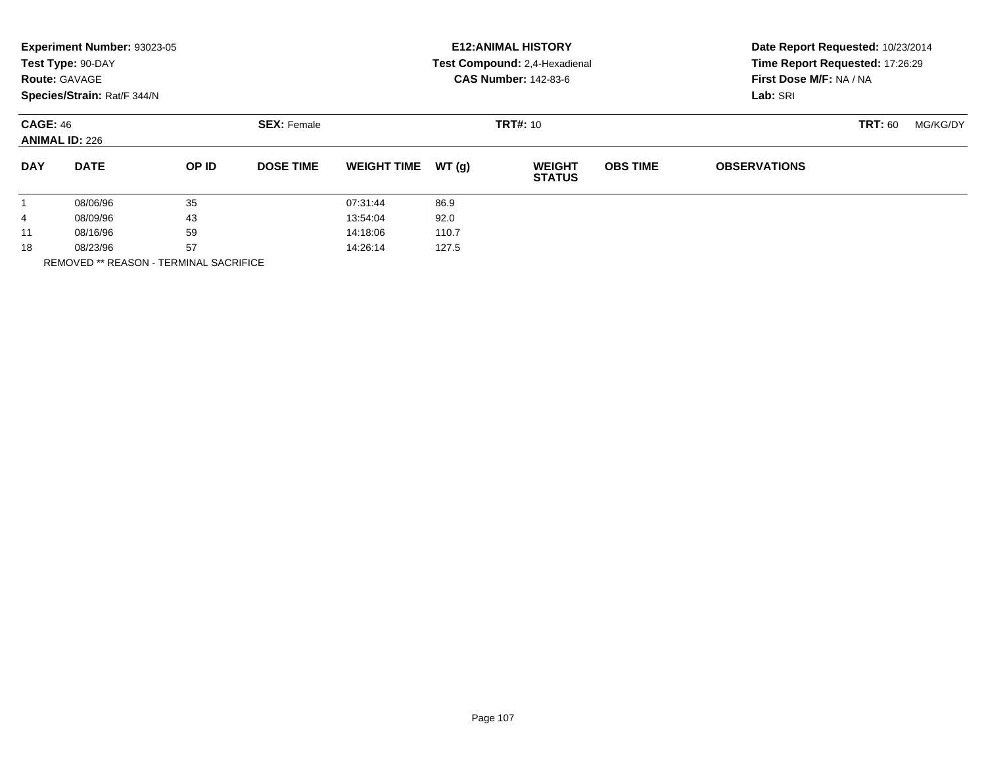|                      | Experiment Number: 93023-05<br>Test Type: 90-DAY<br><b>Route: GAVAGE</b><br>Species/Strain: Rat/F 344/N |       |                    |                    |                 | <b>E12: ANIMAL HISTORY</b><br>Test Compound: 2,4-Hexadienal<br><b>CAS Number: 142-83-6</b> | Date Report Requested: 10/23/2014<br>Time Report Requested: 17:26:29<br>First Dose M/F: NA / NA<br>Lab: SRI<br><b>TRT: 60</b><br>MG/KG/DY |                     |  |  |
|----------------------|---------------------------------------------------------------------------------------------------------|-------|--------------------|--------------------|-----------------|--------------------------------------------------------------------------------------------|-------------------------------------------------------------------------------------------------------------------------------------------|---------------------|--|--|
|                      | <b>CAGE: 46</b><br><b>ANIMAL ID: 226</b>                                                                |       | <b>SEX: Female</b> |                    | <b>TRT#: 10</b> |                                                                                            |                                                                                                                                           |                     |  |  |
| <b>DAY</b>           | <b>DATE</b>                                                                                             | OP ID | <b>DOSE TIME</b>   | <b>WEIGHT TIME</b> | WT(q)           | <b>WEIGHT</b><br><b>STATUS</b>                                                             | <b>OBS TIME</b>                                                                                                                           | <b>OBSERVATIONS</b> |  |  |
|                      | 08/06/96                                                                                                | 35    |                    | 07:31:44           | 86.9            |                                                                                            |                                                                                                                                           |                     |  |  |
| 4                    | 08/09/96                                                                                                | 43    |                    | 13:54:04           | 92.0            |                                                                                            |                                                                                                                                           |                     |  |  |
| 11                   | 59<br>08/16/96                                                                                          |       | 14:18:06           | 110.7              |                 |                                                                                            |                                                                                                                                           |                     |  |  |
| 57<br>18<br>08/23/96 |                                                                                                         |       | 14:26:14           | 127.5              |                 |                                                                                            |                                                                                                                                           |                     |  |  |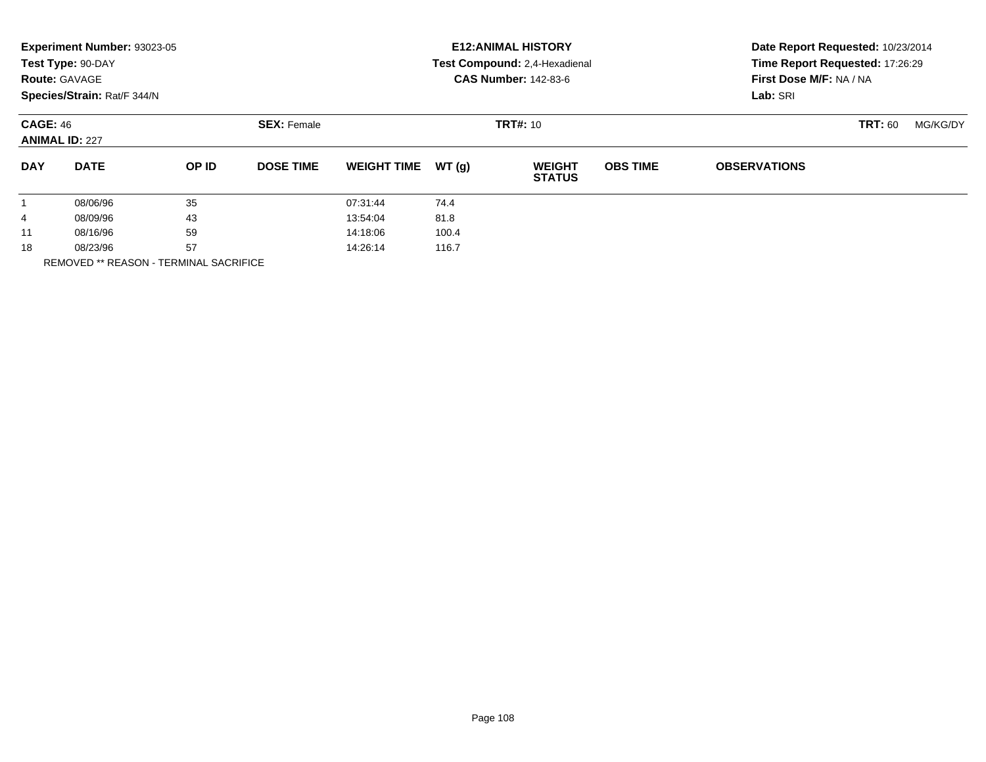|                      | Experiment Number: 93023-05<br>Test Type: 90-DAY<br><b>Route: GAVAGE</b><br>Species/Strain: Rat/F 344/N |              |                    |                    |       | <b>E12: ANIMAL HISTORY</b><br>Test Compound: 2,4-Hexadienal<br><b>CAS Number: 142-83-6</b> | Date Report Requested: 10/23/2014<br>Time Report Requested: 17:26:29<br>First Dose M/F: NA / NA<br>Lab: SRI |                     |                |          |
|----------------------|---------------------------------------------------------------------------------------------------------|--------------|--------------------|--------------------|-------|--------------------------------------------------------------------------------------------|-------------------------------------------------------------------------------------------------------------|---------------------|----------------|----------|
|                      | <b>CAGE: 46</b><br><b>ANIMAL ID: 227</b>                                                                |              | <b>SEX: Female</b> |                    |       | <b>TRT#: 10</b>                                                                            |                                                                                                             |                     | <b>TRT: 60</b> | MG/KG/DY |
| <b>DAY</b>           | <b>DATE</b>                                                                                             | <b>OP ID</b> | <b>DOSE TIME</b>   | <b>WEIGHT TIME</b> | WT(g) | <b>WEIGHT</b><br><b>STATUS</b>                                                             | <b>OBS TIME</b>                                                                                             | <b>OBSERVATIONS</b> |                |          |
| $\mathbf{1}$         | 08/06/96                                                                                                | 35           |                    | 07:31:44           | 74.4  |                                                                                            |                                                                                                             |                     |                |          |
| 4                    | 08/09/96                                                                                                | 43           |                    | 13:54:04           | 81.8  |                                                                                            |                                                                                                             |                     |                |          |
| 11                   | 59<br>08/16/96                                                                                          |              | 14:18:06           | 100.4              |       |                                                                                            |                                                                                                             |                     |                |          |
| 57<br>18<br>08/23/96 |                                                                                                         |              | 14:26:14           | 116.7              |       |                                                                                            |                                                                                                             |                     |                |          |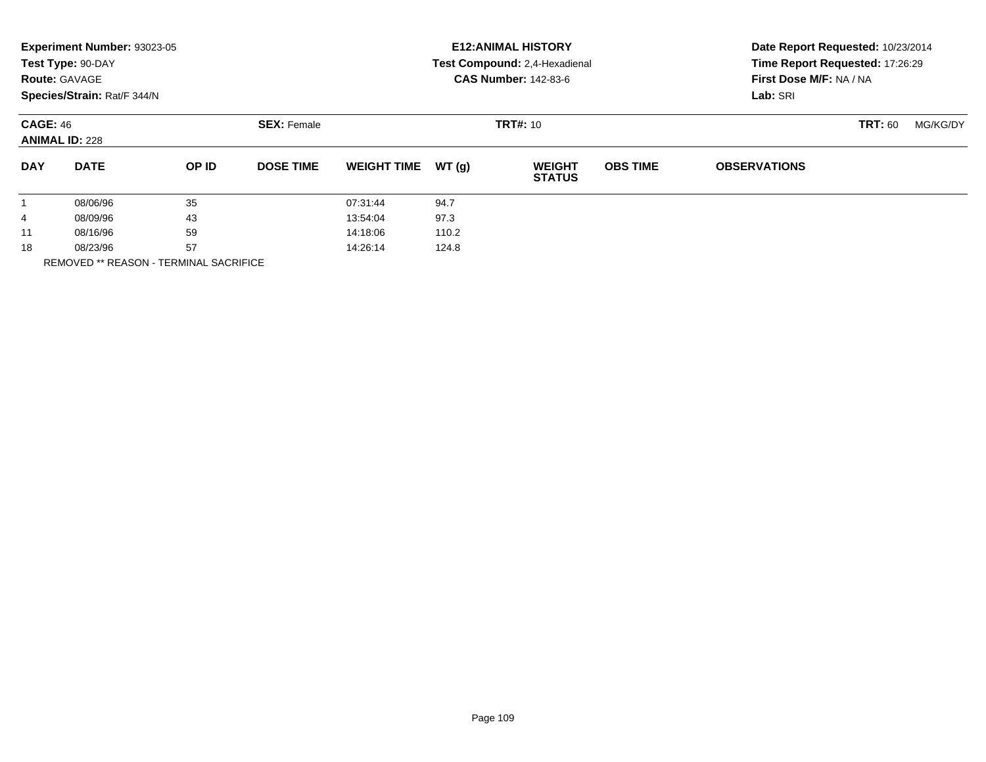| Experiment Number: 93023-05<br><b>E12: ANIMAL HISTORY</b><br>Test Type: 90-DAY<br>Test Compound: 2,4-Hexadienal<br><b>CAS Number: 142-83-6</b><br><b>Route: GAVAGE</b><br>Species/Strain: Rat/F 344/N<br>Lab: SRI | Date Report Requested: 10/23/2014<br>Time Report Requested: 17:26:29<br>First Dose M/F: NA / NA |  |  |
|-------------------------------------------------------------------------------------------------------------------------------------------------------------------------------------------------------------------|-------------------------------------------------------------------------------------------------|--|--|
| <b>CAGE: 46</b><br><b>SEX: Female</b><br><b>TRT#: 10</b><br><b>ANIMAL ID: 228</b>                                                                                                                                 | <b>TRT: 60</b><br>MG/KG/DY                                                                      |  |  |
| WT(g)<br><b>OBS TIME</b><br><b>DAY</b><br><b>DATE</b><br>OP ID<br><b>DOSE TIME</b><br><b>WEIGHT TIME</b><br><b>WEIGHT</b><br><b>OBSERVATIONS</b><br><b>STATUS</b>                                                 |                                                                                                 |  |  |
| 35<br>94.7<br>08/06/96<br>07:31:44<br>$\mathbf{1}$                                                                                                                                                                |                                                                                                 |  |  |
| 43<br>97.3<br>13:54:04<br>08/09/96<br>4                                                                                                                                                                           |                                                                                                 |  |  |
| 59<br>110.2<br>08/16/96<br>14:18:06<br>11                                                                                                                                                                         |                                                                                                 |  |  |
| 57<br>18<br>14:26:14<br>124.8<br>08/23/96                                                                                                                                                                         |                                                                                                 |  |  |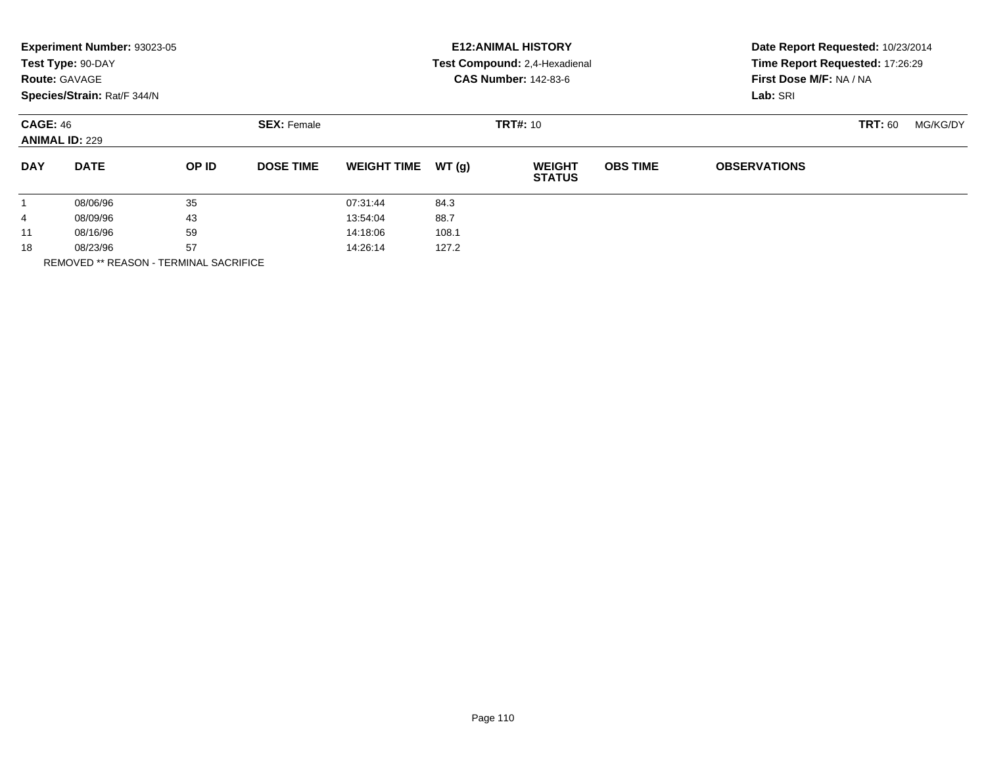|                      | Experiment Number: 93023-05<br>Test Type: 90-DAY<br><b>Route: GAVAGE</b><br>Species/Strain: Rat/F 344/N |       |                    |                    |       | <b>E12: ANIMAL HISTORY</b><br>Test Compound: 2,4-Hexadienal<br><b>CAS Number: 142-83-6</b> | Date Report Requested: 10/23/2014<br>Time Report Requested: 17:26:29<br>First Dose M/F: NA / NA<br>Lab: SRI |                     |                |          |
|----------------------|---------------------------------------------------------------------------------------------------------|-------|--------------------|--------------------|-------|--------------------------------------------------------------------------------------------|-------------------------------------------------------------------------------------------------------------|---------------------|----------------|----------|
| <b>CAGE: 46</b>      | <b>ANIMAL ID: 229</b>                                                                                   |       | <b>SEX: Female</b> |                    |       | <b>TRT#: 10</b>                                                                            |                                                                                                             |                     | <b>TRT: 60</b> | MG/KG/DY |
| <b>DAY</b>           | <b>DATE</b>                                                                                             | OP ID | <b>DOSE TIME</b>   | <b>WEIGHT TIME</b> | WT(g) | <b>WEIGHT</b><br><b>STATUS</b>                                                             | <b>OBS TIME</b>                                                                                             | <b>OBSERVATIONS</b> |                |          |
| $\mathbf{1}$         | 08/06/96                                                                                                | 35    |                    | 07:31:44           | 84.3  |                                                                                            |                                                                                                             |                     |                |          |
| 4                    | 08/09/96                                                                                                | 43    |                    | 13:54:04           | 88.7  |                                                                                            |                                                                                                             |                     |                |          |
| 11                   | 08/16/96                                                                                                | 59    |                    | 14:18:06           | 108.1 |                                                                                            |                                                                                                             |                     |                |          |
| 57<br>18<br>08/23/96 |                                                                                                         |       | 14:26:14           | 127.2              |       |                                                                                            |                                                                                                             |                     |                |          |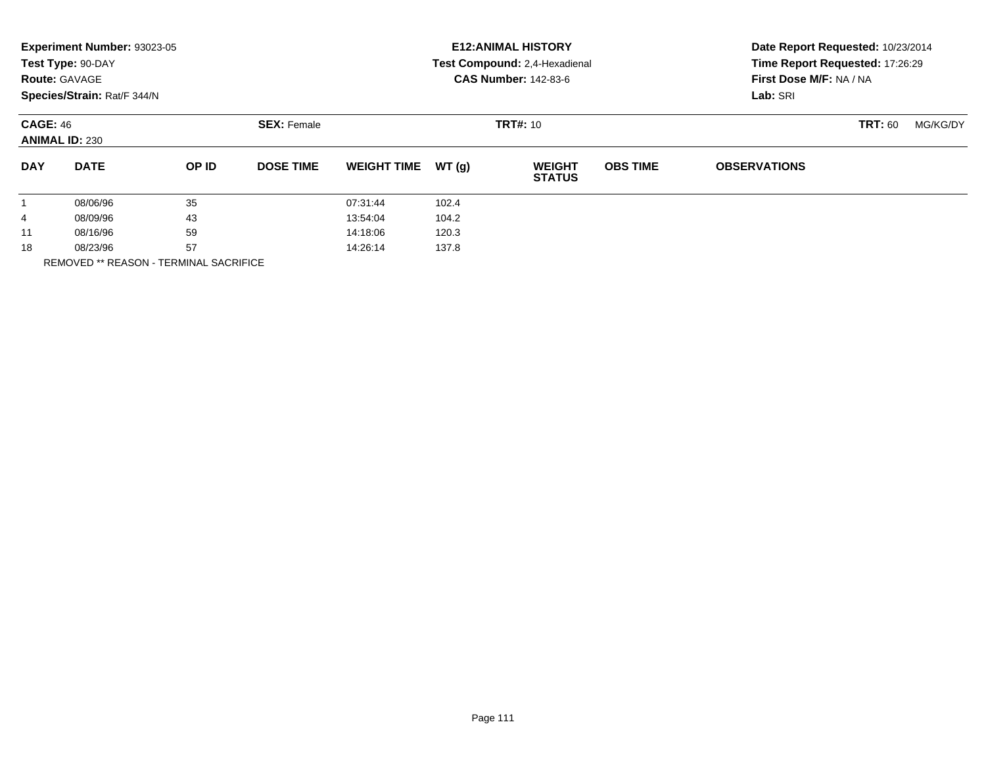|                        | Experiment Number: 93023-05<br>Test Type: 90-DAY<br><b>Route: GAVAGE</b><br>Species/Strain: Rat/F 344/N |       |                    | <b>E12: ANIMAL HISTORY</b><br>Test Compound: 2,4-Hexadienal<br><b>CAS Number: 142-83-6</b> |       |                                |                 | Date Report Requested: 10/23/2014<br>Time Report Requested: 17:26:29<br>First Dose M/F: NA / NA<br>Lab: SRI |                |          |  |
|------------------------|---------------------------------------------------------------------------------------------------------|-------|--------------------|--------------------------------------------------------------------------------------------|-------|--------------------------------|-----------------|-------------------------------------------------------------------------------------------------------------|----------------|----------|--|
| <b>CAGE: 46</b>        | <b>ANIMAL ID: 230</b>                                                                                   |       | <b>SEX: Female</b> |                                                                                            |       | <b>TRT#: 10</b>                |                 |                                                                                                             | <b>TRT: 60</b> | MG/KG/DY |  |
| <b>DAY</b>             | <b>DATE</b>                                                                                             | OP ID | <b>DOSE TIME</b>   | <b>WEIGHT TIME</b>                                                                         | WT(q) | <b>WEIGHT</b><br><b>STATUS</b> | <b>OBS TIME</b> | <b>OBSERVATIONS</b>                                                                                         |                |          |  |
|                        | 08/06/96                                                                                                | 35    |                    | 07:31:44                                                                                   | 102.4 |                                |                 |                                                                                                             |                |          |  |
| 4                      | 08/09/96                                                                                                | 43    |                    | 13:54:04                                                                                   | 104.2 |                                |                 |                                                                                                             |                |          |  |
| 11                     | 08/16/96                                                                                                | 59    |                    | 14:18:06                                                                                   | 120.3 |                                |                 |                                                                                                             |                |          |  |
| 18<br>---------------- | 57<br>08/23/96                                                                                          |       |                    | 14:26:14                                                                                   | 137.8 |                                |                 |                                                                                                             |                |          |  |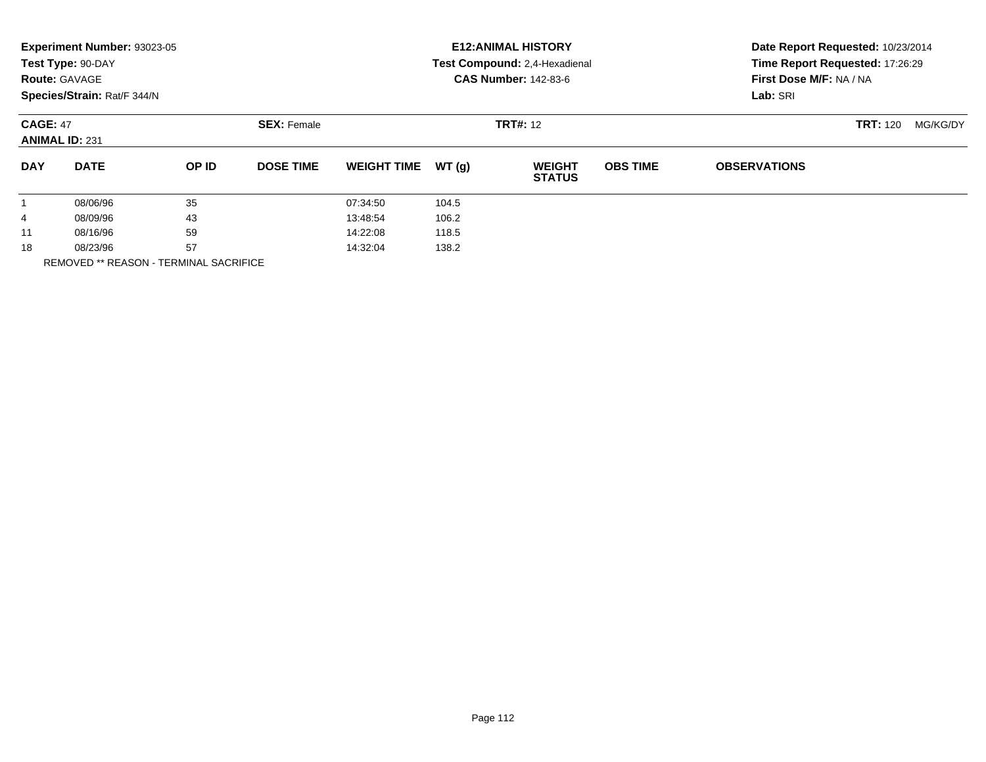|            | Experiment Number: 93023-05<br>Test Type: 90-DAY<br><b>Route: GAVAGE</b><br>Species/Strain: Rat/F 344/N |       |                                       |                    |       | <b>E12: ANIMAL HISTORY</b><br>Test Compound: 2,4-Hexadienal<br><b>CAS Number: 142-83-6</b> | Date Report Requested: 10/23/2014<br>Time Report Requested: 17:26:29<br>First Dose M/F: NA / NA<br>Lab: SRI |                     |          |  |
|------------|---------------------------------------------------------------------------------------------------------|-------|---------------------------------------|--------------------|-------|--------------------------------------------------------------------------------------------|-------------------------------------------------------------------------------------------------------------|---------------------|----------|--|
|            | <b>CAGE: 47</b><br><b>ANIMAL ID: 231</b>                                                                |       | <b>SEX: Female</b><br><b>TRT#: 12</b> |                    |       |                                                                                            |                                                                                                             | <b>TRT: 120</b>     | MG/KG/DY |  |
| <b>DAY</b> | <b>DATE</b>                                                                                             | OP ID | <b>DOSE TIME</b>                      | <b>WEIGHT TIME</b> | WT(g) | <b>WEIGHT</b><br><b>STATUS</b>                                                             | <b>OBS TIME</b>                                                                                             | <b>OBSERVATIONS</b> |          |  |
|            | 08/06/96                                                                                                | 35    |                                       | 07:34:50           | 104.5 |                                                                                            |                                                                                                             |                     |          |  |
| 4          | 08/09/96                                                                                                | 43    |                                       | 13:48:54           | 106.2 |                                                                                            |                                                                                                             |                     |          |  |
| 11         | 08/16/96                                                                                                | 59    |                                       | 14:22:08           | 118.5 |                                                                                            |                                                                                                             |                     |          |  |
| 18         | 57<br>08/23/96                                                                                          |       |                                       | 14:32:04           | 138.2 |                                                                                            |                                                                                                             |                     |          |  |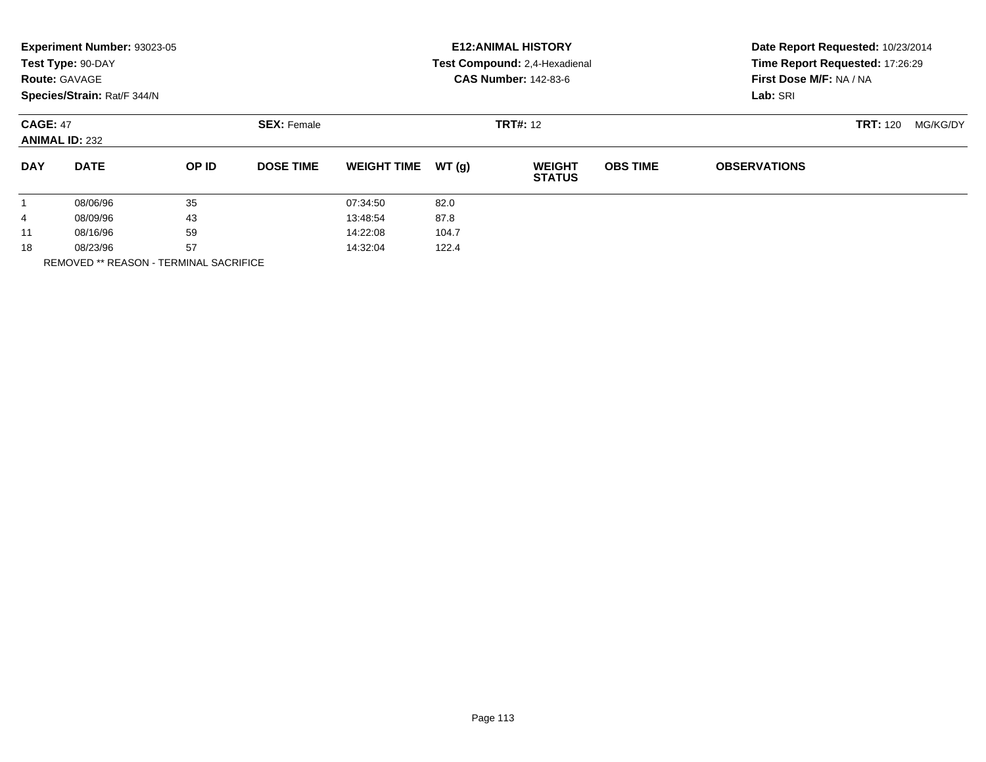|                      | Experiment Number: 93023-05<br>Test Type: 90-DAY<br><b>Route: GAVAGE</b><br>Species/Strain: Rat/F 344/N |       |                    |                    |       | <b>E12: ANIMAL HISTORY</b><br>Test Compound: 2,4-Hexadienal<br><b>CAS Number: 142-83-6</b> | Date Report Requested: 10/23/2014<br>Time Report Requested: 17:26:29<br>First Dose M/F: NA / NA<br>Lab: SRI |                     |                 |          |
|----------------------|---------------------------------------------------------------------------------------------------------|-------|--------------------|--------------------|-------|--------------------------------------------------------------------------------------------|-------------------------------------------------------------------------------------------------------------|---------------------|-----------------|----------|
|                      | <b>CAGE: 47</b><br><b>ANIMAL ID: 232</b>                                                                |       | <b>SEX: Female</b> | <b>TRT#: 12</b>    |       |                                                                                            |                                                                                                             |                     | <b>TRT: 120</b> | MG/KG/DY |
| <b>DAY</b>           | <b>DATE</b>                                                                                             | OP ID | <b>DOSE TIME</b>   | <b>WEIGHT TIME</b> | WT(q) | <b>WEIGHT</b><br><b>STATUS</b>                                                             | <b>OBS TIME</b>                                                                                             | <b>OBSERVATIONS</b> |                 |          |
|                      | 08/06/96                                                                                                | 35    |                    | 07:34:50           | 82.0  |                                                                                            |                                                                                                             |                     |                 |          |
| 4                    | 08/09/96                                                                                                | 43    |                    | 13:48:54           | 87.8  |                                                                                            |                                                                                                             |                     |                 |          |
| 11                   | 08/16/96                                                                                                | 59    |                    | 14:22:08           | 104.7 |                                                                                            |                                                                                                             |                     |                 |          |
| 57<br>18<br>08/23/96 |                                                                                                         |       | 14:32:04           | 122.4              |       |                                                                                            |                                                                                                             |                     |                 |          |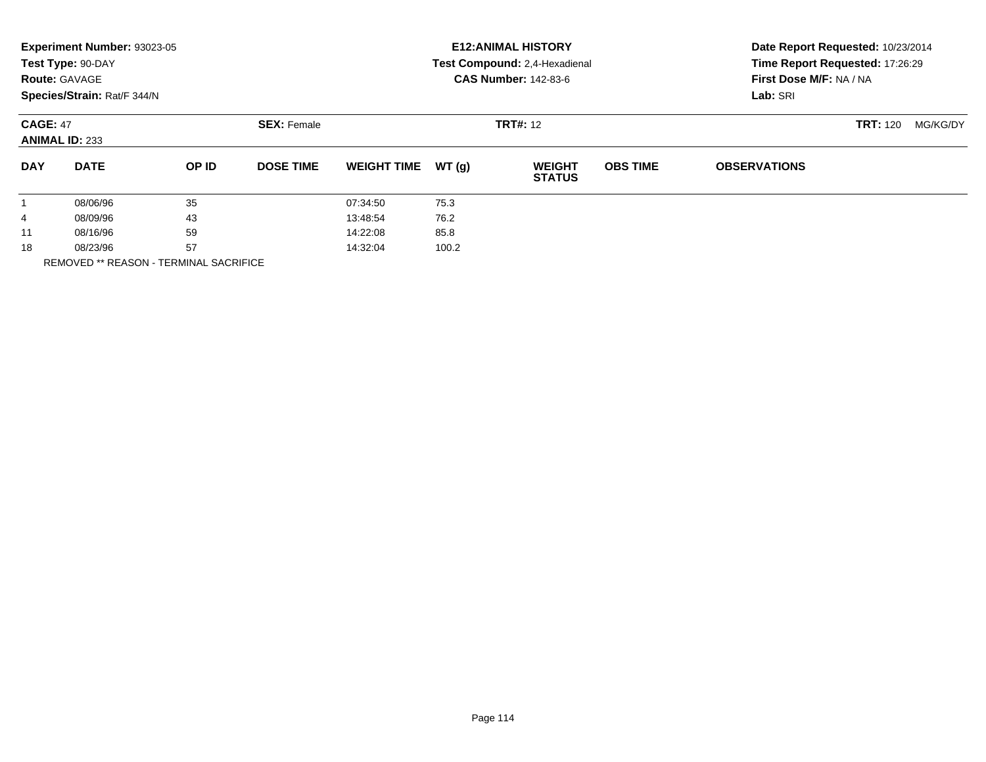|                 | Experiment Number: 93023-05<br>Test Type: 90-DAY<br><b>Route: GAVAGE</b><br>Species/Strain: Rat/F 344/N |       |                    |                    |       | <b>E12: ANIMAL HISTORY</b><br>Test Compound: 2,4-Hexadienal<br><b>CAS Number: 142-83-6</b> | Date Report Requested: 10/23/2014<br>Time Report Requested: 17:26:29<br>First Dose M/F: NA / NA<br>Lab: SRI |                     |                 |          |
|-----------------|---------------------------------------------------------------------------------------------------------|-------|--------------------|--------------------|-------|--------------------------------------------------------------------------------------------|-------------------------------------------------------------------------------------------------------------|---------------------|-----------------|----------|
| <b>CAGE: 47</b> | <b>ANIMAL ID: 233</b>                                                                                   |       | <b>SEX: Female</b> |                    |       | <b>TRT#: 12</b>                                                                            |                                                                                                             |                     | <b>TRT: 120</b> | MG/KG/DY |
| <b>DAY</b>      | <b>DATE</b>                                                                                             | OP ID | <b>DOSE TIME</b>   | <b>WEIGHT TIME</b> | WT(q) | <b>WEIGHT</b><br><b>STATUS</b>                                                             | <b>OBS TIME</b>                                                                                             | <b>OBSERVATIONS</b> |                 |          |
|                 | 08/06/96                                                                                                | 35    |                    | 07:34:50           | 75.3  |                                                                                            |                                                                                                             |                     |                 |          |
| 4               | 08/09/96                                                                                                | 43    |                    | 13:48:54           | 76.2  |                                                                                            |                                                                                                             |                     |                 |          |
| 11              | 08/16/96                                                                                                | 59    |                    | 14:22:08           | 85.8  |                                                                                            |                                                                                                             |                     |                 |          |
| 18              | 57<br>08/23/96                                                                                          |       |                    | 14:32:04<br>100.2  |       |                                                                                            |                                                                                                             |                     |                 |          |
|                 | <b>REMOVED ** REASON - TERMINAL SACRIFICE</b>                                                           |       |                    |                    |       |                                                                                            |                                                                                                             |                     |                 |          |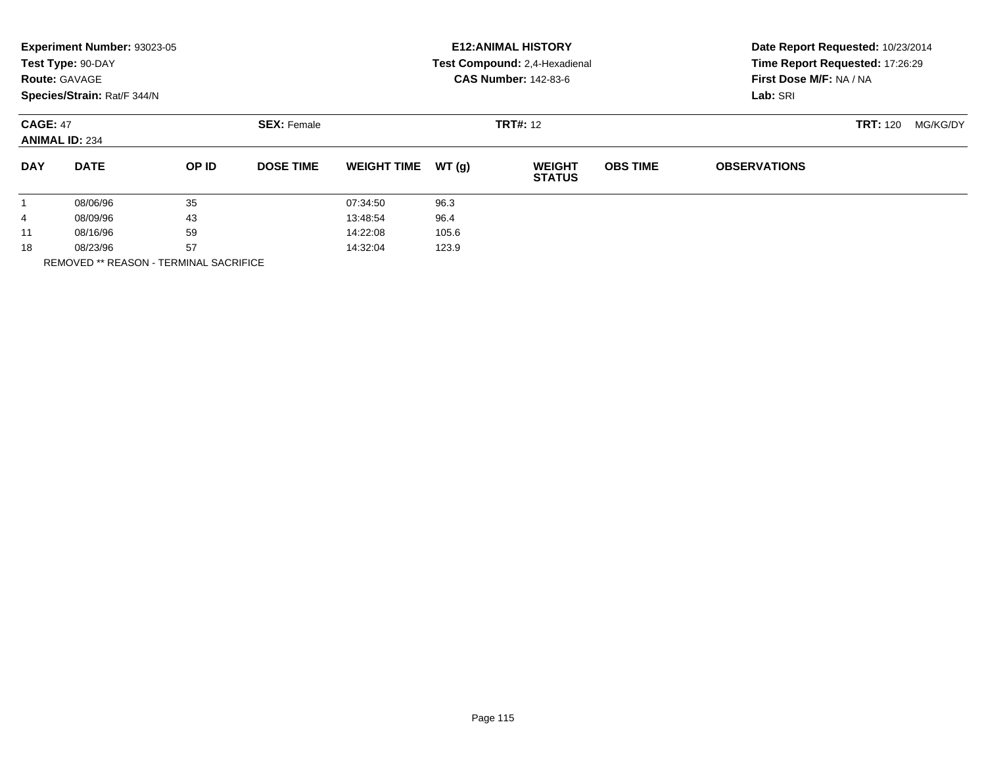|                        | Experiment Number: 93023-05<br>Test Type: 90-DAY<br><b>Route: GAVAGE</b><br>Species/Strain: Rat/F 344/N |       |                                       | <b>E12: ANIMAL HISTORY</b><br>Test Compound: 2,4-Hexadienal<br><b>CAS Number: 142-83-6</b> |       |                                |                 | Date Report Requested: 10/23/2014<br>Time Report Requested: 17:26:29<br>First Dose M/F: NA / NA<br>Lab: SRI |                 |          |
|------------------------|---------------------------------------------------------------------------------------------------------|-------|---------------------------------------|--------------------------------------------------------------------------------------------|-------|--------------------------------|-----------------|-------------------------------------------------------------------------------------------------------------|-----------------|----------|
|                        | <b>CAGE: 47</b><br><b>ANIMAL ID: 234</b>                                                                |       | <b>TRT#: 12</b><br><b>SEX: Female</b> |                                                                                            |       |                                |                 |                                                                                                             | <b>TRT: 120</b> | MG/KG/DY |
| <b>DAY</b>             | <b>DATE</b>                                                                                             | OP ID | <b>DOSE TIME</b>                      | <b>WEIGHT TIME</b>                                                                         | WT(g) | <b>WEIGHT</b><br><b>STATUS</b> | <b>OBS TIME</b> | <b>OBSERVATIONS</b>                                                                                         |                 |          |
|                        | 08/06/96                                                                                                | 35    |                                       | 07:34:50                                                                                   | 96.3  |                                |                 |                                                                                                             |                 |          |
| 4                      | 08/09/96                                                                                                | 43    |                                       | 13:48:54                                                                                   | 96.4  |                                |                 |                                                                                                             |                 |          |
| 11                     | 08/16/96                                                                                                | 59    |                                       | 14:22:08                                                                                   | 105.6 |                                |                 |                                                                                                             |                 |          |
| 18<br>---------------- | 57<br>08/23/96                                                                                          |       |                                       | 14:32:04                                                                                   | 123.9 |                                |                 |                                                                                                             |                 |          |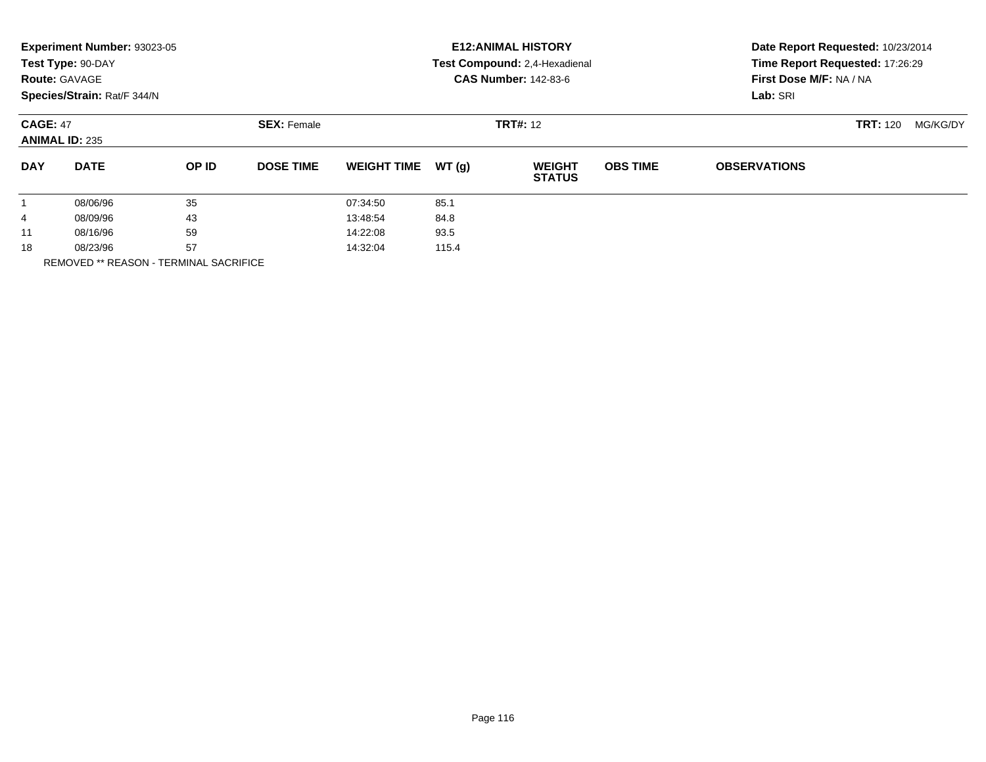|                      | Experiment Number: 93023-05<br>Test Type: 90-DAY<br><b>Route: GAVAGE</b><br>Species/Strain: Rat/F 344/N |       |                    | <b>E12: ANIMAL HISTORY</b><br>Test Compound: 2,4-Hexadienal<br><b>CAS Number: 142-83-6</b> |       |                                |                 | Date Report Requested: 10/23/2014<br>Time Report Requested: 17:26:29<br>First Dose M/F: NA / NA<br>Lab: SRI |                 |          |
|----------------------|---------------------------------------------------------------------------------------------------------|-------|--------------------|--------------------------------------------------------------------------------------------|-------|--------------------------------|-----------------|-------------------------------------------------------------------------------------------------------------|-----------------|----------|
|                      | <b>CAGE: 47</b><br><b>ANIMAL ID: 235</b>                                                                |       | <b>SEX: Female</b> | <b>TRT#: 12</b>                                                                            |       |                                |                 |                                                                                                             | <b>TRT: 120</b> | MG/KG/DY |
| <b>DAY</b>           | <b>DATE</b>                                                                                             | OP ID | <b>DOSE TIME</b>   | <b>WEIGHT TIME</b>                                                                         | WT(q) | <b>WEIGHT</b><br><b>STATUS</b> | <b>OBS TIME</b> | <b>OBSERVATIONS</b>                                                                                         |                 |          |
|                      | 08/06/96                                                                                                | 35    |                    | 07:34:50                                                                                   | 85.1  |                                |                 |                                                                                                             |                 |          |
| 4                    | 43<br>08/09/96                                                                                          |       | 13:48:54           | 84.8                                                                                       |       |                                |                 |                                                                                                             |                 |          |
| 11                   | 08/16/96                                                                                                | 59    |                    | 14:22:08                                                                                   | 93.5  |                                |                 |                                                                                                             |                 |          |
| 57<br>18<br>08/23/96 |                                                                                                         |       | 14:32:04           | 115.4                                                                                      |       |                                |                 |                                                                                                             |                 |          |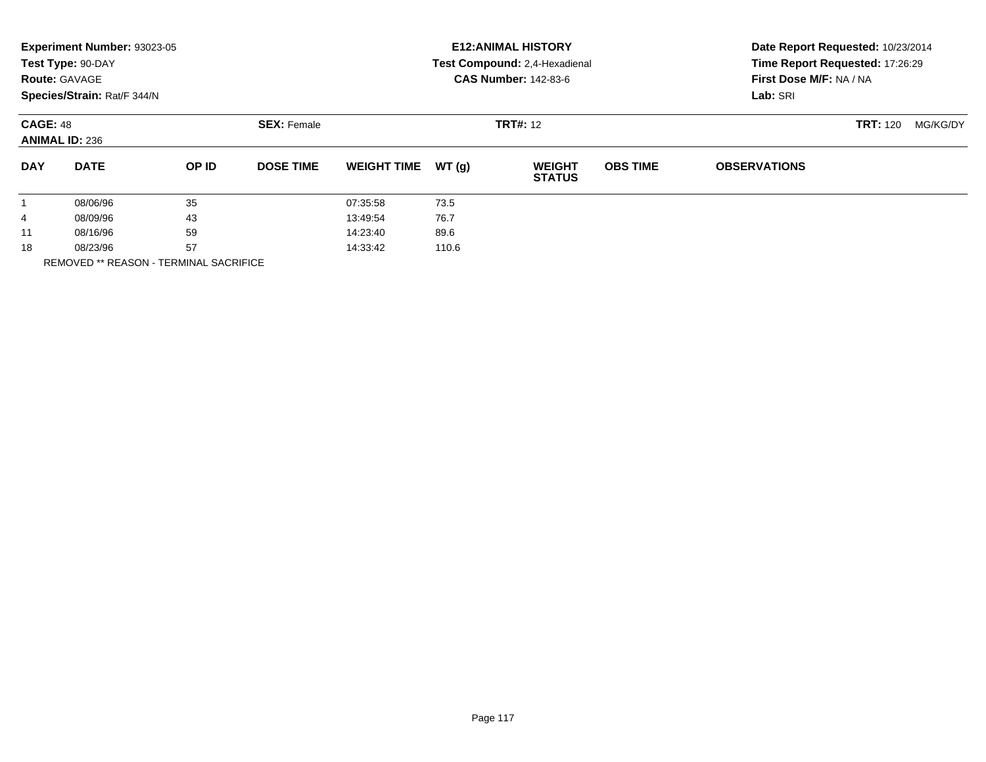|                      | Experiment Number: 93023-05<br>Test Type: 90-DAY<br><b>Route: GAVAGE</b><br>Species/Strain: Rat/F 344/N |       |                    |                    |       | <b>E12: ANIMAL HISTORY</b><br>Test Compound: 2,4-Hexadienal<br><b>CAS Number: 142-83-6</b> | Date Report Requested: 10/23/2014<br>Time Report Requested: 17:26:29<br>First Dose M/F: NA / NA<br>Lab: SRI |                     |  |  |
|----------------------|---------------------------------------------------------------------------------------------------------|-------|--------------------|--------------------|-------|--------------------------------------------------------------------------------------------|-------------------------------------------------------------------------------------------------------------|---------------------|--|--|
|                      | <b>CAGE: 48</b><br><b>ANIMAL ID: 236</b>                                                                |       | <b>SEX: Female</b> |                    |       | <b>TRT: 120</b>                                                                            | MG/KG/DY                                                                                                    |                     |  |  |
| <b>DAY</b>           | <b>DATE</b>                                                                                             | OP ID | <b>DOSE TIME</b>   | <b>WEIGHT TIME</b> | WT(g) | <b>WEIGHT</b><br><b>STATUS</b>                                                             | <b>OBS TIME</b>                                                                                             | <b>OBSERVATIONS</b> |  |  |
|                      | 08/06/96                                                                                                | 35    |                    | 07:35:58           | 73.5  |                                                                                            |                                                                                                             |                     |  |  |
| 4                    | 08/09/96                                                                                                | 43    |                    | 13:49:54           | 76.7  |                                                                                            |                                                                                                             |                     |  |  |
| 11                   | 08/16/96                                                                                                | 59    |                    | 14:23:40           | 89.6  |                                                                                            |                                                                                                             |                     |  |  |
| 57<br>18<br>08/23/96 |                                                                                                         |       | 14:33:42           | 110.6              |       |                                                                                            |                                                                                                             |                     |  |  |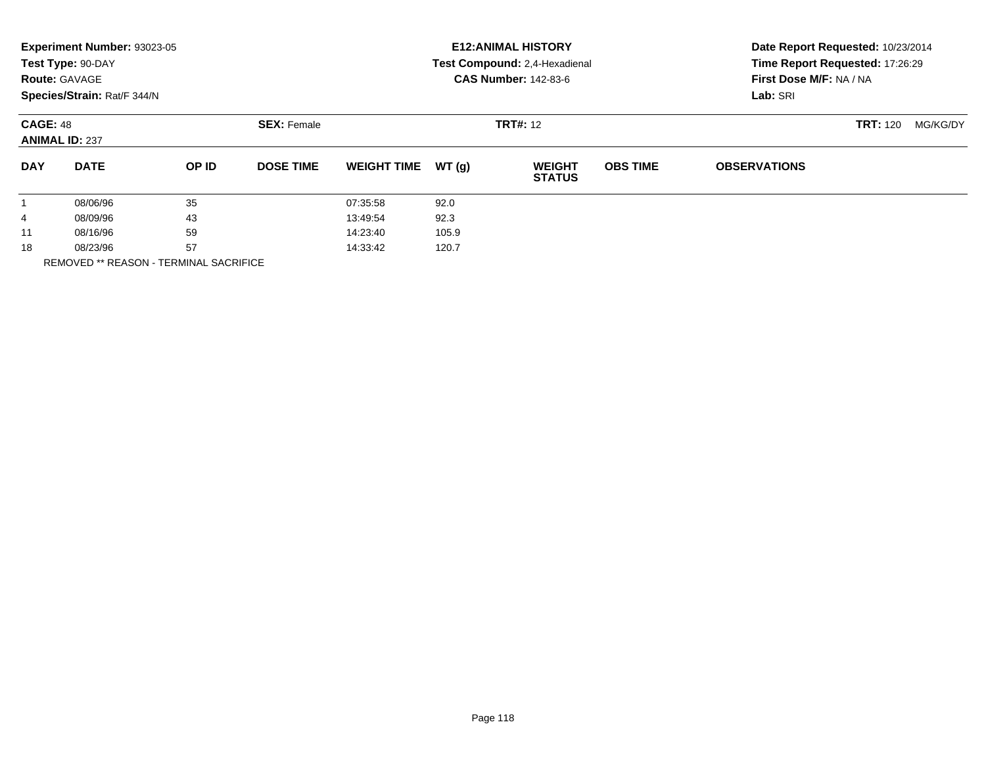|                 | Experiment Number: 93023-05<br>Test Type: 90-DAY<br><b>Route: GAVAGE</b><br>Species/Strain: Rat/F 344/N |       |                    |                    |       | <b>E12: ANIMAL HISTORY</b><br>Test Compound: 2,4-Hexadienal<br><b>CAS Number: 142-83-6</b> | Date Report Requested: 10/23/2014<br>Time Report Requested: 17:26:29<br>First Dose M/F: NA / NA<br>Lab: SRI |                     |                 |          |
|-----------------|---------------------------------------------------------------------------------------------------------|-------|--------------------|--------------------|-------|--------------------------------------------------------------------------------------------|-------------------------------------------------------------------------------------------------------------|---------------------|-----------------|----------|
| <b>CAGE: 48</b> | <b>ANIMAL ID: 237</b>                                                                                   |       | <b>SEX: Female</b> |                    |       | <b>TRT#: 12</b>                                                                            |                                                                                                             |                     | <b>TRT: 120</b> | MG/KG/DY |
| <b>DAY</b>      | <b>DATE</b>                                                                                             | OP ID | <b>DOSE TIME</b>   | <b>WEIGHT TIME</b> | WT(q) | <b>WEIGHT</b><br><b>STATUS</b>                                                             | <b>OBS TIME</b>                                                                                             | <b>OBSERVATIONS</b> |                 |          |
|                 | 08/06/96                                                                                                | 35    |                    | 07:35:58           | 92.0  |                                                                                            |                                                                                                             |                     |                 |          |
| 4               | 43<br>08/09/96                                                                                          |       | 13:49:54           | 92.3               |       |                                                                                            |                                                                                                             |                     |                 |          |
| 11              | 08/16/96                                                                                                | 59    |                    | 14:23:40           | 105.9 |                                                                                            |                                                                                                             |                     |                 |          |
| 18              | 57<br>08/23/96                                                                                          |       |                    | 14:33:42           | 120.7 |                                                                                            |                                                                                                             |                     |                 |          |
|                 | <b>REMOVED ** REASON - TERMINAL SACRIFICE</b>                                                           |       |                    |                    |       |                                                                                            |                                                                                                             |                     |                 |          |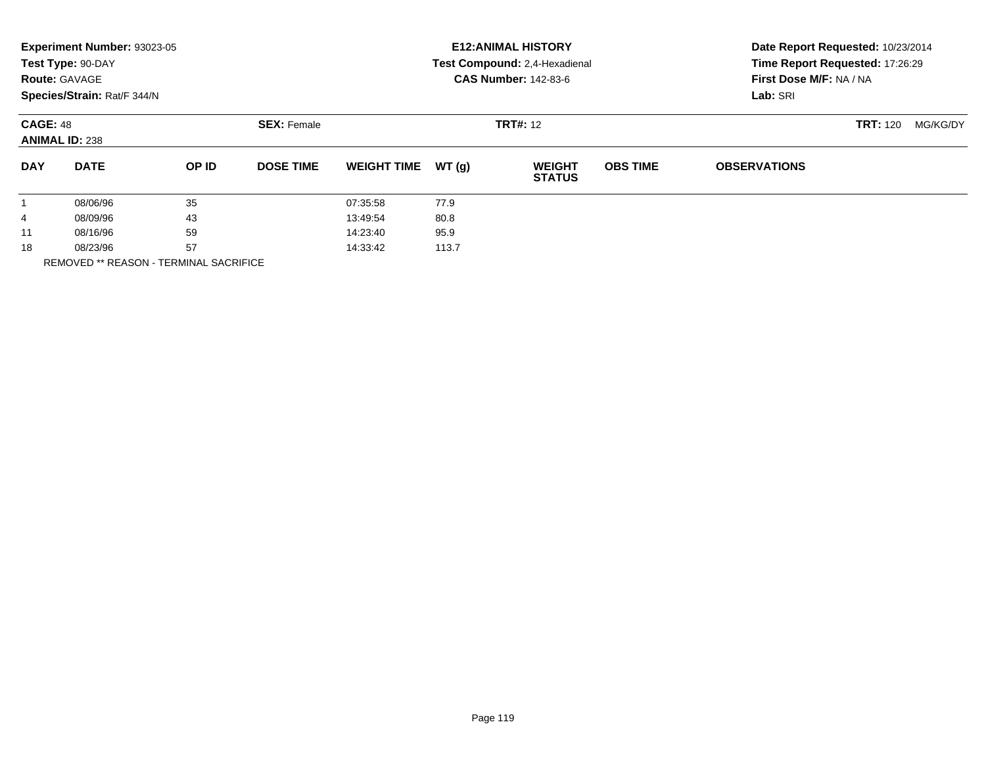|            | Experiment Number: 93023-05<br>Test Type: 90-DAY<br><b>Route: GAVAGE</b><br>Species/Strain: Rat/F 344/N |       |                                       |                    |       | <b>E12: ANIMAL HISTORY</b><br>Test Compound: 2,4-Hexadienal<br><b>CAS Number: 142-83-6</b> | Date Report Requested: 10/23/2014<br>Time Report Requested: 17:26:29<br>First Dose M/F: NA / NA<br>Lab: SRI |                     |          |  |
|------------|---------------------------------------------------------------------------------------------------------|-------|---------------------------------------|--------------------|-------|--------------------------------------------------------------------------------------------|-------------------------------------------------------------------------------------------------------------|---------------------|----------|--|
|            | <b>CAGE: 48</b><br><b>ANIMAL ID: 238</b>                                                                |       | <b>SEX: Female</b><br><b>TRT#: 12</b> |                    |       |                                                                                            |                                                                                                             | <b>TRT: 120</b>     | MG/KG/DY |  |
| <b>DAY</b> | <b>DATE</b>                                                                                             | OP ID | <b>DOSE TIME</b>                      | <b>WEIGHT TIME</b> | WT(q) | <b>WEIGHT</b><br><b>STATUS</b>                                                             | <b>OBS TIME</b>                                                                                             | <b>OBSERVATIONS</b> |          |  |
|            | 08/06/96                                                                                                | 35    |                                       | 07:35:58           | 77.9  |                                                                                            |                                                                                                             |                     |          |  |
| 4          | 43<br>08/09/96                                                                                          |       | 13:49:54                              | 80.8               |       |                                                                                            |                                                                                                             |                     |          |  |
| 11         | 59<br>08/16/96                                                                                          |       |                                       | 14:23:40           | 95.9  |                                                                                            |                                                                                                             |                     |          |  |
| 18         | 57<br>08/23/96                                                                                          |       |                                       | 14:33:42           | 113.7 |                                                                                            |                                                                                                             |                     |          |  |
|            | <b>REMOVED ** REASON - TERMINAL SACRIFICE</b>                                                           |       |                                       |                    |       |                                                                                            |                                                                                                             |                     |          |  |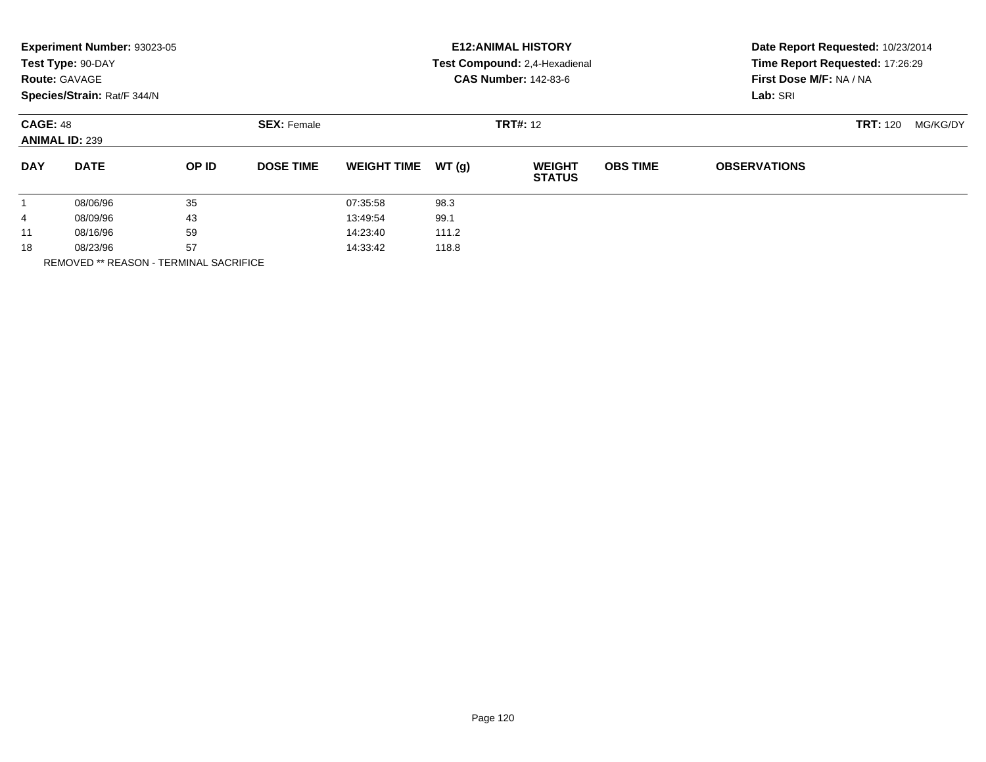|                      | Experiment Number: 93023-05<br>Test Type: 90-DAY<br><b>Route: GAVAGE</b><br>Species/Strain: Rat/F 344/N |       |                    |                    |                 | <b>E12: ANIMAL HISTORY</b><br>Test Compound: 2,4-Hexadienal<br><b>CAS Number: 142-83-6</b> | Date Report Requested: 10/23/2014<br>Time Report Requested: 17:26:29<br>First Dose M/F: NA / NA<br>Lab: SRI |                     |  |  |
|----------------------|---------------------------------------------------------------------------------------------------------|-------|--------------------|--------------------|-----------------|--------------------------------------------------------------------------------------------|-------------------------------------------------------------------------------------------------------------|---------------------|--|--|
|                      | <b>CAGE: 48</b><br><b>ANIMAL ID: 239</b>                                                                |       | <b>SEX: Female</b> |                    | <b>TRT#: 12</b> |                                                                                            | <b>TRT: 120</b>                                                                                             | MG/KG/DY            |  |  |
| <b>DAY</b>           | <b>DATE</b>                                                                                             | OP ID | <b>DOSE TIME</b>   | <b>WEIGHT TIME</b> | WT(g)           | <b>WEIGHT</b><br><b>STATUS</b>                                                             | <b>OBS TIME</b>                                                                                             | <b>OBSERVATIONS</b> |  |  |
|                      | 08/06/96                                                                                                | 35    |                    | 07:35:58           | 98.3            |                                                                                            |                                                                                                             |                     |  |  |
| 4                    | 08/09/96                                                                                                | 43    |                    | 13:49:54           | 99.1            |                                                                                            |                                                                                                             |                     |  |  |
| 11                   | 08/16/96                                                                                                | 59    |                    | 14:23:40           | 111.2           |                                                                                            |                                                                                                             |                     |  |  |
| 57<br>18<br>08/23/96 |                                                                                                         |       | 14:33:42           | 118.8              |                 |                                                                                            |                                                                                                             |                     |  |  |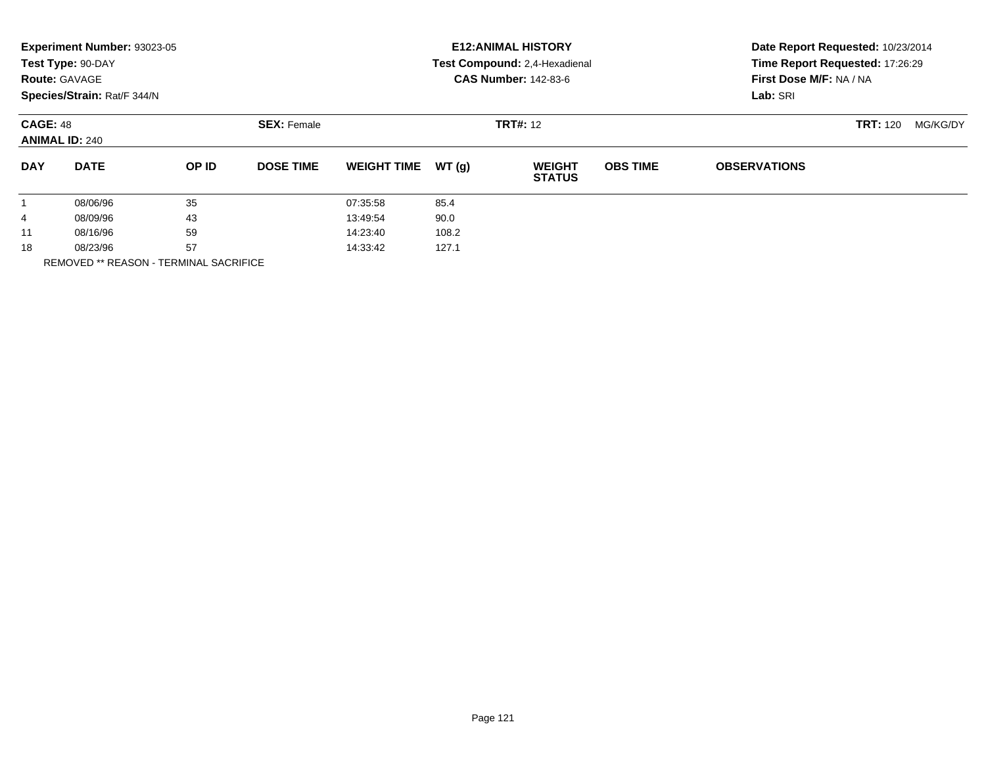| Experiment Number: 93023-05<br>Test Type: 90-DAY<br><b>Route: GAVAGE</b><br>Species/Strain: Rat/F 344/N |                              |       |                    | <b>E12: ANIMAL HISTORY</b><br>Test Compound: 2,4-Hexadienal<br><b>CAS Number: 142-83-6</b> |       |                                |                 | Date Report Requested: 10/23/2014<br>Time Report Requested: 17:26:29<br>First Dose M/F: NA / NA<br>Lab: SRI |          |  |
|---------------------------------------------------------------------------------------------------------|------------------------------|-------|--------------------|--------------------------------------------------------------------------------------------|-------|--------------------------------|-----------------|-------------------------------------------------------------------------------------------------------------|----------|--|
| <b>CAGE: 48</b><br><b>ANIMAL ID: 240</b>                                                                |                              |       | <b>SEX: Female</b> |                                                                                            |       | <b>TRT#: 12</b>                |                 | <b>TRT: 120</b>                                                                                             | MG/KG/DY |  |
| <b>DAY</b>                                                                                              | <b>DATE</b>                  | OP ID | <b>DOSE TIME</b>   | <b>WEIGHT TIME</b>                                                                         | WT(g) | <b>WEIGHT</b><br><b>STATUS</b> | <b>OBS TIME</b> | <b>OBSERVATIONS</b>                                                                                         |          |  |
|                                                                                                         | 08/06/96                     | 35    |                    | 07:35:58                                                                                   | 85.4  |                                |                 |                                                                                                             |          |  |
| 4                                                                                                       | 08/09/96                     | 43    |                    | 13:49:54                                                                                   | 90.0  |                                |                 |                                                                                                             |          |  |
| 11                                                                                                      | 08/16/96                     | 59    |                    | 14:23:40                                                                                   | 108.2 |                                |                 |                                                                                                             |          |  |
| 18                                                                                                      | 08/23/96<br>---------------- | 57    |                    | 14:33:42                                                                                   | 127.1 |                                |                 |                                                                                                             |          |  |